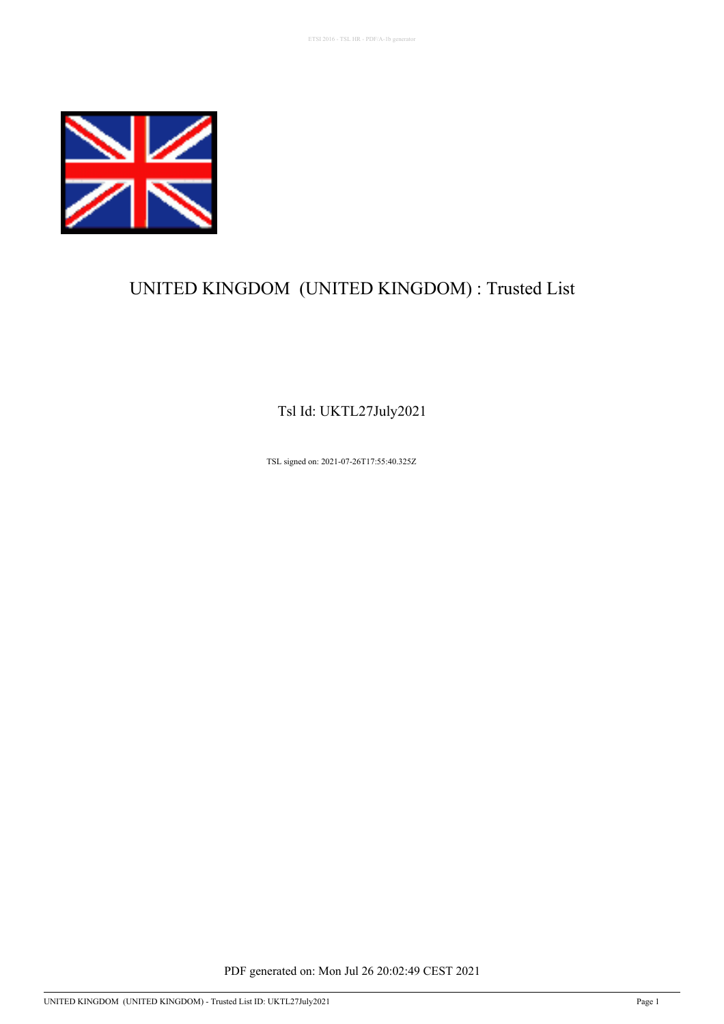

# UNITED KINGDOM (UNITED KINGDOM) : Trusted List

Tsl Id: UKTL27July2021

TSL signed on: 2021-07-26T17:55:40.325Z

PDF generated on: Mon Jul 26 20:02:49 CEST 2021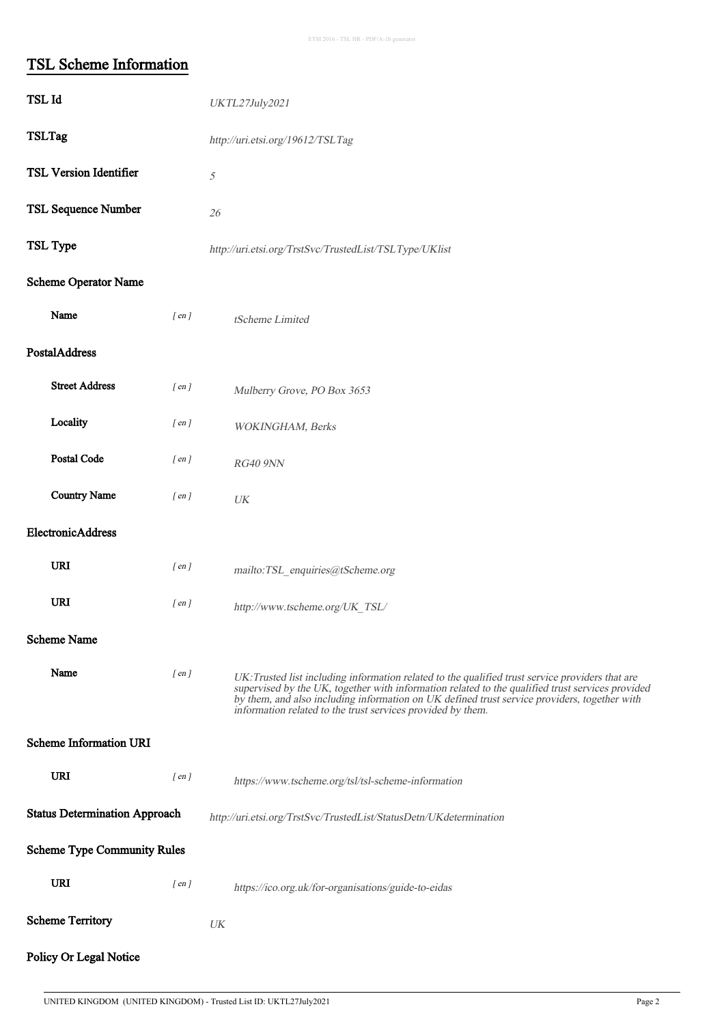# TSL Scheme Information

| TSL Id                               |            | UKTL27July2021                                                                                                                                                                                                                                                                                                                                                      |  |  |
|--------------------------------------|------------|---------------------------------------------------------------------------------------------------------------------------------------------------------------------------------------------------------------------------------------------------------------------------------------------------------------------------------------------------------------------|--|--|
| <b>TSLTag</b>                        |            | http://uri.etsi.org/19612/TSLTag                                                                                                                                                                                                                                                                                                                                    |  |  |
| <b>TSL Version Identifier</b>        |            | $\mathcal{S}% _{M_{1},M_{2}}^{\alpha,\beta}(\varepsilon)$                                                                                                                                                                                                                                                                                                           |  |  |
| <b>TSL Sequence Number</b>           |            | 26                                                                                                                                                                                                                                                                                                                                                                  |  |  |
| TSL Type                             |            | http://uri.etsi.org/TrstSvc/TrustedList/TSLType/UKlist                                                                                                                                                                                                                                                                                                              |  |  |
| Scheme Operator Name                 |            |                                                                                                                                                                                                                                                                                                                                                                     |  |  |
| Name                                 | $[$ en $]$ | tScheme Limited                                                                                                                                                                                                                                                                                                                                                     |  |  |
| PostalAddress                        |            |                                                                                                                                                                                                                                                                                                                                                                     |  |  |
| <b>Street Address</b>                | $[$ en $]$ | Mulberry Grove, PO Box 3653                                                                                                                                                                                                                                                                                                                                         |  |  |
| Locality                             | $[$ en $]$ | WOKINGHAM, Berks                                                                                                                                                                                                                                                                                                                                                    |  |  |
| Postal Code                          | $[$ en $]$ | RG40 9NN                                                                                                                                                                                                                                                                                                                                                            |  |  |
| <b>Country Name</b>                  | $[$ en $]$ | $\ensuremath{U\!K}\xspace$                                                                                                                                                                                                                                                                                                                                          |  |  |
| ElectronicAddress                    |            |                                                                                                                                                                                                                                                                                                                                                                     |  |  |
| URI                                  | $[$ en $]$ | mailto:TSL_enquiries@tScheme.org                                                                                                                                                                                                                                                                                                                                    |  |  |
| URI                                  | $[$ en $]$ | http://www.tscheme.org/UK_TSL/                                                                                                                                                                                                                                                                                                                                      |  |  |
| <b>Scheme Name</b>                   |            |                                                                                                                                                                                                                                                                                                                                                                     |  |  |
| Name                                 | $[$ en $]$ | UK: Trusted list including information related to the qualified trust service providers that are<br>supervised by the UK, together with information related to the qualified trust services provided<br>by them, and also including information on UK defined trust service providers, together with<br>information related to the trust services provided by them. |  |  |
| <b>Scheme Information URI</b>        |            |                                                                                                                                                                                                                                                                                                                                                                     |  |  |
| URI                                  | $[$ en $]$ | https://www.tscheme.org/tsl/tsl-scheme-information                                                                                                                                                                                                                                                                                                                  |  |  |
| <b>Status Determination Approach</b> |            | http://uri.etsi.org/TrstSvc/TrustedList/StatusDetn/UKdetermination                                                                                                                                                                                                                                                                                                  |  |  |
| <b>Scheme Type Community Rules</b>   |            |                                                                                                                                                                                                                                                                                                                                                                     |  |  |
| URI                                  | $[$ en $]$ | https://ico.org.uk/for-organisations/guide-to-eidas                                                                                                                                                                                                                                                                                                                 |  |  |
| <b>Scheme Territory</b>              |            | UK                                                                                                                                                                                                                                                                                                                                                                  |  |  |
| Policy Or Legal Notice               |            |                                                                                                                                                                                                                                                                                                                                                                     |  |  |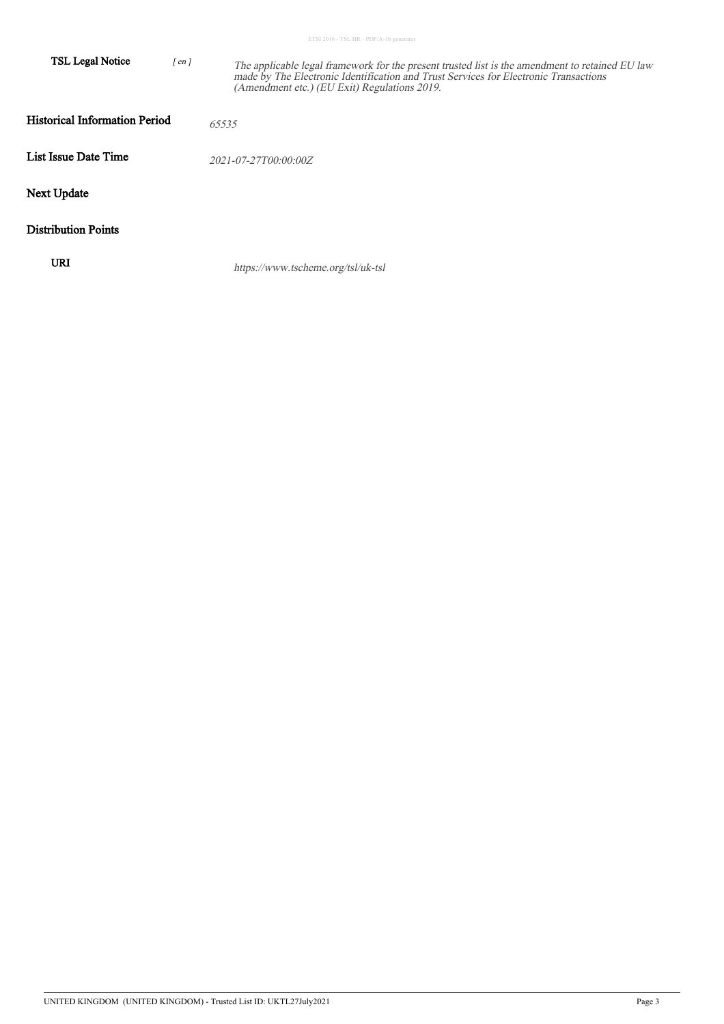|  |  |  | ETSI 2016 - TSL HR - PDF/A-1b generator |
|--|--|--|-----------------------------------------|

| TSL Legal Notice                     | $[$ en $]$ | The applicable legal framework for the present trusted list is the amendment to retained EU law<br>made by The Electronic Identification and Trust Services for Electronic Transactions<br>(Amendment etc.) (EU Exit) Regulations 2019. |
|--------------------------------------|------------|-----------------------------------------------------------------------------------------------------------------------------------------------------------------------------------------------------------------------------------------|
| <b>Historical Information Period</b> |            | 65535                                                                                                                                                                                                                                   |
| List Issue Date Time                 |            | 2021-07-27T00:00:00Z                                                                                                                                                                                                                    |
| Next Update                          |            |                                                                                                                                                                                                                                         |
| <b>Distribution Points</b>           |            |                                                                                                                                                                                                                                         |
| URI                                  |            | https://www.tscheme.org/tsl/uk-tsl                                                                                                                                                                                                      |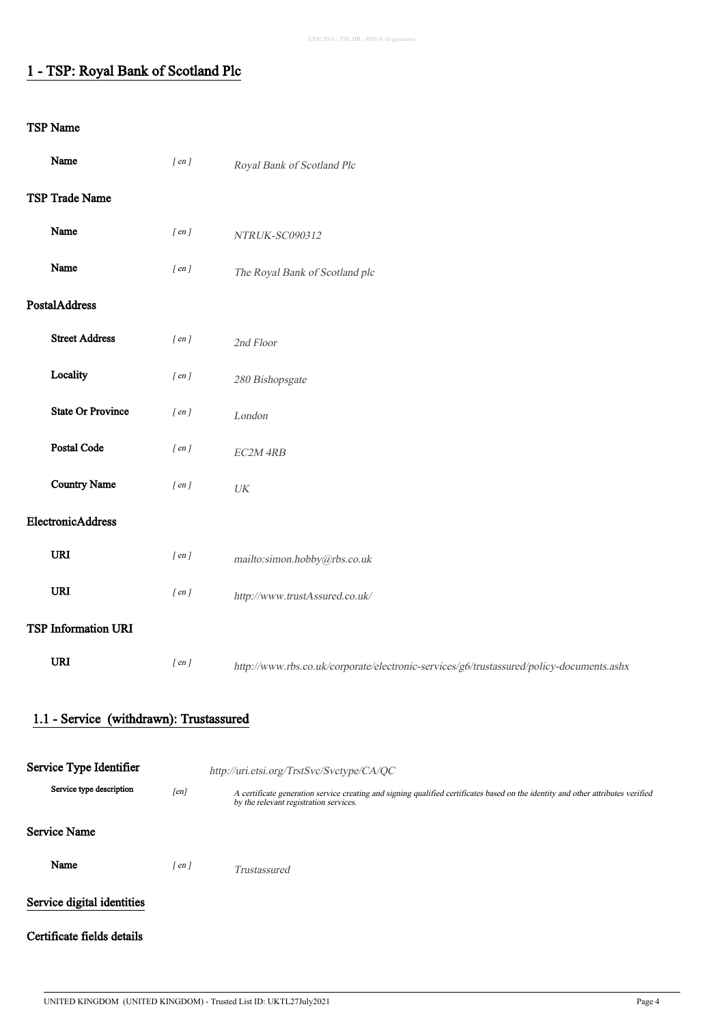## 1 - TSP: Royal Bank of Scotland Plc

| Name                       |                                         | $[$ en $]$ | Royal Bank of Scotland Plc                                                                                                                                                                                              |
|----------------------------|-----------------------------------------|------------|-------------------------------------------------------------------------------------------------------------------------------------------------------------------------------------------------------------------------|
| TSP Trade Name             |                                         |            |                                                                                                                                                                                                                         |
| Name                       |                                         | $[$ en $]$ | NTRUK-SC090312                                                                                                                                                                                                          |
| Name                       |                                         | $[$ en $]$ | The Royal Bank of Scotland plc                                                                                                                                                                                          |
| PostalAddress              |                                         |            |                                                                                                                                                                                                                         |
| <b>Street Address</b>      |                                         | $[$ en $]$ | 2nd Floor                                                                                                                                                                                                               |
| Locality                   |                                         | $[$ en $]$ | 280 Bishopsgate                                                                                                                                                                                                         |
| <b>State Or Province</b>   |                                         | $[$ en $]$ | London                                                                                                                                                                                                                  |
| Postal Code                |                                         | $[$ en $]$ | EC2M 4RB                                                                                                                                                                                                                |
| <b>Country Name</b>        |                                         | $[$ en $]$ | $\ensuremath{\textit{UK}}\xspace$                                                                                                                                                                                       |
| ElectronicAddress          |                                         |            |                                                                                                                                                                                                                         |
| <b>URI</b>                 |                                         | $[$ en $]$ | mailto:simon.hobby@rbs.co.uk                                                                                                                                                                                            |
| <b>URI</b>                 |                                         | $[$ en $]$ | http://www.trustAssured.co.uk/                                                                                                                                                                                          |
| <b>TSP Information URI</b> |                                         |            |                                                                                                                                                                                                                         |
| <b>URI</b>                 |                                         | $[$ en $]$ | http://www.rbs.co.uk/corporate/electronic-services/g6/trustassured/policy-documents.ashx                                                                                                                                |
|                            | 1.1 - Service (withdrawn): Trustassured |            |                                                                                                                                                                                                                         |
| Service Type Identifier    |                                         |            |                                                                                                                                                                                                                         |
|                            | Service type description                | [en]       | http://uri.etsi.org/TrstSvc/Svctype/CA/QC<br>A certificate generation service creating and signing qualified certificates based on the identity and other attributes verified<br>by the relevant registration services. |
| <b>Service Name</b>        |                                         |            |                                                                                                                                                                                                                         |
| Name                       |                                         | $[$ en $]$ | Trustassured                                                                                                                                                                                                            |
| Service digital identities |                                         |            |                                                                                                                                                                                                                         |
| Certificate fields details |                                         |            |                                                                                                                                                                                                                         |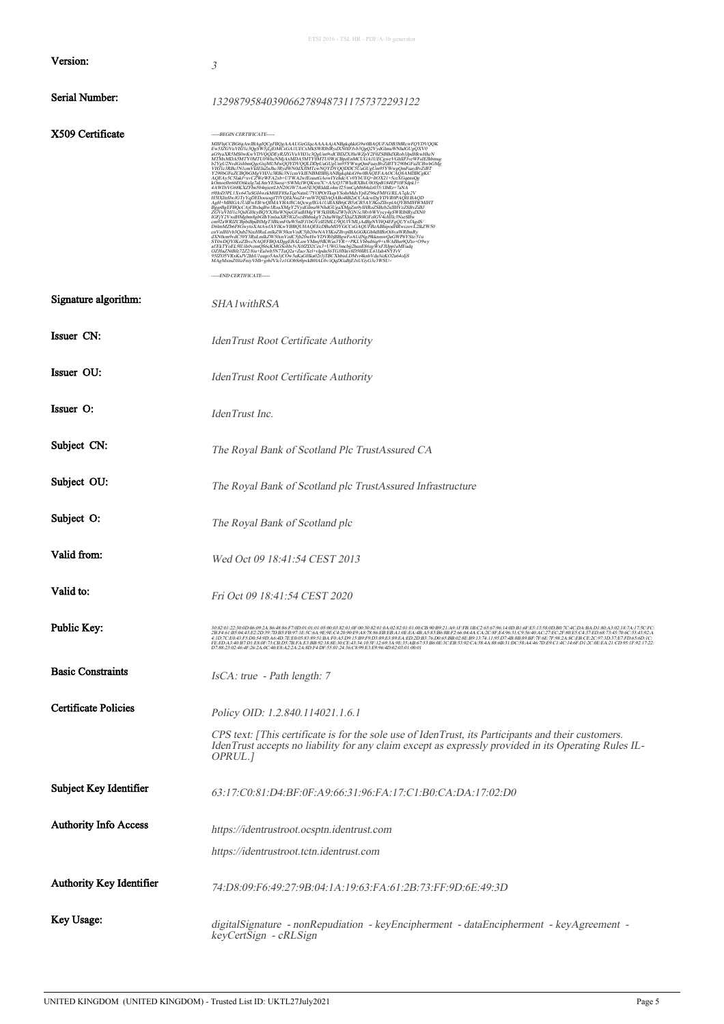|                              | ETSI 2016 - TSL HR - PDF/A-1b generator                                                                                                                                                                                                                                                                                                                                                                                                                                                                                                                                                                                                                                                                                                                                                                                                                                                                                                                                                                                                                                                                                                                                                                                                                                                                                                                                                                                                                                                                                                                                                           |
|------------------------------|---------------------------------------------------------------------------------------------------------------------------------------------------------------------------------------------------------------------------------------------------------------------------------------------------------------------------------------------------------------------------------------------------------------------------------------------------------------------------------------------------------------------------------------------------------------------------------------------------------------------------------------------------------------------------------------------------------------------------------------------------------------------------------------------------------------------------------------------------------------------------------------------------------------------------------------------------------------------------------------------------------------------------------------------------------------------------------------------------------------------------------------------------------------------------------------------------------------------------------------------------------------------------------------------------------------------------------------------------------------------------------------------------------------------------------------------------------------------------------------------------------------------------------------------------------------------------------------------------|
| Version:                     | 3                                                                                                                                                                                                                                                                                                                                                                                                                                                                                                                                                                                                                                                                                                                                                                                                                                                                                                                                                                                                                                                                                                                                                                                                                                                                                                                                                                                                                                                                                                                                                                                                 |
| Serial Number:               | 13298795840390662789487311757372293122                                                                                                                                                                                                                                                                                                                                                                                                                                                                                                                                                                                                                                                                                                                                                                                                                                                                                                                                                                                                                                                                                                                                                                                                                                                                                                                                                                                                                                                                                                                                                            |
| X509 Certificate             | -----BEGIN CERTIFICATE-----<br>MIIFhjCCBG6gAwIBAgIQCgFBQgAAAUGeGJqcAAAAAjANBgkqhkiG9w0BAQUFADB3MRcwFQYDVQQK<br>Ew51ZGVuVHI1e3OeSW5jLjEtMCsGA1UECxMkSWRhilkydXN0fF1yb3QeQ2VydGlmaWNhdGUgQXV0<br>aG9yaXR5MS0wKwYDVQQDEyR1ZGVuVH1le3QgLm9vdCBDZXJ0aWZpY2F0ZSBBdXRob3JpdHxwHhcN<br>MTMxMDA5MTY0MTU0WheNMjAxMDA5MTY0MTU0WjCBpzEnMCUGA1UECgweVGhlIF1yeWFs<br>b2YgU2NvdGxhbmOgcGxjMUMwOQYDVQOLDDpUaGUgUm95YWwgOmFuayBvZiBTY290bGFuZCBwbGMg<br>VHJIc3RBc3N1cmVkIEluZnJhc3RydWN0dXJIMTcwNQYDVQQDDC5UaGUgUm95YWwgQmFuayBvZiBT<br>Y290bGFuZCBQbGMgVHJ1c3RBc3N1cmVkIENBMIIBIjANBgkqhkiG9w0BAQEFAAOCAQ8AMIIBCgKC<br>A OEAySCSIEVeron (VARADES) / WAREZRIGAOWIYE digit/COVYbUEQ-HOX221+5eeXGqensOg<br>AQEAySCSIelf+xvCZVeWFA2xb+UTWA2wFEzartGAowIYe digit/CVYbUEQ-HOX221+5eeXGqensOg<br>ROmochbr66EO6kulg7aL8mYES8xsj+5WMeIWQKwn7C+A5eQ37WbzRXBEU0OSpB184<br>4AWDYG88XZFasiOHquerLbN20GWWA66E33QRddJ4+m1252mCqM8684z035X11Be3r-7aNA<br>o9HoD3PLXXv6FaSGMqH2DKN26WWA66E33QRddJ4+m1257NCqM8648z035X1HBe7-7aNA<br>o9HoD3PLXXv6H2OGWTHQDDADABA4TaN7ODAQABAH22xCAdewsPgYDXRdVAD4D4DAD<br>AgH+MBIGA1UdfwHB<br>dXN0cm9vdC50Y3RuLmlkZW50cnVzdC5jb20wHwYDVR0jBBgwFoAUdNgJ9kkmmwQuGWP6YStz/51u<br>ST0wDQYJKoZlhveNAQEFBQADggEEBALuwYMmj9KWas3YR++PKLVbbul6ig9+xWABhm9QZto+O9wy<br>aFEkTYoEL9IUhlovzmQS6cKMGSoHx5vX0IZD2Cex3+UWG3mebj2hunE86zgWxFJlJpp1<br>OZJ0aZNiBfe72Z2/8iu+Ealwb5N7TuQ2a+Zuo/Xel+vIpdn56TGJI8lnv8D50IRUL61Iab4NYFrV<br>95IZOSVRxKsV2DhU1uugo5An3jC0w3uKaGHka02t3jTBCXhbisLDMvrkknbVda3icKO2u64oIjS<br>MAgMxmZ0JizFniyVHh+grbJVlc1z1GObSr0pvkB0IAL0viQqDGaBjEJxUGyG3e3WSU=<br>-----END CERTIFICATE----- |
| Signature algorithm:         | SHA1withRSA                                                                                                                                                                                                                                                                                                                                                                                                                                                                                                                                                                                                                                                                                                                                                                                                                                                                                                                                                                                                                                                                                                                                                                                                                                                                                                                                                                                                                                                                                                                                                                                       |
| Issuer CN:                   | IdenTrust Root Certificate Authority                                                                                                                                                                                                                                                                                                                                                                                                                                                                                                                                                                                                                                                                                                                                                                                                                                                                                                                                                                                                                                                                                                                                                                                                                                                                                                                                                                                                                                                                                                                                                              |
| Issuer OU:                   | IdenTrust Root Certificate Authority                                                                                                                                                                                                                                                                                                                                                                                                                                                                                                                                                                                                                                                                                                                                                                                                                                                                                                                                                                                                                                                                                                                                                                                                                                                                                                                                                                                                                                                                                                                                                              |
| Issuer O:                    | IdenTrust Inc.                                                                                                                                                                                                                                                                                                                                                                                                                                                                                                                                                                                                                                                                                                                                                                                                                                                                                                                                                                                                                                                                                                                                                                                                                                                                                                                                                                                                                                                                                                                                                                                    |
| Subject CN:                  | The Royal Bank of Scotland Plc TrustAssured CA                                                                                                                                                                                                                                                                                                                                                                                                                                                                                                                                                                                                                                                                                                                                                                                                                                                                                                                                                                                                                                                                                                                                                                                                                                                                                                                                                                                                                                                                                                                                                    |
| Subject OU:                  | The Royal Bank of Scotland plc TrustAssured Infrastructure                                                                                                                                                                                                                                                                                                                                                                                                                                                                                                                                                                                                                                                                                                                                                                                                                                                                                                                                                                                                                                                                                                                                                                                                                                                                                                                                                                                                                                                                                                                                        |
| Subject O:                   | The Royal Bank of Scotland plc                                                                                                                                                                                                                                                                                                                                                                                                                                                                                                                                                                                                                                                                                                                                                                                                                                                                                                                                                                                                                                                                                                                                                                                                                                                                                                                                                                                                                                                                                                                                                                    |
| Valid from:                  | Wed Oct 09 18:41:54 CEST 2013                                                                                                                                                                                                                                                                                                                                                                                                                                                                                                                                                                                                                                                                                                                                                                                                                                                                                                                                                                                                                                                                                                                                                                                                                                                                                                                                                                                                                                                                                                                                                                     |
| Valid to:                    | Fri Oct 09 18:41:54 CEST 2020                                                                                                                                                                                                                                                                                                                                                                                                                                                                                                                                                                                                                                                                                                                                                                                                                                                                                                                                                                                                                                                                                                                                                                                                                                                                                                                                                                                                                                                                                                                                                                     |
| Public Key:                  |                                                                                                                                                                                                                                                                                                                                                                                                                                                                                                                                                                                                                                                                                                                                                                                                                                                                                                                                                                                                                                                                                                                                                                                                                                                                                                                                                                                                                                                                                                                                                                                                   |
| <b>Basic Constraints</b>     | IsCA: true - Path length: 7                                                                                                                                                                                                                                                                                                                                                                                                                                                                                                                                                                                                                                                                                                                                                                                                                                                                                                                                                                                                                                                                                                                                                                                                                                                                                                                                                                                                                                                                                                                                                                       |
| <b>Certificate Policies</b>  | Policy OID: 1.2.840.114021.1.6.1                                                                                                                                                                                                                                                                                                                                                                                                                                                                                                                                                                                                                                                                                                                                                                                                                                                                                                                                                                                                                                                                                                                                                                                                                                                                                                                                                                                                                                                                                                                                                                  |
|                              | CPS text: [This certificate is for the sole use of IdenTrust, its Participants and their customers.<br>IdenTrust accepts no liability for any claim except as expressly provided in its Operating Rules IL-<br>OPRUL.]                                                                                                                                                                                                                                                                                                                                                                                                                                                                                                                                                                                                                                                                                                                                                                                                                                                                                                                                                                                                                                                                                                                                                                                                                                                                                                                                                                            |
| Subject Key Identifier       | 63:17:C0:81:D4:BF:0F:A9:66:31:96:FA:17:C1:B0:CA:DA:17:02:D0                                                                                                                                                                                                                                                                                                                                                                                                                                                                                                                                                                                                                                                                                                                                                                                                                                                                                                                                                                                                                                                                                                                                                                                                                                                                                                                                                                                                                                                                                                                                       |
| <b>Authority Info Access</b> | https://identrustroot.ocsptn.identrust.com                                                                                                                                                                                                                                                                                                                                                                                                                                                                                                                                                                                                                                                                                                                                                                                                                                                                                                                                                                                                                                                                                                                                                                                                                                                                                                                                                                                                                                                                                                                                                        |
|                              | https://identrustroot.tctn.identrust.com                                                                                                                                                                                                                                                                                                                                                                                                                                                                                                                                                                                                                                                                                                                                                                                                                                                                                                                                                                                                                                                                                                                                                                                                                                                                                                                                                                                                                                                                                                                                                          |
| Authority Key Identifier     | 74.D8.09.F6.49.27.9B.04.1A.19.63.FA.61.2B.73.FF.9D.6E.49.3D                                                                                                                                                                                                                                                                                                                                                                                                                                                                                                                                                                                                                                                                                                                                                                                                                                                                                                                                                                                                                                                                                                                                                                                                                                                                                                                                                                                                                                                                                                                                       |
| Key Usage:                   | digitalSignature - nonRepudiation - keyEncipherment - dataEncipherment - keyAgreement -<br>keyCertSign - cRLSign                                                                                                                                                                                                                                                                                                                                                                                                                                                                                                                                                                                                                                                                                                                                                                                                                                                                                                                                                                                                                                                                                                                                                                                                                                                                                                                                                                                                                                                                                  |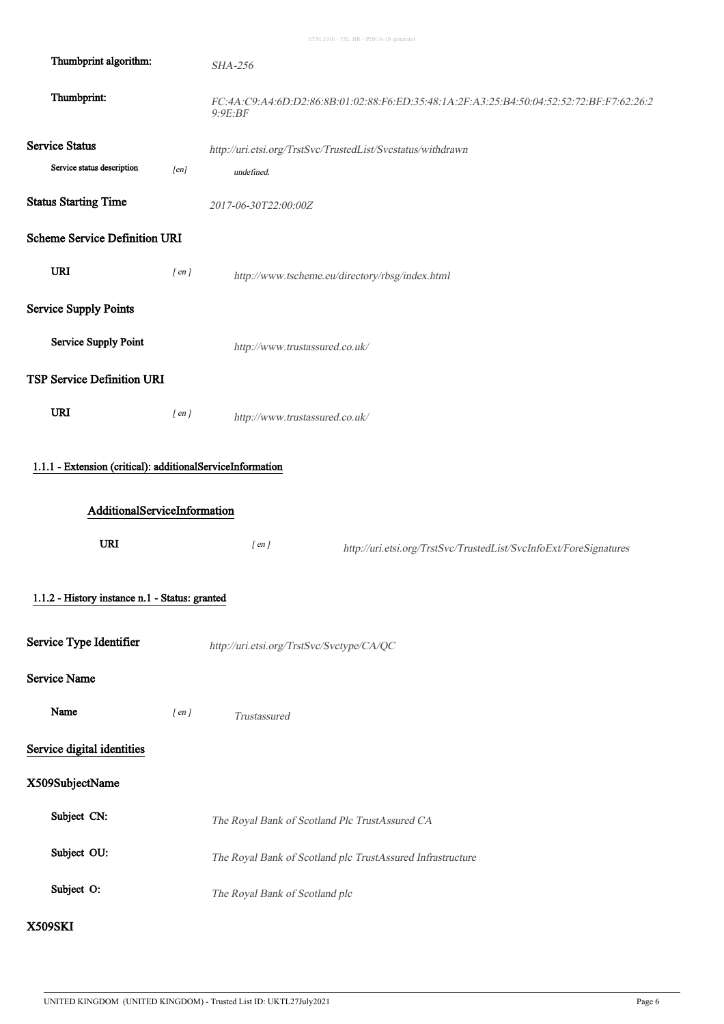| Thumbprint algorithm:                                                                             |            | <b>SHA-256</b>                                                                                      |
|---------------------------------------------------------------------------------------------------|------------|-----------------------------------------------------------------------------------------------------|
| Thumbprint:                                                                                       |            | FC:4A:C9:A4:6D:D2:86:8B:01:02:88:F6:ED:35:48:1A:2F:A3:25:B4:50:04:52:52:72:BF:F7:62:26:2<br>9:9E:BF |
| <b>Service Status</b>                                                                             |            | http://uri.etsi.org/TrstSvc/TrustedList/Svcstatus/withdrawn                                         |
| Service status description                                                                        | [en]       | undefined.                                                                                          |
| <b>Status Starting Time</b>                                                                       |            | 2017-06-30T22:00:00Z                                                                                |
| <b>Scheme Service Definition URI</b>                                                              |            |                                                                                                     |
| <b>URI</b>                                                                                        | $[$ en $]$ | http://www.tscheme.eu/directory/rbsg/index.html                                                     |
| <b>Service Supply Points</b>                                                                      |            |                                                                                                     |
| <b>Service Supply Point</b>                                                                       |            | http://www.trustassured.co.uk/                                                                      |
| <b>TSP Service Definition URI</b>                                                                 |            |                                                                                                     |
| <b>URI</b>                                                                                        | $[$ en $]$ | http://www.trustassured.co.uk/                                                                      |
| 1.1.1 - Extension (critical): additionalServiceInformation<br>AdditionalServiceInformation<br>URI |            | $[$ en $]$<br>http://uri.etsi.org/TrstSvc/TrustedList/SvcInfoExt/ForeSignatures                     |
| 1.1.2 - History instance n.1 - Status: granted                                                    |            |                                                                                                     |
| Service Type Identifier                                                                           |            | http://uri.etsi.org/TrstSvc/Svctype/CA/QC                                                           |
| <b>Service Name</b>                                                                               |            |                                                                                                     |
| Name                                                                                              | $[$ en $]$ | Trustassured                                                                                        |
| Service digital identities                                                                        |            |                                                                                                     |
| X509SubjectName                                                                                   |            |                                                                                                     |
| Subject CN:                                                                                       |            | The Royal Bank of Scotland Plc TrustAssured CA                                                      |
| Subject OU:                                                                                       |            | The Royal Bank of Scotland plc TrustAssured Infrastructure                                          |
| Subject O:                                                                                        |            | The Royal Bank of Scotland plc                                                                      |
| <b>X509SKI</b>                                                                                    |            |                                                                                                     |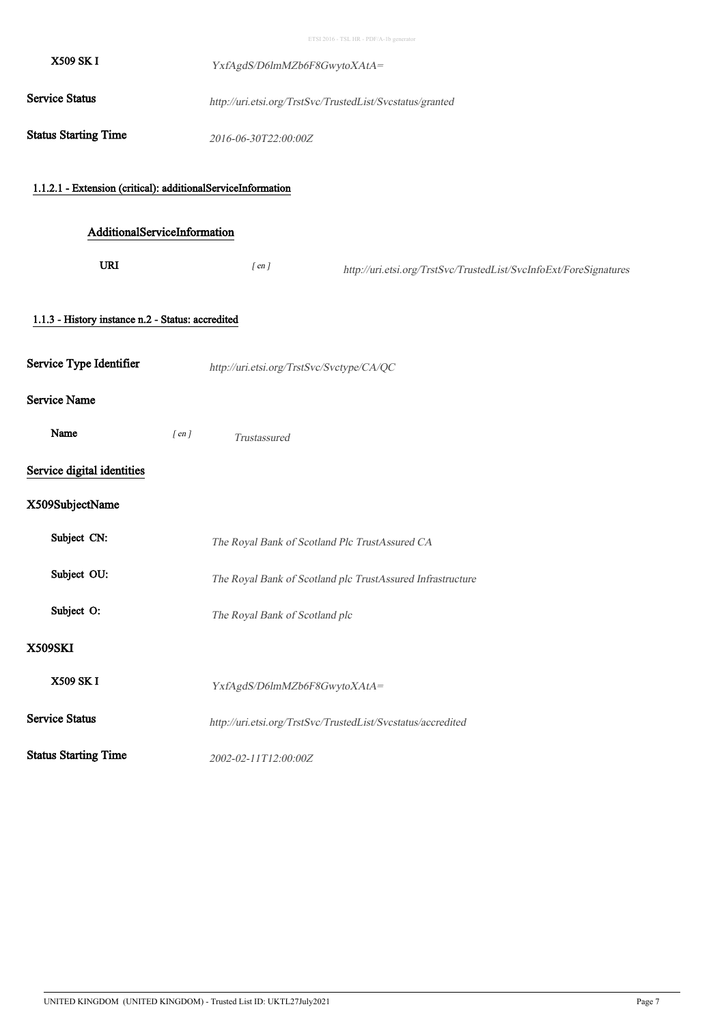| X509 SK I                                                    | YxfAgdS/D6lmMZb6F8GwytoXAtA=                                                    |
|--------------------------------------------------------------|---------------------------------------------------------------------------------|
| <b>Service Status</b>                                        | http://uri.etsi.org/TrstSvc/TrustedList/Svcstatus/granted                       |
| <b>Status Starting Time</b>                                  | 2016-06-30T22:00:00Z                                                            |
| 1.1.2.1 - Extension (critical): additionalServiceInformation |                                                                                 |
| AdditionalServiceInformation                                 |                                                                                 |
| URI                                                          | $[$ en $]$<br>http://uri.etsi.org/TrstSvc/TrustedList/SvcInfoExt/ForeSignatures |
| 1.1.3 - History instance n.2 - Status: accredited            |                                                                                 |
| Service Type Identifier                                      | http://uri.etsi.org/TrstSvc/Svctype/CA/QC                                       |
| <b>Service Name</b>                                          |                                                                                 |
| Name<br>$[$ en $]$                                           | Trustassured                                                                    |
| Service digital identities                                   |                                                                                 |
| X509SubjectName                                              |                                                                                 |
| Subject CN:                                                  | The Royal Bank of Scotland Plc TrustAssured CA                                  |
| Subject OU:                                                  | The Royal Bank of Scotland plc TrustAssured Infrastructure                      |
| Subject O:                                                   | The Royal Bank of Scotland plc                                                  |
| <b>X509SKI</b>                                               |                                                                                 |
| X509 SK I                                                    | YxfAgdS/D6lmMZb6F8GwytoXAtA=                                                    |
| <b>Service Status</b>                                        | http://uri.etsi.org/TrstSvc/TrustedList/Svcstatus/accredited                    |
| <b>Status Starting Time</b>                                  | 2002-02-11T12:00:00Z                                                            |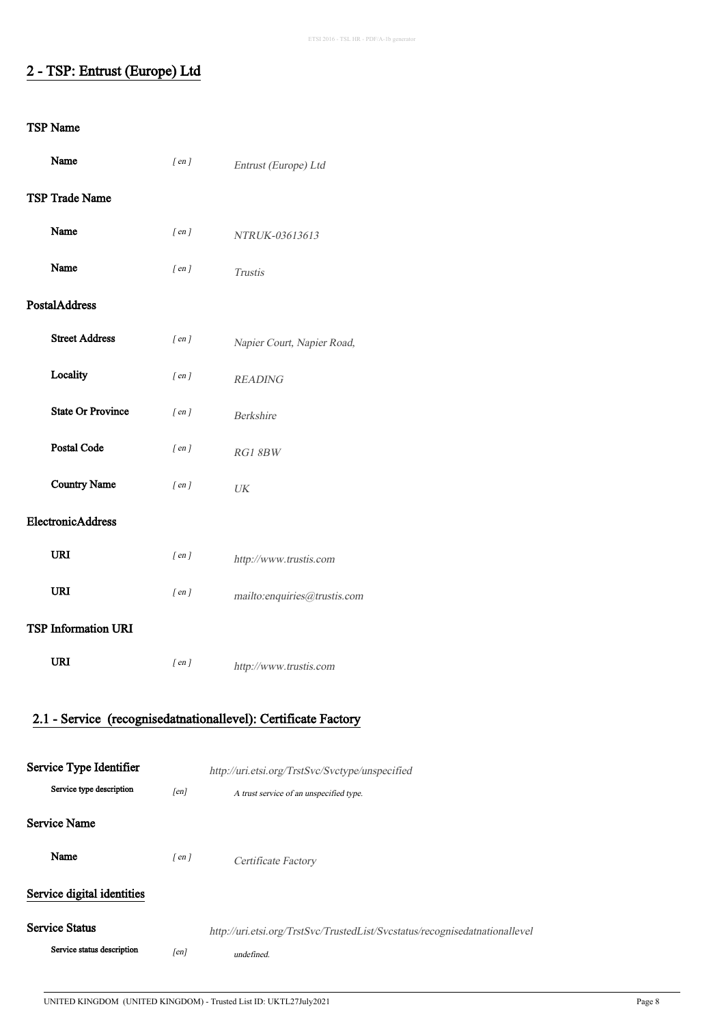# 2 - TSP: Entrust (Europe) Ltd

| Name                                                | $[$ en $]$ | Entrust (Europe) Ltd                                                        |
|-----------------------------------------------------|------------|-----------------------------------------------------------------------------|
| TSP Trade Name                                      |            |                                                                             |
| Name                                                | $[$ en $]$ | NTRUK-03613613                                                              |
| Name                                                | $[$ en $]$ | <b>Trustis</b>                                                              |
| PostalAddress                                       |            |                                                                             |
| <b>Street Address</b>                               | $[$ en $]$ | Napier Court, Napier Road,                                                  |
| Locality                                            | $[$ en $]$ | <b>READING</b>                                                              |
| <b>State Or Province</b>                            | $[$ en $]$ | Berkshire                                                                   |
| <b>Postal Code</b>                                  | $[$ en $]$ | RG1 8BW                                                                     |
| <b>Country Name</b>                                 | $[$ en $]$ | $\ensuremath{\textit{UK}}\xspace$                                           |
| ElectronicAddress                                   |            |                                                                             |
| <b>URI</b>                                          | $[$ en $]$ | http://www.trustis.com                                                      |
| <b>URI</b>                                          | $[$ en $]$ | mailto:enquiries@trustis.com                                                |
| <b>TSP Information URI</b>                          |            |                                                                             |
| <b>URI</b>                                          | $[$ en $]$ | http://www.trustis.com                                                      |
|                                                     |            |                                                                             |
|                                                     |            | 2.1 - Service (recognisedatnationallevel): Certificate Factory              |
|                                                     |            |                                                                             |
| Service Type Identifier<br>Service type description |            | http://uri.etsi.org/TrstSvc/Svctype/unspecified                             |
|                                                     | [en]       | A trust service of an unspecified type.                                     |
| <b>Service Name</b>                                 |            |                                                                             |
| Name                                                | $[$ en $]$ | Certificate Factory                                                         |
| Service digital identities                          |            |                                                                             |
| <b>Service Status</b>                               |            | http://uri.etsi.org/TrstSvc/TrustedList/Svcstatus/recognisedatnationallevel |
| Service status description                          | [en]       | undefined.                                                                  |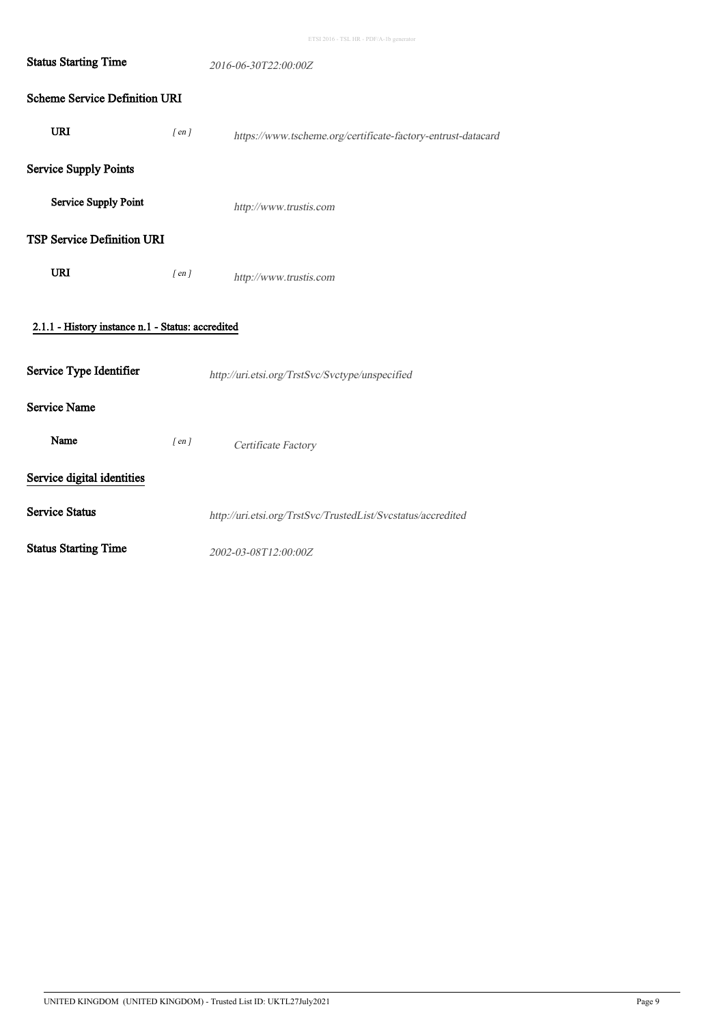| <b>Status Starting Time</b>                       |            | 2016-06-30T22:00:00Z                                         |
|---------------------------------------------------|------------|--------------------------------------------------------------|
| <b>Scheme Service Definition URI</b>              |            |                                                              |
| <b>URI</b>                                        | $[$ en $]$ | https://www.tscheme.org/certificate-factory-entrust-datacard |
| <b>Service Supply Points</b>                      |            |                                                              |
| <b>Service Supply Point</b>                       |            | http://www.trustis.com                                       |
| <b>TSP Service Definition URI</b>                 |            |                                                              |
| <b>URI</b>                                        | $[$ en $]$ | http://www.trustis.com                                       |
| 2.1.1 - History instance n.1 - Status: accredited |            |                                                              |
| Service Type Identifier                           |            | http://uri.etsi.org/TrstSvc/Svctype/unspecified              |
| <b>Service Name</b>                               |            |                                                              |
| Name                                              | $[$ en $]$ | Certificate Factory                                          |
| Service digital identities                        |            |                                                              |
| <b>Service Status</b>                             |            | http://uri.etsi.org/TrstSvc/TrustedList/Svcstatus/accredited |
| <b>Status Starting Time</b>                       |            | 2002-03-08T12:00:00Z                                         |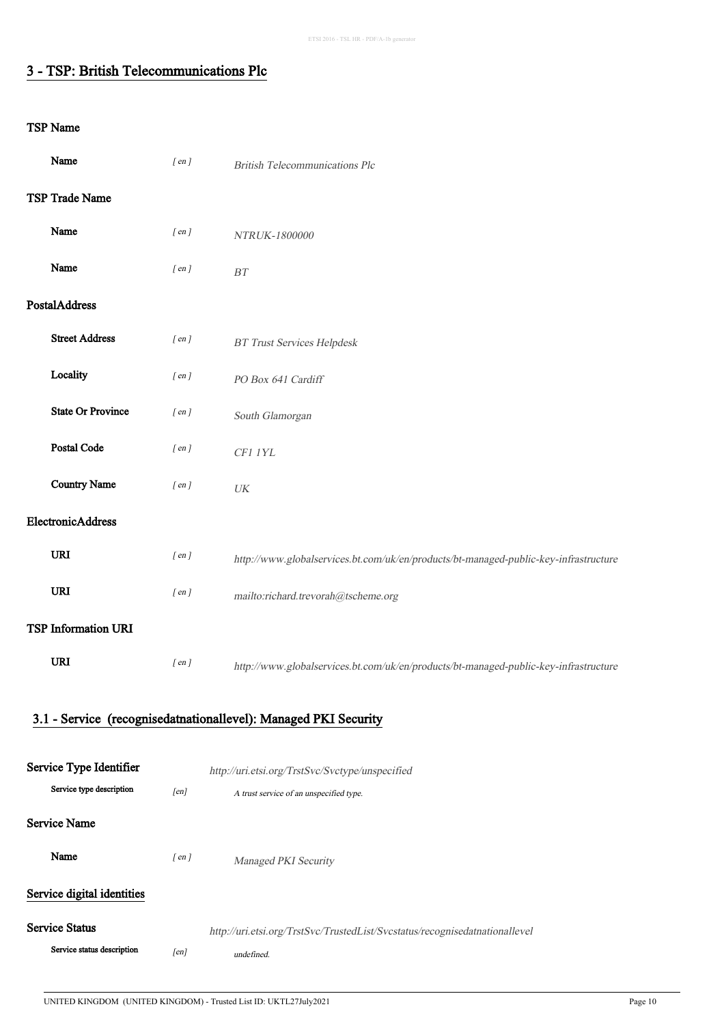# 3 - TSP: British Telecommunications Plc

| Name                       | $[$ en $]$ | <b>British Telecommunications Plc</b>                                                |
|----------------------------|------------|--------------------------------------------------------------------------------------|
| TSP Trade Name             |            |                                                                                      |
| Name                       | $[$ en $]$ | NTRUK-1800000                                                                        |
| Name                       | $[$ en $]$ | $\cal BT$                                                                            |
| PostalAddress              |            |                                                                                      |
| <b>Street Address</b>      | $[$ en $]$ | <b>BT Trust Services Helpdesk</b>                                                    |
| Locality                   | $[$ en $]$ | PO Box 641 Cardiff                                                                   |
| <b>State Or Province</b>   | $[$ en $]$ | South Glamorgan                                                                      |
| Postal Code                | $[$ en $]$ | CF1 1YL                                                                              |
| <b>Country Name</b>        | $[$ en $]$ | $\ensuremath{\textit{UK}}\xspace$                                                    |
| ElectronicAddress          |            |                                                                                      |
| <b>URI</b>                 | $[$ en $]$ | http://www.globalservices.bt.com/uk/en/products/bt-managed-public-key-infrastructure |
| URI                        | $[$ en $]$ | mailto:richard.trevorah@tscheme.org                                                  |
| <b>TSP Information URI</b> |            |                                                                                      |
| <b>URI</b>                 | $[$ en $]$ | http://www.globalservices.bt.com/uk/en/products/bt-managed-public-key-infrastructure |
|                            |            | 3.1 - Service (recognisedatnationallevel): Managed PKI Security                      |
|                            |            |                                                                                      |
| Service Type Identifier    |            | http://uri.etsi.org/TrstSvc/Svctype/unspecified                                      |
| Service type description   | [en]       | A trust service of an unspecified type.                                              |
| <b>Service Name</b>        |            |                                                                                      |
| Name                       | $[$ en $]$ | Managed PKI Security                                                                 |
| Service digital identities |            |                                                                                      |
| <b>Service Status</b>      |            | http://uri.etsi.org/TrstSvc/TrustedList/Svcstatus/recognisedatnationallevel          |
| Service status description | [en]       | undefined.                                                                           |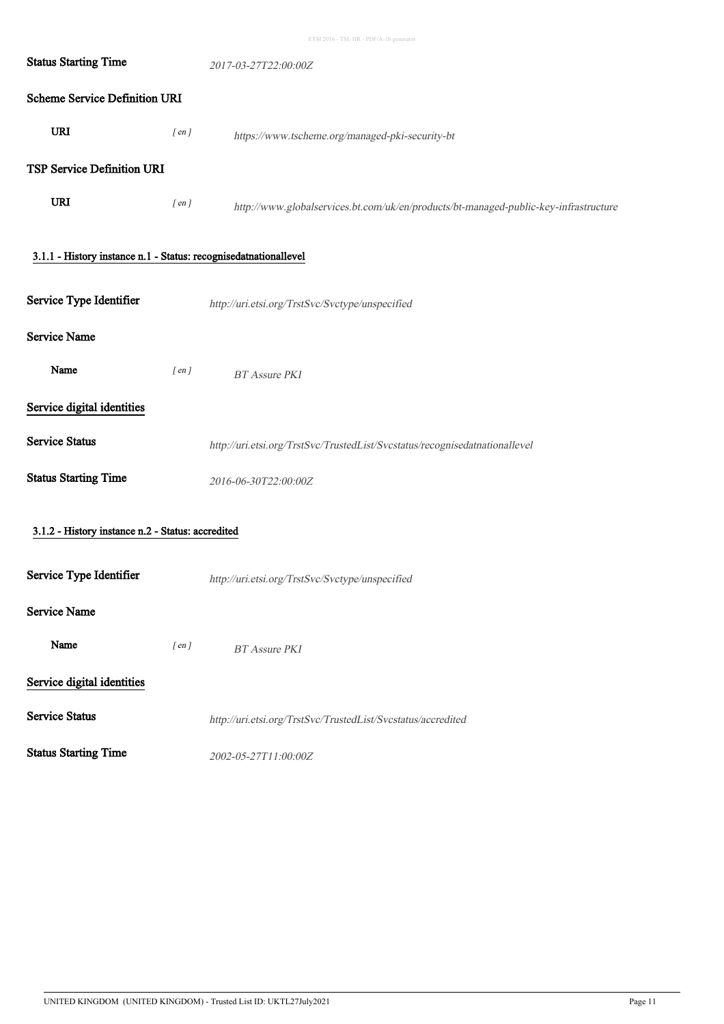| <b>Status Starting Time</b>                                      |            | 2017-03-27T22:00:00Z                                                                 |  |  |
|------------------------------------------------------------------|------------|--------------------------------------------------------------------------------------|--|--|
| <b>Scheme Service Definition URI</b>                             |            |                                                                                      |  |  |
| <b>URI</b>                                                       | $[$ en $]$ | https://www.tscheme.org/managed-pki-security-bt                                      |  |  |
| TSP Service Definition URI                                       |            |                                                                                      |  |  |
| <b>URI</b>                                                       | $[$ en $]$ | http://www.globalservices.bt.com/uk/en/products/bt-managed-public-key-infrastructure |  |  |
| 3.1.1 - History instance n.1 - Status: recognisedatnationallevel |            |                                                                                      |  |  |
| Service Type Identifier                                          |            | http://uri.etsi.org/TrstSvc/Svctype/unspecified                                      |  |  |
| <b>Service Name</b>                                              |            |                                                                                      |  |  |
| Name                                                             | $[$ en $]$ | <b>BT</b> Assure PKI                                                                 |  |  |
| Service digital identities                                       |            |                                                                                      |  |  |
| <b>Service Status</b>                                            |            | http://uri.etsi.org/TrstSvc/TrustedList/Svcstatus/recognisedatnationallevel          |  |  |
| <b>Status Starting Time</b>                                      |            | 2016-06-30T22:00:00Z                                                                 |  |  |
| 3.1.2 - History instance n.2 - Status: accredited                |            |                                                                                      |  |  |
| Service Type Identifier                                          |            | http://uri.etsi.org/TrstSvc/Svctype/unspecified                                      |  |  |
| <b>Service Name</b>                                              |            |                                                                                      |  |  |
| Name                                                             | $[$ en $]$ | <b>BT</b> Assure PKI                                                                 |  |  |
| Service digital identities                                       |            |                                                                                      |  |  |
| <b>Service Status</b>                                            |            | http://uri.etsi.org/TrstSvc/TrustedList/Svcstatus/accredited                         |  |  |
| <b>Status Starting Time</b>                                      |            | 2002-05-27T11:00:00Z                                                                 |  |  |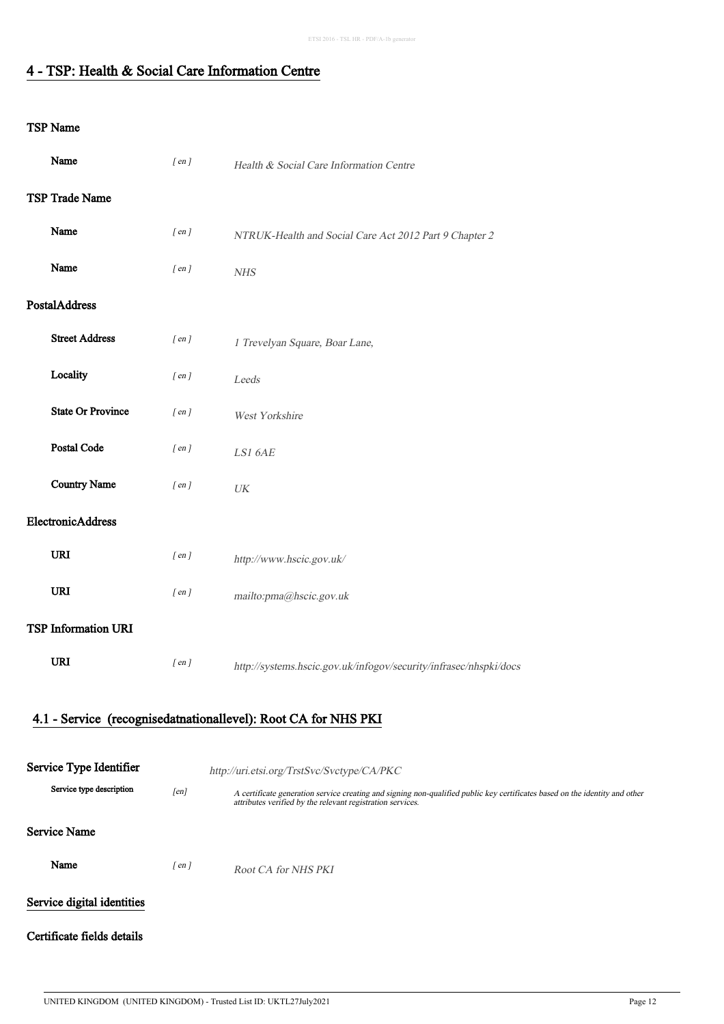### 4 - TSP: Health & Social Care Information Centre

### TSP Name

| Name                       | $[$ en $]$ | Health & Social Care Information Centre                                                                                                                                                   |
|----------------------------|------------|-------------------------------------------------------------------------------------------------------------------------------------------------------------------------------------------|
| TSP Trade Name             |            |                                                                                                                                                                                           |
| Name                       | $[$ en $]$ | NTRUK-Health and Social Care Act 2012 Part 9 Chapter 2                                                                                                                                    |
| Name                       | $[$ en $]$ | <b>NHS</b>                                                                                                                                                                                |
| PostalAddress              |            |                                                                                                                                                                                           |
| <b>Street Address</b>      | $[$ en $]$ | 1 Trevelyan Square, Boar Lane,                                                                                                                                                            |
| Locality                   | $[$ en $]$ | Leeds                                                                                                                                                                                     |
| <b>State Or Province</b>   | $[$ en $]$ | West Yorkshire                                                                                                                                                                            |
| Postal Code                | $[$ en $]$ | LS1 6AE                                                                                                                                                                                   |
| <b>Country Name</b>        | $[$ en $]$ | $\ensuremath{\textit{UK}}\xspace$                                                                                                                                                         |
| ElectronicAddress          |            |                                                                                                                                                                                           |
| <b>URI</b>                 | $[$ en $]$ | http://www.hscic.gov.uk/                                                                                                                                                                  |
| <b>URI</b>                 | $[$ en $]$ | mailto:pma@hscic.gov.uk                                                                                                                                                                   |
| <b>TSP Information URI</b> |            |                                                                                                                                                                                           |
| URI                        | $[$ en $]$ | http://systems.hscic.gov.uk/infogov/security/infrasec/nhspki/docs                                                                                                                         |
|                            |            | 4.1 - Service (recognisedatnationallevel): Root CA for NHS PKI                                                                                                                            |
|                            |            |                                                                                                                                                                                           |
| Service Type Identifier    |            | http://uri.etsi.org/TrstSvc/Svctype/CA/PKC                                                                                                                                                |
| Service type description   | [en]       | A certificate generation service creating and signing non-qualified public key certificates based on the identity and other<br>attributes verified by the relevant registration services. |
| <b>Service Name</b>        |            |                                                                                                                                                                                           |
| Name                       | $[$ en $]$ | Root CA for NHS PKI                                                                                                                                                                       |
| Service digital identities |            |                                                                                                                                                                                           |

### Certificate fields details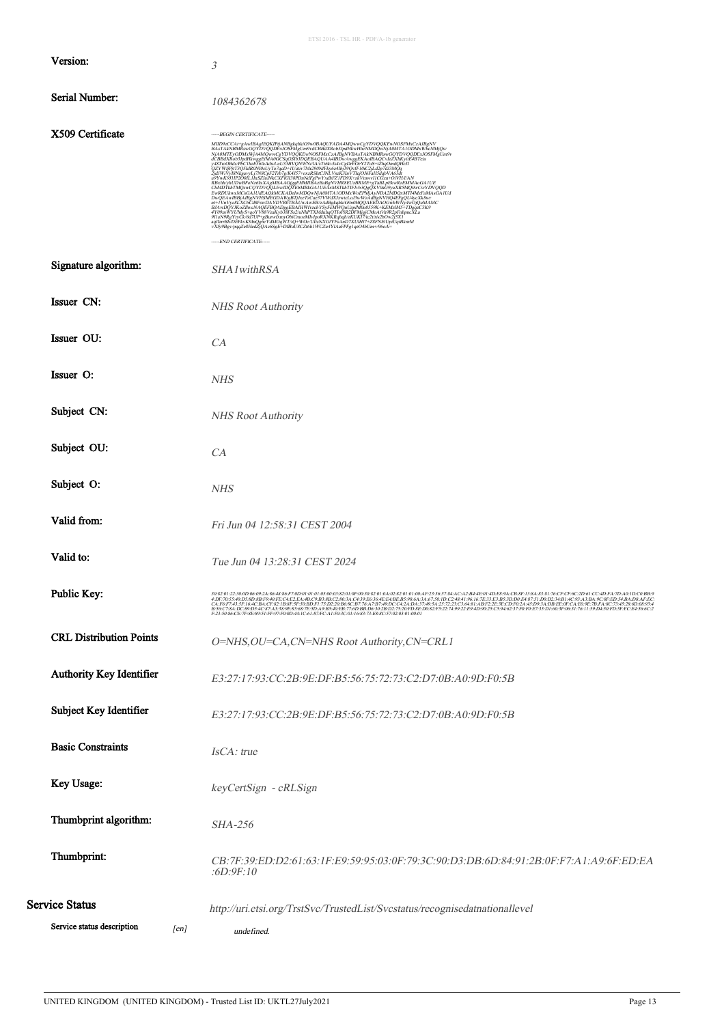|                                    | ETSI 2016 - TSL HR - PDF/A-1b generator                                                                                                                                                                                                                                                                                                                                                                                                                                                    |
|------------------------------------|--------------------------------------------------------------------------------------------------------------------------------------------------------------------------------------------------------------------------------------------------------------------------------------------------------------------------------------------------------------------------------------------------------------------------------------------------------------------------------------------|
| Version:                           | 3                                                                                                                                                                                                                                                                                                                                                                                                                                                                                          |
| <b>Serial Number:</b>              | 1084362678                                                                                                                                                                                                                                                                                                                                                                                                                                                                                 |
| X509 Certificate                   | -----BEGIN CERTIFICATE-----<br>$\label{eq:20} \begin{minipage}[t]{.5cm} \textbf{MIDPAC} \textbf{CATE} \textbf{LITR} \textbf{DQATE} \textbf{RQATE} \textbf{RQATE} \textbf{RQATE} \textbf{RQATE} \textbf{RQATE} \textbf{RQATE} \textbf{RQATE} \textbf{RQATE} \textbf{RQATE} \textbf{RQATE} \textbf{RQATE} \textbf{RQATE} \textbf{RQATE} \textbf{RQATE} \textbf{RQATE} \textbf{RQATE} \textbf{RQATE} \textbf{RQATE} \textbf{RQATE} \textbf{RQATE} \textbf{RQATE$<br>-----END CERTIFICATE----- |
| Signature algorithm:               | SHA1withRSA                                                                                                                                                                                                                                                                                                                                                                                                                                                                                |
| Issuer CN:                         | NHS Root Authority                                                                                                                                                                                                                                                                                                                                                                                                                                                                         |
| Issuer OU:                         | CA                                                                                                                                                                                                                                                                                                                                                                                                                                                                                         |
| Issuer O:                          | <b>NHS</b>                                                                                                                                                                                                                                                                                                                                                                                                                                                                                 |
| Subject CN:                        | <b>NHS Root Authority</b>                                                                                                                                                                                                                                                                                                                                                                                                                                                                  |
| Subject OU:                        | CA                                                                                                                                                                                                                                                                                                                                                                                                                                                                                         |
| Subject O:                         | <b>NHS</b>                                                                                                                                                                                                                                                                                                                                                                                                                                                                                 |
| Valid from:                        | Fri Jun 04 12:58:31 CEST 2004                                                                                                                                                                                                                                                                                                                                                                                                                                                              |
| Valid to:                          | Tue Jun 04 13:28:31 CEST 2024                                                                                                                                                                                                                                                                                                                                                                                                                                                              |
| Public Key:                        | $\frac{30\&201:22:304D0669:2A\&4\&8\&4\&70D01:01:01:05:00:02:01:0F40:20:01:01:02:2:01:01:02:01:02:02:01:02:02:04:02:04:01:02:02:03:02:03:03:04:04:05:04:05:04:05:04:05:04:05:04:05:04:05:04:05:04:05:04:05:04:05:04:05:04:04:04:$                                                                                                                                                                                                                                                          |
| <b>CRL Distribution Points</b>     | O=NHS, OU=CA, CN=NHS Root Authority, CN=CRL1                                                                                                                                                                                                                                                                                                                                                                                                                                               |
| Authority Key Identifier           | E3:27:17:93:CC:2B:9E:DF:B5:56:75:72:73:C2:D7:0B:A0:9D:F0:5B                                                                                                                                                                                                                                                                                                                                                                                                                                |
| Subject Key Identifier             | E3:27:17:93:CC:2B:9E:DF:B5:56:75:72:73:C2:D7:0B:A0:9D:F0:5B                                                                                                                                                                                                                                                                                                                                                                                                                                |
| <b>Basic Constraints</b>           | IsCA: true                                                                                                                                                                                                                                                                                                                                                                                                                                                                                 |
| Key Usage:                         | keyCertSign - cRLSign                                                                                                                                                                                                                                                                                                                                                                                                                                                                      |
| Thumbprint algorithm:              | <b>SHA-256</b>                                                                                                                                                                                                                                                                                                                                                                                                                                                                             |
| Thumbprint:                        | CB:7F:39:ED:D2:61:63:1F:E9:59:95:03:0F:79:3C:90:D3:DB:6D:84:91:2B:0F:F7:A1:A9:6F:ED:EA<br>:6D:9F:10                                                                                                                                                                                                                                                                                                                                                                                        |
| Service Status                     | http://uri.etsi.org/TrstSvc/TrustedList/Svcstatus/recognisedatnationallevel                                                                                                                                                                                                                                                                                                                                                                                                                |
| Service status description<br>[en] |                                                                                                                                                                                                                                                                                                                                                                                                                                                                                            |
|                                    | undefined.                                                                                                                                                                                                                                                                                                                                                                                                                                                                                 |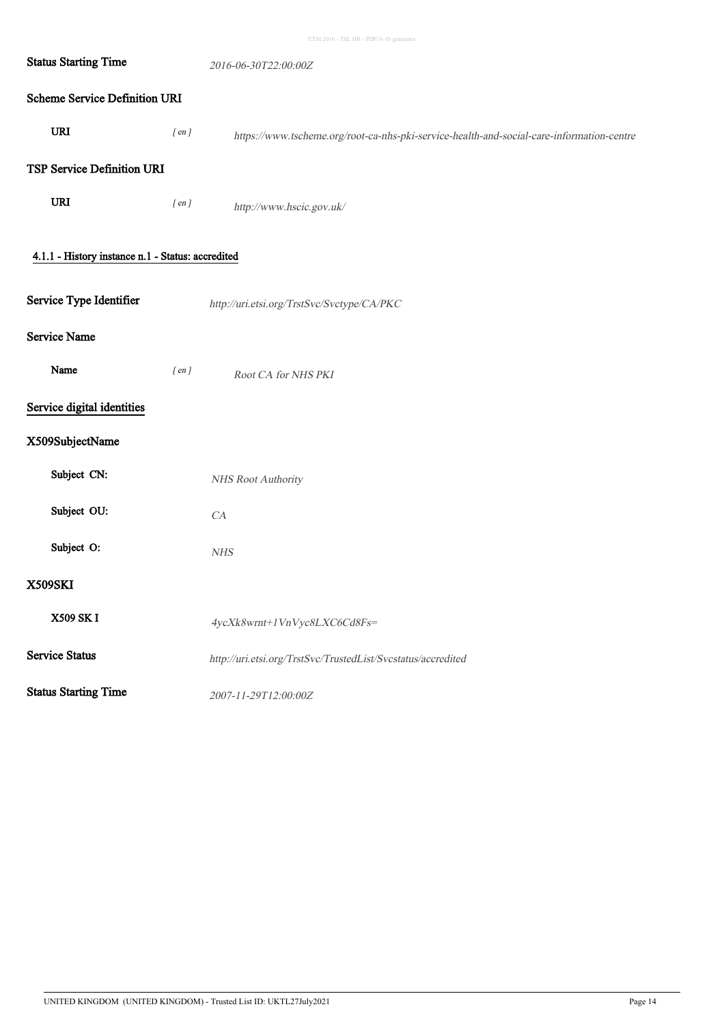| <b>Status Starting Time</b>                       |            | 2016-06-30T22:00:00Z                                                                      |
|---------------------------------------------------|------------|-------------------------------------------------------------------------------------------|
| <b>Scheme Service Definition URI</b>              |            |                                                                                           |
| URI                                               | $[$ en $]$ | https://www.tscheme.org/root-ca-nhs-pki-service-health-and-social-care-information-centre |
| TSP Service Definition URI                        |            |                                                                                           |
| URI                                               | $[$ en $]$ | http://www.hscic.gov.uk/                                                                  |
| 4.1.1 - History instance n.1 - Status: accredited |            |                                                                                           |
| Service Type Identifier                           |            | http://uri.etsi.org/TrstSvc/Svctype/CA/PKC                                                |
| <b>Service Name</b>                               |            |                                                                                           |
| Name                                              | $[$ en $]$ | Root CA for NHS PKI                                                                       |
| Service digital identities                        |            |                                                                                           |
| X509SubjectName                                   |            |                                                                                           |
| Subject CN:                                       |            | NHS Root Authority                                                                        |
| Subject OU:                                       |            | CA                                                                                        |
| Subject O:                                        |            | ${\it NHS}$                                                                               |
| X509SKI                                           |            |                                                                                           |
| X509 SK I                                         |            | 4ycXk8wrnt+1VnVyc8LXC6Cd8Fs=                                                              |
| <b>Service Status</b>                             |            | http://uri.etsi.org/TrstSvc/TrustedList/Svcstatus/accredited                              |
| <b>Status Starting Time</b>                       |            | 2007-11-29T12:00:00Z                                                                      |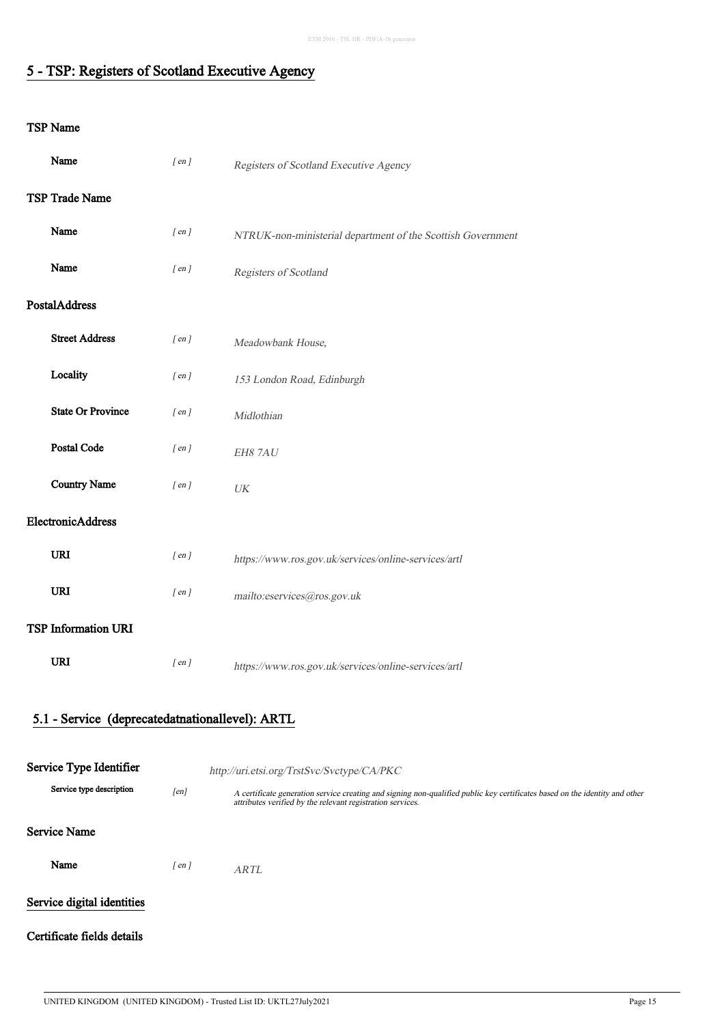### 5 - TSP: Registers of Scotland Executive Agency

| Name                                            | $[$ en $]$ | Registers of Scotland Executive Agency                                                                                                                                                    |  |
|-------------------------------------------------|------------|-------------------------------------------------------------------------------------------------------------------------------------------------------------------------------------------|--|
| TSP Trade Name                                  |            |                                                                                                                                                                                           |  |
| Name                                            | $[$ en $]$ | NTRUK-non-ministerial department of the Scottish Government                                                                                                                               |  |
| Name                                            | $[$ en $]$ | Registers of Scotland                                                                                                                                                                     |  |
| <b>PostalAddress</b>                            |            |                                                                                                                                                                                           |  |
| <b>Street Address</b>                           | $[$ en $]$ | Meadowbank House,                                                                                                                                                                         |  |
| Locality                                        | $[$ en $]$ | 153 London Road, Edinburgh                                                                                                                                                                |  |
| <b>State Or Province</b>                        | $[$ en $]$ | Midlothian                                                                                                                                                                                |  |
| <b>Postal Code</b>                              | $[$ en $]$ | EH8 7AU                                                                                                                                                                                   |  |
| <b>Country Name</b>                             | $[$ en $]$ | $\ensuremath{\textit{UK}}\xspace$                                                                                                                                                         |  |
| ElectronicAddress                               |            |                                                                                                                                                                                           |  |
| <b>URI</b>                                      | $[$ en $]$ | https://www.ros.gov.uk/services/online-services/artl                                                                                                                                      |  |
| URI                                             | $[$ en $]$ | mailto:eservices@ros.gov.uk                                                                                                                                                               |  |
| <b>TSP Information URI</b>                      |            |                                                                                                                                                                                           |  |
| <b>URI</b>                                      | $[$ en $]$ | https://www.ros.gov.uk/services/online-services/artl                                                                                                                                      |  |
|                                                 |            |                                                                                                                                                                                           |  |
| 5.1 - Service (deprecatedatnationallevel): ARTL |            |                                                                                                                                                                                           |  |
| Service Type Identifier                         |            |                                                                                                                                                                                           |  |
| Service type description                        | [en]       | http://uri.etsi.org/TrstSvc/Svctype/CA/PKC                                                                                                                                                |  |
|                                                 |            | A certificate generation service creating and signing non-qualified public key certificates based on the identity and other<br>attributes verified by the relevant registration services. |  |
| <b>Service Name</b>                             |            |                                                                                                                                                                                           |  |
| Name                                            | $[$ en $]$ | <b>ARTL</b>                                                                                                                                                                               |  |
| Service digital identities                      |            |                                                                                                                                                                                           |  |
| Certificate fields details                      |            |                                                                                                                                                                                           |  |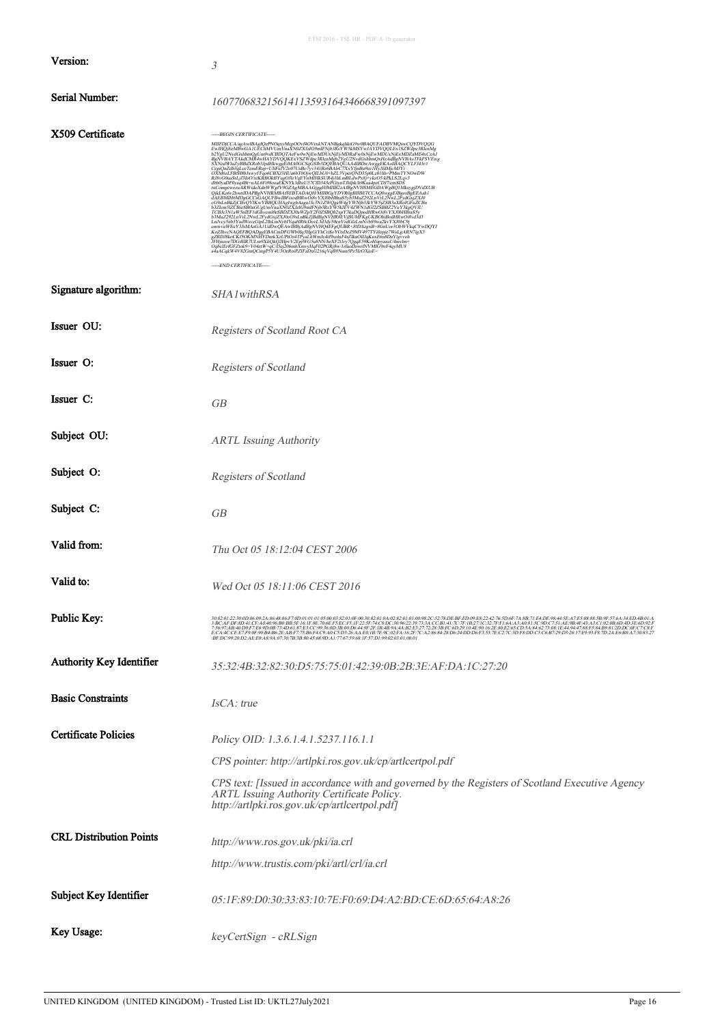|                                | ETSI 2016 - TSL HR - PDF/A-1b generator                                                                                                                                                                                                                                                                                                                                                                                                                                                                                                                                                                                                                                                                                                                                           |
|--------------------------------|-----------------------------------------------------------------------------------------------------------------------------------------------------------------------------------------------------------------------------------------------------------------------------------------------------------------------------------------------------------------------------------------------------------------------------------------------------------------------------------------------------------------------------------------------------------------------------------------------------------------------------------------------------------------------------------------------------------------------------------------------------------------------------------|
| Version:                       | 3                                                                                                                                                                                                                                                                                                                                                                                                                                                                                                                                                                                                                                                                                                                                                                                 |
| Serial Number:                 | 160770683215614113593164346668391097397                                                                                                                                                                                                                                                                                                                                                                                                                                                                                                                                                                                                                                                                                                                                           |
| X509 Certificate               | -----BEGIN CERTIFICATE-----<br>MIFDJCCA/sa/wiBAgUQ=RNQwyMspOOr4F0VxEkVTANBgkghk6Ow0BAQUERADBVMQvxCOYDVQQG<br>EwJHQjEeMBwGAUUEChMVUmVnaKN0ZXErIComFNjb3BsYWSkMSYwJAYDVQQLEx1SZWdpx3RCaMg<br>BgNVBAYTAkdCMR4wHAYDVQQKExVSZWdpx3RkmMgb2YgU2NnCokhmQxHzAdBgNVBAxFEkFSVE<br>Bg/WBATTAkeCMRewHA DDVQQKEN\SZWqhp:RRemAgeSYgU2NvdCrkhmQvHzAdigeWBATTEKSYEw<br>EXNOMVIA/SBBAXReh3JpdHRwggEEMA0CCSqCSIb3DQEBAQUAA4HBDvAwggEKAaHBAQCYHEH3EVEw<br>EXNOMVIA/SBBAXReh3JpdHRwggEEMA0CCSqCSIb3DQEBAQUAA4HBDvAwggEKAaHBAQCYH<br>BMn2292LBVTL2NwLPydXvJCAN0C9SLBBK2JBBBgNVHRSEVj8UMFKgUNDsedWMWMSvHxH2<br>LEhVeySthDYaPH2NwLPydXvJCAN0C9SLBBK2JBBBgNVHRSEVHMSEN/NDMHBdfHNWMSvHzH2<br>LEhVeySthDYYaPH2NAGAULUbwQE=NeBBJAdBgNVHQ4FEgQUBR+J0DJAVBACH2UDVDWVBCVV<br>EmeryS<br>-----END CERTIFICATE----- |
| Signature algorithm:           | SHA1withRSA                                                                                                                                                                                                                                                                                                                                                                                                                                                                                                                                                                                                                                                                                                                                                                       |
| Issuer OU:                     | Registers of Scotland Root CA                                                                                                                                                                                                                                                                                                                                                                                                                                                                                                                                                                                                                                                                                                                                                     |
| Issuer O:                      | Registers of Scotland                                                                                                                                                                                                                                                                                                                                                                                                                                                                                                                                                                                                                                                                                                                                                             |
| Issuer C:                      | GВ                                                                                                                                                                                                                                                                                                                                                                                                                                                                                                                                                                                                                                                                                                                                                                                |
| Subject OU:                    | <b>ARTL Issuing Authority</b>                                                                                                                                                                                                                                                                                                                                                                                                                                                                                                                                                                                                                                                                                                                                                     |
| Subject O:                     | Registers of Scotland                                                                                                                                                                                                                                                                                                                                                                                                                                                                                                                                                                                                                                                                                                                                                             |
| Subject C:                     | GВ                                                                                                                                                                                                                                                                                                                                                                                                                                                                                                                                                                                                                                                                                                                                                                                |
| Valid from:                    | Thu Oct 05 18:12:04 CEST 2006                                                                                                                                                                                                                                                                                                                                                                                                                                                                                                                                                                                                                                                                                                                                                     |
| Valid to:                      | Wed Oct 05 18:11:06 CEST 2016                                                                                                                                                                                                                                                                                                                                                                                                                                                                                                                                                                                                                                                                                                                                                     |
| Public Key:                    | 308201230006602A&6&8&F700010101056003&3010F6030820103Q2010108%2C378DEBFED09E822C427FF16AA3A6315C90C531AE3A88BBFF36A34ED4B01AE401A<br>3BCAFDF8D41CFA040%B0BB5F161F8E706EF3ECF31F235F7dC8DC30%239733ACCB1417C7F1B271C327FF16AA3A631<br>:BF:DC:99:20:D2:AE:E0:A8:9A:07:30:7B:3B:80:45:68:9D:A1:77:67:59:68:IF:57:D1:99:02:03:01:00:01                                                                                                                                                                                                                                                                                                                                                                                                                                                |
| Authority Key Identifier       | 35:32:4B:32:82:30:D5:75:75:01:42:39:0B:2B:3E:AF:DA:1C:27:20                                                                                                                                                                                                                                                                                                                                                                                                                                                                                                                                                                                                                                                                                                                       |
| <b>Basic Constraints</b>       | IsCA: true                                                                                                                                                                                                                                                                                                                                                                                                                                                                                                                                                                                                                                                                                                                                                                        |
| <b>Certificate Policies</b>    | Policy OID: 1.3.6.1.4.1.5237.116.1.1                                                                                                                                                                                                                                                                                                                                                                                                                                                                                                                                                                                                                                                                                                                                              |
|                                | CPS pointer: http://artlpki.ros.gov.uk/cp/artlcertpol.pdf                                                                                                                                                                                                                                                                                                                                                                                                                                                                                                                                                                                                                                                                                                                         |
|                                | CPS text: [Issued in accordance with and governed by the Registers of Scotland Executive Agency<br>ARTL Issuing Authority Certificate Policy.<br>http://artlpki.ros.gov.uk/cp/artlcertpol.pdf]                                                                                                                                                                                                                                                                                                                                                                                                                                                                                                                                                                                    |
| <b>CRL Distribution Points</b> |                                                                                                                                                                                                                                                                                                                                                                                                                                                                                                                                                                                                                                                                                                                                                                                   |
|                                | http://www.ros.gov.uk/pki/ia.crl<br>http://www.trustis.com/pki/artl/crl/ia.crl                                                                                                                                                                                                                                                                                                                                                                                                                                                                                                                                                                                                                                                                                                    |
| Subject Key Identifier         | 05:1F:89:D0:30:33:83:10:7E:F0:69:D4:A2:BD:CE:6D:65:64:A8:26                                                                                                                                                                                                                                                                                                                                                                                                                                                                                                                                                                                                                                                                                                                       |
| Key Usage:                     | keyCertSign - cRLSign                                                                                                                                                                                                                                                                                                                                                                                                                                                                                                                                                                                                                                                                                                                                                             |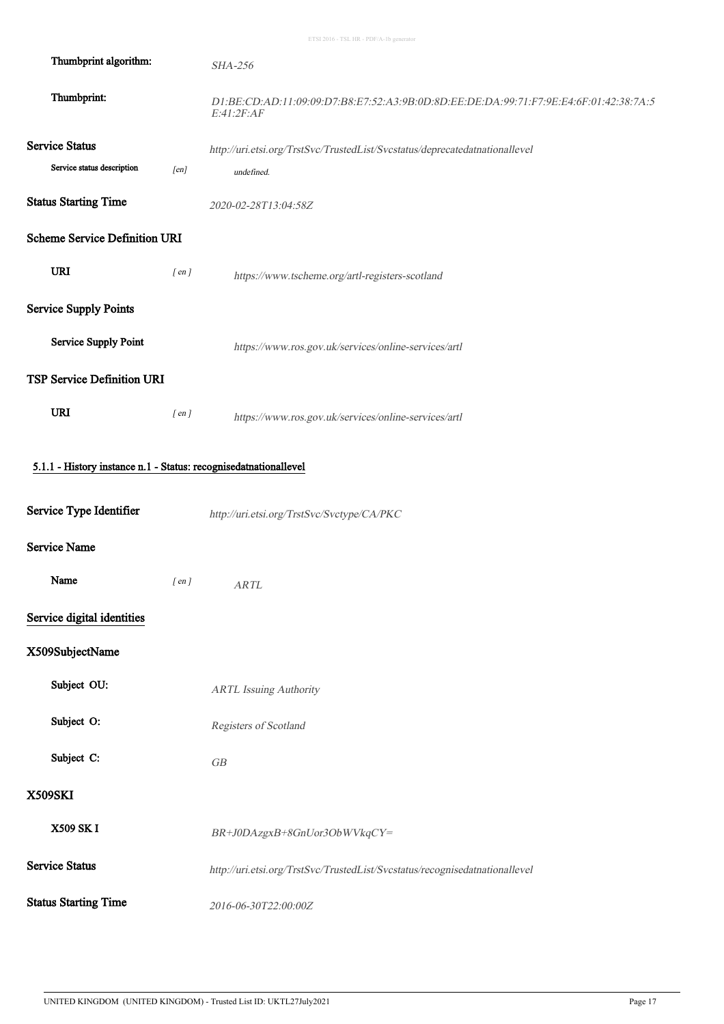| Thumbprint algorithm:                                            |            | <b>SHA-256</b>                                                                                      |
|------------------------------------------------------------------|------------|-----------------------------------------------------------------------------------------------------|
| Thumbprint:                                                      |            | D1:BE:CD:AD:11:09:09:D7:B8:E7:52:A3:9B:0D:8D:EE:DE:DA:99:71:F7:9E:E4:6F:01:42:38:7A:5<br>E:41:2F:AF |
| <b>Service Status</b>                                            |            | http://uri.etsi.org/TrstSvc/TrustedList/Svcstatus/deprecatedatnationallevel                         |
| Service status description                                       | [en]       | undefined.                                                                                          |
| <b>Status Starting Time</b>                                      |            | 2020-02-28T13:04:58Z                                                                                |
| <b>Scheme Service Definition URI</b>                             |            |                                                                                                     |
| <b>URI</b>                                                       | $[$ en $]$ | https://www.tscheme.org/artl-registers-scotland                                                     |
| <b>Service Supply Points</b>                                     |            |                                                                                                     |
| <b>Service Supply Point</b>                                      |            | https://www.ros.gov.uk/services/online-services/artl                                                |
| <b>TSP Service Definition URI</b>                                |            |                                                                                                     |
| <b>URI</b>                                                       | $[$ en $]$ | https://www.ros.gov.uk/services/online-services/artl                                                |
| 5.1.1 - History instance n.1 - Status: recognisedatnationallevel |            |                                                                                                     |
| Service Type Identifier                                          |            | http://uri.etsi.org/TrstSvc/Svctype/CA/PKC                                                          |
| <b>Service Name</b>                                              |            |                                                                                                     |
| Name                                                             | $[$ en $]$ | <b>ARTL</b>                                                                                         |
| Service digital identities                                       |            |                                                                                                     |
| X509SubjectName                                                  |            |                                                                                                     |
| Subject OU:                                                      |            | <b>ARTL Issuing Authority</b>                                                                       |
| Subject O:                                                       |            | Registers of Scotland                                                                               |
| Subject C:                                                       |            | GB                                                                                                  |
| <b>X509SKI</b>                                                   |            |                                                                                                     |
| <b>X509 SK I</b>                                                 |            | BR+J0DAzgxB+8GnUor3ObWVkqCY=                                                                        |
| <b>Service Status</b>                                            |            | http://uri.etsi.org/TrstSvc/TrustedList/Svcstatus/recognisedatnationallevel                         |
| <b>Status Starting Time</b>                                      |            | 2016-06-30T22:00:00Z                                                                                |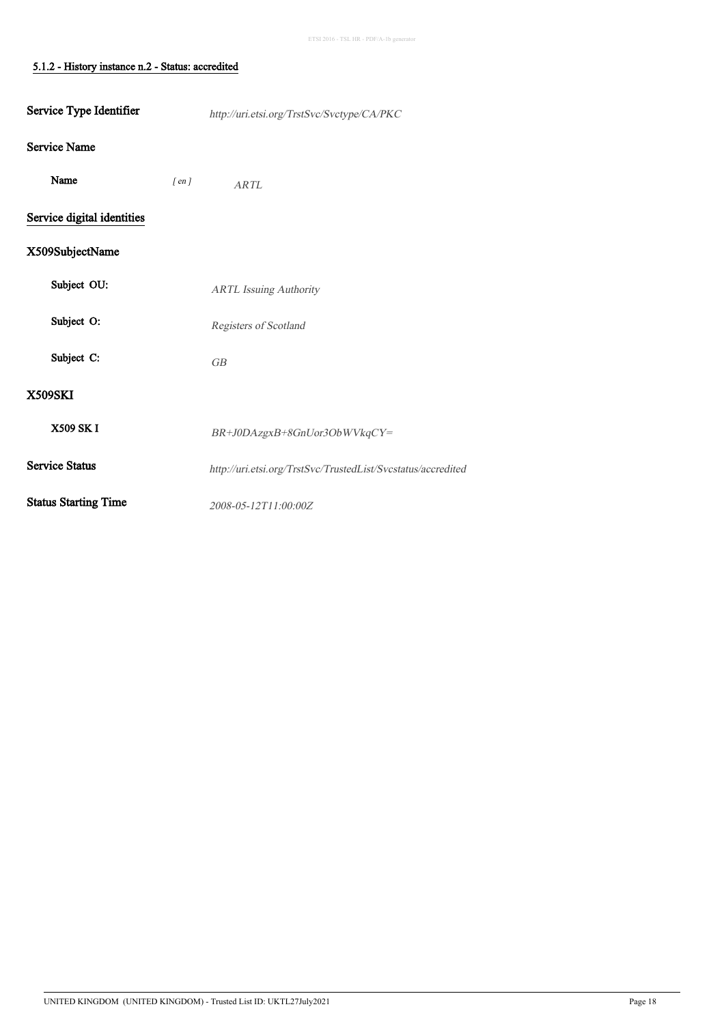### J 5.1.2 - History instance n.2 - Status: accredited

l,

| Service Type Identifier     |            | http://uri.etsi.org/TrstSvc/Svctype/CA/PKC                   |
|-----------------------------|------------|--------------------------------------------------------------|
| Service Name                |            |                                                              |
| Name                        | $[$ en $]$ | ARTL                                                         |
| Service digital identities  |            |                                                              |
| X509SubjectName             |            |                                                              |
| Subject OU:                 |            | <b>ARTL Issuing Authority</b>                                |
| Subject O:                  |            | Registers of Scotland                                        |
| Subject C:                  |            | GB                                                           |
| <b>X509SKI</b>              |            |                                                              |
| <b>X509 SK I</b>            |            | BR+J0DAzgxB+8GnUor3ObWVkqCY=                                 |
| <b>Service Status</b>       |            | http://uri.etsi.org/TrstSvc/TrustedList/Svcstatus/accredited |
| <b>Status Starting Time</b> |            | 2008-05-12T11:00:00Z                                         |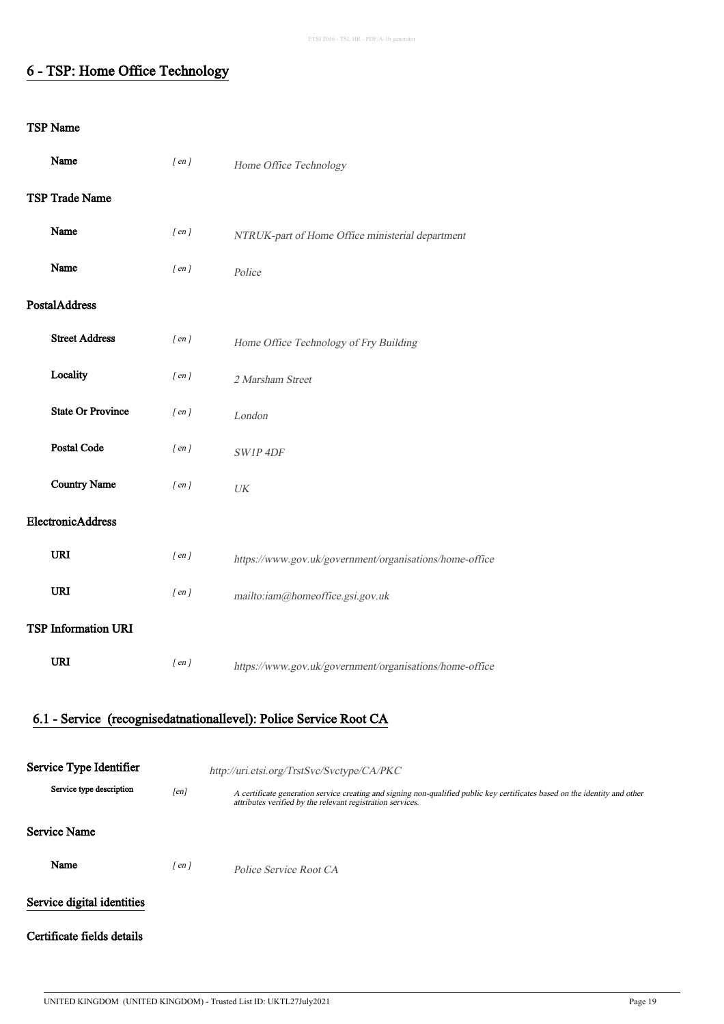### 6 - TSP: Home Office Technology

| Name                       | $[$ en $]$ | Home Office Technology                                                                                                                                                                    |  |  |
|----------------------------|------------|-------------------------------------------------------------------------------------------------------------------------------------------------------------------------------------------|--|--|
| TSP Trade Name             |            |                                                                                                                                                                                           |  |  |
| Name                       | $[$ en $]$ | NTRUK-part of Home Office ministerial department                                                                                                                                          |  |  |
| Name                       | $[$ en $]$ | Police                                                                                                                                                                                    |  |  |
| PostalAddress              |            |                                                                                                                                                                                           |  |  |
| <b>Street Address</b>      | $[$ en $]$ | Home Office Technology of Fry Building                                                                                                                                                    |  |  |
| Locality                   | $[$ en $]$ | 2 Marsham Street                                                                                                                                                                          |  |  |
| <b>State Or Province</b>   | $[$ en $]$ | London                                                                                                                                                                                    |  |  |
| Postal Code                | $[$ en $]$ | SW1P 4DF                                                                                                                                                                                  |  |  |
| <b>Country Name</b>        | $[$ en $]$ | $\ensuremath{\textit{UK}}\xspace$                                                                                                                                                         |  |  |
| ElectronicAddress          |            |                                                                                                                                                                                           |  |  |
| URI                        | $[$ en $]$ | https://www.gov.uk/government/organisations/home-office                                                                                                                                   |  |  |
| URI                        | $[$ en $]$ | mailto:iam@homeoffice.gsi.gov.uk                                                                                                                                                          |  |  |
| <b>TSP Information URI</b> |            |                                                                                                                                                                                           |  |  |
| URI                        | $[$ en $]$ | https://www.gov.uk/government/organisations/home-office                                                                                                                                   |  |  |
|                            |            | 6.1 - Service (recognisedatnationallevel): Police Service Root CA                                                                                                                         |  |  |
| Service Type Identifier    |            | http://uri.etsi.org/TrstSvc/Svctype/CA/PKC                                                                                                                                                |  |  |
| Service type description   | [en]       | A certificate generation service creating and signing non-qualified public key certificates based on the identity and other<br>attributes verified by the relevant registration services. |  |  |
| <b>Service Name</b>        |            |                                                                                                                                                                                           |  |  |
| Name                       | $[$ en $]$ | Police Service Root CA                                                                                                                                                                    |  |  |
| Service digital identities |            |                                                                                                                                                                                           |  |  |
| Certificate fields details |            |                                                                                                                                                                                           |  |  |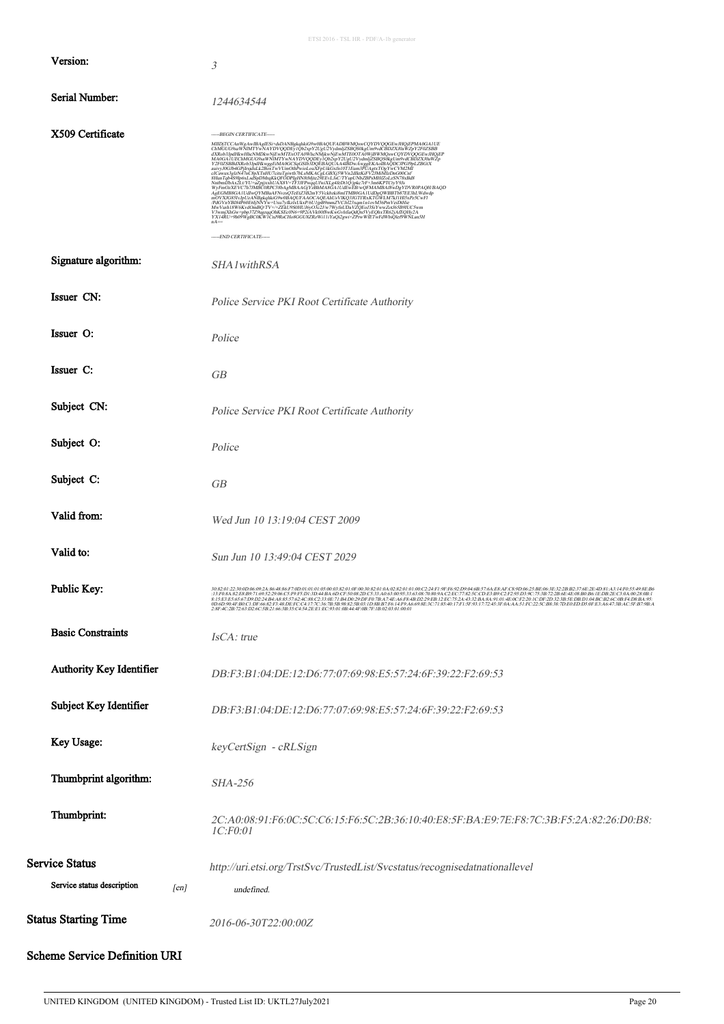|                                                     | ETSI 2016 - TSL HR - PDF/A-1b generator                                                                                                                                                                                                                                                                                                                                                                                                                                                                                                                                                                                                                                                                                                                                                                                           |
|-----------------------------------------------------|-----------------------------------------------------------------------------------------------------------------------------------------------------------------------------------------------------------------------------------------------------------------------------------------------------------------------------------------------------------------------------------------------------------------------------------------------------------------------------------------------------------------------------------------------------------------------------------------------------------------------------------------------------------------------------------------------------------------------------------------------------------------------------------------------------------------------------------|
| Version:                                            | $\mathfrak{Z}$                                                                                                                                                                                                                                                                                                                                                                                                                                                                                                                                                                                                                                                                                                                                                                                                                    |
| Serial Number:                                      | 1244634544                                                                                                                                                                                                                                                                                                                                                                                                                                                                                                                                                                                                                                                                                                                                                                                                                        |
| X509 Certificate                                    | -----BEGIN CERTIFICATE-----<br>MIIDjTCCAnWgAwIBAgIESi+dsDANBgkqhkiG9w0BAQUFADBWMQswCQYDVQQGEwJHQjEPMA0GA1UE<br>ChMGUG9ssWNMATYwNAYDVQQDEyUQbExpY2UgUZyBqhjjZ3BQSt/kgUns9vdCBDZX/0sWZpY2F0ZSBB<br>dXRob3JpdHkwHhcNMDkwNjEwMTExOTA0WhcNMjkwNjEwMTE0OTA0WjBWMQswCQYDVQ<br>$\label{thm:main} \begin{minipage}[t]{0.9\textwidth}\begin{minipage}[t]{0.9\textwidth}\begin{minipage}[t]{0.9\textwidth}\begin{minipage}[t]{0.9\textwidth}\begin{minipage}[t]{0.9\textwidth}\begin{minipage}[t]{0.9\textwidth}\begin{minipage}[t]{0.9\textwidth}\begin{minipage}[t]{0.9\textwidth}\begin{minipage}[t]{0.9\textwidth}\begin{minipage}[t]{0.9\textwidth}\begin{minipage}[t]{0.9\textwidth}\begin{minipage}[t]{0.9\textwidth}\begin{minipage}[t]{0.9\textwidth}\begin{minipage}[t]{0.9\textwidth}\begin$<br>$nA =$<br>----END CERTIFICATE---- |
| Signature algorithm:                                | SHA1withRSA                                                                                                                                                                                                                                                                                                                                                                                                                                                                                                                                                                                                                                                                                                                                                                                                                       |
| Issuer CN:                                          | Police Service PKI Root Certificate Authority                                                                                                                                                                                                                                                                                                                                                                                                                                                                                                                                                                                                                                                                                                                                                                                     |
| Issuer O:                                           | Police                                                                                                                                                                                                                                                                                                                                                                                                                                                                                                                                                                                                                                                                                                                                                                                                                            |
| Issuer C:                                           | GB                                                                                                                                                                                                                                                                                                                                                                                                                                                                                                                                                                                                                                                                                                                                                                                                                                |
| Subject CN:                                         | Police Service PKI Root Certificate Authority                                                                                                                                                                                                                                                                                                                                                                                                                                                                                                                                                                                                                                                                                                                                                                                     |
| Subject O:                                          | Police                                                                                                                                                                                                                                                                                                                                                                                                                                                                                                                                                                                                                                                                                                                                                                                                                            |
| Subject C:                                          | GB                                                                                                                                                                                                                                                                                                                                                                                                                                                                                                                                                                                                                                                                                                                                                                                                                                |
| Valid from:                                         | Wed Jun 10 13:19:04 CEST 2009                                                                                                                                                                                                                                                                                                                                                                                                                                                                                                                                                                                                                                                                                                                                                                                                     |
| Valid to:                                           | Sun Jun 10 13:49:04 CEST 2029                                                                                                                                                                                                                                                                                                                                                                                                                                                                                                                                                                                                                                                                                                                                                                                                     |
| Public Key:                                         |                                                                                                                                                                                                                                                                                                                                                                                                                                                                                                                                                                                                                                                                                                                                                                                                                                   |
| <b>Basic Constraints</b>                            | IsCA: true                                                                                                                                                                                                                                                                                                                                                                                                                                                                                                                                                                                                                                                                                                                                                                                                                        |
| Authority Key Identifier                            | DB:F3:B1:04:DE:12:D6:77:07:69:98:E5:57:24:6F:39:22:F2:69:53                                                                                                                                                                                                                                                                                                                                                                                                                                                                                                                                                                                                                                                                                                                                                                       |
| Subject Key Identifier                              | DB:F3:B1:04:DE:12:D6:77:07:69:98:E5:57:24:6F:39:22:F2:69:53                                                                                                                                                                                                                                                                                                                                                                                                                                                                                                                                                                                                                                                                                                                                                                       |
| Key Usage:                                          | keyCertSign - cRLSign                                                                                                                                                                                                                                                                                                                                                                                                                                                                                                                                                                                                                                                                                                                                                                                                             |
| Thumbprint algorithm:                               | <b>SHA-256</b>                                                                                                                                                                                                                                                                                                                                                                                                                                                                                                                                                                                                                                                                                                                                                                                                                    |
| Thumbprint:                                         | 2C:A0:08:91:F6:0C:5C:C6:15:F6:5C:2B:36:10:40:E8:5F:BA:E9:7E:F8:7C:3B:F5:2A:82:26:D0:B8:<br>1C:F0:01                                                                                                                                                                                                                                                                                                                                                                                                                                                                                                                                                                                                                                                                                                                               |
| <b>Service Status</b><br>Service status description | http://uri.etsi.org/TrstSvc/TrustedList/Svcstatus/recognisedatnationallevel<br>[en]<br>undefined.                                                                                                                                                                                                                                                                                                                                                                                                                                                                                                                                                                                                                                                                                                                                 |
| <b>Status Starting Time</b>                         | 2016-06-30T22:00:00Z                                                                                                                                                                                                                                                                                                                                                                                                                                                                                                                                                                                                                                                                                                                                                                                                              |
| <b>Scheme Service Definition URI</b>                |                                                                                                                                                                                                                                                                                                                                                                                                                                                                                                                                                                                                                                                                                                                                                                                                                                   |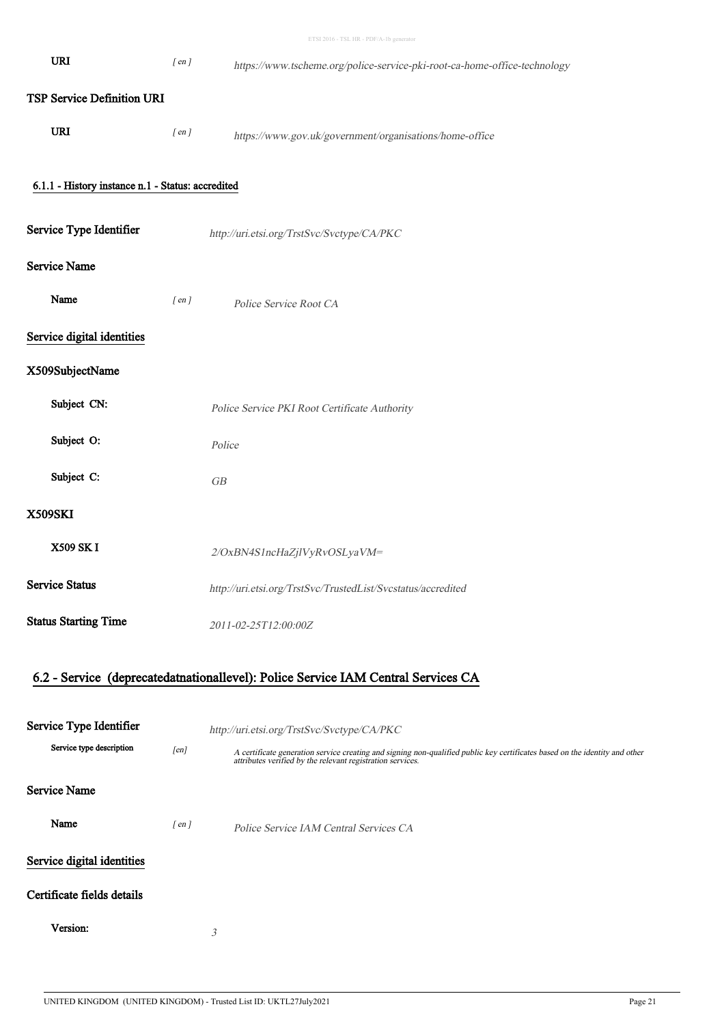|                                                   |            | ETSI 2016 - TSL HR - PDF/A-1b generator                                                                                                                                                   |
|---------------------------------------------------|------------|-------------------------------------------------------------------------------------------------------------------------------------------------------------------------------------------|
| URI                                               | $[$ en $]$ | https://www.tscheme.org/police-service-pki-root-ca-home-office-technology                                                                                                                 |
| <b>TSP Service Definition URI</b>                 |            |                                                                                                                                                                                           |
| <b>URI</b>                                        | $[$ en $]$ | https://www.gov.uk/government/organisations/home-office                                                                                                                                   |
| 6.1.1 - History instance n.1 - Status: accredited |            |                                                                                                                                                                                           |
|                                                   |            |                                                                                                                                                                                           |
| Service Type Identifier                           |            | http://uri.etsi.org/TrstSvc/Svctype/CA/PKC                                                                                                                                                |
| <b>Service Name</b>                               |            |                                                                                                                                                                                           |
| Name                                              | $[$ en $]$ | Police Service Root CA                                                                                                                                                                    |
| Service digital identities                        |            |                                                                                                                                                                                           |
| X509SubjectName                                   |            |                                                                                                                                                                                           |
| Subject CN:                                       |            | Police Service PKI Root Certificate Authority                                                                                                                                             |
| Subject O:                                        |            | Police                                                                                                                                                                                    |
| Subject C:                                        |            | GB                                                                                                                                                                                        |
| <b>X509SKI</b>                                    |            |                                                                                                                                                                                           |
| X509 SK I                                         |            | 2/OxBN4S1ncHaZjlVyRvOSLyaVM=                                                                                                                                                              |
| <b>Service Status</b>                             |            | http://uri.etsi.org/TrstSvc/TrustedList/Svcstatus/accredited                                                                                                                              |
| <b>Status Starting Time</b>                       |            | 2011-02-25T12:00:00Z                                                                                                                                                                      |
|                                                   |            | 6.2 - Service (deprecatedatnationallevel): Police Service IAM Central Services CA                                                                                                         |
|                                                   |            |                                                                                                                                                                                           |
| Service Type Identifier                           |            | http://uri.etsi.org/TrstSvc/Svctype/CA/PKC                                                                                                                                                |
| Service type description                          | [en]       | A certificate generation service creating and signing non-qualified public key certificates based on the identity and other<br>attributes verified by the relevant registration services. |
| <b>Service Name</b>                               |            |                                                                                                                                                                                           |
| Name                                              | $[$ en $]$ | Police Service IAM Central Services CA                                                                                                                                                    |
| Service digital identities                        |            |                                                                                                                                                                                           |
| Certificate fields details                        |            |                                                                                                                                                                                           |
| Version:                                          |            | 3                                                                                                                                                                                         |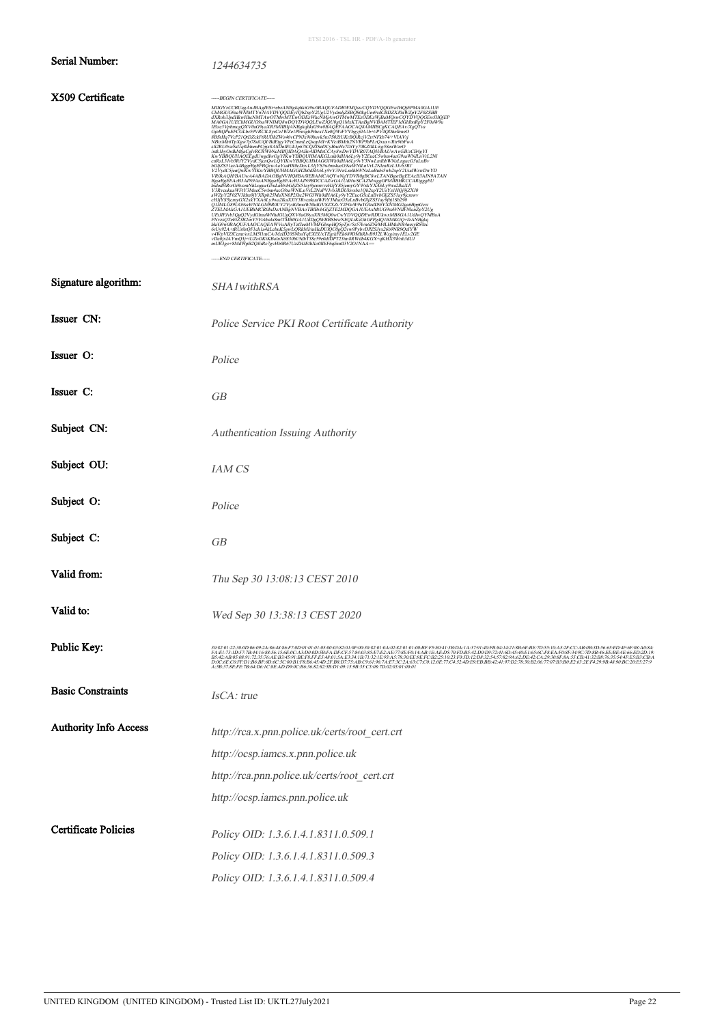### **Serial Number:** 1244634735

### X509 Certificate

|                              | -----END CERTIFICATE-----                                                                                                                                                                                                         |
|------------------------------|-----------------------------------------------------------------------------------------------------------------------------------------------------------------------------------------------------------------------------------|
| Signature algorithm:         | SHA1withRSA                                                                                                                                                                                                                       |
| Issuer CN:                   | Police Service PKI Root Certificate Authority                                                                                                                                                                                     |
| Issuer O:                    | Police                                                                                                                                                                                                                            |
| Issuer C:                    | GB                                                                                                                                                                                                                                |
| Subject CN:                  | Authentication Issuing Authority                                                                                                                                                                                                  |
| Subject OU:                  | <b>IAM CS</b>                                                                                                                                                                                                                     |
| Subject O:                   | Police                                                                                                                                                                                                                            |
| Subject C:                   | GB                                                                                                                                                                                                                                |
| Valid from:                  | Thu Sep 30 13:08:13 CEST 2010                                                                                                                                                                                                     |
| Valid to:                    | Wed Sep 30 13:38:13 CEST 2020                                                                                                                                                                                                     |
| Public Key:                  | $\frac{30.82.01:22:30.010.06.09:2A.86:48:86:7:010.01:01:01:06:00:03:2:01:07:03:2:01:01:02:2:01:01:03:04:2:01:01:05:04:2:01:01:05:04:2:01:05:04:05:04:05:04:05:04:05:04:05:04:05:04:05:04:05:04:05:04:05:04:05:04:04:04:04:04:04:$ |
| <b>Basic Constraints</b>     | IsCA: true                                                                                                                                                                                                                        |
| <b>Authority Info Access</b> | http://rca.x.pnn.police.uk/certs/root_cert.crt                                                                                                                                                                                    |
|                              | http://ocsp.iamcs.x.pnn.police.uk                                                                                                                                                                                                 |
|                              | http://rca.pnn.police.uk/certs/root_cert.crt                                                                                                                                                                                      |

http://ocsp.iamcs.pnn.police.uk

**Certificate Policies** Policy OID: 1.3.6.1.4.1.8311.0.509.1 Policy OID: 1.3.6.1.4.1.8311.0.509.3 Policy OID: 1.3.6.1.4.1.8311.0.509.4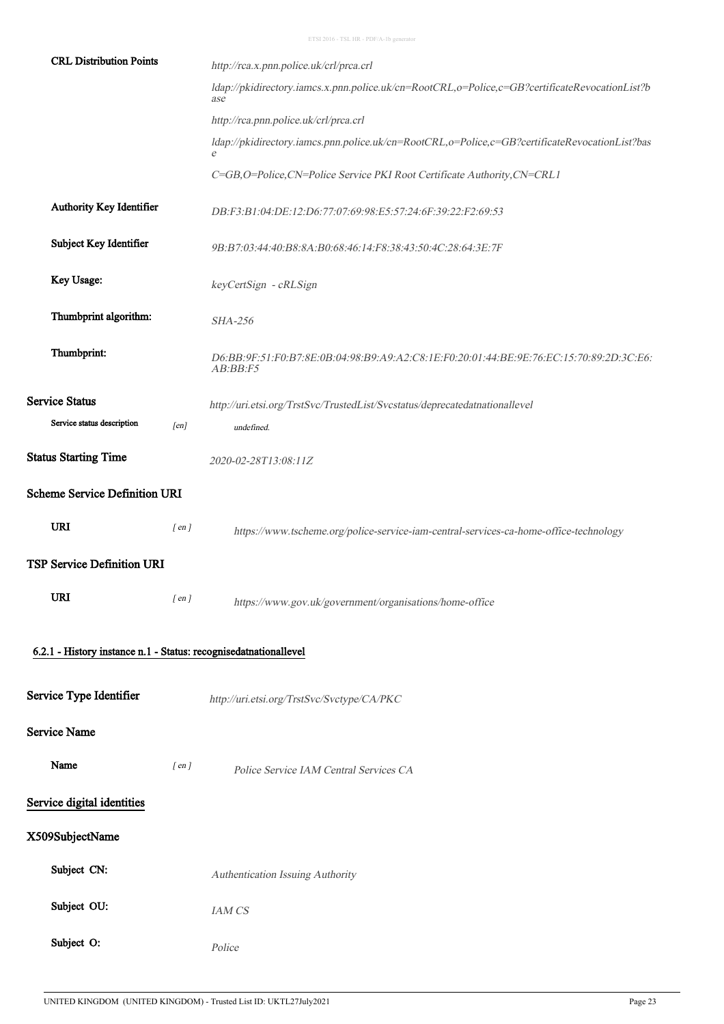| <b>CRL Distribution Points</b>                                   |            | http://rca.x.pnn.police.uk/crl/prca.crl                                                               |
|------------------------------------------------------------------|------------|-------------------------------------------------------------------------------------------------------|
|                                                                  |            | ldap://pkidirectory.iamcs.x.pnn.police.uk/cn=RootCRL,o=Police,c=GB?certificateRevocationList?b<br>ase |
|                                                                  |            | http://rca.pnn.police.uk/crl/prca.crl                                                                 |
|                                                                  |            | ldap://pkidirectory.iamcs.pnn.police.uk/cn=RootCRL,o=Police,c=GB?certificateRevocationList?bas<br>e   |
|                                                                  |            | C=GB,O=Police,CN=Police Service PKI Root Certificate Authority,CN=CRL1                                |
| Authority Key Identifier                                         |            | DB:F3:B1:04:DE:12:D6:77:07:69:98:E5:57:24:6F:39:22:F2:69:53                                           |
| Subject Key Identifier                                           |            | 9B:B7:03:44:40:B8:8A:B0:68:46:14:F8:38:43:50:4C:28:64:3E:7F                                           |
| Key Usage:                                                       |            | keyCertSign - cRLSign                                                                                 |
| Thumbprint algorithm:                                            |            | <b>SHA-256</b>                                                                                        |
| Thumbprint:                                                      |            | D6:BB:9F:51:F0:B7:8E:0B:04:98:B9:A9:A2:C8:1E:F0:20:01:44:BE:9E:76:EC:15:70:89:2D:3C:E6:<br>AB:BB:FS   |
| <b>Service Status</b>                                            |            | http://uri.etsi.org/TrstSvc/TrustedList/Svcstatus/deprecatedatnationallevel                           |
| Service status description                                       | [en]       | undefined.                                                                                            |
| <b>Status Starting Time</b>                                      |            | 2020-02-28T13:08:11Z                                                                                  |
| <b>Scheme Service Definition URI</b>                             |            |                                                                                                       |
| <b>URI</b>                                                       | $[$ en $]$ | https://www.tscheme.org/police-service-iam-central-services-ca-home-office-technology                 |
| TSP Service Definition URI                                       |            |                                                                                                       |
| <b>URI</b>                                                       | $[$ en $]$ | https://www.gov.uk/government/organisations/home-office                                               |
| 6.2.1 - History instance n.1 - Status: recognisedatnationallevel |            |                                                                                                       |
|                                                                  |            |                                                                                                       |
| Service Type Identifier                                          |            | http://uri.etsi.org/TrstSvc/Svctype/CA/PKC                                                            |
| Service Name                                                     |            |                                                                                                       |
| Name                                                             | $[$ en $]$ | Police Service IAM Central Services CA                                                                |
| Service digital identities                                       |            |                                                                                                       |
| X509SubjectName                                                  |            |                                                                                                       |
| Subject CN:                                                      |            | Authentication Issuing Authority                                                                      |
| Subject OU:                                                      |            | IAM CS                                                                                                |
| Subject O:                                                       |            | Police                                                                                                |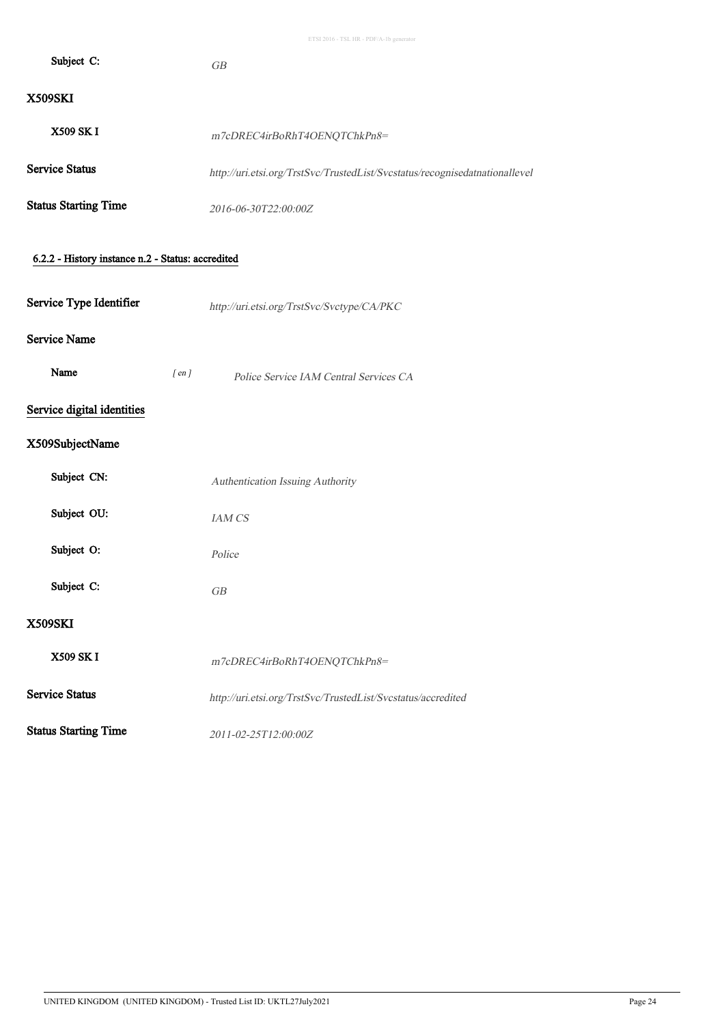| X509SK |  |
|--------|--|
|        |  |

| <b>X509 SK I</b>            | m7cDREC4irBoRhT4OENOTChkPn8=                                                |
|-----------------------------|-----------------------------------------------------------------------------|
| Service Status              | http://uri.etsi.org/TrstSvc/TrustedList/Svcstatus/recognisedatnationallevel |
| <b>Status Starting Time</b> | 2016-06-30T22:00:00Z                                                        |

### 6.2.2 - History instance n.2 - Status: accredited

Subject C: GB

### Service Name

| Name<br>en i | Police Service IAM Central Services CA |
|--------------|----------------------------------------|
|--------------|----------------------------------------|

### Service digital identities

### X509SubjectName

| Subject CN:                 | Authentication Issuing Authority                             |
|-----------------------------|--------------------------------------------------------------|
| Subject OU:                 | <b>JAM CS</b>                                                |
| Subject O:                  | Police                                                       |
| Subject C:                  | GB                                                           |
| <b>X509SKI</b>              |                                                              |
| <b>X509 SK I</b>            | m7cDREC4irBoRhT4OENQTChkPn8=                                 |
| <b>Service Status</b>       | http://uri.etsi.org/TrstSvc/TrustedList/Svcstatus/accredited |
| <b>Status Starting Time</b> | 2011-02-25T12:00:00Z                                         |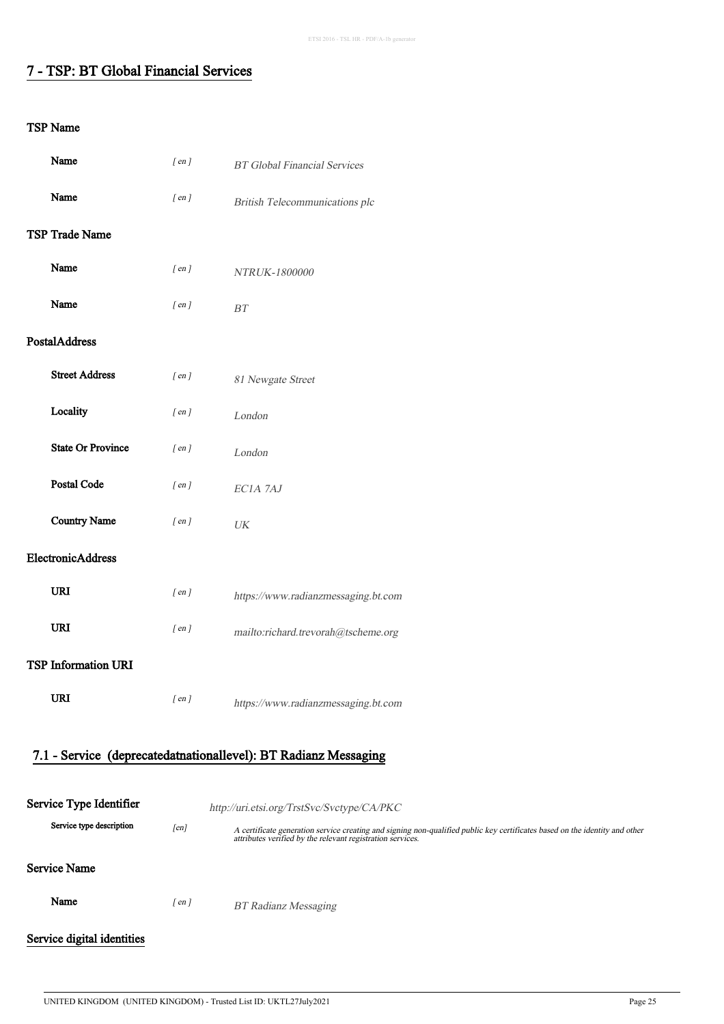# 7 - TSP: BT Global Financial Services

| Name                                                            |                          | $[$ en $]$ | <b>BT</b> Global Financial Services                                                                                                                                                       |
|-----------------------------------------------------------------|--------------------------|------------|-------------------------------------------------------------------------------------------------------------------------------------------------------------------------------------------|
| Name                                                            |                          | $[$ en $]$ | British Telecommunications plc                                                                                                                                                            |
| <b>TSP Trade Name</b>                                           |                          |            |                                                                                                                                                                                           |
| Name                                                            |                          | $[$ en $]$ | NTRUK-1800000                                                                                                                                                                             |
| Name                                                            |                          | $[$ en $]$ | $\cal BT$                                                                                                                                                                                 |
| PostalAddress                                                   |                          |            |                                                                                                                                                                                           |
| <b>Street Address</b>                                           |                          | $[$ en $]$ | 81 Newgate Street                                                                                                                                                                         |
| Locality                                                        |                          | $[$ en $]$ | London                                                                                                                                                                                    |
|                                                                 | <b>State Or Province</b> | $[$ en $]$ | London                                                                                                                                                                                    |
| Postal Code                                                     |                          | $[$ en $]$ | EC1A 7AJ                                                                                                                                                                                  |
| <b>Country Name</b>                                             |                          | $[$ en $]$ | $\ensuremath{\textit{UK}}\xspace$                                                                                                                                                         |
| ElectronicAddress                                               |                          |            |                                                                                                                                                                                           |
| <b>URI</b>                                                      |                          | $[$ en $]$ | https://www.radianzmessaging.bt.com                                                                                                                                                       |
| <b>URI</b>                                                      |                          | $[$ en $]$ | mailto:richard.trevorah@tscheme.org                                                                                                                                                       |
| <b>TSP Information URI</b>                                      |                          |            |                                                                                                                                                                                           |
| URI                                                             |                          | $[$ en $]$ | https://www.radianzmessaging.bt.com                                                                                                                                                       |
| 7.1 - Service (deprecatedatnationallevel): BT Radianz Messaging |                          |            |                                                                                                                                                                                           |
|                                                                 |                          |            |                                                                                                                                                                                           |
| Service Type Identifier                                         |                          |            | http://uri.etsi.org/TrstSvc/Svctype/CA/PKC                                                                                                                                                |
|                                                                 | Service type description | [en]       | A certificate generation service creating and signing non-qualified public key certificates based on the identity and other<br>attributes verified by the relevant registration services. |
| <b>Service Name</b>                                             |                          |            |                                                                                                                                                                                           |
|                                                                 |                          |            |                                                                                                                                                                                           |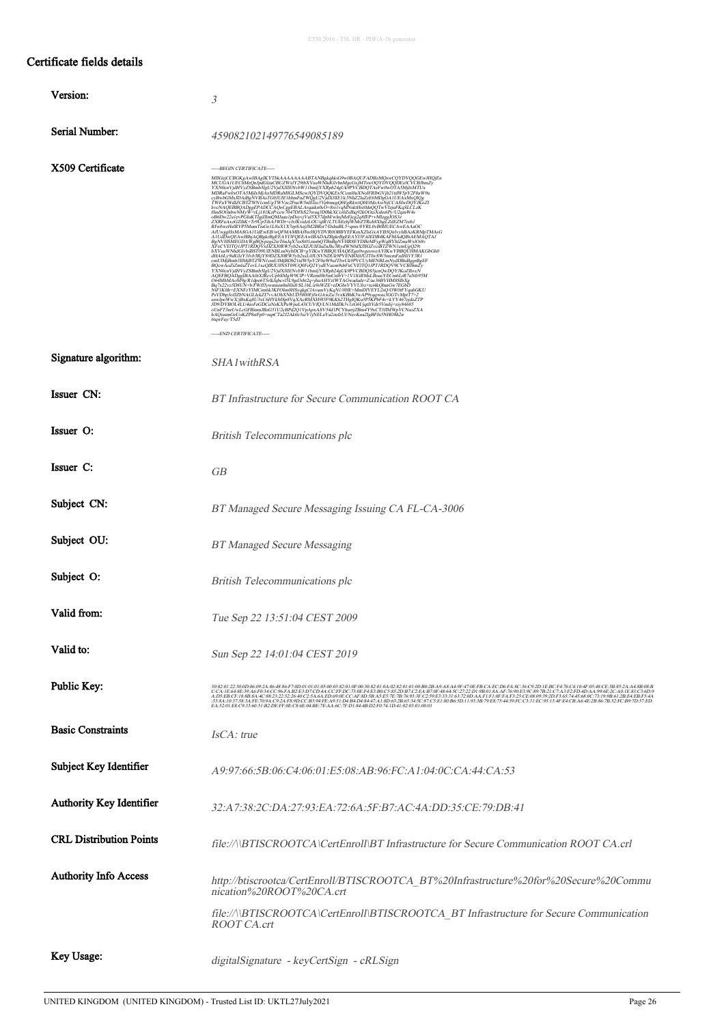### Certificate fields details

| Version:                       | 3                                                                                                                                                                                                                                                                                                                                                                                                                                                                                   |
|--------------------------------|-------------------------------------------------------------------------------------------------------------------------------------------------------------------------------------------------------------------------------------------------------------------------------------------------------------------------------------------------------------------------------------------------------------------------------------------------------------------------------------|
| Serial Number:                 | 459082102149776549085189                                                                                                                                                                                                                                                                                                                                                                                                                                                            |
| X509 Certificate               | -----BEGIN CERTIFICATE-----<br>MIIGejCCBGKgAwIBAgIKYTbkAAAAAAAABTANBgkqhkiG9w0BAQUFADBzMQswCQYDVQQGEwJHQjEn<br>MCUGA1UEChMeQnIpdGlzaCBUZWxIY29tbXVuaWNhdGlvbnMgcGxjMTswOQYDVQQDEzJCVCBJbmZy<br>MCUGAI UEChNAConjedičarCBU/WAY/290xVusWVhablector/MTSuOY/DVDEDIbra/VMX<br>VXNocviyaHVyZSBmb3IgU/VydXVlENvbWV htmlyVXRph2eVgUMDTAC+w0wOTASMpLxWLENCHD<br>VXNOcviyaHVyZSBmb3IgU/VydXVlIENvbWV htmlyVXRph2eVgUDOTAeFw0wOTASMpLxWLEN<br>CyB<br>6tqwFay/T5dT<br>-----END CERTIFICATE----- |
| Signature algorithm:           | <i>SHA1withRSA</i>                                                                                                                                                                                                                                                                                                                                                                                                                                                                  |
| Issuer CN:                     | BT Infrastructure for Secure Communication ROOT CA                                                                                                                                                                                                                                                                                                                                                                                                                                  |
| Issuer O:                      | <b>British Telecommunications plc</b>                                                                                                                                                                                                                                                                                                                                                                                                                                               |
| Issuer C:                      | GВ                                                                                                                                                                                                                                                                                                                                                                                                                                                                                  |
| Subject CN:                    | BT Managed Secure Messaging Issuing CA FL-CA-3006                                                                                                                                                                                                                                                                                                                                                                                                                                   |
| Subject OU:                    | <b>BT Managed Secure Messaging</b>                                                                                                                                                                                                                                                                                                                                                                                                                                                  |
| Subject O:                     | <b>British Telecommunications plc</b>                                                                                                                                                                                                                                                                                                                                                                                                                                               |
| Valid from:                    | Tue Sep 22 13:51:04 CEST 2009                                                                                                                                                                                                                                                                                                                                                                                                                                                       |
| Valid to:                      | Sun Sep 22 14:01:04 CEST 2019                                                                                                                                                                                                                                                                                                                                                                                                                                                       |
| Public Key:                    | 30230/230006602486%86F7000101018500332010F80303201050201010002B4948A49F70EFBCAECOEAFACCBOOFBCAF404F86KCE3B852A48B08F8<br>CCAIE648E99A6F034CC%EAB2E1D7CD4ACCFDC73@F4E3B0C585DB7C2EAB7@48645C2722D198018AAF7690E39C897B21C7A3F2FD4<br>EA.52:01:E8:C9:33:60:51:B2:DE:FF:0E:C8:6E:04:BE:7E:AA:6C:7F:D1:84:4B:D2:F0:74:1D:41:02:03:01:00:01                                                                                                                                              |
| <b>Basic Constraints</b>       | IsCA: true                                                                                                                                                                                                                                                                                                                                                                                                                                                                          |
| Subject Key Identifier         | A9:97:66:5B:06:C4:06:01:E5:08:AB:96:FC:A1:04:0C:CA:44:CA:53                                                                                                                                                                                                                                                                                                                                                                                                                         |
| Authority Key Identifier       | 32:A7:38:2C.DA:27:93:EA:72:6A:5F:B7:AC:4A:DD:35:CE:79:DB:41                                                                                                                                                                                                                                                                                                                                                                                                                         |
| <b>CRL Distribution Points</b> | file://\\BTISCROOTCA\CertEnroll\BT Infrastructure for Secure Communication ROOT CA.crl                                                                                                                                                                                                                                                                                                                                                                                              |
| <b>Authority Info Access</b>   | http://btiscrootca/CertEnroll/BTISCROOTCA_BT%20Infrastructure%20for%20Secure%20Commu<br>nication%20ROOT%20CA.crt                                                                                                                                                                                                                                                                                                                                                                    |
|                                | file://\\BTISCROOTCA\CertEnroll\BTISCROOTCA_BT Infrastructure for Secure Communication<br>ROOT CA.crt                                                                                                                                                                                                                                                                                                                                                                               |
| Key Usage:                     | digitalSignature - keyCertSign - cRLSign                                                                                                                                                                                                                                                                                                                                                                                                                                            |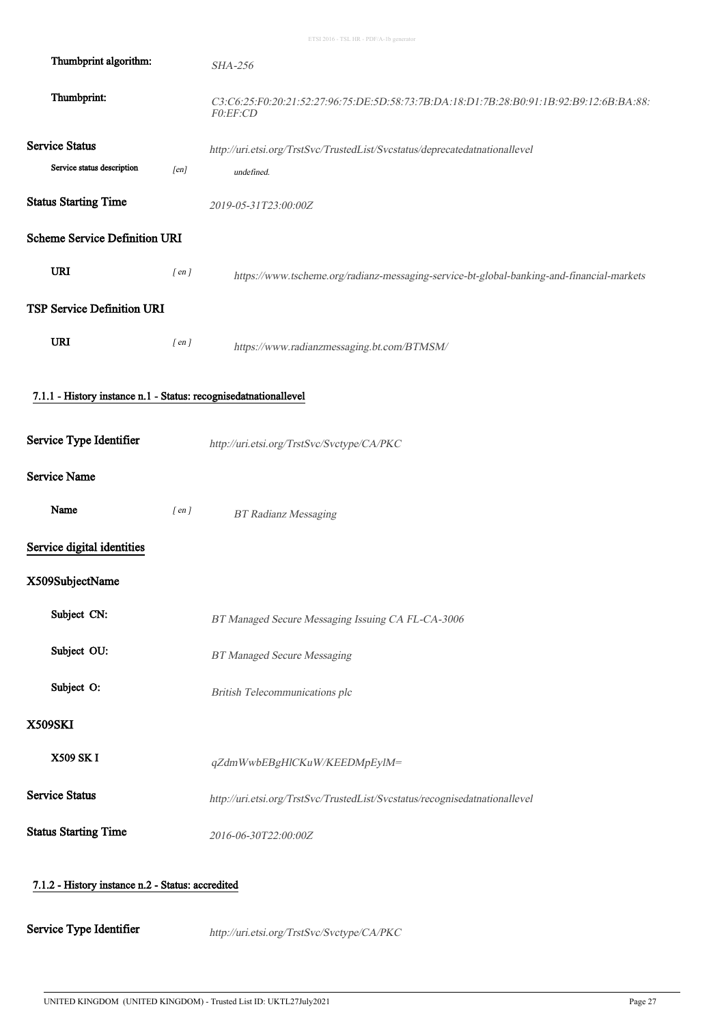| Thumbprint algorithm:                                            |            | <b>SHA-256</b>                                                                                      |  |
|------------------------------------------------------------------|------------|-----------------------------------------------------------------------------------------------------|--|
| Thumbprint:                                                      |            | C3:C6:25:F0:20:21:52:27:96:75:DE:5D:58:73:7B:DA:18:D1:7B:28:B0:91:1B:92:B9:12:6B:BA:88:<br>F0:EF:CD |  |
| <b>Service Status</b>                                            |            | http://uri.etsi.org/TrstSvc/TrustedList/Svcstatus/deprecatedatnationallevel                         |  |
| Service status description                                       | [en]       | undefined.                                                                                          |  |
| <b>Status Starting Time</b>                                      |            | 2019-05-31T23:00:00Z                                                                                |  |
| <b>Scheme Service Definition URI</b>                             |            |                                                                                                     |  |
| <b>URI</b>                                                       | $[$ en $]$ | https://www.tscheme.org/radianz-messaging-service-bt-global-banking-and-financial-markets           |  |
| <b>TSP Service Definition URI</b>                                |            |                                                                                                     |  |
| <b>URI</b>                                                       | $[$ en $]$ | https://www.radianzmessaging.bt.com/BTMSM/                                                          |  |
| 7.1.1 - History instance n.1 - Status: recognisedatnationallevel |            |                                                                                                     |  |
| Service Type Identifier                                          |            | http://uri.etsi.org/TrstSvc/Svctype/CA/PKC                                                          |  |
| <b>Service Name</b>                                              |            |                                                                                                     |  |
| Name                                                             | $[$ en $]$ | <b>BT Radianz Messaging</b>                                                                         |  |
| Service digital identities                                       |            |                                                                                                     |  |
| X509SubjectName                                                  |            |                                                                                                     |  |
| Subject CN:                                                      |            | BT Managed Secure Messaging Issuing CA FL-CA-3006                                                   |  |
| Subject OU:                                                      |            | <b>BT Managed Secure Messaging</b>                                                                  |  |
| Subject O:                                                       |            | British Telecommunications plc                                                                      |  |
| <b>X509SKI</b>                                                   |            |                                                                                                     |  |
| <b>X509 SK I</b>                                                 |            | qZdmWwbEBgHlCKuW/KEEDMpEylM=                                                                        |  |
| <b>Service Status</b>                                            |            | http://uri.etsi.org/TrstSvc/TrustedList/Svcstatus/recognisedatnationallevel                         |  |
| <b>Status Starting Time</b>                                      |            | 2016-06-30T22:00:00Z                                                                                |  |
| 7.1.2 - History instance n.2 - Status: accredited                |            |                                                                                                     |  |

Service Type Identifier http://uri.etsi.org/TrstSvc/Svctype/CA/PKC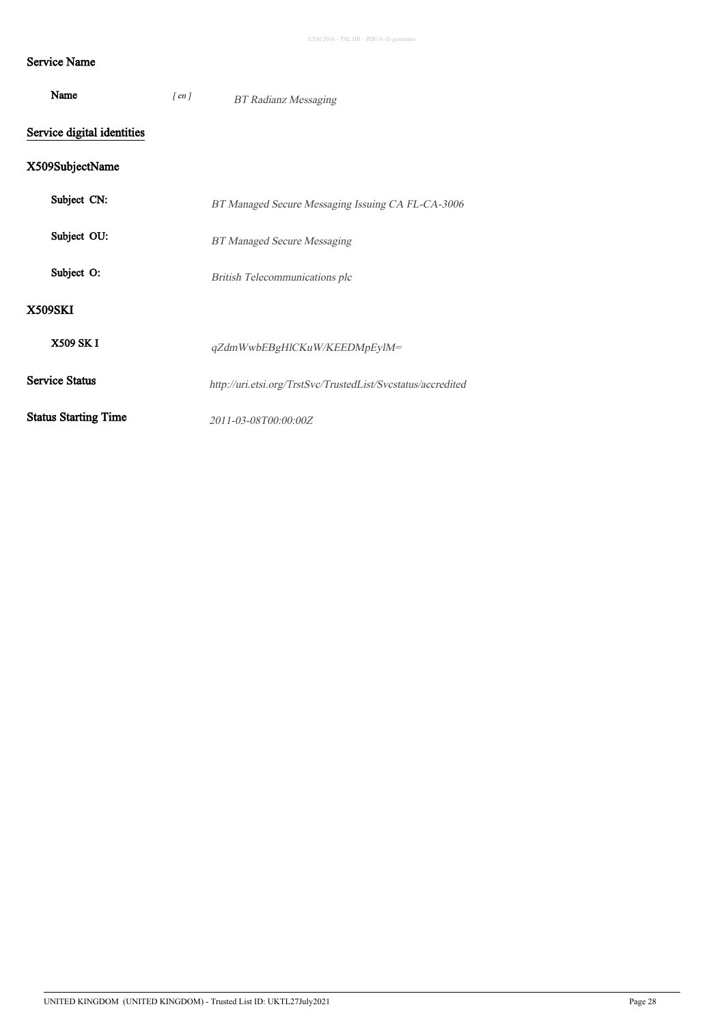### Service Name

| Name                        | $[$ en $]$ | <b>BT Radianz Messaging</b>                                  |
|-----------------------------|------------|--------------------------------------------------------------|
| Service digital identities  |            |                                                              |
| X509SubjectName             |            |                                                              |
| Subject CN:                 |            | BT Managed Secure Messaging Issuing CA FL-CA-3006            |
| Subject OU:                 |            | <b>BT Managed Secure Messaging</b>                           |
| Subject O:                  |            | British Telecommunications plc                               |
| <b>X509SKI</b>              |            |                                                              |
| X509 SK I                   |            | qZdmWwbEBgHlCKuW/KEEDMpEylM=                                 |
| <b>Service Status</b>       |            | http://uri.etsi.org/TrstSvc/TrustedList/Svcstatus/accredited |
| <b>Status Starting Time</b> |            | 2011-03-08T00:00:00Z                                         |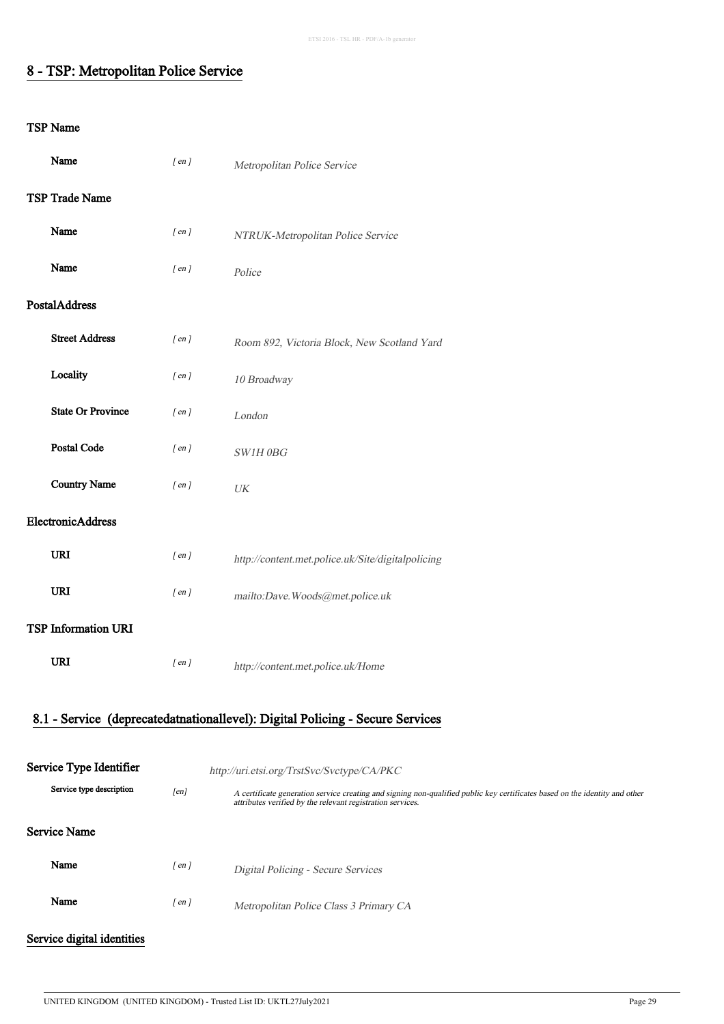### 8 - TSP: Metropolitan Police Service

| Name                                                                          | $[$ en $]$ | Metropolitan Police Service                                                                                                                                                               |  |
|-------------------------------------------------------------------------------|------------|-------------------------------------------------------------------------------------------------------------------------------------------------------------------------------------------|--|
| TSP Trade Name                                                                |            |                                                                                                                                                                                           |  |
| Name                                                                          | $[$ en $]$ | NTRUK-Metropolitan Police Service                                                                                                                                                         |  |
| Name                                                                          | $[$ en $]$ | Police                                                                                                                                                                                    |  |
| PostalAddress                                                                 |            |                                                                                                                                                                                           |  |
| <b>Street Address</b>                                                         | $[$ en $]$ | Room 892, Victoria Block, New Scotland Yard                                                                                                                                               |  |
| Locality                                                                      | $[$ en $]$ | 10 Broadway                                                                                                                                                                               |  |
| <b>State Or Province</b>                                                      | $[$ en $]$ | London                                                                                                                                                                                    |  |
| Postal Code                                                                   | $[$ en $]$ | SW1H0BG                                                                                                                                                                                   |  |
| <b>Country Name</b>                                                           | $[$ en $]$ | $\ensuremath{\textit{UK}}\xspace$                                                                                                                                                         |  |
| ElectronicAddress                                                             |            |                                                                                                                                                                                           |  |
|                                                                               |            |                                                                                                                                                                                           |  |
| <b>URI</b>                                                                    | $[$ en $]$ | http://content.met.police.uk/Site/digitalpolicing                                                                                                                                         |  |
| URI                                                                           | $[$ en $]$ | mailto:Dave.Woods@met.police.uk                                                                                                                                                           |  |
| <b>TSP Information URI</b>                                                    |            |                                                                                                                                                                                           |  |
| <b>URI</b>                                                                    | $[$ en $]$ | http://content.met.police.uk/Home                                                                                                                                                         |  |
|                                                                               |            |                                                                                                                                                                                           |  |
| 8.1 - Service (deprecatedatnationallevel): Digital Policing - Secure Services |            |                                                                                                                                                                                           |  |
| Service Type Identifier                                                       |            | http://uri.etsi.org/TrstSvc/Svctype/CA/PKC                                                                                                                                                |  |
| Service type description                                                      | [en]       | A certificate generation service creating and signing non-qualified public key certificates based on the identity and other<br>attributes verified by the relevant registration services. |  |
| <b>Service Name</b>                                                           |            |                                                                                                                                                                                           |  |
| Name                                                                          | $[$ en $]$ | Digital Policing - Secure Services                                                                                                                                                        |  |
| Name                                                                          | $[$ en $]$ | Metropolitan Police Class 3 Primary CA                                                                                                                                                    |  |
| Service digital identities                                                    |            |                                                                                                                                                                                           |  |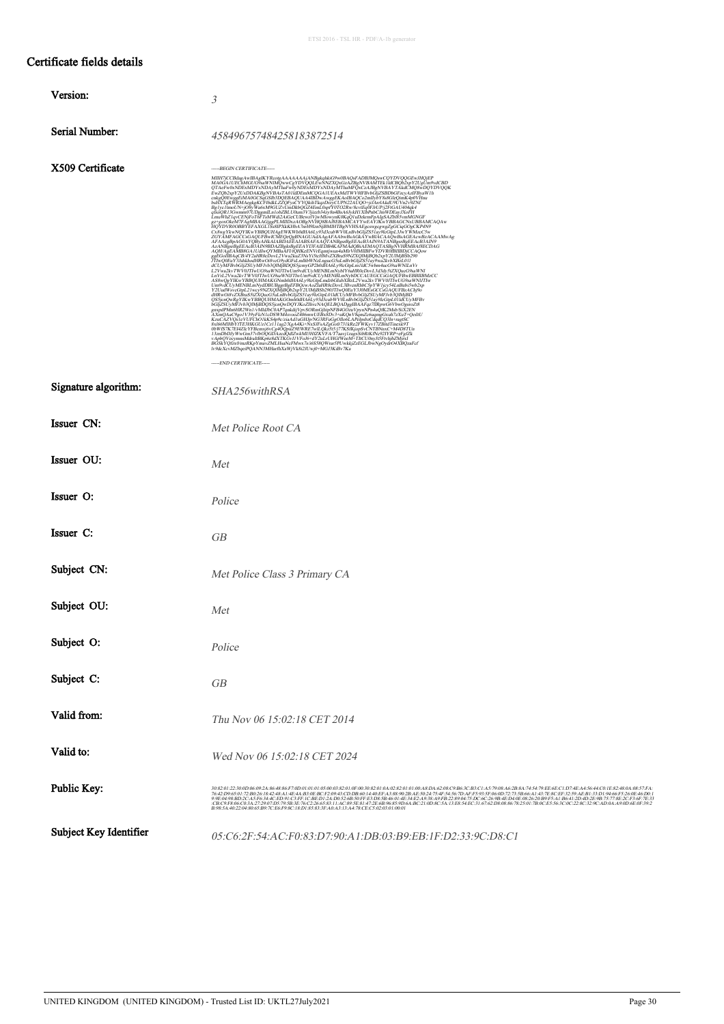### Certificate fields details

| Version:               |                                                                                                                                                                                                                                                                                                                                                                                                                                                                                                                                                                                                                                                                                                                                                                                                                                                                                                                                                                                                                                                                  |
|------------------------|------------------------------------------------------------------------------------------------------------------------------------------------------------------------------------------------------------------------------------------------------------------------------------------------------------------------------------------------------------------------------------------------------------------------------------------------------------------------------------------------------------------------------------------------------------------------------------------------------------------------------------------------------------------------------------------------------------------------------------------------------------------------------------------------------------------------------------------------------------------------------------------------------------------------------------------------------------------------------------------------------------------------------------------------------------------|
|                        | $\mathfrak{Z}$                                                                                                                                                                                                                                                                                                                                                                                                                                                                                                                                                                                                                                                                                                                                                                                                                                                                                                                                                                                                                                                   |
| Serial Number:         | 458496757484258183872514                                                                                                                                                                                                                                                                                                                                                                                                                                                                                                                                                                                                                                                                                                                                                                                                                                                                                                                                                                                                                                         |
| X509 Certificate       | -----BEGIN CERTIFICATE-----<br>ZGYÄMFAGCCSGAQUFBwICNEGoQgBNAGUAdAAgAFAAbwBsAGkÁYwBIÁCAAQwBsAGEAcwBzACAAMwAg<br>AFAAqgBpAG0AYQByAHkAJABDAEEAJABSAFAAQTAN9BgrBgEEAeB3AIN9ATANBggrBgEEAeB3AIN9<br>AzANBggrBgEEAeB3AIN9BDAZBgkrBgEEAYJ3FAIEDDHKAFMAdQBiAEMAQTASBgNVHRMB<br>$\label{eq:20} \begin{minipage}[t]{0.9\textwidth}\begin{minipage}[t]{0.9\textwidth}\begin{minipage}[t]{0.9\textwidth}\begin{minipage}[t]{0.9\textwidth}\begin{minipage}[t]{0.9\textwidth}\begin{minipage}[t]{0.9\textwidth}\begin{minipage}[t]{0.9\textwidth}\begin{minipage}[t]{0.9\textwidth}\begin{minipage}[t]{0.9\textwidth}\begin{minipage}[t]{0.9\textwidth}\begin{minipage}[t]{0.9\textwidth}\begin{minipage}[t]{0.9\textwidth}\begin{minipage}[t]{0.9\textwidth}\begin{minipage}[t]{0.9\textwidth}\begin$<br>bGi/2SU/hWFb620MjkBDOS50rOb7DQY/KGZhweNOELIRQAPS<br>https://www.expand/MnoEliR2MyThEAP/2/HKmeNOELIRQAPS<br>graph/MnoEliR2Viol/hMdbftQMP7qnddijVpvSORmGplppNFB4GQzuVpynNPpsdqOK2Msb3Sx2ELN<br>AXmOAd&29gnV39yFENUCD3NWA45roc2406mwUEBx8<br>-----END CERTIFICATE----- |
| Signature algorithm:   | SHA256withRSA                                                                                                                                                                                                                                                                                                                                                                                                                                                                                                                                                                                                                                                                                                                                                                                                                                                                                                                                                                                                                                                    |
| Issuer CN:             | Met Police Root CA                                                                                                                                                                                                                                                                                                                                                                                                                                                                                                                                                                                                                                                                                                                                                                                                                                                                                                                                                                                                                                               |
| Issuer OU:             | Met                                                                                                                                                                                                                                                                                                                                                                                                                                                                                                                                                                                                                                                                                                                                                                                                                                                                                                                                                                                                                                                              |
| Issuer O:              | Police                                                                                                                                                                                                                                                                                                                                                                                                                                                                                                                                                                                                                                                                                                                                                                                                                                                                                                                                                                                                                                                           |
| Issuer C:              | GВ                                                                                                                                                                                                                                                                                                                                                                                                                                                                                                                                                                                                                                                                                                                                                                                                                                                                                                                                                                                                                                                               |
| Subject CN:            | Met Police Class 3 Primary CA                                                                                                                                                                                                                                                                                                                                                                                                                                                                                                                                                                                                                                                                                                                                                                                                                                                                                                                                                                                                                                    |
| Subject OU:            | Met                                                                                                                                                                                                                                                                                                                                                                                                                                                                                                                                                                                                                                                                                                                                                                                                                                                                                                                                                                                                                                                              |
| Subject O:             | Police                                                                                                                                                                                                                                                                                                                                                                                                                                                                                                                                                                                                                                                                                                                                                                                                                                                                                                                                                                                                                                                           |
| Subject C:             | <b>GB</b>                                                                                                                                                                                                                                                                                                                                                                                                                                                                                                                                                                                                                                                                                                                                                                                                                                                                                                                                                                                                                                                        |
| Valid from:            | Thu Nov 06 15:02:18 CET 2014                                                                                                                                                                                                                                                                                                                                                                                                                                                                                                                                                                                                                                                                                                                                                                                                                                                                                                                                                                                                                                     |
| Valid to:              | Wed Nov 06 15:02:18 CET 2024                                                                                                                                                                                                                                                                                                                                                                                                                                                                                                                                                                                                                                                                                                                                                                                                                                                                                                                                                                                                                                     |
| Public Key:            | :CB:C9:F8:06:C0:3A:27:29:07:D5:79:5B:3E:76:C2:26:65:83:11:AC:89:5E:81:47:2E:6B:96:85:9D:6A:BC:21:0D:8C:5A:13:E8:54:EC:31:67:62:D8:08:86:78:25:01:7B:0C:E5:56:3C:0C:22:8C:32:9C:AD:0A:A9:0D:6E:0F:39:2<br>B:98:5A:40:22:04:80:65:B9:7C:E6:F9:8C:18:D1:85:83:3F:A0:A3:13:A4:78:CE:C5:02:03:01:00:01                                                                                                                                                                                                                                                                                                                                                                                                                                                                                                                                                                                                                                                                                                                                                                |
| Subject Key Identifier | 05:C6:2F:54:AC:F0:83:D7:90:A1:DB:03:B9:EB:1F:D2:33:9C:D8:C1                                                                                                                                                                                                                                                                                                                                                                                                                                                                                                                                                                                                                                                                                                                                                                                                                                                                                                                                                                                                      |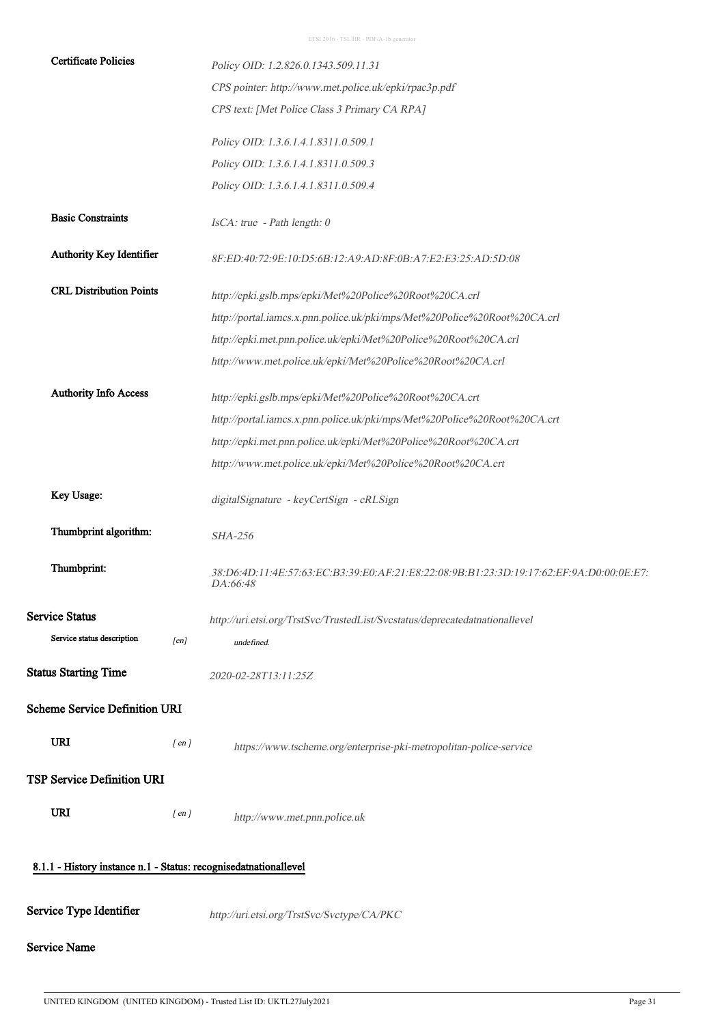| <b>Certificate Policies</b>                                      |                                   | Policy OID: 1.2.826.0.1343.509.11.31                                                                |  |  |  |
|------------------------------------------------------------------|-----------------------------------|-----------------------------------------------------------------------------------------------------|--|--|--|
|                                                                  |                                   | CPS pointer: http://www.met.police.uk/epki/rpac3p.pdf                                               |  |  |  |
|                                                                  |                                   | CPS text: [Met Police Class 3 Primary CA RPA]                                                       |  |  |  |
|                                                                  |                                   | Policy OID: 1.3.6.1.4.1.8311.0.509.1                                                                |  |  |  |
|                                                                  |                                   | Policy OID: 1.3.6.1.4.1.8311.0.509.3                                                                |  |  |  |
|                                                                  |                                   | Policy OID: 1.3.6.1.4.1.8311.0.509.4                                                                |  |  |  |
| <b>Basic Constraints</b>                                         |                                   | IsCA: true - Path length: 0                                                                         |  |  |  |
| Authority Key Identifier                                         |                                   | 8F:ED:40:72:9E:10:D5:6B:12:A9:AD:8F:0B:A7:E2:E3:25:AD:5D:08                                         |  |  |  |
| <b>CRL Distribution Points</b>                                   |                                   | http://epki.gslb.mps/epki/Met%20Police%20Root%20CA.crl                                              |  |  |  |
|                                                                  |                                   | http://portal.iamcs.x.pnn.police.uk/pki/mps/Met%20Police%20Root%20CA.crl                            |  |  |  |
|                                                                  |                                   | http://epki.met.pnn.police.uk/epki/Met%20Police%20Root%20CA.crl                                     |  |  |  |
|                                                                  |                                   | http://www.met.police.uk/epki/Met%20Police%20Root%20CA.crl                                          |  |  |  |
| <b>Authority Info Access</b>                                     |                                   | http://epki.gslb.mps/epki/Met%20Police%20Root%20CA.crt                                              |  |  |  |
|                                                                  |                                   | http://portal.iamcs.x.pnn.police.uk/pki/mps/Met%20Police%20Root%20CA.crt                            |  |  |  |
|                                                                  |                                   | http://epki.met.pnn.police.uk/epki/Met%20Police%20Root%20CA.crt                                     |  |  |  |
|                                                                  |                                   | http://www.met.police.uk/epki/Met%20Police%20Root%20CA.crt                                          |  |  |  |
| Key Usage:                                                       |                                   | digitalSignature - keyCertSign - cRLSign                                                            |  |  |  |
| Thumbprint algorithm:                                            |                                   | <b>SHA-256</b>                                                                                      |  |  |  |
| Thumbprint:                                                      |                                   | 38:D6:4D:11:4E:57:63:EC:B3:39:E0:AF:21:E8:22:08:9B:B1:23:3D:19:17:62:EF:9A:D0:00:0E:E7:<br>DA:66:48 |  |  |  |
| <b>Service Status</b>                                            |                                   | http://uri.etsi.org/TrstSvc/TrustedList/Svcstatus/deprecatedatnationallevel                         |  |  |  |
| Service status description                                       | [en]                              | undefined.                                                                                          |  |  |  |
| <b>Status Starting Time</b>                                      |                                   | 2020-02-28T13:11:25Z                                                                                |  |  |  |
| <b>Scheme Service Definition URI</b>                             |                                   |                                                                                                     |  |  |  |
| URI                                                              | $[$ en $]$                        | https://www.tscheme.org/enterprise-pki-metropolitan-police-service                                  |  |  |  |
|                                                                  | <b>TSP Service Definition URI</b> |                                                                                                     |  |  |  |
| URI                                                              | $[$ en $]$                        | http://www.met.pnn.police.uk                                                                        |  |  |  |
| 8.1.1 - History instance n.1 - Status: recognisedatnationallevel |                                   |                                                                                                     |  |  |  |
| Service Type Identifier                                          |                                   | http://uri.etsi.org/TrstSvc/Svctype/CA/PKC                                                          |  |  |  |
| <b>Service Name</b>                                              |                                   |                                                                                                     |  |  |  |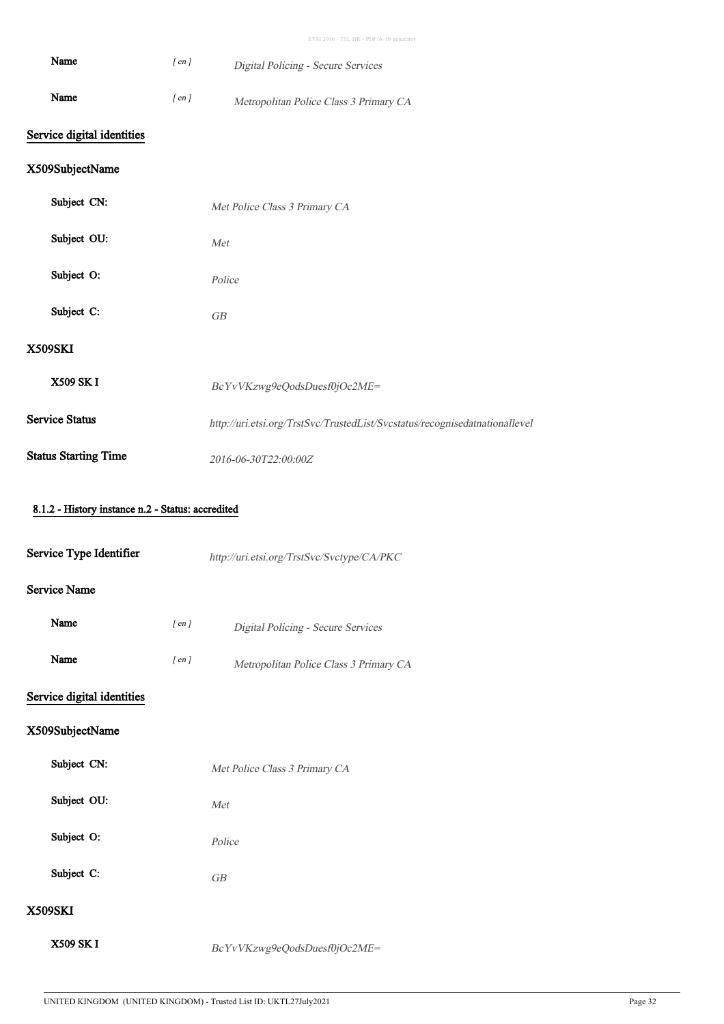| Name                                              | $[$ en $]$ | Digital Policing - Secure Services                                          |  |  |
|---------------------------------------------------|------------|-----------------------------------------------------------------------------|--|--|
| Name                                              | $[$ en $]$ | Metropolitan Police Class 3 Primary CA                                      |  |  |
| Service digital identities                        |            |                                                                             |  |  |
| X509SubjectName                                   |            |                                                                             |  |  |
| Subject CN:                                       |            | Met Police Class 3 Primary CA                                               |  |  |
| Subject OU:                                       |            | Met                                                                         |  |  |
| Subject O:                                        |            | Police                                                                      |  |  |
| Subject C:                                        |            | GB                                                                          |  |  |
| <b>X509SKI</b>                                    |            |                                                                             |  |  |
| <b>X509 SKI</b>                                   |            | BcYvVKzwg9eQodsDuesf0jOc2ME=                                                |  |  |
| <b>Service Status</b>                             |            | http://uri.etsi.org/TrstSvc/TrustedList/Svcstatus/recognisedatnationallevel |  |  |
| <b>Status Starting Time</b>                       |            | 2016-06-30T22:00:00Z                                                        |  |  |
| 8.1.2 - History instance n.2 - Status: accredited |            |                                                                             |  |  |
| Service Type Identifier                           |            | http://uri.etsi.org/TrstSvc/Svctype/CA/PKC                                  |  |  |
| <b>Service Name</b>                               |            |                                                                             |  |  |
| Name                                              | $[$ en $]$ | Digital Policing - Secure Services                                          |  |  |
| Name                                              | $[$ en $]$ | Metropolitan Police Class 3 Primary CA                                      |  |  |
| Service digital identities                        |            |                                                                             |  |  |
| X509SubjectName                                   |            |                                                                             |  |  |
| Subject CN:                                       |            | Met Police Class 3 Primary CA                                               |  |  |
| Subject OU:                                       |            | $\cal M\!et$                                                                |  |  |
| Subject O:                                        |            | Police                                                                      |  |  |
| Subject C:                                        |            | ${\cal GB}$                                                                 |  |  |
| <b>X509SKI</b>                                    |            |                                                                             |  |  |
| X509 SK I                                         |            | BcYvVKzwg9eQodsDuesf0jOc2ME=                                                |  |  |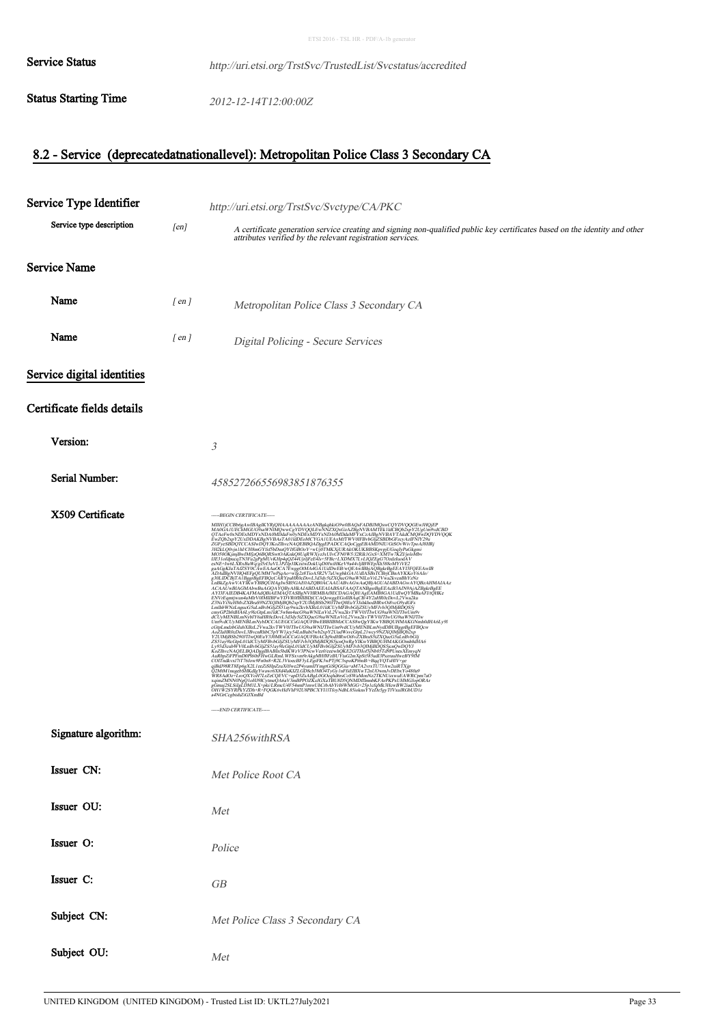| <b>Service Status</b>       | http://uri.etsi.org/TrstSvc/TrustedList/Svcstatus/accredited |
|-----------------------------|--------------------------------------------------------------|
| <b>Status Starting Time</b> | 2012-12-14T12:00:00Z                                         |

# 8.2 - Service (deprecatedatnationallevel): Metropolitan Police Class 3 Secondary CA

| Service Type Identifier          |                    | http://uri.etsi.org/TrstSvc/Svctype/CA/PKC                                                                                                                                                |  |  |
|----------------------------------|--------------------|-------------------------------------------------------------------------------------------------------------------------------------------------------------------------------------------|--|--|
| Service type description<br>[en] |                    | A certificate generation service creating and signing non-qualified public key certificates based on the identity and other<br>attributes verified by the relevant registration services. |  |  |
| <b>Service Name</b>              |                    |                                                                                                                                                                                           |  |  |
| Name                             | $\lceil en \rceil$ | Metropolitan Police Class 3 Secondary CA                                                                                                                                                  |  |  |
| Name                             | $\lceil en \rceil$ | Digital Policing - Secure Services                                                                                                                                                        |  |  |
| Service digital identities       |                    |                                                                                                                                                                                           |  |  |
| Certificate fields details       |                    |                                                                                                                                                                                           |  |  |
| Version:                         |                    | 3                                                                                                                                                                                         |  |  |
| <b>Serial Number:</b>            |                    | 458527266556983851876355                                                                                                                                                                  |  |  |
| X509 Certificate                 |                    | -----BEGIN CERTIFICATE-----<br>-----END CERTIFICATE-----                                                                                                                                  |  |  |
| Signature algorithm:             |                    | SHA256withRSA                                                                                                                                                                             |  |  |
| Issuer CN:                       |                    | Met Police Root CA                                                                                                                                                                        |  |  |
| Issuer OU:                       |                    | Met                                                                                                                                                                                       |  |  |
| Issuer O:                        |                    | Police                                                                                                                                                                                    |  |  |
| Issuer C:                        |                    | ${\cal GB}$                                                                                                                                                                               |  |  |
| Subject CN:                      |                    | Met Police Class 3 Secondary CA                                                                                                                                                           |  |  |
| Subject OU:                      |                    | Met                                                                                                                                                                                       |  |  |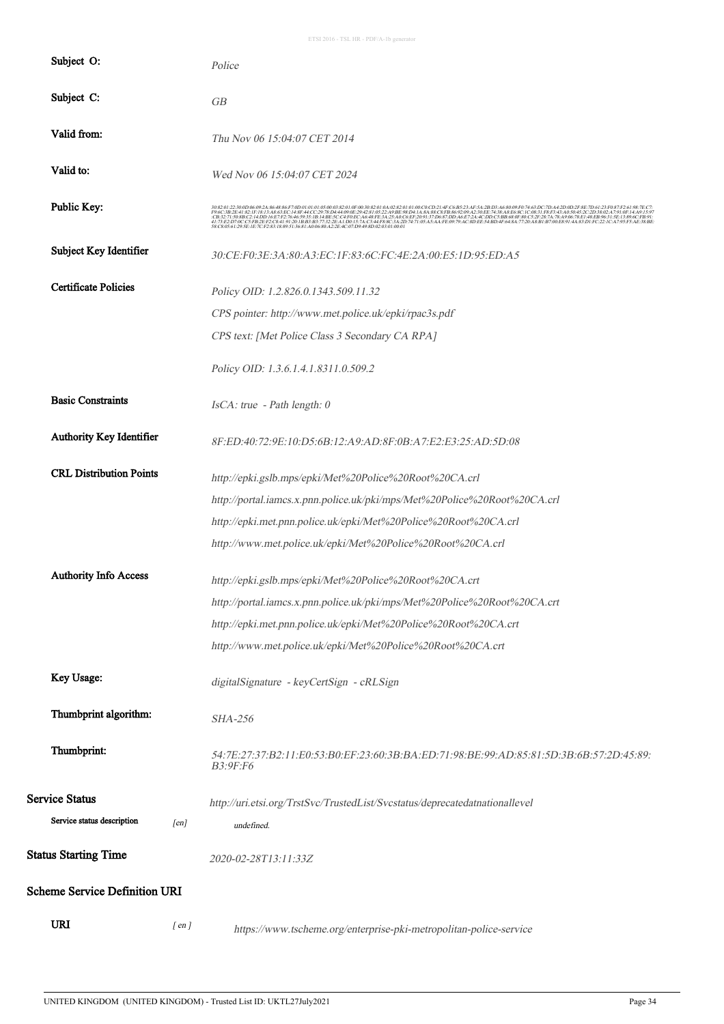| Subject O:                           |            | Police                                                                                              |
|--------------------------------------|------------|-----------------------------------------------------------------------------------------------------|
| Subject C:                           |            | GB                                                                                                  |
| Valid from:                          |            | Thu Nov 06 15:04:07 CET 2014                                                                        |
| Valid to:                            |            | Wed Nov 06 15:04:07 CET 2024                                                                        |
| Public Key:                          |            |                                                                                                     |
| Subject Key Identifier               |            | 30:CE:F0:3E:3A:80:A3:EC:1F:83:6C:FC:4E:2A:00:E5:1D:95:ED:A5                                         |
| <b>Certificate Policies</b>          |            | Policy OID: 1.2.826.0.1343.509.11.32                                                                |
|                                      |            | CPS pointer: http://www.met.police.uk/epki/rpac3s.pdf                                               |
|                                      |            | CPS text: [Met Police Class 3 Secondary CA RPA]                                                     |
|                                      |            | Policy OID: 1.3.6.1.4.1.8311.0.509.2                                                                |
| <b>Basic Constraints</b>             |            | IsCA: true - Path length: 0                                                                         |
| Authority Key Identifier             |            | 8F:ED:40:72:9E:10:D5:6B:12:A9:AD:8F:0B:A7:E2:E3:25:AD:5D:08                                         |
| <b>CRL Distribution Points</b>       |            | http://epki.gslb.mps/epki/Met%20Police%20Root%20CA.crl                                              |
|                                      |            | http://portal.iamcs.x.pnn.police.uk/pki/mps/Met%20Police%20Root%20CA.crl                            |
|                                      |            | http://epki.met.pnn.police.uk/epki/Met%20Police%20Root%20CA.crl                                     |
|                                      |            | http://www.met.police.uk/epki/Met%20Police%20Root%20CA.crl                                          |
| <b>Authority Info Access</b>         |            | http://epki.gslb.mps/epki/Met%20Police%20Root%20CA.crt                                              |
|                                      |            | http://portal.iamcs.x.pnn.police.uk/pki/mps/Met%20Police%20Root%20CA.crt                            |
|                                      |            | http://epki.met.pnn.police.uk/epki/Met%20Police%20Root%20CA.crt                                     |
|                                      |            | http://www.met.police.uk/epki/Met%20Police%20Root%20CA.crt                                          |
| Key Usage:                           |            | digitalSignature - keyCertSign - cRLSign                                                            |
| Thumbprint algorithm:                |            | <b>SHA-256</b>                                                                                      |
| Thumbprint:                          |            | 54;7E;27;37;B2;11;E0;53;B0;EF;23;60;3B;BA;ED;71;98;BE;99;AD;85;81;5D;3B;6B;57;2D;45;89;<br>B3:9F:F6 |
| Service Status                       |            | http://uri.etsi.org/TrstSvc/TrustedList/Svcstatus/deprecatedatnationallevel                         |
| Service status description           | [en]       | undefined.                                                                                          |
| <b>Status Starting Time</b>          |            | 2020-02-28T13:11:33Z                                                                                |
| <b>Scheme Service Definition URI</b> |            |                                                                                                     |
| URI                                  | $[$ en $]$ | https://www.tscheme.org/enterprise-pki-metropolitan-police-service                                  |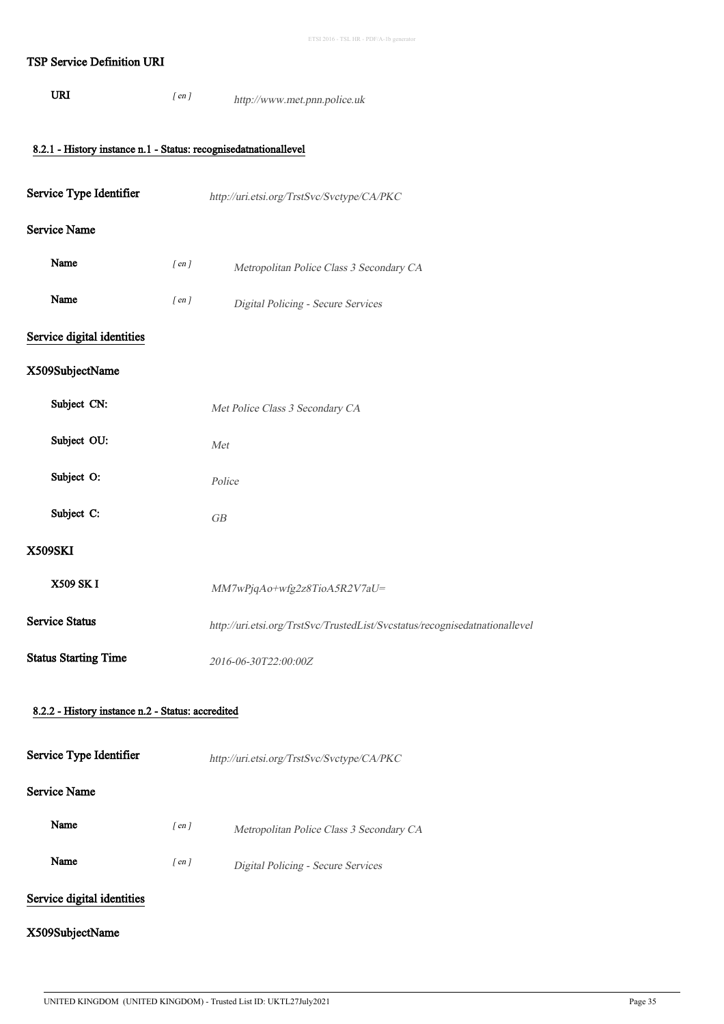### TSP Service Definition URI

URI  $[ en ]$ http://www.met.pnn.police.uk

# 8.2.1 - History instance n.1 - Status: recognisedatnationallevel

| Service Type Identifier                           | http://uri.etsi.org/TrstSvc/Svctype/CA/PKC                                  |
|---------------------------------------------------|-----------------------------------------------------------------------------|
| <b>Service Name</b>                               |                                                                             |
| Name<br>$[$ en $]$                                | Metropolitan Police Class 3 Secondary CA                                    |
| Name<br>$[$ en $]$                                | Digital Policing - Secure Services                                          |
| Service digital identities                        |                                                                             |
| X509SubjectName                                   |                                                                             |
| Subject CN:                                       | Met Police Class 3 Secondary CA                                             |
| Subject OU:                                       | Met                                                                         |
| Subject O:                                        | Police                                                                      |
| Subject C:                                        | GB                                                                          |
| <b>X509SKI</b>                                    |                                                                             |
| <b>X509 SK I</b>                                  | MM7wPjqAo+wfg2z8TioA5R2V7aU=                                                |
| <b>Service Status</b>                             | http://uri.etsi.org/TrstSvc/TrustedList/Svcstatus/recognisedatnationallevel |
| <b>Status Starting Time</b>                       | 2016-06-30T22:00:00Z                                                        |
| 8.2.2 - History instance n.2 - Status: accredited |                                                                             |
| Service Type Identifier                           | http://uri.etsi.org/TrstSvc/Svctype/CA/PKC                                  |
| <b>Service Name</b>                               |                                                                             |
| Name<br>$[$ en $]$                                | Metropolitan Police Class 3 Secondary CA                                    |
| Name<br>$[$ en $]$                                | Digital Policing - Secure Services                                          |
| Service digital identities                        |                                                                             |
| X509SubjectName                                   |                                                                             |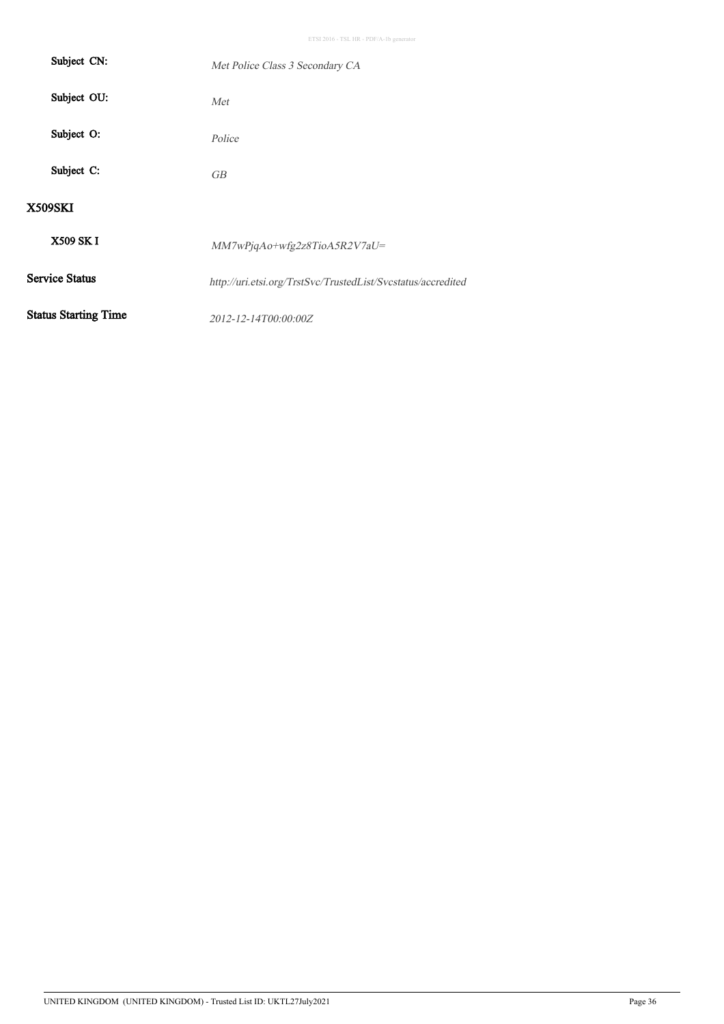| Subject CN:                 | Met Police Class 3 Secondary CA                              |
|-----------------------------|--------------------------------------------------------------|
| Subject OU:                 | Met                                                          |
| Subject O:                  | Police                                                       |
| Subject C:                  | <b>GB</b>                                                    |
| <b>X509SKI</b>              |                                                              |
| X509 SK I                   | $MM7wPjqAo+wfg2z8TioA5R2V7aU=$                               |
| <b>Service Status</b>       | http://uri.etsi.org/TrstSvc/TrustedList/Svcstatus/accredited |
| <b>Status Starting Time</b> | 2012-12-14T00:00:00Z                                         |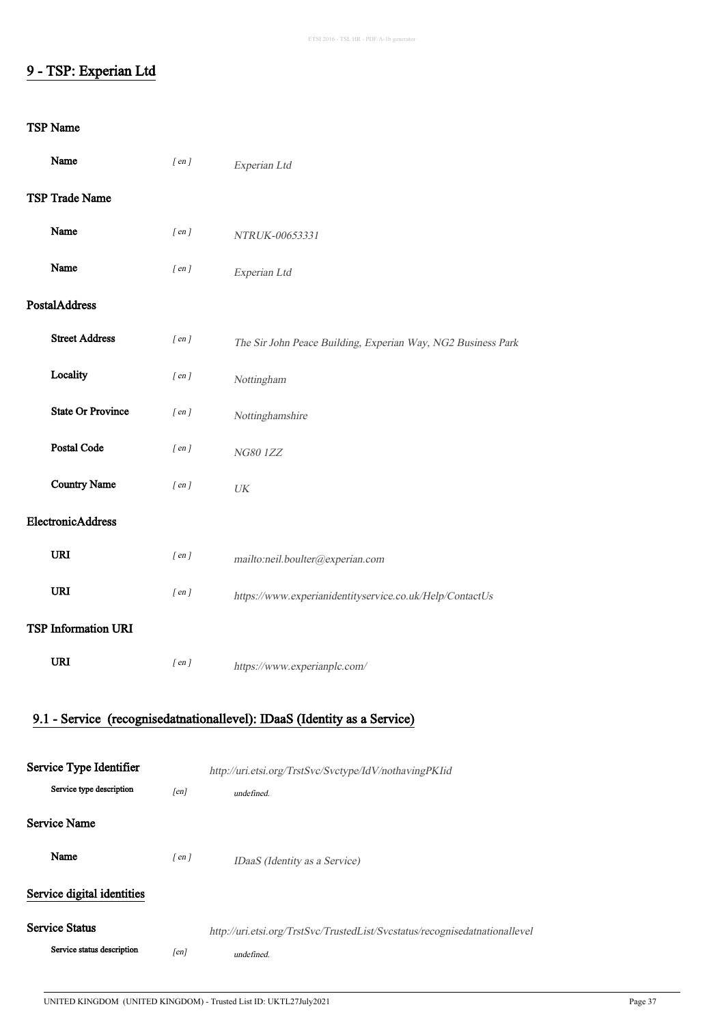## 9 - TSP: Experian Ltd

| Name                       | $[$ en $]$ | Experian Ltd                                                                |
|----------------------------|------------|-----------------------------------------------------------------------------|
| TSP Trade Name             |            |                                                                             |
| Name                       | $[$ en $]$ | NTRUK-00653331                                                              |
| Name                       | $[$ en $]$ | Experian Ltd                                                                |
| <b>PostalAddress</b>       |            |                                                                             |
| <b>Street Address</b>      | $[$ en $]$ | The Sir John Peace Building, Experian Way, NG2 Business Park                |
| Locality                   | $[$ en $]$ | Nottingham                                                                  |
| <b>State Or Province</b>   | $[$ en $]$ | Nottinghamshire                                                             |
| Postal Code                | $[$ en $]$ | <b>NG801ZZ</b>                                                              |
| <b>Country Name</b>        | $[$ en $]$ | UK                                                                          |
| ElectronicAddress          |            |                                                                             |
| URI                        | $[$ en $]$ | mailto:neil.boulter@experian.com                                            |
| URI                        | $[$ en $]$ | https://www.experianidentityservice.co.uk/Help/ContactUs                    |
| <b>TSP Information URI</b> |            |                                                                             |
| <b>URI</b>                 | $[$ en $]$ | https://www.experianplc.com/                                                |
|                            |            | 9.1 - Service (recognisedatnationallevel): IDaaS (Identity as a Service)    |
| Service Type Identifier    |            | http://uri.etsi.org/TrstSvc/Svctype/IdV/nothavingPKIid                      |
| Service type description   | [en]       | undefined.                                                                  |
| <b>Service Name</b>        |            |                                                                             |
| Name                       | $[$ en $]$ | IDaaS (Identity as a Service)                                               |
| Service digital identities |            |                                                                             |
| <b>Service Status</b>      |            | http://uri.etsi.org/TrstSvc/TrustedList/Svcstatus/recognisedatnationallevel |
| Service status description | [en]       | undefined.                                                                  |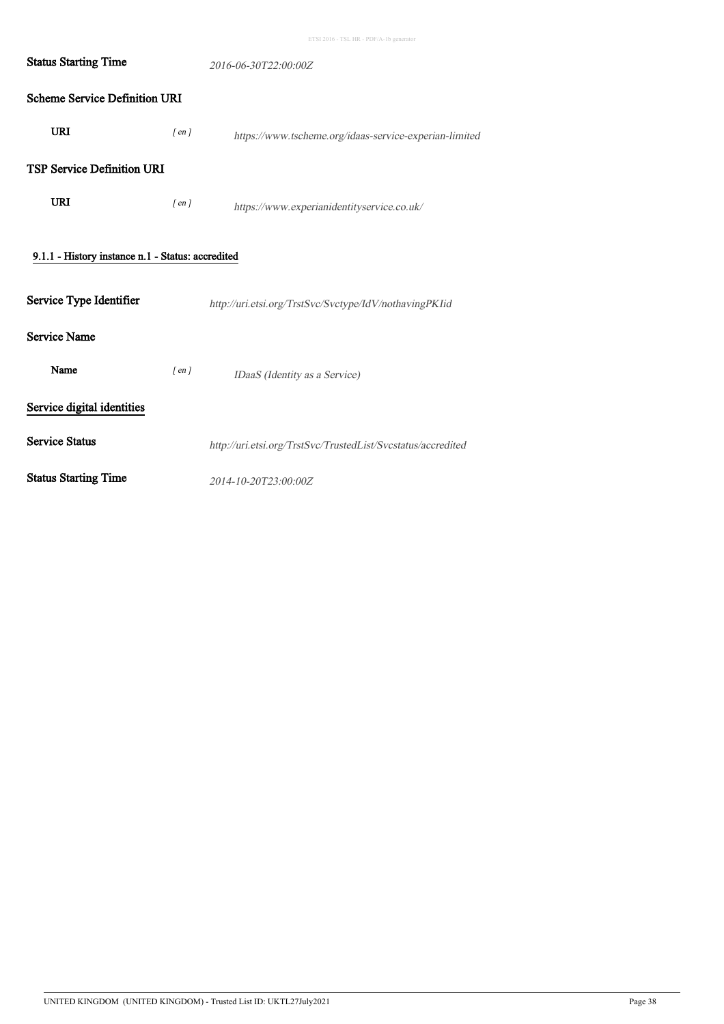| <b>Status Starting Time</b>                       | 2016-06-30T22:00:00Z |                                                              |  |  |
|---------------------------------------------------|----------------------|--------------------------------------------------------------|--|--|
| <b>Scheme Service Definition URI</b>              |                      |                                                              |  |  |
| <b>URI</b>                                        | $[$ en $]$           | https://www.tscheme.org/idaas-service-experian-limited       |  |  |
| <b>TSP Service Definition URI</b>                 |                      |                                                              |  |  |
| <b>URI</b>                                        | $[$ en $]$           | https://www.experianidentityservice.co.uk/                   |  |  |
| 9.1.1 - History instance n.1 - Status: accredited |                      |                                                              |  |  |
| Service Type Identifier                           |                      | http://uri.etsi.org/TrstSvc/Svctype/IdV/nothavingPKIid       |  |  |
| <b>Service Name</b>                               |                      |                                                              |  |  |
| Name                                              | $[$ en $]$           | IDaaS (Identity as a Service)                                |  |  |
| Service digital identities                        |                      |                                                              |  |  |
| <b>Service Status</b>                             |                      | http://uri.etsi.org/TrstSvc/TrustedList/Svcstatus/accredited |  |  |
| <b>Status Starting Time</b>                       |                      | 2014-10-20T23:00:00Z                                         |  |  |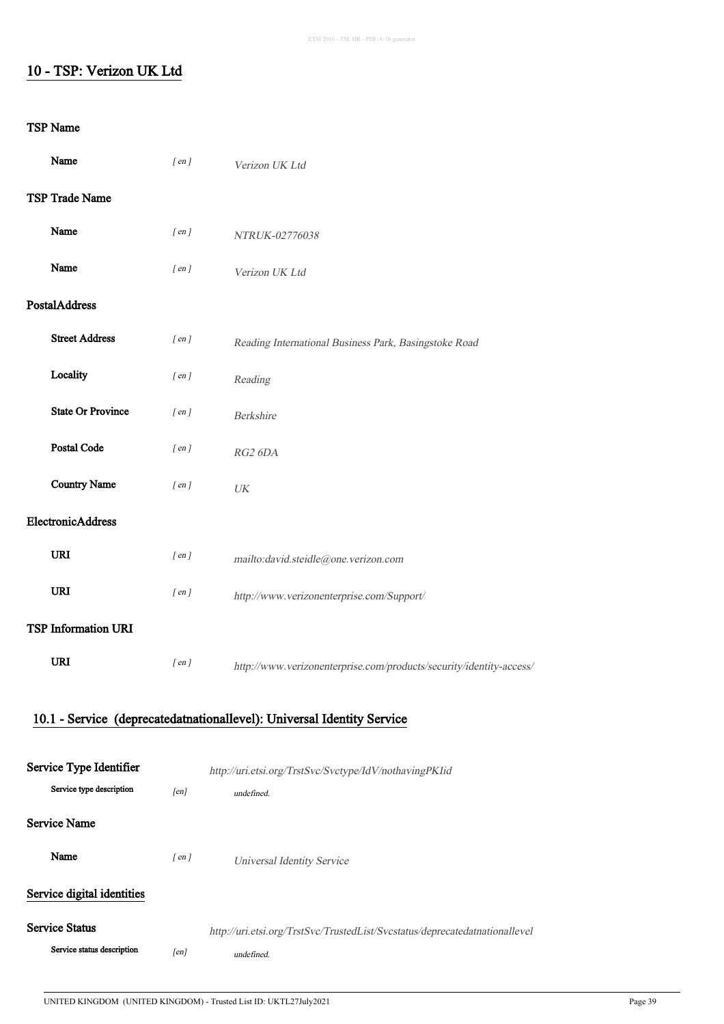## 10 - TSP: Verizon UK Ltd

| Name                       | $[$ en $]$ | Verizon UK Ltd                                                              |
|----------------------------|------------|-----------------------------------------------------------------------------|
| <b>TSP Trade Name</b>      |            |                                                                             |
| Name                       | $[$ en $]$ | NTRUK-02776038                                                              |
| Name                       | $[$ en $]$ | Verizon UK Ltd                                                              |
| PostalAddress              |            |                                                                             |
| <b>Street Address</b>      | $[$ en $]$ | Reading International Business Park, Basingstoke Road                       |
| Locality                   | $[$ en $]$ | Reading                                                                     |
| <b>State Or Province</b>   | $[$ en $]$ | Berkshire                                                                   |
| Postal Code                | $[$ en $]$ | RG2 6DA                                                                     |
| <b>Country Name</b>        | $[$ en $]$ | UK                                                                          |
| ElectronicAddress          |            |                                                                             |
| <b>URI</b>                 | $[$ en $]$ | mailto:david.steidle@one.verizon.com                                        |
| URI                        | $[$ en $]$ | http://www.verizonenterprise.com/Support/                                   |
| <b>TSP Information URI</b> |            |                                                                             |
| <b>URI</b>                 | $[$ en $]$ | http://www.verizonenterprise.com/products/security/identity-access/         |
|                            |            | 10.1 - Service (deprecatedatnationallevel): Universal Identity Service      |
| Service Type Identifier    |            |                                                                             |
| Service type description   | [en]       | http://uri.etsi.org/TrstSvc/Svctype/IdV/nothavingPKIid<br>undefined.        |
| <b>Service Name</b>        |            |                                                                             |
| Name                       | $[$ en $]$ | <b>Universal Identity Service</b>                                           |
| Service digital identities |            |                                                                             |
| <b>Service Status</b>      |            | http://uri.etsi.org/TrstSvc/TrustedList/Svcstatus/deprecatedatnationallevel |
| Service status description | [en]       | undefined.                                                                  |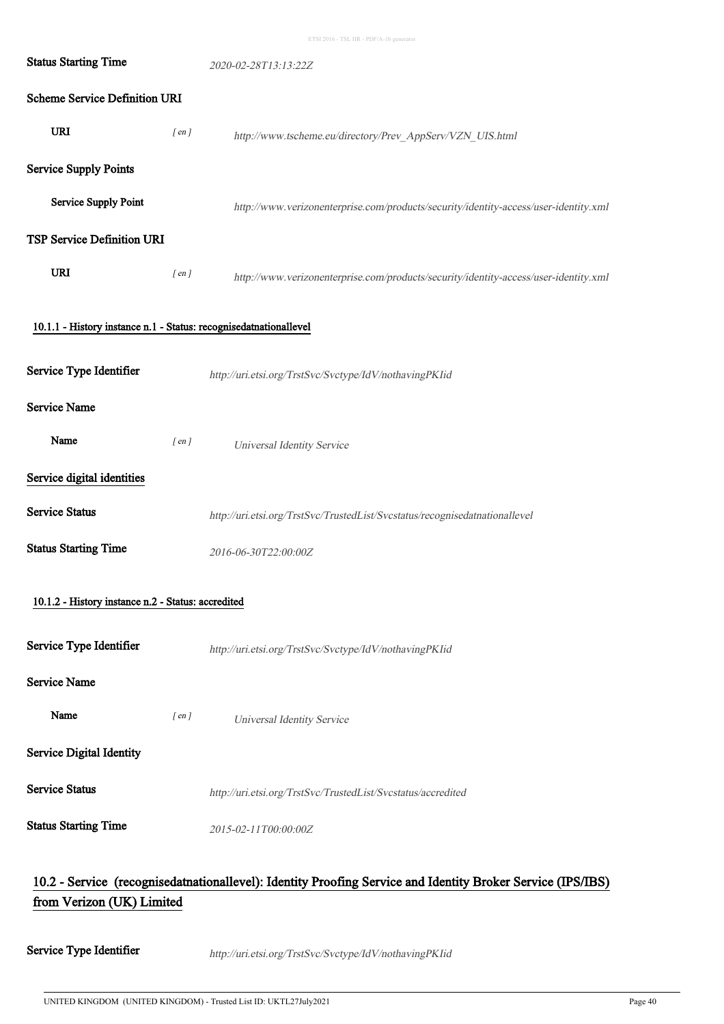| <b>Status Starting Time</b>                                       |            | 2020-02-28T13:13:22Z                                                                                        |
|-------------------------------------------------------------------|------------|-------------------------------------------------------------------------------------------------------------|
| <b>Scheme Service Definition URI</b>                              |            |                                                                                                             |
| <b>URI</b>                                                        | $[$ en $]$ | http://www.tscheme.eu/directory/Prev_AppServ/VZN_UIS.html                                                   |
| <b>Service Supply Points</b>                                      |            |                                                                                                             |
| <b>Service Supply Point</b>                                       |            | http://www.verizonenterprise.com/products/security/identity-access/user-identity.xml                        |
| TSP Service Definition URI                                        |            |                                                                                                             |
| URI                                                               | $[$ en $]$ | http://www.verizonenterprise.com/products/security/identity-access/user-identity.xml                        |
| 10.1.1 - History instance n.1 - Status: recognisedatnationallevel |            |                                                                                                             |
| Service Type Identifier                                           |            | http://uri.etsi.org/TrstSvc/Svctype/IdV/nothavingPKIid                                                      |
| Service Name                                                      |            |                                                                                                             |
| Name                                                              | $[$ en $]$ | <b>Universal Identity Service</b>                                                                           |
| Service digital identities                                        |            |                                                                                                             |
| <b>Service Status</b>                                             |            | http://uri.etsi.org/TrstSvc/TrustedList/Svcstatus/recognisedatnationallevel                                 |
| <b>Status Starting Time</b>                                       |            | 2016-06-30T22:00:00Z                                                                                        |
| 10.1.2 - History instance n.2 - Status: accredited                |            |                                                                                                             |
| Service Type Identifier                                           |            | http://uri.etsi.org/TrstSvc/Svctype/IdV/nothavingPKIid                                                      |
| <b>Service Name</b>                                               |            |                                                                                                             |
| Name                                                              | $[$ en $]$ | <b>Universal Identity Service</b>                                                                           |
| <b>Service Digital Identity</b>                                   |            |                                                                                                             |
| <b>Service Status</b>                                             |            | http://uri.etsi.org/TrstSvc/TrustedList/Svcstatus/accredited                                                |
| <b>Status Starting Time</b>                                       |            | 2015-02-11T00:00:00Z                                                                                        |
| from Verizon (UK) Limited                                         |            | 10.2 - Service (recognisedatnationallevel): Identity Proofing Service and Identity Broker Service (IPS/IBS) |

Service Type Identifier http://uri.etsi.org/TrstSvc/Svctype/IdV/nothavingPKIid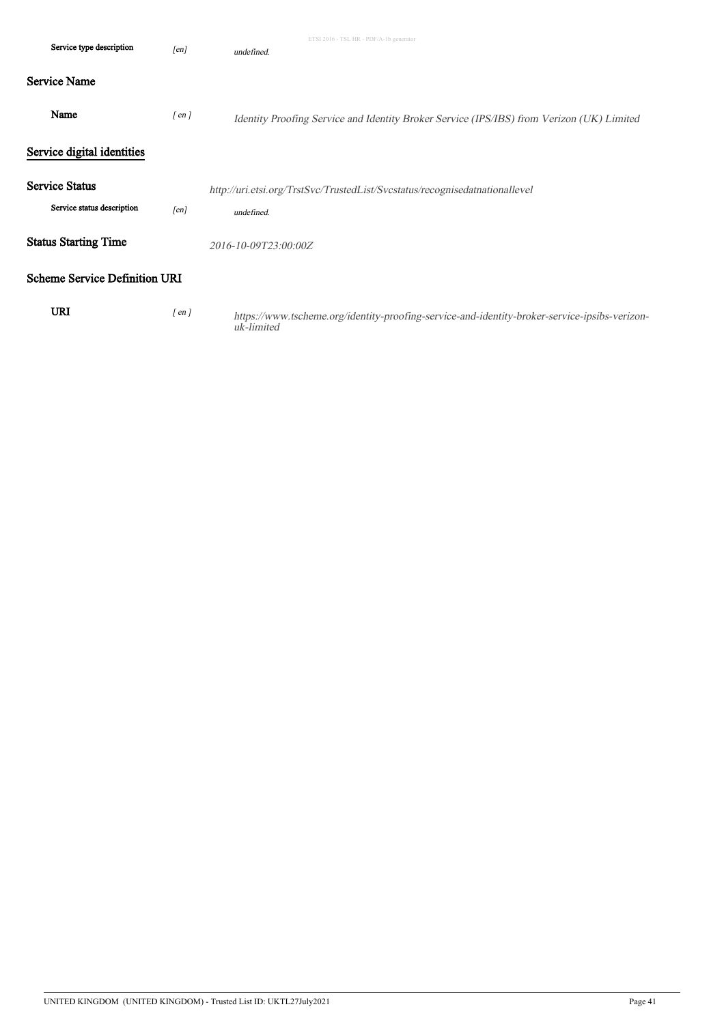| Service type description                            | [en]       | ETSI 2016 - TSL HR - PDF/A-1b generator<br>undefined.                                                       |
|-----------------------------------------------------|------------|-------------------------------------------------------------------------------------------------------------|
| <b>Service Name</b>                                 |            |                                                                                                             |
| Name                                                | $[$ en $]$ | Identity Proofing Service and Identity Broker Service (IPS/IBS) from Verizon (UK) Limited                   |
| Service digital identities                          |            |                                                                                                             |
| <b>Service Status</b><br>Service status description | [en]       | http://uri.etsi.org/TrstSvc/TrustedList/Svcstatus/recognisedatnationallevel<br>undefined.                   |
| <b>Status Starting Time</b>                         |            | 2016-10-09T23:00:00Z                                                                                        |
| <b>Scheme Service Definition URI</b>                |            |                                                                                                             |
| <b>URI</b>                                          | $[$ en $]$ | https://www.tscheme.org/identity-proofing-service-and-identity-broker-service-ipsibs-verizon-<br>uk-limited |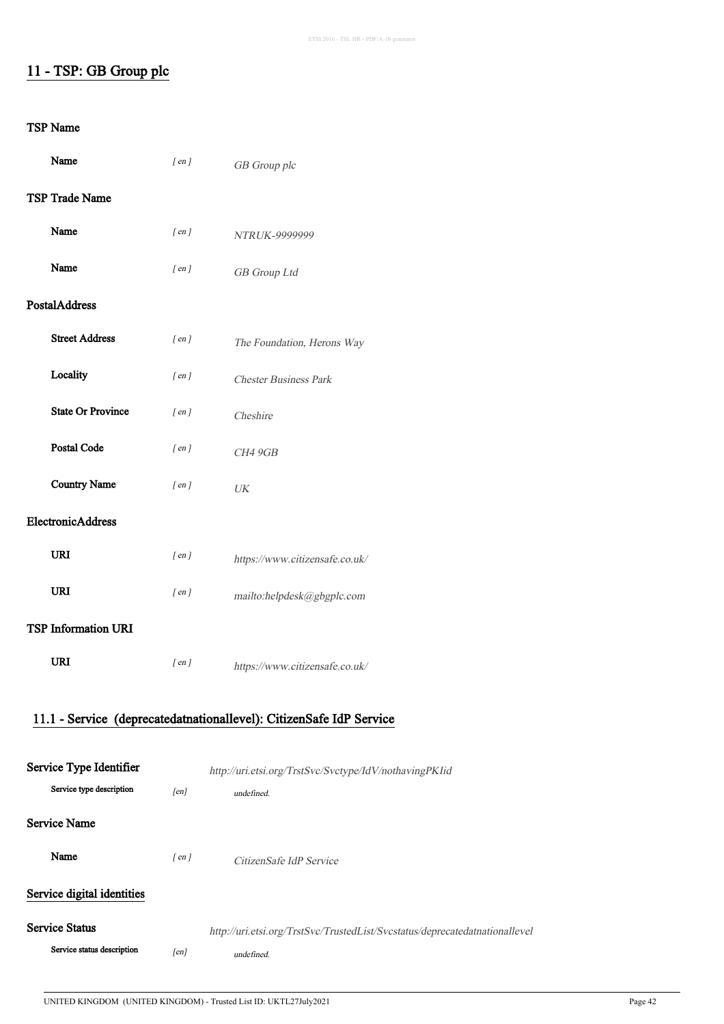## 11 - TSP: GB Group plc

| Name                       | $[$ en $]$ | GB Group plc                                                                |
|----------------------------|------------|-----------------------------------------------------------------------------|
| <b>TSP Trade Name</b>      |            |                                                                             |
| Name                       | $[$ en $]$ | NTRUK-9999999                                                               |
| Name                       | $[$ en $]$ | GB Group Ltd                                                                |
| <b>PostalAddress</b>       |            |                                                                             |
| <b>Street Address</b>      | $[$ en $]$ | The Foundation, Herons Way                                                  |
| Locality                   | $[$ en $]$ | <b>Chester Business Park</b>                                                |
| <b>State Or Province</b>   | $[$ en $]$ | Cheshire                                                                    |
| <b>Postal Code</b>         | $[$ en $]$ | CH4 9GB                                                                     |
| <b>Country Name</b>        | $[$ en $]$ | UK                                                                          |
| ElectronicAddress          |            |                                                                             |
| <b>URI</b>                 | $[$ en $]$ | https://www.citizensafe.co.uk/                                              |
| URI                        | $[$ en $]$ | mailto:helpdesk@gbgplc.com                                                  |
| <b>TSP Information URI</b> |            |                                                                             |
| <b>URI</b>                 | $[$ en $]$ | https://www.citizensafe.co.uk/                                              |
|                            |            |                                                                             |
|                            |            | 11.1 - Service (deprecatedatnationallevel): CitizenSafe IdP Service         |
| Service Type Identifier    |            | http://uri.etsi.org/TrstSvc/Svctype/IdV/nothavingPKIid                      |
| Service type description   | [en]       | undefined.                                                                  |
| <b>Service Name</b>        |            |                                                                             |
| Name                       | $[$ en $]$ | CitizenSafe IdP Service                                                     |
| Service digital identities |            |                                                                             |
| <b>Service Status</b>      |            | http://uri.etsi.org/TrstSvc/TrustedList/Svcstatus/deprecatedatnationallevel |
| Service status description | [en]       | undefined.                                                                  |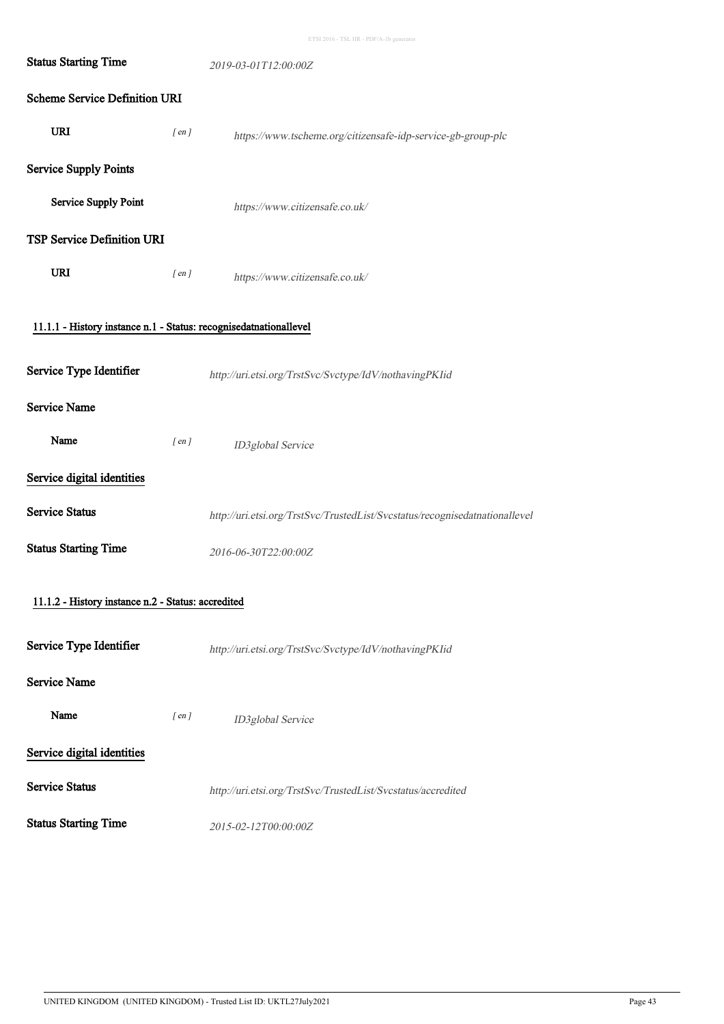|  |  |  | ETSI 2016 - TSL HR - PDF/A-1b generator |
|--|--|--|-----------------------------------------|

| <b>Status Starting Time</b>                                       |            | 2019-03-01T12:00:00Z                                                        |
|-------------------------------------------------------------------|------------|-----------------------------------------------------------------------------|
| <b>Scheme Service Definition URI</b>                              |            |                                                                             |
| <b>URI</b>                                                        | $[$ en $]$ | https://www.tscheme.org/citizensafe-idp-service-gb-group-plc                |
| <b>Service Supply Points</b>                                      |            |                                                                             |
| <b>Service Supply Point</b>                                       |            | https://www.citizensafe.co.uk/                                              |
| <b>TSP Service Definition URI</b>                                 |            |                                                                             |
| URI                                                               | $[$ en $]$ | https://www.citizensafe.co.uk/                                              |
| 11.1.1 - History instance n.1 - Status: recognisedatnationallevel |            |                                                                             |
| Service Type Identifier                                           |            | http://uri.etsi.org/TrstSvc/Svctype/IdV/nothavingPKIid                      |
| <b>Service Name</b>                                               |            |                                                                             |
| Name                                                              | $[$ en $]$ | ID3global Service                                                           |
| Service digital identities                                        |            |                                                                             |
| <b>Service Status</b>                                             |            | http://uri.etsi.org/TrstSvc/TrustedList/Svcstatus/recognisedatnationallevel |
| <b>Status Starting Time</b>                                       |            | 2016-06-30T22:00:00Z                                                        |
| 11.1.2 - History instance n.2 - Status: accredited                |            |                                                                             |
| Service Type Identifier                                           |            | http://uri.etsi.org/TrstSvc/Svctype/IdV/nothavingPKIid                      |
| <b>Service Name</b>                                               |            |                                                                             |
| Name                                                              | $[$ en $]$ | ID3global Service                                                           |
| Service digital identities                                        |            |                                                                             |
| <b>Service Status</b>                                             |            | http://uri.etsi.org/TrstSvc/TrustedList/Svcstatus/accredited                |
| <b>Status Starting Time</b>                                       |            | 2015-02-12T00:00:00Z                                                        |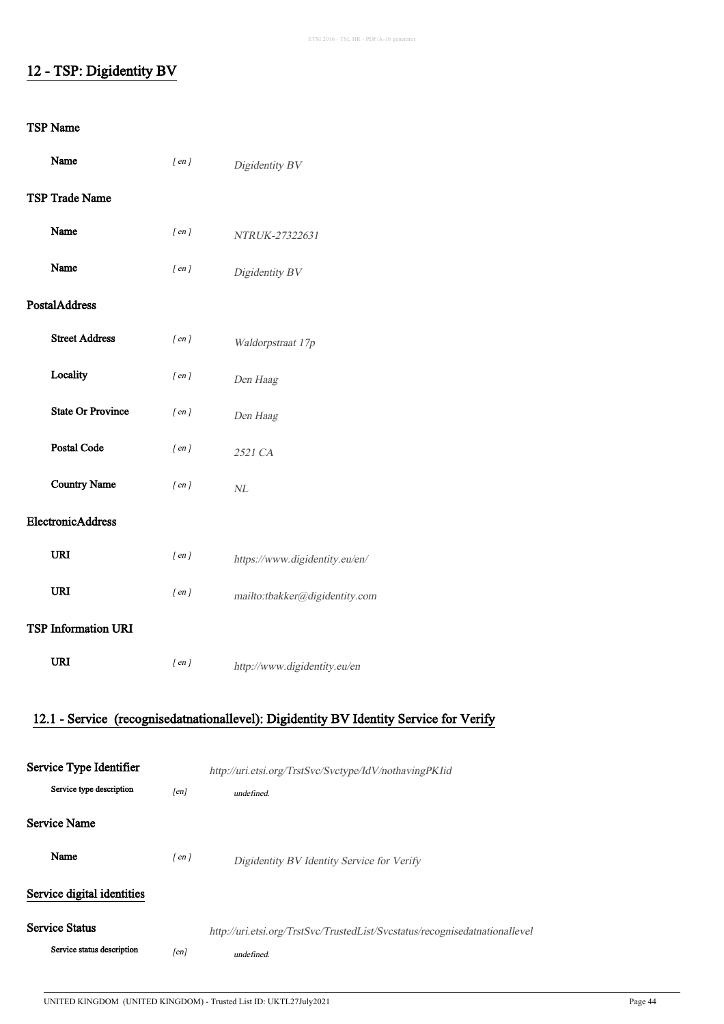## 12 - TSP: Digidentity BV

| Name                                                | $[$ en $]$ | Digidentity BV                                                                         |
|-----------------------------------------------------|------------|----------------------------------------------------------------------------------------|
| <b>TSP Trade Name</b>                               |            |                                                                                        |
| Name                                                | $[$ en $]$ | NTRUK-27322631                                                                         |
| Name                                                | $[$ en $]$ | Digidentity BV                                                                         |
| PostalAddress                                       |            |                                                                                        |
| <b>Street Address</b>                               | $[$ en $]$ | Waldorpstraat 17p                                                                      |
| Locality                                            | $[$ en $]$ | Den Haag                                                                               |
| <b>State Or Province</b>                            | $[$ en $]$ | Den Haag                                                                               |
| Postal Code                                         | $[$ en $]$ | 2521 CA                                                                                |
| <b>Country Name</b>                                 | $[$ en $]$ | $N\!L$                                                                                 |
| ElectronicAddress                                   |            |                                                                                        |
| <b>URI</b>                                          | $[$ en $]$ | https://www.digidentity.eu/en/                                                         |
| URI                                                 | $[$ en $]$ | mailto:tbakker@digidentity.com                                                         |
| <b>TSP Information URI</b>                          |            |                                                                                        |
| <b>URI</b>                                          | $[$ en $]$ | http://www.digidentity.eu/en                                                           |
|                                                     |            | 12.1 - Service (recognisedatnationallevel): Digidentity BV Identity Service for Verify |
|                                                     |            |                                                                                        |
| Service Type Identifier<br>Service type description | [en]       | http://uri.etsi.org/TrstSvc/Svctype/IdV/nothavingPKIid<br>undefined.                   |
| <b>Service Name</b>                                 |            |                                                                                        |
| Name                                                | $[$ en $]$ | Digidentity BV Identity Service for Verify                                             |
| Service digital identities                          |            |                                                                                        |
| <b>Service Status</b>                               |            | http://uri.etsi.org/TrstSvc/TrustedList/Svcstatus/recognisedatnationallevel            |
| Service status description                          | [en]       | undefined.                                                                             |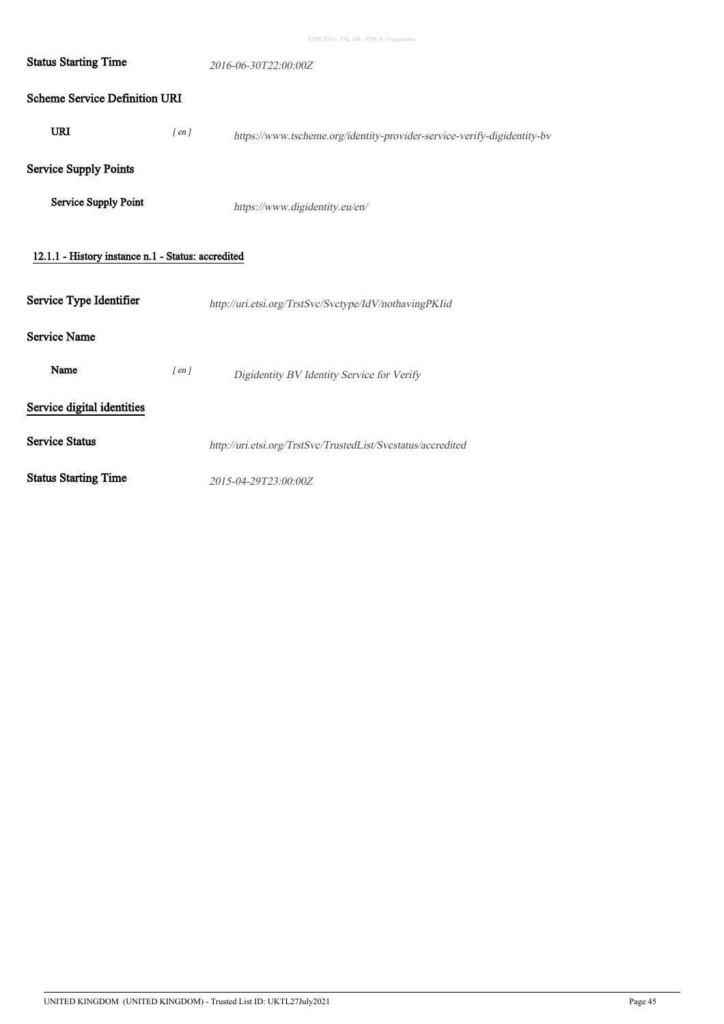| <b>Status Starting Time</b>                        |            | 2016-06-30T22:00:00Z                                                    |
|----------------------------------------------------|------------|-------------------------------------------------------------------------|
| <b>Scheme Service Definition URI</b>               |            |                                                                         |
| <b>URI</b>                                         | $[$ en $]$ | https://www.tscheme.org/identity-provider-service-verify-digidentity-bv |
| <b>Service Supply Points</b>                       |            |                                                                         |
| Service Supply Point                               |            | https://www.digidentity.eu/en/                                          |
| 12.1.1 - History instance n.1 - Status: accredited |            |                                                                         |
| Service Type Identifier                            |            | http://uri.etsi.org/TrstSvc/Svctype/IdV/nothavingPKIid                  |
| <b>Service Name</b>                                |            |                                                                         |
| Name                                               | $[$ en $]$ | Digidentity BV Identity Service for Verify                              |
| Service digital identities                         |            |                                                                         |
| <b>Service Status</b>                              |            | http://uri.etsi.org/TrstSvc/TrustedList/Svcstatus/accredited            |
| <b>Status Starting Time</b>                        |            | 2015-04-29T23:00:00Z                                                    |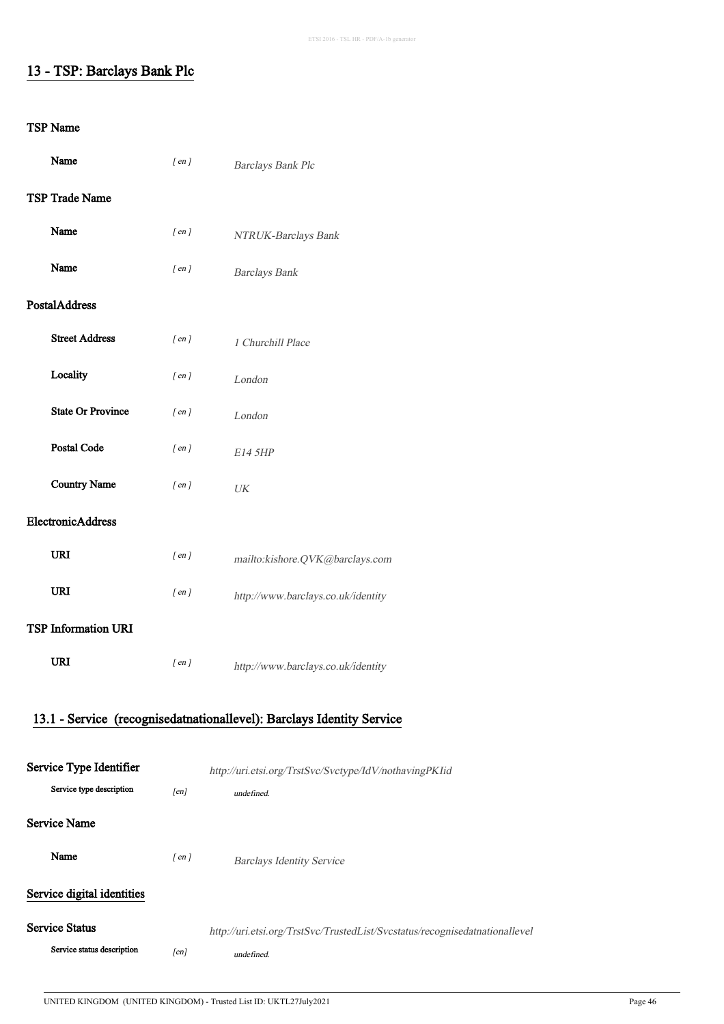## 13 - TSP: Barclays Bank Plc

| Name                  |                            | $[$ en $]$ | Barclays Bank Plc                                                           |
|-----------------------|----------------------------|------------|-----------------------------------------------------------------------------|
|                       | <b>TSP Trade Name</b>      |            |                                                                             |
| Name                  |                            | $[$ en $]$ | NTRUK-Barclays Bank                                                         |
| Name                  |                            | $[$ en $]$ | <b>Barclays Bank</b>                                                        |
| <b>PostalAddress</b>  |                            |            |                                                                             |
|                       | <b>Street Address</b>      | $[$ en $]$ | 1 Churchill Place                                                           |
|                       | Locality                   | $[$ en $]$ | London                                                                      |
|                       | <b>State Or Province</b>   | $[$ en $]$ | London                                                                      |
|                       | Postal Code                | $[$ en $]$ | E14 5HP                                                                     |
|                       | <b>Country Name</b>        | $[$ en $]$ | $\ensuremath{\textit{UK}}\xspace$                                           |
|                       | ElectronicAddress          |            |                                                                             |
| <b>URI</b>            |                            | $[$ en $]$ | mailto:kishore.QVK@barclays.com                                             |
| URI                   |                            | $[$ en $]$ | http://www.barclays.co.uk/identity                                          |
|                       | <b>TSP Information URI</b> |            |                                                                             |
| <b>URI</b>            |                            | $[$ en $]$ | http://www.barclays.co.uk/identity                                          |
|                       |                            |            |                                                                             |
|                       |                            |            | 13.1 - Service (recognisedatnationallevel): Barclays Identity Service       |
|                       | Service Type Identifier    |            | http://uri.etsi.org/TrstSvc/Svctype/IdV/nothavingPKIid                      |
|                       | Service type description   | [en]       | undefined.                                                                  |
| <b>Service Name</b>   |                            |            |                                                                             |
| Name                  |                            | $[$ en $]$ | <b>Barclays Identity Service</b>                                            |
|                       | Service digital identities |            |                                                                             |
| <b>Service Status</b> |                            |            | http://uri.etsi.org/TrstSvc/TrustedList/Svcstatus/recognisedatnationallevel |
|                       | Service status description | [en]       | undefined.                                                                  |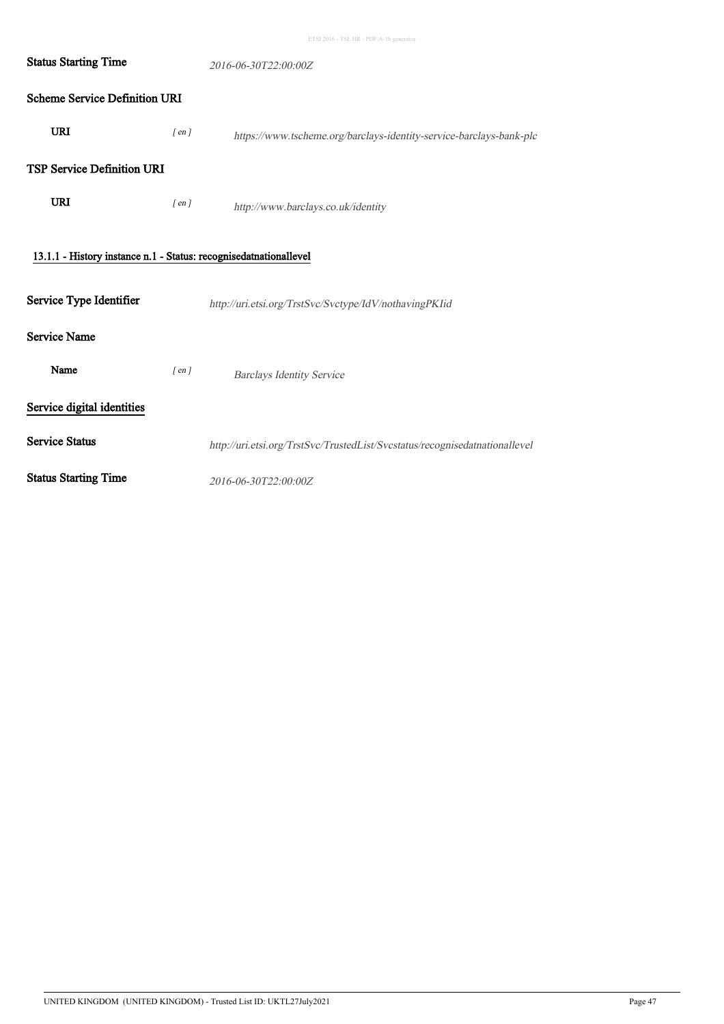| ETSI 2016 - TSL HR - PDF/A-1b generator |  |  |
|-----------------------------------------|--|--|

| <b>Status Starting Time</b>                                       | 2016-06-30T22:00:00Z |                                                                             |  |
|-------------------------------------------------------------------|----------------------|-----------------------------------------------------------------------------|--|
| <b>Scheme Service Definition URI</b>                              |                      |                                                                             |  |
| <b>URI</b>                                                        | $[$ en $]$           | https://www.tscheme.org/barclays-identity-service-barclays-bank-plc         |  |
| <b>TSP Service Definition URI</b>                                 |                      |                                                                             |  |
| <b>URI</b>                                                        | $[$ en $]$           | http://www.barclays.co.uk/identity                                          |  |
| 13.1.1 - History instance n.1 - Status: recognisedatnationallevel |                      |                                                                             |  |
| Service Type Identifier                                           |                      | http://uri.etsi.org/TrstSvc/Svctype/IdV/nothavingPKIid                      |  |
| <b>Service Name</b>                                               |                      |                                                                             |  |
| Name                                                              | $[$ en $]$           | <b>Barclays Identity Service</b>                                            |  |
| Service digital identities                                        |                      |                                                                             |  |
| <b>Service Status</b>                                             |                      | http://uri.etsi.org/TrstSvc/TrustedList/Svcstatus/recognisedatnationallevel |  |
| <b>Status Starting Time</b>                                       |                      | 2016-06-30T22:00:00Z                                                        |  |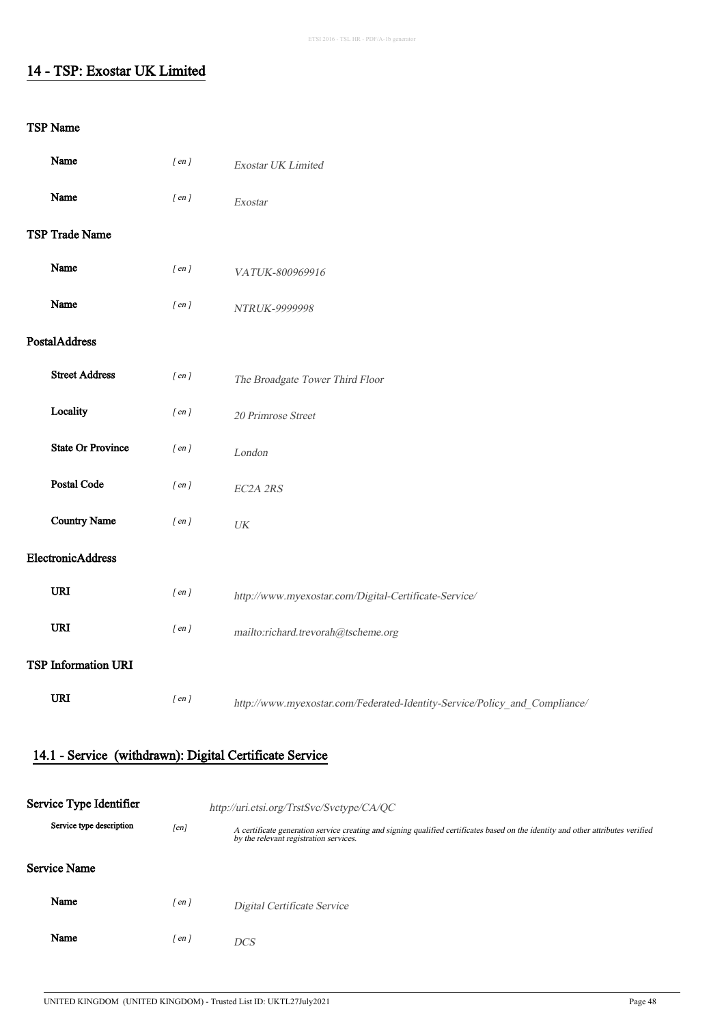## 14 - TSP: Exostar UK Limited

#### TSP Name

| Name                       | $[$ en $]$ | Exostar UK Limited                                                         |
|----------------------------|------------|----------------------------------------------------------------------------|
| Name                       | $[$ en $]$ | Exostar                                                                    |
| TSP Trade Name             |            |                                                                            |
| Name                       | $[$ en $]$ | VATUK-800969916                                                            |
| Name                       | $[$ en $]$ | NTRUK-9999998                                                              |
| PostalAddress              |            |                                                                            |
| <b>Street Address</b>      | $[$ en $]$ | The Broadgate Tower Third Floor                                            |
| Locality                   | $[$ en $]$ | 20 Primrose Street                                                         |
| <b>State Or Province</b>   | $[$ en $]$ | London                                                                     |
| <b>Postal Code</b>         | $[$ en $]$ | EC2A 2RS                                                                   |
| <b>Country Name</b>        | $[$ en $]$ | $\ensuremath{\textit{UK}}\xspace$                                          |
| ElectronicAddress          |            |                                                                            |
| <b>URI</b>                 | $[$ en $]$ | http://www.myexostar.com/Digital-Certificate-Service/                      |
| URI                        | $[$ en $]$ | mailto:richard.trevorah@tscheme.org                                        |
| <b>TSP Information URI</b> |            |                                                                            |
| <b>URI</b>                 | $[$ en $]$ | http://www.myexostar.com/Federated-Identity-Service/Policy_and_Compliance/ |

## 14.1 - Service (withdrawn): Digital Certificate Service

| Service Type Identifier  | http://uri.etsi.org/TrstSvc/Svctype/CA/QC |                                                                                                                                                                            |  |
|--------------------------|-------------------------------------------|----------------------------------------------------------------------------------------------------------------------------------------------------------------------------|--|
| Service type description | [en]                                      | A certificate generation service creating and signing qualified certificates based on the identity and other attributes verified<br>by the relevant registration services. |  |
| Service Name             |                                           |                                                                                                                                                                            |  |
| Name                     | r en 1                                    | Digital Certificate Service                                                                                                                                                |  |
| Name                     | $\lceil en \rceil$                        | <b>DCS</b>                                                                                                                                                                 |  |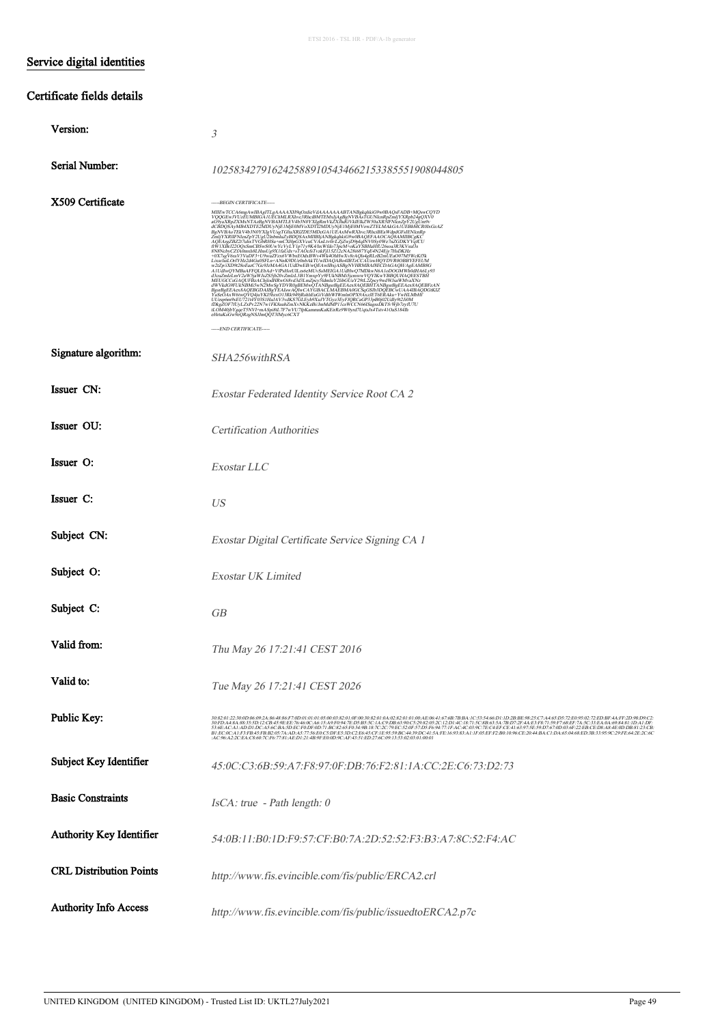## Service digital identities

#### Certificate fields details

| Version:                       | 3                                                                                                                                                                                                                                                                                                                                                                                                                                                                                                                                                                                                                                                                                                                                                                                                                                                                                                                                                                                                                                                                                                                  |
|--------------------------------|--------------------------------------------------------------------------------------------------------------------------------------------------------------------------------------------------------------------------------------------------------------------------------------------------------------------------------------------------------------------------------------------------------------------------------------------------------------------------------------------------------------------------------------------------------------------------------------------------------------------------------------------------------------------------------------------------------------------------------------------------------------------------------------------------------------------------------------------------------------------------------------------------------------------------------------------------------------------------------------------------------------------------------------------------------------------------------------------------------------------|
| Serial Number:                 | 1025834279162425889105434662153385551908044805                                                                                                                                                                                                                                                                                                                                                                                                                                                                                                                                                                                                                                                                                                                                                                                                                                                                                                                                                                                                                                                                     |
| X509 Certificate               | -----BEGIN CERTIFICATE-----<br>MIIEwTCCA6mgAwIBAgITLgAAAAXH9qOzdieVdAAAAAAABTANBgkqhkiG9w0BAQsFADB+MQswCQYD<br>VQQGEwJVUzĒUMBIGĀ IUĒChMLRXhvc3RhciBMTEMxIjAgBgNVBĀsTGUNknRpZmljYXRpb24gOXV0<br>aG9yaXRpZXMxNTAzBgNVBAMTLEV4b3N0YXIgKmVkZXIhdGVkIEIEZW30aXR5IFN\mZpY2UgUm9v<br>dCBDQSAyMB4XDTE2MDUyNjEIMjE0MVoXDTI2MDUyNjEIMjE0MVowZTELMAKGAJUEBbMCR<br>$\label{eq:22} \begin{small} \Delta \text{Chip}(\text{X}\otimes \text{M}\otimes \text{K}\otimes \text{M}\otimes \text{K}\otimes \text{K} \otimes \text{K} \otimes \text{K} \otimes \text{K} \otimes \text{K} \otimes \text{K} \otimes \text{K} \otimes \text{K} \otimes \text{K} \otimes \text{K} \otimes \text{K} \otimes \text{K} \otimes \text{K} \otimes \text{K} \otimes \text{K} \otimes \text{K} \otimes \text{K} \otimes \text{K} \otimes \text{K} \otimes \text{K} \otimes \text{K$<br>Fasco-NY 6000 VOC ORDINATOR MASSEMENT WORK (UNIVERSITY OF A STATEM PRESENT FOR A STATEM IN THE AND RELEASE TO A MARKET CLEAR AND A SHARK SYSTEM AND TRIGGERS AND TRIGGERS IN THE AND RELEASE TO A MANUFACTURE IN THE AND RELEA<br>-----END CERTIFICATE----- |
| Signature algorithm:           | SHA256withRSA                                                                                                                                                                                                                                                                                                                                                                                                                                                                                                                                                                                                                                                                                                                                                                                                                                                                                                                                                                                                                                                                                                      |
| Issuer CN:                     | Exostar Federated Identity Service Root CA 2                                                                                                                                                                                                                                                                                                                                                                                                                                                                                                                                                                                                                                                                                                                                                                                                                                                                                                                                                                                                                                                                       |
| Issuer OU:                     | <b>Certification Authorities</b>                                                                                                                                                                                                                                                                                                                                                                                                                                                                                                                                                                                                                                                                                                                                                                                                                                                                                                                                                                                                                                                                                   |
| Issuer O:                      | Exostar LLC                                                                                                                                                                                                                                                                                                                                                                                                                                                                                                                                                                                                                                                                                                                                                                                                                                                                                                                                                                                                                                                                                                        |
| Issuer C:                      | <b>US</b>                                                                                                                                                                                                                                                                                                                                                                                                                                                                                                                                                                                                                                                                                                                                                                                                                                                                                                                                                                                                                                                                                                          |
| Subject CN:                    | Exostar Digital Certificate Service Signing CA 1                                                                                                                                                                                                                                                                                                                                                                                                                                                                                                                                                                                                                                                                                                                                                                                                                                                                                                                                                                                                                                                                   |
| Subject O:                     | <b>Exostar UK Limited</b>                                                                                                                                                                                                                                                                                                                                                                                                                                                                                                                                                                                                                                                                                                                                                                                                                                                                                                                                                                                                                                                                                          |
| Subject C:                     | <b>GB</b>                                                                                                                                                                                                                                                                                                                                                                                                                                                                                                                                                                                                                                                                                                                                                                                                                                                                                                                                                                                                                                                                                                          |
| Valid from:                    | Thu May 26 17:21:41 CEST 2016                                                                                                                                                                                                                                                                                                                                                                                                                                                                                                                                                                                                                                                                                                                                                                                                                                                                                                                                                                                                                                                                                      |
| Valid to:                      | Tue May 26 17:21:41 CEST 2026                                                                                                                                                                                                                                                                                                                                                                                                                                                                                                                                                                                                                                                                                                                                                                                                                                                                                                                                                                                                                                                                                      |
| Public Key:                    | 30:82:01:22:30:0D:06:09:2A:86:48:86:F7:0D:01:01:01:05:00:03:82:01:0F:00:30:82:01:04:02:82:01:04:02:82:01:01:00:AE:06:41:67:6B:7B:BA:1C:53:54:66:D1:1D:2B:BE:98:25:C7:A4:65:D5:72:E0:95:02:72:ED:BF-4A:FF-2D:98:D9:C2<br>$\frac{30\cdot TDA\cdot 48.48355D\cdot 12\cdot CBA59EEF\cdot 76.460\cdot 16.15\cdot 19\cdot F094\cdot TED5B5SC\cdot 1A\cdot CDB63\cdot 90\cdot C2982052C\cdot 12D\cdot 16\cdot 1871\cdot 5C3B635A\cdot 7BD72FAE3F871\cdot 39F768EF\cdot 7A\cdot C33E4\cdot 04.69843\cdot 1DAI\cdot 1DF1\cdot 16.1694\cdot 16.1694\cdot 16.1694\cdot 1$<br>:AC:96.A2:2C:EA:C8:60:7C:F6:77:81:AE:D1:21:4B:9F:E0:0D:9C:AF:43:51:ED:27:6C:09:13:53:02:03:01:00:01                                                                                                                                                                                                                                                                                                                                                                                                                                              |
| Subject Key Identifier         | 45:0C:C3:6B:59:A7:F8:97:0F:DB:76:F2:81:1A:CC:2E:C6:73:D2:73                                                                                                                                                                                                                                                                                                                                                                                                                                                                                                                                                                                                                                                                                                                                                                                                                                                                                                                                                                                                                                                        |
| <b>Basic Constraints</b>       | $IsCA$ : true - Path length: 0                                                                                                                                                                                                                                                                                                                                                                                                                                                                                                                                                                                                                                                                                                                                                                                                                                                                                                                                                                                                                                                                                     |
| Authority Key Identifier       | 54:0B:11:B0:1D:F9:57:CF:B0:7A:2D:52:52:F3:B3:A7:8C:52:F4:AC                                                                                                                                                                                                                                                                                                                                                                                                                                                                                                                                                                                                                                                                                                                                                                                                                                                                                                                                                                                                                                                        |
| <b>CRL Distribution Points</b> | http://www.fis.evincible.com/fis/public/ERCA2.crl                                                                                                                                                                                                                                                                                                                                                                                                                                                                                                                                                                                                                                                                                                                                                                                                                                                                                                                                                                                                                                                                  |
| <b>Authority Info Access</b>   | http://www.fis.evincible.com/fis/public/issuedtoERCA2.p7c                                                                                                                                                                                                                                                                                                                                                                                                                                                                                                                                                                                                                                                                                                                                                                                                                                                                                                                                                                                                                                                          |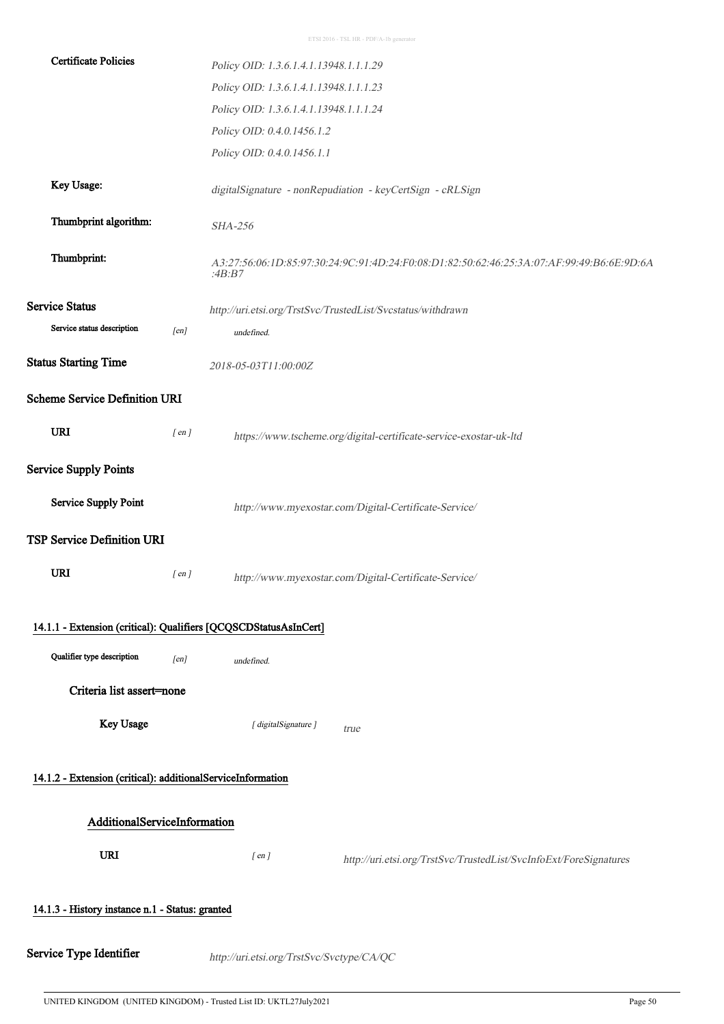| <b>Certificate Policies</b>                                      |            | Policy OID: 1.3.6.1.4.1.13948.1.1.1.29                                                              |  |  |
|------------------------------------------------------------------|------------|-----------------------------------------------------------------------------------------------------|--|--|
|                                                                  |            | Policy OID: 1.3.6.1.4.1.13948.1.1.1.23                                                              |  |  |
|                                                                  |            | Policy OID: 1.3.6.1.4.1.13948.1.1.1.24                                                              |  |  |
|                                                                  |            | Policy OID: 0.4.0.1456.1.2                                                                          |  |  |
|                                                                  |            | Policy OID: 0.4.0.1456.1.1                                                                          |  |  |
| Key Usage:                                                       |            | digitalSignature - nonRepudiation - keyCertSign - cRLSign                                           |  |  |
| Thumbprint algorithm:                                            |            | <b>SHA-256</b>                                                                                      |  |  |
| Thumbprint:                                                      |            | A3:27:56:06:1D:85:97:30:24:9C:91:4D:24:F0:08:D1:82:50:62:46:25:3A:07:AF:99:49:B6:6E:9D:6A<br>:4B:B7 |  |  |
| <b>Service Status</b>                                            |            | http://uri.etsi.org/TrstSvc/TrustedList/Svcstatus/withdrawn                                         |  |  |
| Service status description                                       | [en]       | undefined.                                                                                          |  |  |
| <b>Status Starting Time</b>                                      |            | 2018-05-03T11:00:00Z                                                                                |  |  |
| <b>Scheme Service Definition URI</b>                             |            |                                                                                                     |  |  |
| <b>URI</b>                                                       | $[$ en $]$ | https://www.tscheme.org/digital-certificate-service-exostar-uk-ltd                                  |  |  |
| <b>Service Supply Points</b>                                     |            |                                                                                                     |  |  |
| <b>Service Supply Point</b>                                      |            | http://www.myexostar.com/Digital-Certificate-Service/                                               |  |  |
| <b>TSP Service Definition URI</b>                                |            |                                                                                                     |  |  |
| <b>URI</b>                                                       | $[$ en $]$ | http://www.myexostar.com/Digital-Certificate-Service/                                               |  |  |
| 14.1.1 - Extension (critical): Qualifiers [QCQSCDStatusAsInCert] |            |                                                                                                     |  |  |
| Qualifier type description                                       | [en]       | undefined.                                                                                          |  |  |
| Criteria list assert=none                                        |            |                                                                                                     |  |  |
| Key Usage                                                        |            | [ digitalSignature ]<br>true                                                                        |  |  |
| 14.1.2 - Extension (critical): additionalServiceInformation      |            |                                                                                                     |  |  |
| AdditionalServiceInformation                                     |            |                                                                                                     |  |  |
| <b>URI</b>                                                       |            | $[$ en $]$<br>http://uri.etsi.org/TrstSvc/TrustedList/SvcInfoExt/ForeSignatures                     |  |  |
| 14.1.3 - History instance n.1 - Status: granted                  |            |                                                                                                     |  |  |
|                                                                  |            |                                                                                                     |  |  |
| Service Type Identifier                                          |            | http://uri.etsi.org/TrstSvc/Svctype/CA/QC                                                           |  |  |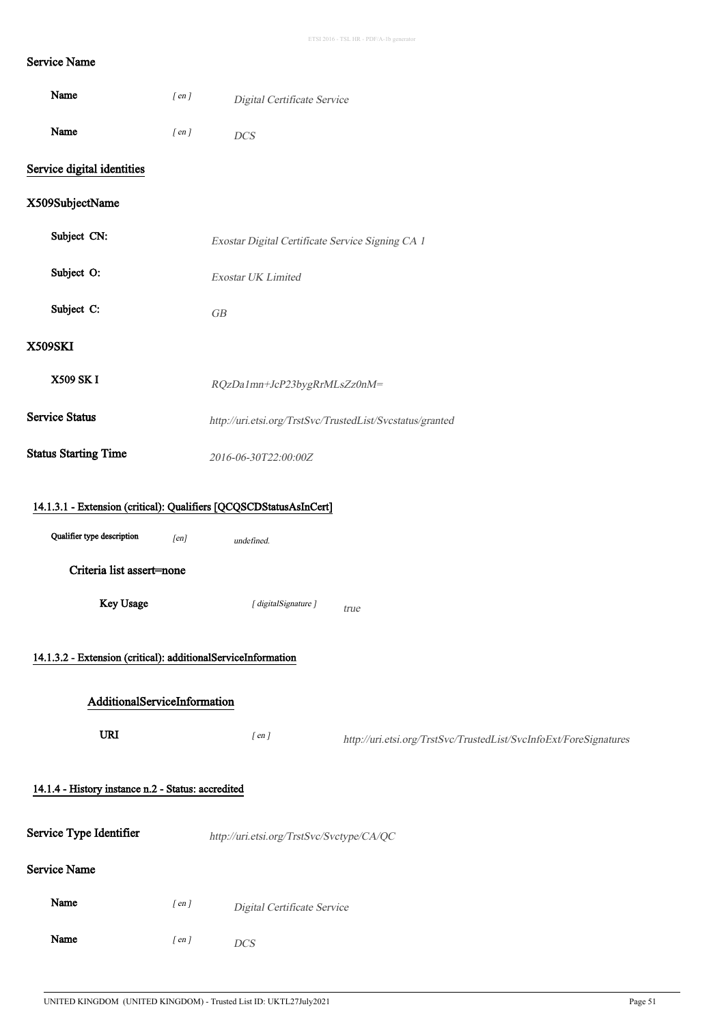## Service Name

| Name                                                          | $[$ en $]$ | Digital Certificate Service                                                      |                                                                   |
|---------------------------------------------------------------|------------|----------------------------------------------------------------------------------|-------------------------------------------------------------------|
| Name                                                          | $[$ en $]$ | <b>DCS</b>                                                                       |                                                                   |
| Service digital identities                                    |            |                                                                                  |                                                                   |
| X509SubjectName                                               |            |                                                                                  |                                                                   |
| Subject CN:                                                   |            | Exostar Digital Certificate Service Signing CA 1                                 |                                                                   |
| Subject O:                                                    |            | Exostar UK Limited                                                               |                                                                   |
| Subject C:                                                    |            | GB                                                                               |                                                                   |
| <b>X509SKI</b>                                                |            |                                                                                  |                                                                   |
| X509 SK I                                                     |            | RQzDa1mn+JcP23bygRrMLsZz0nM=                                                     |                                                                   |
| <b>Service Status</b>                                         |            |                                                                                  | http://uri.etsi.org/TrstSvc/TrustedList/Svcstatus/granted         |
| <b>Status Starting Time</b>                                   |            | 2016-06-30T22:00:00Z                                                             |                                                                   |
| Qualifier type description<br>Criteria list assert=none       | [en]       | 14.1.3.1 - Extension (critical): Qualifiers [QCQSCDStatusAsInCert]<br>undefined. |                                                                   |
| Key Usage                                                     |            | [ digitalSignature ]                                                             | true                                                              |
| 14.1.3.2 - Extension (critical): additionalServiceInformation |            |                                                                                  |                                                                   |
| AdditionalServiceInformation                                  |            |                                                                                  |                                                                   |
| <b>URI</b>                                                    |            | $[$ en $]$                                                                       | http://uri.etsi.org/TrstSvc/TrustedList/SvcInfoExt/ForeSignatures |
| 14.1.4 - History instance n.2 - Status: accredited            |            |                                                                                  |                                                                   |
| Service Type Identifier                                       |            | http://uri.etsi.org/TrstSvc/Svctype/CA/QC                                        |                                                                   |
| <b>Service Name</b>                                           |            |                                                                                  |                                                                   |
| Name                                                          | $[$ en $]$ | Digital Certificate Service                                                      |                                                                   |
| Name                                                          |            |                                                                                  |                                                                   |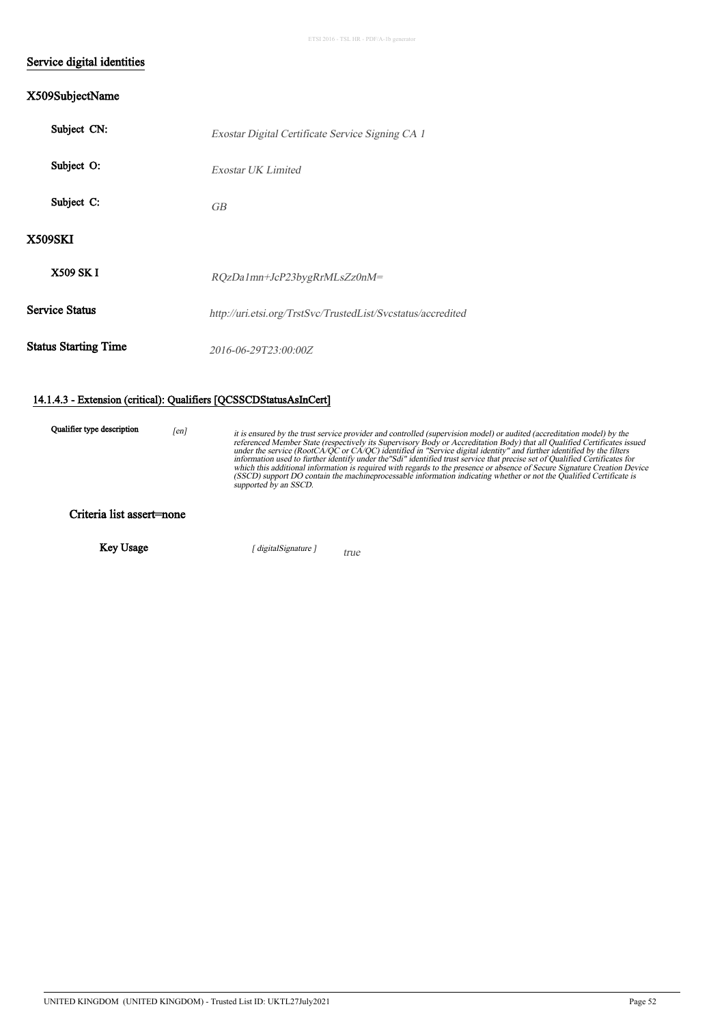#### Service digital identities

#### X509SubjectName

| Subject CN:                 | Exostar Digital Certificate Service Signing CA 1             |
|-----------------------------|--------------------------------------------------------------|
| Subject O:                  | Exostar UK Limited                                           |
| Subject C:                  | <b>GB</b>                                                    |
| <b>X509SKI</b>              |                                                              |
| <b>X509 SK I</b>            | RQzDa1mn+JcP23bygRrMLsZz0nM=                                 |
| <b>Service Status</b>       | http://uri.etsi.org/TrstSvc/TrustedList/Svcstatus/accredited |
| <b>Status Starting Time</b> | 2016-06-29T23:00:00Z                                         |

#### 14.1.4.3 - Extension (critical): Qualifiers [QCSSCDStatusAsInCert]

Qualifier type description  $[en]$ 

it is ensured by the trust service provider and controlled (supervision model) or audited (accreditation model) by the<br>referenced Member State (respectively its Supervisory Body or Accreditation Body) that all Qualified Ce

Criteria list assert=none

Key Usage [ digitalSignature ]

true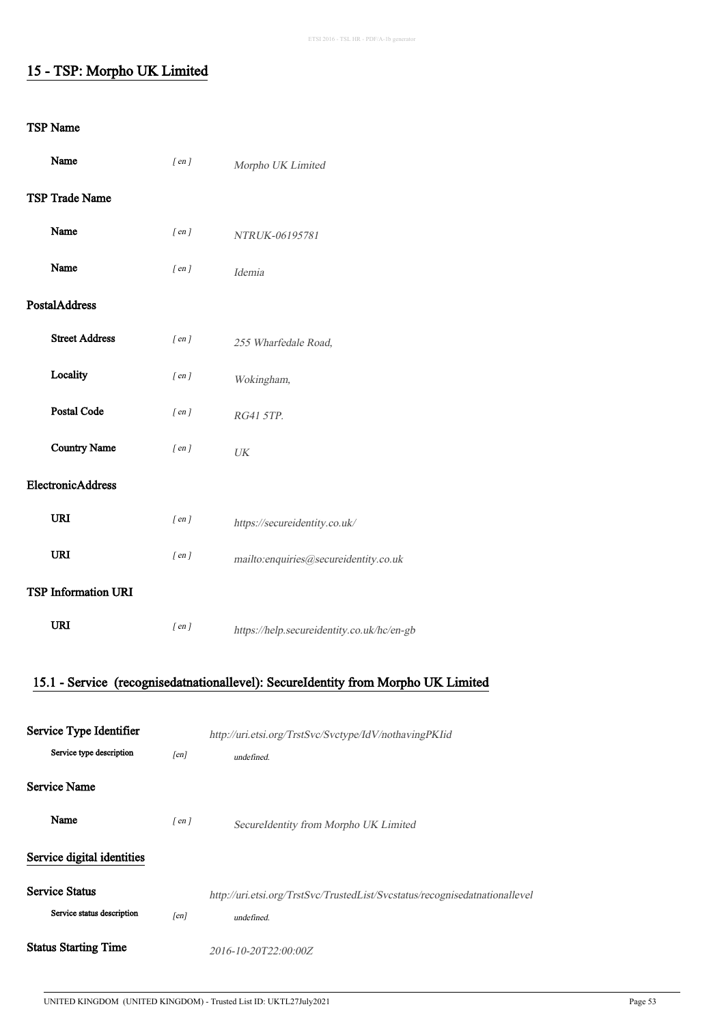## 15 - TSP: Morpho UK Limited

#### TSP Name

 $\hat{\boldsymbol{\theta}}$ 

| Name                       | $[$ en $]$ | Morpho UK Limited                          |
|----------------------------|------------|--------------------------------------------|
| TSP Trade Name             |            |                                            |
| Name                       | $[$ en $]$ | NTRUK-06195781                             |
| Name                       | $[$ en $]$ | Idemia                                     |
| <b>PostalAddress</b>       |            |                                            |
| <b>Street Address</b>      | $[$ en $]$ | 255 Wharfedale Road,                       |
| Locality                   | $[$ en $]$ | Wokingham,                                 |
| <b>Postal Code</b>         | $[$ en $]$ | RG41 5TP.                                  |
| <b>Country Name</b>        | $[$ en $]$ | UK                                         |
| ElectronicAddress          |            |                                            |
| <b>URI</b>                 | $[$ en $]$ | https://secureidentity.co.uk/              |
| <b>URI</b>                 | $[$ en $]$ | mailto:enquiries@secureidentity.co.uk      |
| <b>TSP Information URI</b> |            |                                            |
| <b>URI</b>                 | $[$ en $]$ | https://help.secureidentity.co.uk/hc/en-gb |

## 15.1 - Service (recognisedatnationallevel): SecureIdentity from Morpho UK Limited

| Service Type Identifier     |            | http://uri.etsi.org/TrstSvc/Svctype/IdV/nothavingPKIid                      |  |
|-----------------------------|------------|-----------------------------------------------------------------------------|--|
| Service type description    | [en]       | <i>undefined</i>                                                            |  |
| <b>Service Name</b>         |            |                                                                             |  |
| Name                        | $[$ en $]$ | SecureIdentity from Morpho UK Limited                                       |  |
| Service digital identities  |            |                                                                             |  |
| <b>Service Status</b>       |            | http://uri.etsi.org/TrstSvc/TrustedList/Svcstatus/recognisedatnationallevel |  |
| Service status description  | [en]       | <i>undefined</i>                                                            |  |
| <b>Status Starting Time</b> |            | 2016-10-20T22:00:00Z                                                        |  |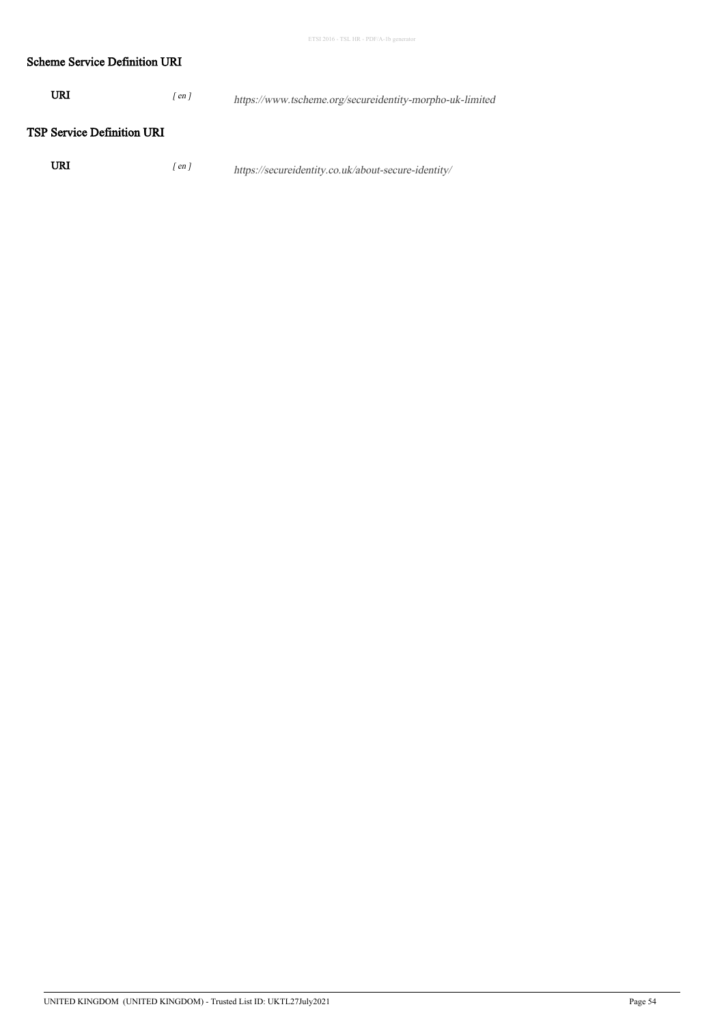#### Scheme Service Definition URI

| URI<br>en <sub>l</sub> | https://www.tscheme.org/secureidentity-morpho-uk-limited |
|------------------------|----------------------------------------------------------|
|------------------------|----------------------------------------------------------|

#### TSP Service Definition URI

| URI | $\frac{r_{en}}{r}$ |  | https://secureidentity.co.uk/about-secure-identity/ |  |
|-----|--------------------|--|-----------------------------------------------------|--|
|-----|--------------------|--|-----------------------------------------------------|--|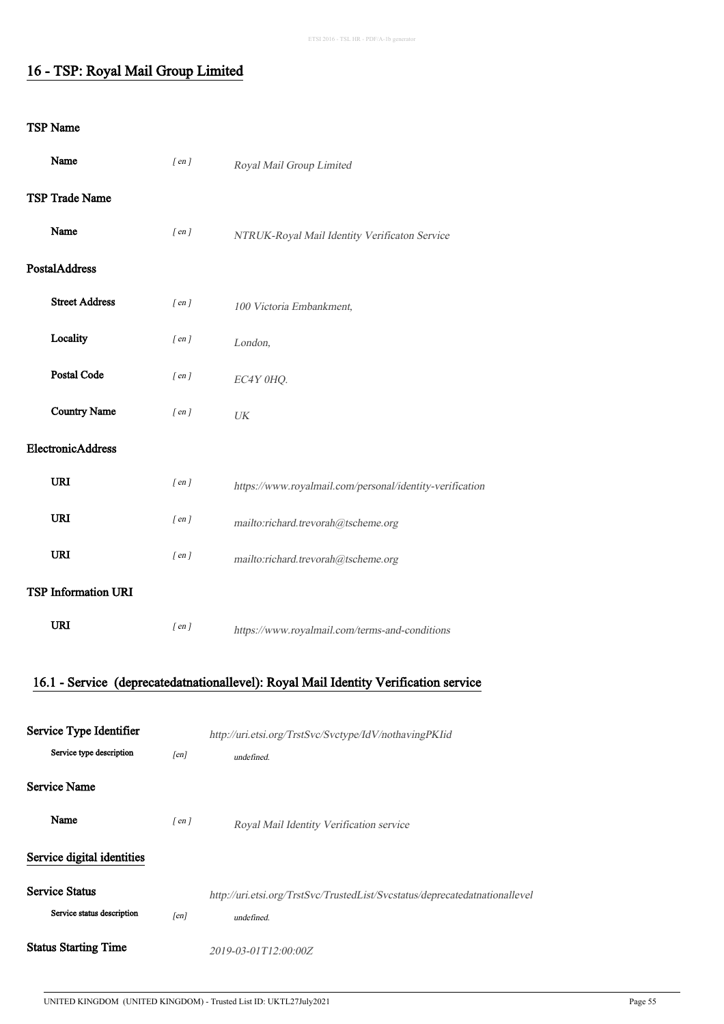## 16 - TSP: Royal Mail Group Limited

#### TSP Name

| Name                       | $[$ en $]$ | Royal Mail Group Limited                                                             |
|----------------------------|------------|--------------------------------------------------------------------------------------|
| TSP Trade Name             |            |                                                                                      |
| Name                       | $[$ en $]$ | NTRUK-Royal Mail Identity Verificaton Service                                        |
| PostalAddress              |            |                                                                                      |
| <b>Street Address</b>      | $[$ en $]$ | 100 Victoria Embankment,                                                             |
| Locality                   | $[$ en $]$ | London,                                                                              |
| Postal Code                | $[$ en $]$ | EC4Y 0HQ.                                                                            |
| <b>Country Name</b>        | $[$ en $]$ | UK                                                                                   |
| ElectronicAddress          |            |                                                                                      |
| <b>URI</b>                 | $[$ en $]$ | https://www.royalmail.com/personal/identity-verification                             |
| URI                        | $[$ en $]$ | mailto:richard.trevorah@tscheme.org                                                  |
| <b>URI</b>                 | $[$ en $]$ | mailto:richard.trevorah@tscheme.org                                                  |
| TSP Information URI        |            |                                                                                      |
| <b>URI</b>                 | $[$ en $]$ | https://www.royalmail.com/terms-and-conditions                                       |
|                            |            | 16.1 - Service (deprecatedatnationallevel): Royal Mail Identity Verification service |
|                            |            |                                                                                      |
| Service Type Identifier    |            | http://uri.etsi.org/TrstSvc/Svctype/IdV/nothavingPKIid                               |
| Service type description   | [en]       | undefined.                                                                           |
| <b>Service Name</b>        |            |                                                                                      |
| Name                       | $[$ en $]$ | Royal Mail Identity Verification service                                             |
| Service digital identities |            |                                                                                      |

Service Status http://uri.etsi.org/TrstSvc/TrustedList/Svcstatus/deprecatedatnationallevel Service status description [en] undefined. Status Starting Time<br>  $2019-03-01T12:00:00Z$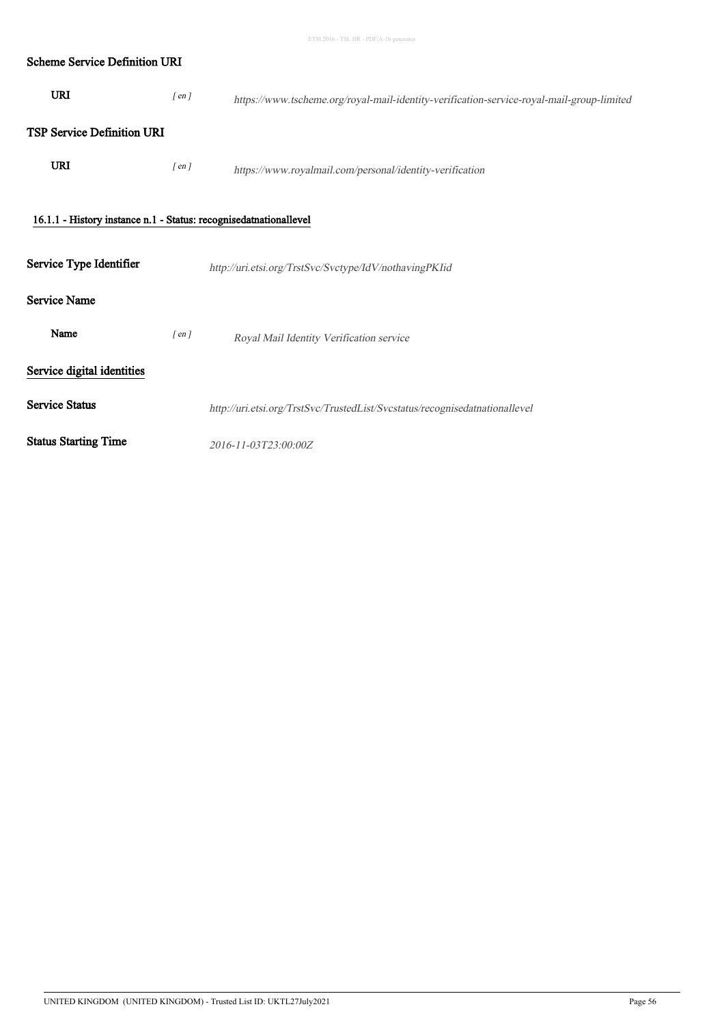| <b>Scheme Service Definition URI</b>                              |            |                                                                                           |
|-------------------------------------------------------------------|------------|-------------------------------------------------------------------------------------------|
| <b>URI</b>                                                        | $[$ en $]$ | https://www.tscheme.org/royal-mail-identity-verification-service-royal-mail-group-limited |
| <b>TSP Service Definition URI</b>                                 |            |                                                                                           |
| <b>URI</b>                                                        | $[$ en $]$ | https://www.royalmail.com/personal/identity-verification                                  |
| 16.1.1 - History instance n.1 - Status: recognisedatnationallevel |            |                                                                                           |
| Service Type Identifier                                           |            | http://uri.etsi.org/TrstSvc/Svctype/IdV/nothavingPKIid                                    |
| <b>Service Name</b>                                               |            |                                                                                           |
| Name                                                              | $[$ en $]$ | Royal Mail Identity Verification service                                                  |
| Service digital identities                                        |            |                                                                                           |
| <b>Service Status</b>                                             |            | http://uri.etsi.org/TrstSvc/TrustedList/Svcstatus/recognisedatnationallevel               |
| <b>Status Starting Time</b>                                       |            | 2016-11-03T23:00:00Z                                                                      |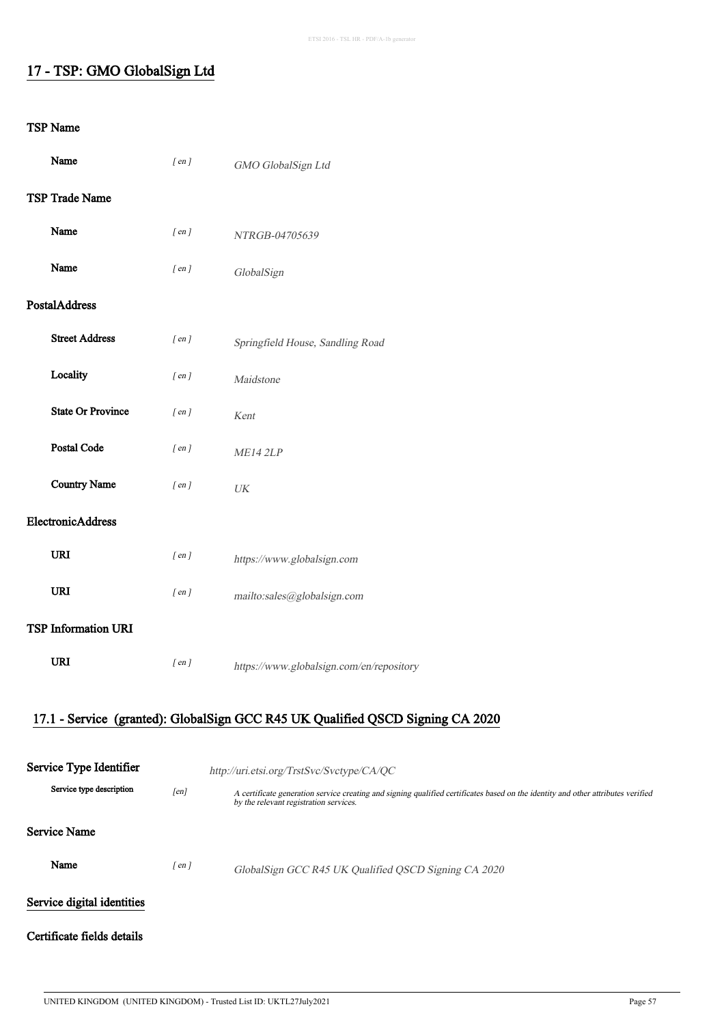## 17 - TSP: GMO GlobalSign Ltd

#### TSP Name

| Name                |                            | $[$ en $]$ | GMO GlobalSign Ltd                                                                                                                                                         |  |
|---------------------|----------------------------|------------|----------------------------------------------------------------------------------------------------------------------------------------------------------------------------|--|
| TSP Trade Name      |                            |            |                                                                                                                                                                            |  |
| Name                |                            | $[$ en $]$ | NTRGB-04705639                                                                                                                                                             |  |
| Name                |                            | $[$ en $]$ | GlobalSign                                                                                                                                                                 |  |
| PostalAddress       |                            |            |                                                                                                                                                                            |  |
|                     | <b>Street Address</b>      | $[$ en $]$ | Springfield House, Sandling Road                                                                                                                                           |  |
| Locality            |                            | $[$ en $]$ | Maidstone                                                                                                                                                                  |  |
|                     | <b>State Or Province</b>   | $[$ en $]$ | Kent                                                                                                                                                                       |  |
|                     | <b>Postal Code</b>         | $[$ en $]$ | ME14 2LP                                                                                                                                                                   |  |
|                     | <b>Country Name</b>        | $[$ en $]$ | $\ensuremath{\textit{UK}}\xspace$                                                                                                                                          |  |
|                     | ElectronicAddress          |            |                                                                                                                                                                            |  |
| <b>URI</b>          |                            | $[$ en $]$ | https://www.globalsign.com                                                                                                                                                 |  |
| <b>URI</b>          |                            | $[$ en $]$ | mailto:sales@globalsign.com                                                                                                                                                |  |
|                     | <b>TSP Information URI</b> |            |                                                                                                                                                                            |  |
| <b>URI</b>          |                            | $[$ en $]$ | https://www.globalsign.com/en/repository                                                                                                                                   |  |
|                     |                            |            | 17.1 - Service (granted): GlobalSign GCC R45 UK Qualified QSCD Signing CA 2020                                                                                             |  |
|                     |                            |            |                                                                                                                                                                            |  |
|                     | Service Type Identifier    |            | http://uri.etsi.org/TrstSvc/Svctype/CA/QC                                                                                                                                  |  |
|                     | Service type description   | [en]       | A certificate generation service creating and signing qualified certificates based on the identity and other attributes verified<br>by the relevant registration services. |  |
| <b>Service Name</b> |                            |            |                                                                                                                                                                            |  |
| Name                |                            | $[$ en $]$ | GlobalSign GCC R45 UK Qualified QSCD Signing CA 2020                                                                                                                       |  |
|                     | Service digital identities |            |                                                                                                                                                                            |  |

#### Certificate fields details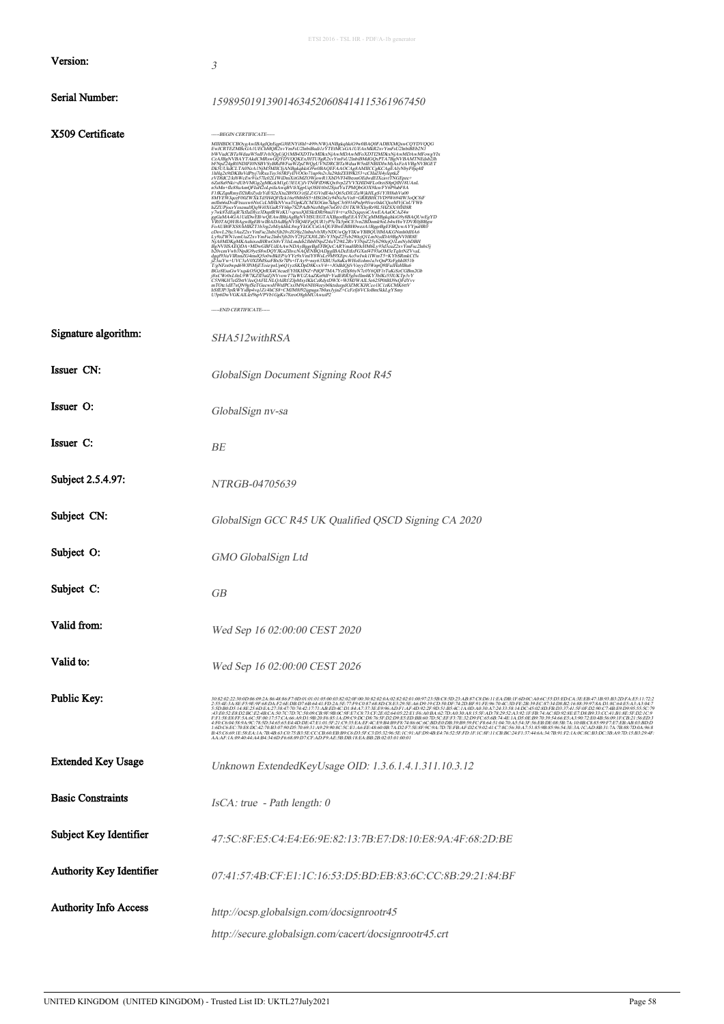|                                 | ETSI 2016 - TSL HR - PDF/A-1b generator                                                                                                                                                                                                                                                                                                                                                                                                                                |
|---------------------------------|------------------------------------------------------------------------------------------------------------------------------------------------------------------------------------------------------------------------------------------------------------------------------------------------------------------------------------------------------------------------------------------------------------------------------------------------------------------------|
| Version:                        | 3                                                                                                                                                                                                                                                                                                                                                                                                                                                                      |
| Serial Number:                  | 159895019139014634520608414115361967450                                                                                                                                                                                                                                                                                                                                                                                                                                |
| X509 Certificate                | -----BEGIN CERTIFICATE-----<br>$\label{eq:22} \begin{minipage}[t]{0.99\textwidth} {\small \begin{tabular}{0.99\textwidth} {\bf\footnotesize{MHEHNC(3D)}}\label{fig:2} \end{tabular} \hline \begin{tabular}{l} $MHEHNC(3D)_{\text{c}}$\\[1mm] $MHEHNC(3D)_{\text{c}}$\\[1mm] $MHEHNC(3D)_{\text{c}}$\\[1mm] $MHEHNC(3D)_{\text{c}}$\\[1mm] $MHEHNC(3D)_{\text{c}}$\\[1mm] $MHEHNC(3D)_{\text{c}}$\\[1mm] $MHEHNC(3D)_{\text{c$<br>-----END CERTIFICATE-----             |
| Signature algorithm:            | SHA512withRSA                                                                                                                                                                                                                                                                                                                                                                                                                                                          |
| Issuer CN:                      | GlobalSign Document Signing Root R45                                                                                                                                                                                                                                                                                                                                                                                                                                   |
| Issuer O:                       | GlobalSign nv-sa                                                                                                                                                                                                                                                                                                                                                                                                                                                       |
| Issuer C:                       | BЕ                                                                                                                                                                                                                                                                                                                                                                                                                                                                     |
| Subject 2.5.4.97:               | <i>NTRGB-04705639</i>                                                                                                                                                                                                                                                                                                                                                                                                                                                  |
| Subject CN:                     | GlobalSign GCC R45 UK Qualified QSCD Signing CA 2020                                                                                                                                                                                                                                                                                                                                                                                                                   |
| Subject O:                      | GMO GlobalSign Ltd                                                                                                                                                                                                                                                                                                                                                                                                                                                     |
| Subject C:                      | GB                                                                                                                                                                                                                                                                                                                                                                                                                                                                     |
| Valid from:                     | Wed Sep 16 02:00:00 CEST 2020                                                                                                                                                                                                                                                                                                                                                                                                                                          |
| Valid to:                       | Wed Sep 16 02:00:00 CEST 2026                                                                                                                                                                                                                                                                                                                                                                                                                                          |
| Public Key:                     | 003:02:230006692A86886F700010101050038200F0939800402820010092358C8D33A887C8D61E4ADR2952A39230D8D6A3EB8716983B3DF8A51172<br>2554EAA&FF59E9F68DAF26EDBD76B6441FD2A5E779C087688DC8E1295EA6D919CD50DF742DBF91FE96704C3DFE2B39EC873HD8<br>B45C669:1E58EA:1A7B4B63:C075:B35ECC-CB60:EBB9C6D3:SFC3D532:965E1C:91:AF:D94BE47652:SFFD:IF:IC8F11:CBBC:24F1374466;347B91:F21A0C8CB3DC3B497D:ISB3:294I<br>AA:AF:1A:09:40:41:A4:B4:34:6DF6:68:89:D7:CFAD:F9:AE:5B:DB:18:EA:BB:2B:02 |
| <b>Extended Key Usage</b>       | Unknown ExtendedKeyUsage OID: 1.3.6.1.4.1.311.10.3.12                                                                                                                                                                                                                                                                                                                                                                                                                  |
| <b>Basic Constraints</b>        | $IsCA$ : true - Path length: 0                                                                                                                                                                                                                                                                                                                                                                                                                                         |
| Subject Key Identifier          | 47:5C:8F:E5:C4:E4:E6:9E:82:13:7B:E7:D8:10:E8:9A:4F:68:2D:BE                                                                                                                                                                                                                                                                                                                                                                                                            |
| <b>Authority Key Identifier</b> | 07:41:57:4B:CF:E1:1C:16:53:D5:BD:EB:83:6C:CC:8B:29:21:84:BF                                                                                                                                                                                                                                                                                                                                                                                                            |
| <b>Authority Info Access</b>    | http://ocsp.globalsign.com/docsignrootr45<br>http://secure.globalsign.com/cacert/docsignrootr45.crt                                                                                                                                                                                                                                                                                                                                                                    |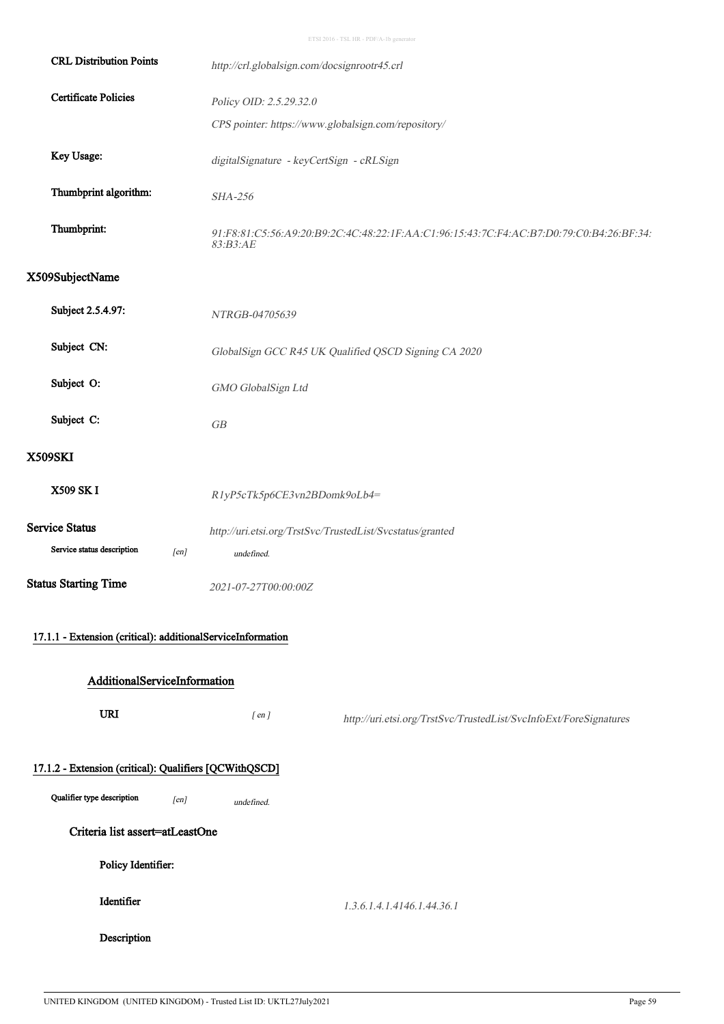| <b>CRL Distribution Points</b>                              | http://crl.globalsign.com/docsignrootr45.crl              |                                                                                         |
|-------------------------------------------------------------|-----------------------------------------------------------|-----------------------------------------------------------------------------------------|
| <b>Certificate Policies</b>                                 | Policy OID: 2.5.29.32.0                                   |                                                                                         |
|                                                             | CPS pointer: https://www.globalsign.com/repository/       |                                                                                         |
| Key Usage:                                                  | digitalSignature - keyCertSign - cRLSign                  |                                                                                         |
| Thumbprint algorithm:                                       | SHA-256                                                   |                                                                                         |
| Thumbprint:                                                 | 83:B3:AE                                                  | 91:F8:81:C5:56:A9:20:B9:2C:4C:48:22:1F:AA:C1:96:15:43:7C:F4:AC:B7:D0:79:C0:B4:26:BF:34: |
| X509SubjectName                                             |                                                           |                                                                                         |
| Subject 2.5.4.97:                                           | NTRGB-04705639                                            |                                                                                         |
| Subject CN:                                                 |                                                           | GlobalSign GCC R45 UK Qualified QSCD Signing CA 2020                                    |
| Subject O:                                                  | GMO GlobalSign Ltd                                        |                                                                                         |
| Subject C:                                                  | GB                                                        |                                                                                         |
| <b>X509SKI</b>                                              |                                                           |                                                                                         |
| X509 SK I                                                   | R1yP5cTk5p6CE3vn2BDomk9oLb4=                              |                                                                                         |
| <b>Service Status</b>                                       | http://uri.etsi.org/TrstSvc/TrustedList/Svcstatus/granted |                                                                                         |
| Service status description<br>[en]                          | undefined.                                                |                                                                                         |
| <b>Status Starting Time</b>                                 | 2021-07-27T00:00:00Z                                      |                                                                                         |
| 17.1.1 - Extension (critical): additionalServiceInformation |                                                           |                                                                                         |
| AdditionalServiceInformation                                |                                                           |                                                                                         |
| <b>URI</b>                                                  | $[$ en $]$                                                | http://uri.etsi.org/TrstSvc/TrustedList/SvcInfoExt/ForeSignatures                       |
| 17.1.2 - Extension (critical): Qualifiers [QCWithQSCD]      |                                                           |                                                                                         |
| Qualifier type description<br>[en]                          | undefined.                                                |                                                                                         |
| Criteria list assert=atLeastOne                             |                                                           |                                                                                         |
| Policy Identifier:                                          |                                                           |                                                                                         |
| Identifier                                                  |                                                           | 1.3.6.1.4.1.4146.1.44.36.1                                                              |
| Description                                                 |                                                           |                                                                                         |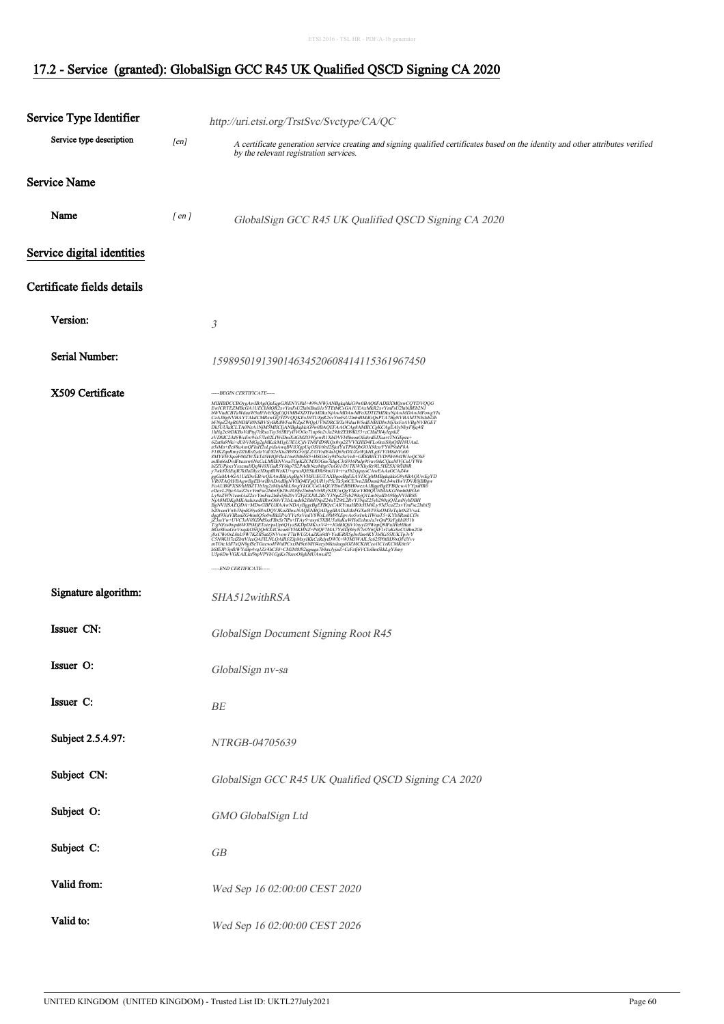| Service Type Identifier    |                      | http://uri.etsi.org/TrstSvc/Svctype/CA/QC                                                                                                                                                                                                                            |
|----------------------------|----------------------|----------------------------------------------------------------------------------------------------------------------------------------------------------------------------------------------------------------------------------------------------------------------|
| Service type description   | [en]                 | A certificate generation service creating and signing qualified certificates based on the identity and other attributes verified                                                                                                                                     |
|                            |                      | by the relevant registration services.                                                                                                                                                                                                                               |
| <b>Service Name</b>        |                      |                                                                                                                                                                                                                                                                      |
| Name                       | $\lceil$ en $\rceil$ | GlobalSign GCC R45 UK Qualified QSCD Signing CA 2020                                                                                                                                                                                                                 |
| Service digital identities |                      |                                                                                                                                                                                                                                                                      |
| Certificate fields details |                      |                                                                                                                                                                                                                                                                      |
| Version:                   |                      | 3                                                                                                                                                                                                                                                                    |
| <b>Serial Number:</b>      |                      | 159895019139014634520608414115361967450                                                                                                                                                                                                                              |
| X509 Certificate           |                      | -----BEGIN CERTIFICATE-----<br>mTOte1d117xQN9efSeTGuewsHWtdPCxrIM9c6NH4zeyb0ktsIurgdOZMCKHCco1IC1zKCMK6ttV<br>hSfEIP3pfkWYsBpAvq1Z14hCS8+CMJM8F921gpaga7b0axJyjnZ+CeFzfj6VCloBm5kkLgYSmy<br>U5p6DwVGKAIL1ef9spVPVb1GgKs78zroO8ghMUAwuP2<br>-----END CERTIFICATE----- |
| Signature algorithm:       |                      | SHA512withRSA                                                                                                                                                                                                                                                        |
| Issuer CN:                 |                      | GlobalSign Document Signing Root R45                                                                                                                                                                                                                                 |
| Issuer O:                  |                      | GlobalSign nv-sa                                                                                                                                                                                                                                                     |
| Issuer C:                  |                      | $B\hspace{-0.05cm}E$                                                                                                                                                                                                                                                 |
| Subject 2.5.4.97:          |                      | NTRGB-04705639                                                                                                                                                                                                                                                       |
| Subject CN:                |                      | GlobalSign GCC R45 UK Qualified QSCD Signing CA 2020                                                                                                                                                                                                                 |
| Subject O:                 |                      | GMO GlobalSign Ltd                                                                                                                                                                                                                                                   |
| Subject C:                 |                      | ${\cal GB}$                                                                                                                                                                                                                                                          |
| Valid from:                |                      | Wed Sep 16 02:00:00 CEST 2020                                                                                                                                                                                                                                        |
| Valid to:                  |                      | Wed Sep 16 02:00:00 CEST 2026                                                                                                                                                                                                                                        |

#### 17.2 - Service (granted): GlobalSign GCC R45 UK Qualified QSCD Signing CA 2020

l,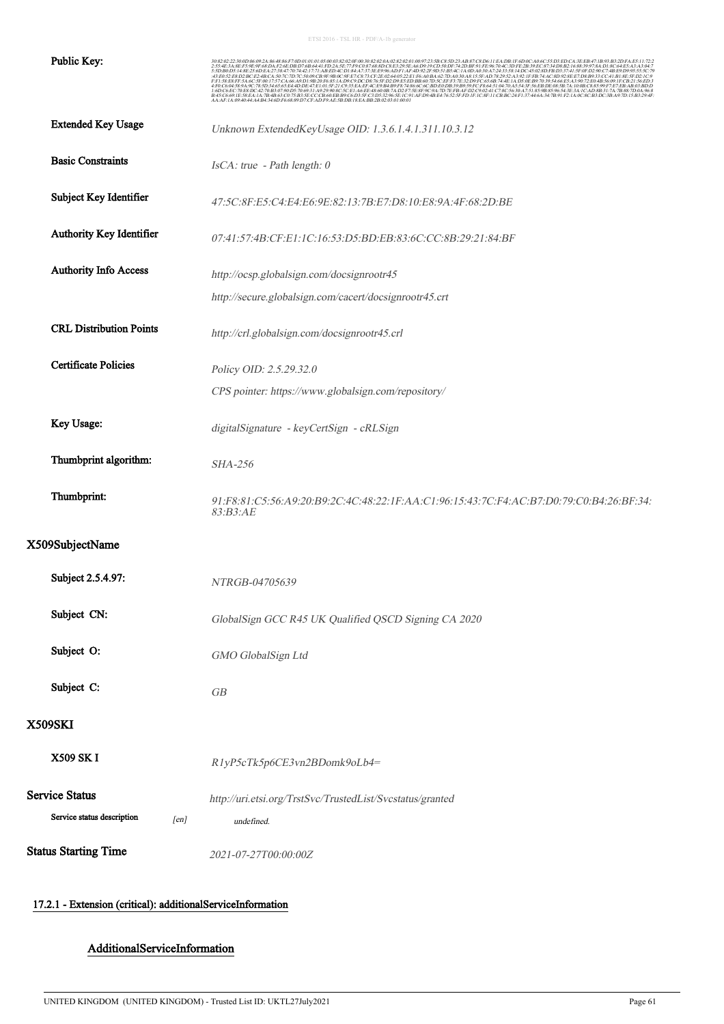| Public Key:                        | 22:30:0D:06:09:2A:86:48:86:E7:0D:01:01:01:05:00:03:82:02:0E:00:30:82:02:04:02:82:02:01:00:97:23:5B:C8:5D:23:AB:87:C8:D6:11:EA:DB:1E:6D:0C:A0:6C:55:D3:ED:C<br>.43:E0:52:E8:D2:BC:E2:4B:CA:507C:7D:7C:50:09:CB:9F:9B:0C:9F:E7:C8:75:CF:2E:02:64:05:22:E1:F6:A0:BA:62:7D:A0:30:A8:15:5F:AD:78:29:52:A3:92:1F:FB:74:AC:8D:92:8E:E7:D8:B9:33:CC:41:B1<br>F:F1:58:E8:FF:5A:6C:5F:00:17:57:CA:66:A9:D<br>AA:AF:1A:09:40:44:A4:B4:34:6D:F6:68:89:D7:CF:AD:F9:AE:5B:DB:18:EA:BB:2B:02:03:01:00:01 |
|------------------------------------|-------------------------------------------------------------------------------------------------------------------------------------------------------------------------------------------------------------------------------------------------------------------------------------------------------------------------------------------------------------------------------------------------------------------------------------------------------------------------------------------|
| <b>Extended Key Usage</b>          | Unknown ExtendedKeyUsage OID: 1.3.6.1.4.1.311.10.3.12                                                                                                                                                                                                                                                                                                                                                                                                                                     |
| <b>Basic Constraints</b>           | IsCA: true - Path length: 0                                                                                                                                                                                                                                                                                                                                                                                                                                                               |
| Subject Key Identifier             | 47:5C:8F:E5:C4:E4:E6:9E:82:13:7B:E7:D8:10:E8:9A:4F:68:2D:BE                                                                                                                                                                                                                                                                                                                                                                                                                               |
| Authority Key Identifier           | 07:41:57:4B:CF:E1:1C:16:53:D5:BD:EB:83:6C:CC:8B:29:21:84:BF                                                                                                                                                                                                                                                                                                                                                                                                                               |
| <b>Authority Info Access</b>       | http://ocsp.globalsign.com/docsignrootr45                                                                                                                                                                                                                                                                                                                                                                                                                                                 |
|                                    | http://secure.globalsign.com/cacert/docsignrootr45.crt                                                                                                                                                                                                                                                                                                                                                                                                                                    |
| <b>CRL Distribution Points</b>     | http://crl.globalsign.com/docsignrootr45.crl                                                                                                                                                                                                                                                                                                                                                                                                                                              |
| <b>Certificate Policies</b>        | Policy OID: 2.5.29.32.0                                                                                                                                                                                                                                                                                                                                                                                                                                                                   |
|                                    | CPS pointer: https://www.globalsign.com/repository/                                                                                                                                                                                                                                                                                                                                                                                                                                       |
| Key Usage:                         | digitalSignature - keyCertSign - cRLSign                                                                                                                                                                                                                                                                                                                                                                                                                                                  |
| Thumbprint algorithm:              | <b>SHA-256</b>                                                                                                                                                                                                                                                                                                                                                                                                                                                                            |
| Thumbprint:                        | 91:F8:81:C5:56:A9:20:B9:2C:4C:48:22:1F:AA:C1:96:15:43:7C:F4:AC:B7:D0:79:C0:B4:26:BF:34:<br>83:B3:AE                                                                                                                                                                                                                                                                                                                                                                                       |
| X509SubjectName                    |                                                                                                                                                                                                                                                                                                                                                                                                                                                                                           |
| Subject 2.5.4.97:                  | NTRGB-04705639                                                                                                                                                                                                                                                                                                                                                                                                                                                                            |
| Subject CN:                        | GlobalSign GCC R45 UK Qualified QSCD Signing CA 2020                                                                                                                                                                                                                                                                                                                                                                                                                                      |
| Subject O:                         | GMO GlobalSign Ltd                                                                                                                                                                                                                                                                                                                                                                                                                                                                        |
| Subject C:                         | GB                                                                                                                                                                                                                                                                                                                                                                                                                                                                                        |
| <b>X509SKI</b>                     |                                                                                                                                                                                                                                                                                                                                                                                                                                                                                           |
| <b>X509 SKI</b>                    | R1yP5cTk5p6CE3vn2BDomk9oLb4=                                                                                                                                                                                                                                                                                                                                                                                                                                                              |
| <b>Service Status</b>              | http://uri.etsi.org/TrstSvc/TrustedList/Svcstatus/granted                                                                                                                                                                                                                                                                                                                                                                                                                                 |
| Service status description<br>[en] | undefined.                                                                                                                                                                                                                                                                                                                                                                                                                                                                                |
| <b>Status Starting Time</b>        | 2021-07-27T00:00:00Z                                                                                                                                                                                                                                                                                                                                                                                                                                                                      |

## 17.2.1 - Extension (critical): additionalServiceInformation

 $\ddot{\phantom{a}}$ 

## AdditionalServiceInformation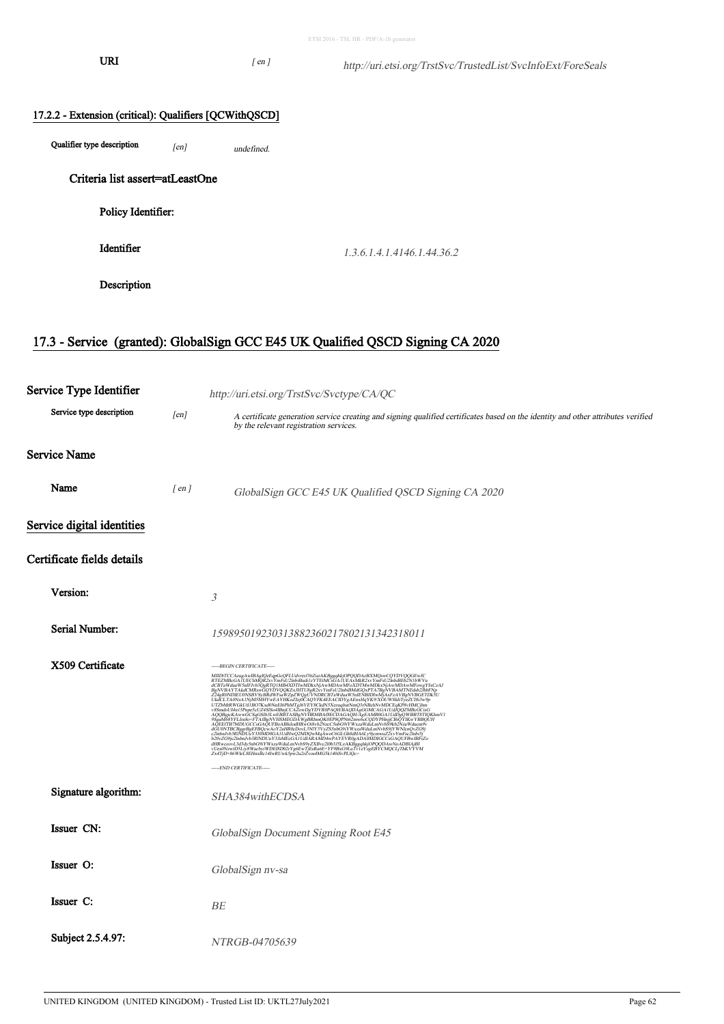URI  $[ en ]$ 

| 17.2.2 - Extension (critical): Qualifiers [QCWithQSCD] |                            |  |  |  |
|--------------------------------------------------------|----------------------------|--|--|--|
| $\sim$<br>Qualifier type description<br>[en]           | undefined.                 |  |  |  |
| Criteria list assert=atLeastOne                        |                            |  |  |  |
| Policy Identifier:                                     |                            |  |  |  |
| Identifier                                             | 1.3.6.1.4.1.4146.1.44.36.2 |  |  |  |
| Description                                            |                            |  |  |  |
|                                                        |                            |  |  |  |

# 17.3 - Service (granted): GlobalSign GCC E45 UK Qualified QSCD Signing CA 2020

| Service Type Identifier    |            | http://uri.etsi.org/TrstSvc/Svctype/CA/QC                                                                                                                                                                                                                                                                                                                                                                                                                               |
|----------------------------|------------|-------------------------------------------------------------------------------------------------------------------------------------------------------------------------------------------------------------------------------------------------------------------------------------------------------------------------------------------------------------------------------------------------------------------------------------------------------------------------|
| Service type description   | [en]       | A certificate generation service creating and signing qualified certificates based on the identity and other attributes verified<br>by the relevant registration services.                                                                                                                                                                                                                                                                                              |
| <b>Service Name</b>        |            |                                                                                                                                                                                                                                                                                                                                                                                                                                                                         |
| Name                       | $[$ en $]$ | GlobalSign GCC E45 UK Qualified QSCD Signing CA 2020                                                                                                                                                                                                                                                                                                                                                                                                                    |
| Service digital identities |            |                                                                                                                                                                                                                                                                                                                                                                                                                                                                         |
| Certificate fields details |            |                                                                                                                                                                                                                                                                                                                                                                                                                                                                         |
| Version:                   |            | 3                                                                                                                                                                                                                                                                                                                                                                                                                                                                       |
| Serial Number:             |            | 159895019230313882360217802131342318011                                                                                                                                                                                                                                                                                                                                                                                                                                 |
| X509 Certificate           |            | -----BEGIN CERTIFICATE-----<br>MIIDtTCCAzugAwIBAgIQeEqpGcQFLUdvrerJ3ttZuzAKBggqhkjOPQQDAzBXMQswCQYDVQQGEwJC<br>RTEZMBcGAIUEChMQR2xvYmFsU2InbiBudi1zYTEtMCsGAIUEAxMkR2xvYmFsU2InbiBEb2N1bWVu<br>REZADA-GAI UEGANOREA (* 1970.)<br>18. november – Anglie Maria II. († 1971.)<br>18. november – Anglie Maria II. († 1971.)<br>18. november – Anglie Maria II. († 1972.)<br>18. november – Anglie Maria II. († 1972.)<br>18. november – Anglie<br>-----END CERTIFICATE----- |
| Signature algorithm:       |            | SHA384withECDSA                                                                                                                                                                                                                                                                                                                                                                                                                                                         |
| Issuer CN:                 |            | GlobalSign Document Signing Root E45                                                                                                                                                                                                                                                                                                                                                                                                                                    |
| Issuer O:                  |            | GlobalSign nv-sa                                                                                                                                                                                                                                                                                                                                                                                                                                                        |
| Issuer C:                  |            | BE                                                                                                                                                                                                                                                                                                                                                                                                                                                                      |
| Subject 2.5.4.97:          |            | NTRGB-04705639                                                                                                                                                                                                                                                                                                                                                                                                                                                          |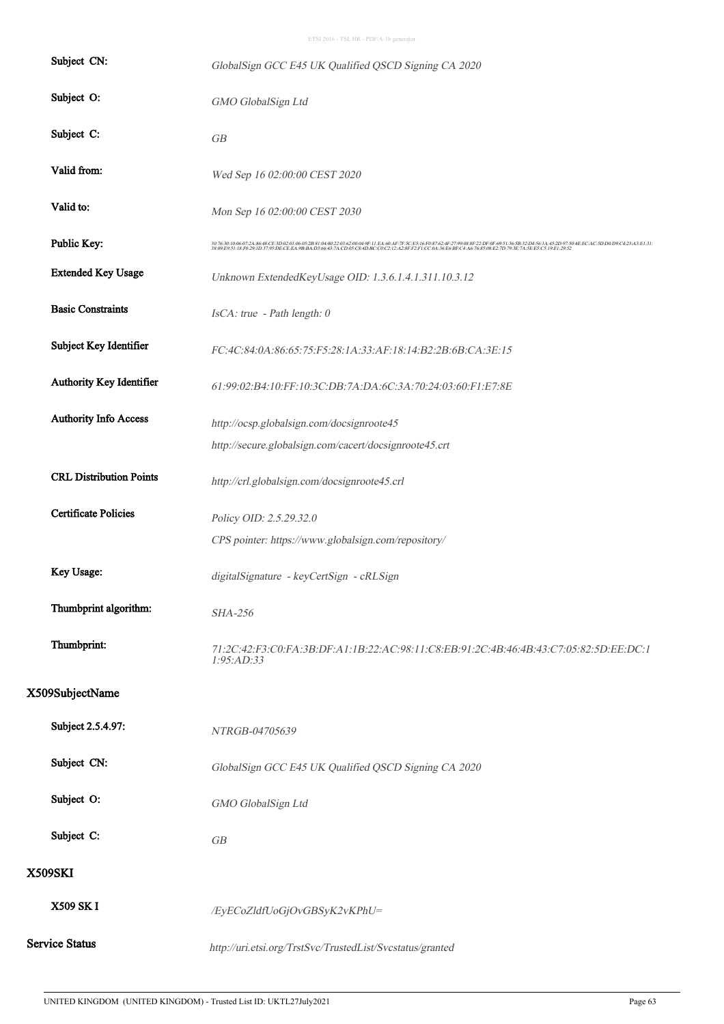|                       | Subject CN:                    | GlobalSign GCC E45 UK Qualified QSCD Signing CA 2020                                                                                                                                                                                       |
|-----------------------|--------------------------------|--------------------------------------------------------------------------------------------------------------------------------------------------------------------------------------------------------------------------------------------|
|                       | Subject O:                     | GMO GlobalSign Ltd                                                                                                                                                                                                                         |
| Subject C:            |                                | GB                                                                                                                                                                                                                                         |
|                       | Valid from:                    | Wed Sep 16 02:00:00 CEST 2020                                                                                                                                                                                                              |
| Valid to:             |                                | Mon Sep 16 02:00:00 CEST 2030                                                                                                                                                                                                              |
|                       | Public Key:                    | $\frac{30.7630400607243648CE3D020146452B81040022036200049F.11E4.60AF.7E5CE516F087624F.2799483F.22DF:0F:6931:365B:22D4561A452D97504E:ECAC5D:DOD9.C423:AZE131;16293F:2229F:075B:229550F:075B:229550F:075B:229550F:075B:229550F:075B:229550F$ |
|                       | <b>Extended Key Usage</b>      | Unknown ExtendedKeyUsage OID: 1.3.6.1.4.1.311.10.3.12                                                                                                                                                                                      |
|                       | <b>Basic Constraints</b>       | IsCA: true - Path length: 0                                                                                                                                                                                                                |
|                       | Subject Key Identifier         | FC:4C:84:0A:86:65:75:F5:28:1A:33:AF:18:14:B2:2B:6B:CA:3E:15                                                                                                                                                                                |
|                       | Authority Key Identifier       | 61:99:02:B4:10:FF:10:3C:DB:7A:DA:6C:3A:70:24:03:60:F1:E7:8E                                                                                                                                                                                |
|                       | <b>Authority Info Access</b>   | http://ocsp.globalsign.com/docsignroote45                                                                                                                                                                                                  |
|                       |                                | http://secure.globalsign.com/cacert/docsignroote45.crt                                                                                                                                                                                     |
|                       | <b>CRL Distribution Points</b> | http://crl.globalsign.com/docsignroote45.crl                                                                                                                                                                                               |
|                       | <b>Certificate Policies</b>    | Policy OID: 2.5.29.32.0                                                                                                                                                                                                                    |
|                       |                                | CPS pointer: https://www.globalsign.com/repository/                                                                                                                                                                                        |
|                       | Key Usage:                     | digitalSignature - keyCertSign - cRLSign                                                                                                                                                                                                   |
|                       | Thumbprint algorithm:          | SHA-256                                                                                                                                                                                                                                    |
|                       | Thumbprint:                    | 71.2C.42:F3:C0:FA:3B:DF:A1:1B:22:AC:98:11:C8:EB:91:2C:4B:46:4B:43:C7:05:82:5D:EE:DC:1<br>1:95:AD:33                                                                                                                                        |
| X509SubjectName       |                                |                                                                                                                                                                                                                                            |
|                       | Subject 2.5.4.97:              | NTRGB-04705639                                                                                                                                                                                                                             |
|                       | Subject CN:                    | GlobalSign GCC E45 UK Qualified QSCD Signing CA 2020                                                                                                                                                                                       |
|                       | Subject O:                     | GMO GlobalSign Ltd                                                                                                                                                                                                                         |
| Subject C:            |                                | GB                                                                                                                                                                                                                                         |
| <b>X509SKI</b>        |                                |                                                                                                                                                                                                                                            |
| <b>X509 SKI</b>       |                                | /EyECoZldfUoGjOvGBSyK2vKPhU=                                                                                                                                                                                                               |
| <b>Service Status</b> |                                | http://uri.etsi.org/TrstSvc/TrustedList/Svcstatus/granted                                                                                                                                                                                  |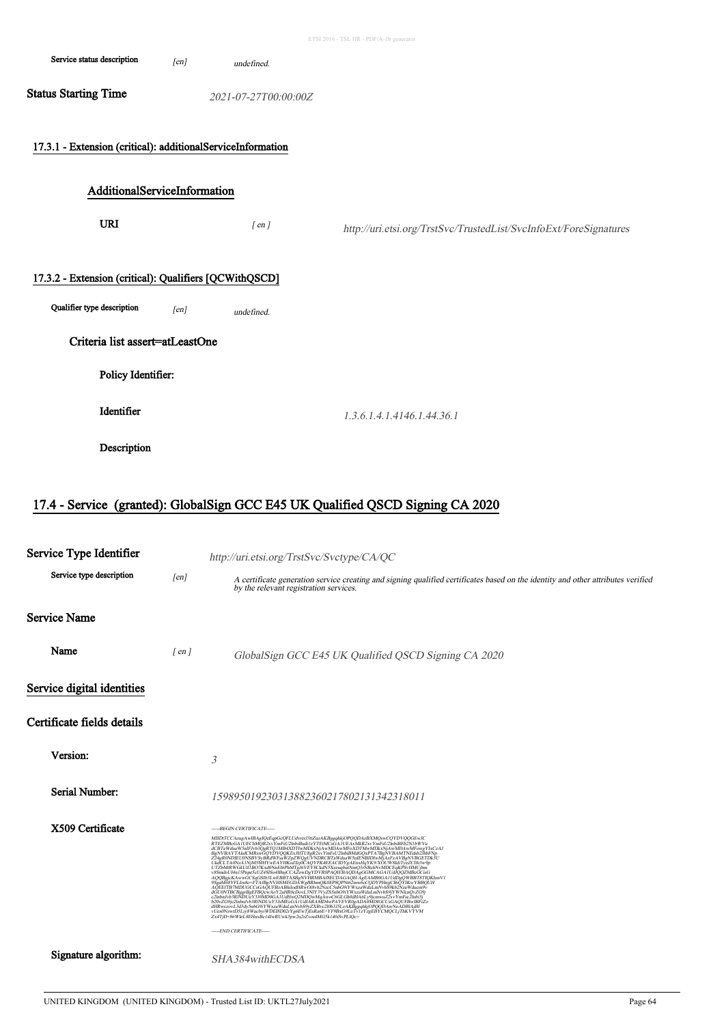|                                                                                      |      |                      | ETSI 2016 - TSL HR - PDF/A-1b generator                           |
|--------------------------------------------------------------------------------------|------|----------------------|-------------------------------------------------------------------|
| Service status description                                                           | [en] | undefined.           |                                                                   |
| <b>Status Starting Time</b>                                                          |      | 2021-07-27T00:00:00Z |                                                                   |
| 17.3.1 - Extension (critical): additionalServiceInformation                          |      |                      |                                                                   |
| AdditionalServiceInformation                                                         |      |                      |                                                                   |
| <b>URI</b>                                                                           |      | $[$ en $]$           | http://uri.etsi.org/TrstSvc/TrustedList/SvcInfoExt/ForeSignatures |
| 17.3.2 - Extension (critical): Qualifiers [QCWithQSCD]<br>Qualifier type description | [en] | undefined.           |                                                                   |
| Criteria list assert=atLeastOne                                                      |      |                      |                                                                   |
| Policy Identifier:                                                                   |      |                      |                                                                   |
| Identifier                                                                           |      |                      | 1.3.6.1.4.1.4146.1.44.36.1                                        |
| Description                                                                          |      |                      |                                                                   |

# 17.4 - Service (granted): GlobalSign GCC E45 UK Qualified QSCD Signing CA 2020

| Service Type Identifier    |            | http://uri.etsi.org/TrstSvc/Svctype/CA/QC                                                                                                                                                                                                                                                                                                                   |
|----------------------------|------------|-------------------------------------------------------------------------------------------------------------------------------------------------------------------------------------------------------------------------------------------------------------------------------------------------------------------------------------------------------------|
| Service type description   | [en]       | A certificate generation service creating and signing qualified certificates based on the identity and other attributes verified<br>by the relevant registration services.                                                                                                                                                                                  |
| <b>Service Name</b>        |            |                                                                                                                                                                                                                                                                                                                                                             |
| Name                       | $[$ en $]$ | GlobalSign GCC E45 UK Qualified QSCD Signing CA 2020                                                                                                                                                                                                                                                                                                        |
| Service digital identities |            |                                                                                                                                                                                                                                                                                                                                                             |
| Certificate fields details |            |                                                                                                                                                                                                                                                                                                                                                             |
| Version:                   |            | 3                                                                                                                                                                                                                                                                                                                                                           |
| Serial Number:             |            | 159895019230313882360217802131342318011                                                                                                                                                                                                                                                                                                                     |
| X509 Certificate           |            | -----BEGIN CERTIFICATE-----<br>2.00%/COMMUNICATION/SANDWAYSARIAL/ARANDAWAYSARIBROADADADINGCCSGAQUFBwBBFiZo<br>https://gov/1.5d3ty5nE0201V375MEeGA1UdIARANDAwPAYEVR0gADA0MDIGCCSGAQUFBwBBFiZo<br>dHRwczov1.3d3ty5nE03YYYxxaWduLmNvbS9XyZXBvc20b5351.zAKBggahkjOPQDAw<br>Zx4TjD+86WleL8EHnxBc14IwRUwk5pw2u2rZvos4MG5k140iSvPLIQc=<br>----END CERTIFICATE----- |
| Signature algorithm:       |            | SHA384withECDSA                                                                                                                                                                                                                                                                                                                                             |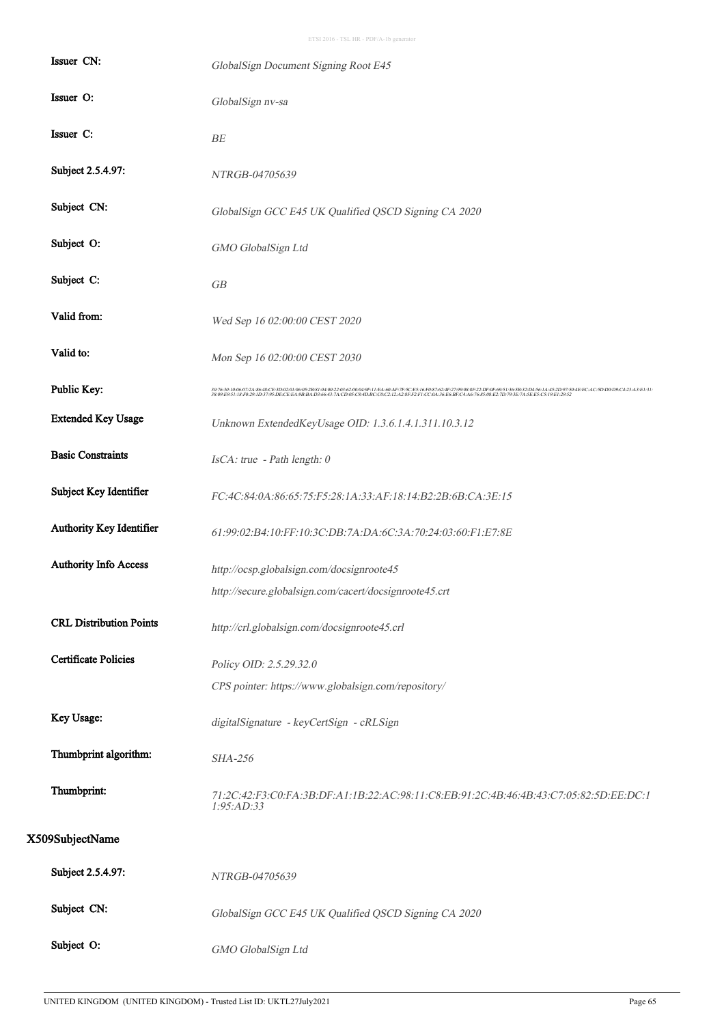| Issuer CN:                     | GlobalSign Document Signing Root E45                                                                |
|--------------------------------|-----------------------------------------------------------------------------------------------------|
| Issuer O:                      | GlobalSign nv-sa                                                                                    |
| Issuer C:                      | BE                                                                                                  |
| Subject 2.5.4.97:              | NTRGB-04705639                                                                                      |
| Subject CN:                    | GlobalSign GCC E45 UK Qualified QSCD Signing CA 2020                                                |
| Subject O:                     | GMO GlobalSign Ltd                                                                                  |
| Subject C:                     | GB                                                                                                  |
| Valid from:                    | Wed Sep 16 02:00:00 CEST 2020                                                                       |
| Valid to:                      | Mon Sep 16 02:00:00 CEST 2030                                                                       |
| Public Key:                    |                                                                                                     |
| <b>Extended Key Usage</b>      | Unknown ExtendedKeyUsage OID: 1.3.6.1.4.1.311.10.3.12                                               |
| <b>Basic Constraints</b>       | IsCA: true - Path length: 0                                                                         |
| Subject Key Identifier         | FC:4C:84:0A:86:65:75:F5:28:1A:33:AF:18:14:B2:2B:6B:CA:3E:15                                         |
| Authority Key Identifier       | 61:99:02:B4:10:FF:10:3C:DB:7A:DA:6C:3A:70:24:03:60:F1:E7:8E                                         |
| Authority Info Access          | http://ocsp.globalsign.com/docsignroote45                                                           |
|                                | http://secure.globalsign.com/cacert/docsignroote45.crt                                              |
| <b>CRL Distribution Points</b> | http://crl.globalsign.com/docsignroote45.crl                                                        |
| <b>Certificate Policies</b>    | Policy OID: 2.5.29.32.0                                                                             |
|                                | CPS pointer: https://www.globalsign.com/repository/                                                 |
| Key Usage:                     | digitalSignature - keyCertSign - cRLSign                                                            |
| Thumbprint algorithm:          | <b>SHA-256</b>                                                                                      |
| Thumbprint:                    | 71:2C:42:F3:C0:FA:3B:DF:A1:1B:22:AC:98:11:C8:EB:91:2C:4B:46:4B:43:C7:05:82:5D:EE:DC:1<br>1:95:AD:33 |
| X509SubjectName                |                                                                                                     |
| Subject 2.5.4.97:              | NTRGB-04705639                                                                                      |
| Subject CN:                    | GlobalSign GCC E45 UK Qualified QSCD Signing CA 2020                                                |
| Subject O:                     | GMO GlobalSign Ltd                                                                                  |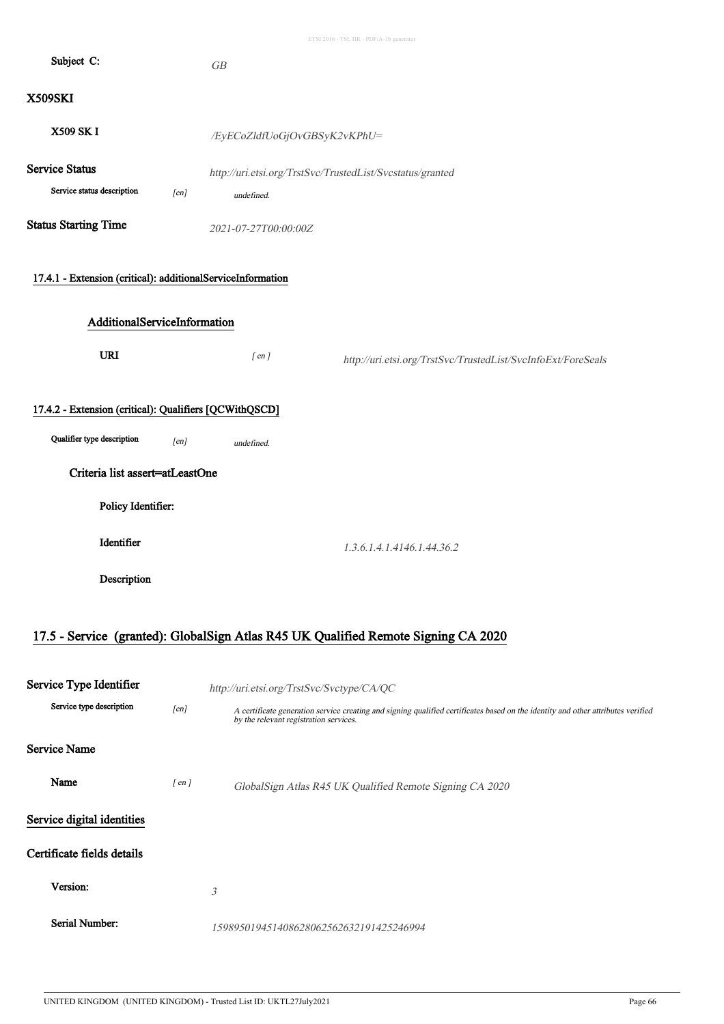| Subject C:                                                                                                                                    |      | GB                           |                                                              |
|-----------------------------------------------------------------------------------------------------------------------------------------------|------|------------------------------|--------------------------------------------------------------|
| <b>X509SKI</b>                                                                                                                                |      |                              |                                                              |
| X509 SK I                                                                                                                                     |      | /EyECoZldfUoGjOvGBSyK2vKPhU= |                                                              |
| <b>Service Status</b><br>Service status description                                                                                           | [en] | undefined.                   | http://uri.etsi.org/TrstSvc/TrustedList/Svcstatus/granted    |
| <b>Status Starting Time</b>                                                                                                                   |      | 2021-07-27T00:00:00Z         |                                                              |
| 17.4.1 - Extension (critical): additionalServiceInformation<br>AdditionalServiceInformation                                                   |      |                              |                                                              |
| <b>URI</b>                                                                                                                                    |      | $[$ en $]$                   | http://uri.etsi.org/TrstSvc/TrustedList/SvcInfoExt/ForeSeals |
| 17.4.2 - Extension (critical): Qualifiers [QCWithQSCD]<br>Qualifier type description<br>[en]<br>undefined.<br>Criteria list assert=atLeastOne |      |                              |                                                              |
| Policy Identifier:                                                                                                                            |      |                              |                                                              |
| Identifier                                                                                                                                    |      |                              | 1.3.6.1.4.1.4146.1.44.36.2                                   |
| Description                                                                                                                                   |      |                              |                                                              |

# 17.5 - Service (granted): GlobalSign Atlas R45 UK Qualified Remote Signing CA 2020

| Service Type Identifier    |            | http://uri.etsi.org/TrstSvc/Svctype/CA/QC                                                                                                                                  |
|----------------------------|------------|----------------------------------------------------------------------------------------------------------------------------------------------------------------------------|
| Service type description   | [en]       | A certificate generation service creating and signing qualified certificates based on the identity and other attributes verified<br>by the relevant registration services. |
| Service Name               |            |                                                                                                                                                                            |
| Name                       | $[$ en $]$ | GlobalSign Atlas R45 UK Qualified Remote Signing CA 2020                                                                                                                   |
| Service digital identities |            |                                                                                                                                                                            |
| Certificate fields details |            |                                                                                                                                                                            |
| Version:                   |            | 3                                                                                                                                                                          |
| Serial Number:             |            | 159895019451408628062562632191425246994                                                                                                                                    |

 $\ddot{\phantom{a}}$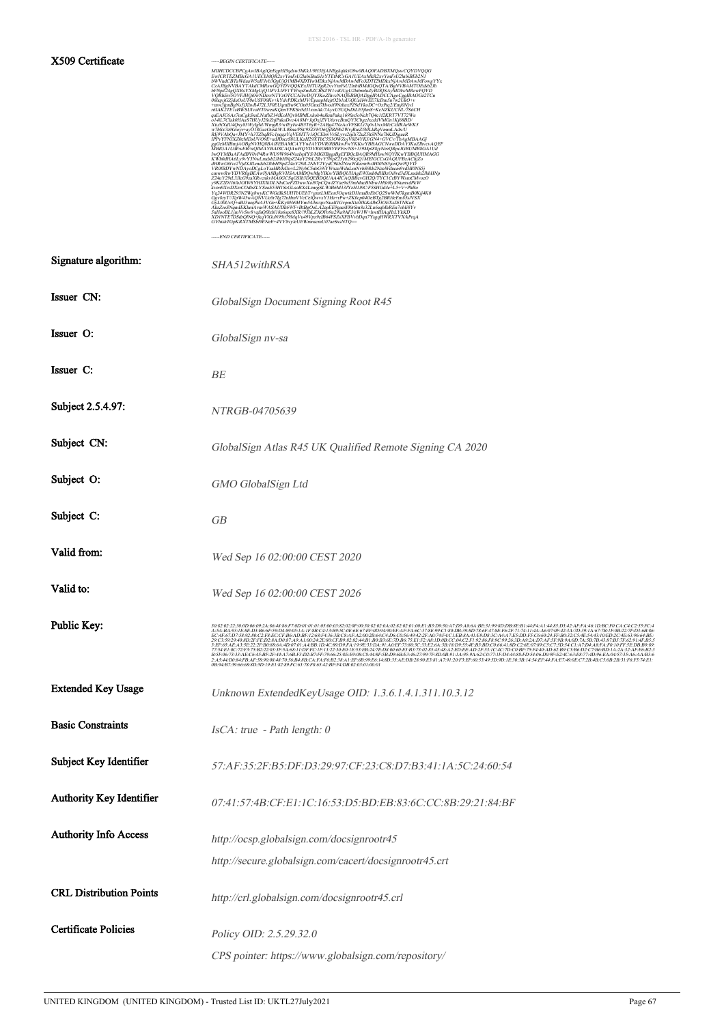#### X509 Certificate -----BEGIN CERTIFICATE-----

| MIIHCDCCBPCgAwIBAgIQeEqpHI5qdsw3hKk1/9H3EjANBgkqhkiG9w0BAQ0FADBXMQswCQYDVQQG                                                                                 |
|--------------------------------------------------------------------------------------------------------------------------------------------------------------|
| EwJCRTEZMBcGA1UEChMOR2xvYmFsU2InbiBudi1zYTEtMCsGA1UEAxMkR2xvYmFsU2InbiBEb2N1                                                                                 |
| bWVudCBTaWduaW5nIFJvb3QgUjQ1MB4XDTIwMDkxNjAwMDAwMFoXDTI2MDkxNjAwMDAwMFowgYYx                                                                                 |
| CzAJBgNVBAYTAkdCMRswGQYDVQQKExJHTU8gR2xvYmFsU2lnbiBMdGQxQTA/BgNVBAMTOEdsb2Jh                                                                                 |
| bFNpZ24gQXRsYXMgUjQ1IFVLIFF1YWxpZmllZCBSZW1vdGUgU2InbmluZyBDQSAyMDIwMRcwFQYD                                                                                 |
| VQRhEw3OVFJHQi0wNDcwNTYzOTCCAiIwDQYJKoZIhvcNAQEBBQADggIPADCCAgoCggIBAOGz2TCn                                                                                 |
| 06hqvjGZjduOsUT0oUSF00Kv+kYdvPDKxMJV/EpaupMejtO2b1nUiQUaH4vEE7lcDm5n7w2UkO+v                                                                                 |
| +mw3ipnBgNs5iXhvR472L3F0EUamBw9COn05Gmd7Hwsif9NrhuxPZ9dYkoDC+OzPta2/Emi0NivI                                                                                 |
| r6IAK2TEIsBWSUIvoHT0weuKQenYPKSn5d31xmAk/7AyxU5UQxDtLE5jlmS+KcNZKUCÑL/7SitCH                                                                                 |
| qaEAJC6Az7mCgkSxsLNufbZ14fKoHQvMBMLxkob4nJkmPakq169fin5oNelt7Q4e1f2KRT7VT72Wu                                                                                |
| o14iL7CIak0HAaS7HUvJ2foZniPakaDvc4A8M+JaOxiZVU6zvcBmOY3CbgcJxcddVMGn1Ki68BD/                                                                                 |
| Xtu5iXdU4Qxy83WyIgM/WmgR3/wfEyIw4B5T6yR+2ABg47NzAoVFSKLt7q0vUxxMfcC/dfRArWK5                                                                                 |
| w7bSx7a9Gioyr+ayO18GczOuxkW/L0Sna/PSt/95ZiWO6QjIRI9b2WvjRicZf40LkRqVmmLAdx/U                                                                                 |
| RIj9VAbQn+JMY+h3TZbqBFc1pqqzYqVE0IT7r1iQCEhwVrSLyvr2sjih72uZ5hSNNa7bKJDjgaeR                                                                                 |
| IPPvYFNIXZ0eMDsUVO9E+udIDscrS8ULKzH29XThC5S3OWZ0jV0Z4YKJ/GN4+GVCv/TbAgMBAAGj                                                                                 |
| ggGeMIIBmjAOBgNVHQ8BAf8EBAMCAYYwIAYDVR0IBBkwFwYKKwYBBAGCNwoDDAYJKoZIhvevAQEF                                                                                 |
| .<br>MBIGA1UdEwEB/wOIMAYBAf8CAOAwHOYDVR0OBBYEFFevNS+139Mpl88ivNezORpcJGBUMB8GA1Ud                                                                            |
| IwQYMBaAFAdBV0vP4RwWU9W964NszIspIYS/MIGJBggrBgEFBQcBAQR9MHswNQYIKwYBBQUHMAGG                                                                                 |
| KWh0dHA6Ly9vY3NwLmdsb2JhbHNpZ24uY29tL2RvY3NpZ25yb290cjQ1MEIGCCsGAQUFBzAChjZo<br>dHRwOi8vc2VidXJILmdsb2JhbHNpZ24uY29tL2NhY2VvdČ9kb2NzaWducm9vdHI0NS5icnOwPOYD |
| VR0fBDYwNDAyoDCgLoYsaHR0cDovL2NybC5nbG9iYWxzaWduLmNvbS9kb2NzaWducm9vdHI0NS5j                                                                                 |
| cmwwRwYDVR0gBEAwPjA8BgRVHSAAMDQwMgYIKwYBBQUHAgEWJmh0dHBzOi8vd3d3Lmdsb2JhbHNp                                                                                 |
| Z24uY29tL3JlcG9zaXRvcnkvMA0GCSaGSIb3DOEBDOUAA4ICAOBBcvGH2O/TYC1CrBYWsmCMvoeO                                                                                 |
| y9KZ2D1I6foJOIW8YHIXIkDLNhiCsrFZDwwXol97pCQwfZYae9s53mMacBNbw1HSrRySNumxdPkW                                                                                 |
| kven9XwDXzrCOdbZLYSzaE53H18cGLsoBX4LznrgSLWtB6M33JYzH1J9C/F5SHGd4c+L5+V+PhBo                                                                                 |
| Yq24WDR293N2Wg8wyKCWGdIkSUHTbUEhT+gmtLMEon5OqwtkDI1maBrEbCQ2SwWM7kgmB0Kij4K0                                                                                 |
| Ggv8ryT//XpW43wAQNVUc0r7Ig72nHmVVcCelQwvxY3Hz+rPw+ZK0cp04OeBTg2BRHeEm85sIVSX                                                                                 |
| GyL00Ur/Q+aBJ3urqPiiA3VGe+KKy0Hi9HYm54/hwqwNualf1GvpmXtc0JKKdJbO3OEXsDiTNKu8                                                                                 |
| AksZroSNamIEKhmAvmWASAUDk6WF+BtBgOoLA2epEE9gaesI00rSm8c32Lu6aabIhREn7obIi8Yv                                                                                 |
| 5nHooBL1jmVvSw8+qfaQf8zbl18n6spe8XR/95hLZXOPo9u29ia9AFJ/zW1W+hwtIHAqHrLYkKD                                                                                  |
| XD1NTE7DSdrQlNQ+jkqVlGuN95tt79MqVu49Vpz9cIB64FSZsXFBVvhDqn7YsgqHWRXTVX/kPrqA                                                                                 |
| GVhishTGpKRXTMSbl9ENeE+4VY8vvleUEWmnscmU07aeSxsNTO==                                                                                                         |
|                                                                                                                                                              |

|                                 | -----END CERTIFICATE-----                                                                           |
|---------------------------------|-----------------------------------------------------------------------------------------------------|
| Signature algorithm:            | SHA512withRSA                                                                                       |
| Issuer CN:                      | GlobalSign Document Signing Root R45                                                                |
| Issuer O:                       | GlobalSign nv-sa                                                                                    |
| Issuer C:                       | BE                                                                                                  |
| Subject 2.5.4.97:               | NTRGB-04705639                                                                                      |
| Subject CN:                     | GlobalSign Atlas R45 UK Qualified Remote Signing CA 2020                                            |
| Subject O:                      | GMO GlobalSign Ltd                                                                                  |
| Subject C:                      | GB                                                                                                  |
| Valid from:                     | Wed Sep 16 02:00:00 CEST 2020                                                                       |
| Valid to:                       | Wed Sep 16 02:00:00 CEST 2026                                                                       |
| Public Key:                     |                                                                                                     |
| <b>Extended Key Usage</b>       | Unknown ExtendedKeyUsage OID: 1.3.6.1.4.1.311.10.3.12                                               |
| <b>Basic Constraints</b>        | IsCA: true - Path length: 0                                                                         |
| Subject Key Identifier          | 57:AF:35:2F:B5:DF:D3:29:97:CF:23:C8:D7:B3:41:1A:5C:24:60:54                                         |
| <b>Authority Key Identifier</b> | 07:41:57:4B:CF:E1:1C:16:53:D5:BD:EB:83:6C:CC:8B:29:21:84:BF                                         |
| <b>Authority Info Access</b>    | http://ocsp.globalsign.com/docsignrootr45<br>http://secure.globalsign.com/cacert/docsignrootr45.crt |
| <b>CRL Distribution Points</b>  | http://crl.globalsign.com/docsignrootr45.crl                                                        |
| <b>Certificate Policies</b>     | Policy OID: 2.5.29.32.0                                                                             |
|                                 | CPS pointer: https://www.globalsign.com/repository/                                                 |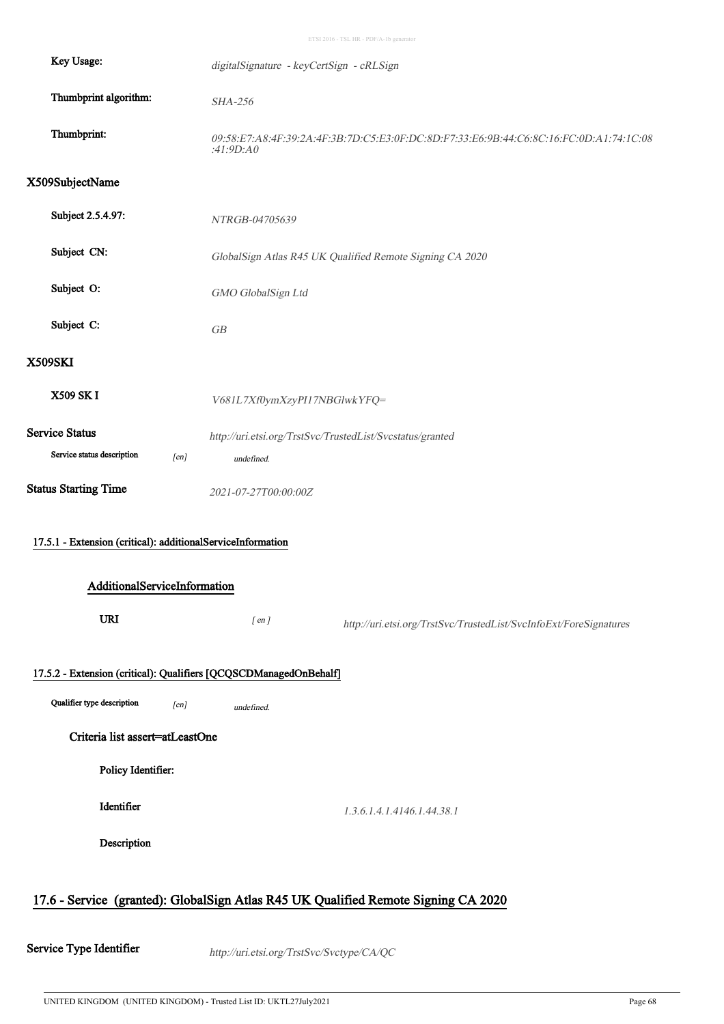| Key Usage:                                                        | digitalSignature - keyCertSign - cRLSign                                                            |                                                                   |  |  |
|-------------------------------------------------------------------|-----------------------------------------------------------------------------------------------------|-------------------------------------------------------------------|--|--|
| Thumbprint algorithm:                                             | SHA-256                                                                                             |                                                                   |  |  |
| Thumbprint:                                                       | 09:58:E7:A8:4F:39:2A:4F:3B:7D:C5:E3:0F:DC:8D:F7:33:E6:9B:44:C6:8C:16:FC:0D:A1:74:1C:08<br>:41:9D:AO |                                                                   |  |  |
| X509SubjectName                                                   |                                                                                                     |                                                                   |  |  |
| Subject 2.5.4.97:                                                 | NTRGB-04705639                                                                                      |                                                                   |  |  |
| Subject CN:                                                       |                                                                                                     | GlobalSign Atlas R45 UK Qualified Remote Signing CA 2020          |  |  |
| Subject O:                                                        | GMO GlobalSign Ltd                                                                                  |                                                                   |  |  |
| Subject C:                                                        | ${\cal GB}$                                                                                         |                                                                   |  |  |
| <b>X509SKI</b>                                                    |                                                                                                     |                                                                   |  |  |
| X509 SK I                                                         | V681L7Xf0ymXzyPI17NBGlwkYFQ=                                                                        |                                                                   |  |  |
| Service Status                                                    |                                                                                                     | http://uri.etsi.org/TrstSvc/TrustedList/Svcstatus/granted         |  |  |
| Service status description<br>[en]                                | undefined.                                                                                          |                                                                   |  |  |
| <b>Status Starting Time</b>                                       | 2021-07-27T00:00:00Z                                                                                |                                                                   |  |  |
| 17.5.1 - Extension (critical): additionalServiceInformation       |                                                                                                     |                                                                   |  |  |
| AdditionalServiceInformation                                      |                                                                                                     |                                                                   |  |  |
| URI                                                               | $[$ en $]$                                                                                          | http://uri.etsi.org/TrstSvc/TrustedList/SvcInfoExt/ForeSignatures |  |  |
| 17.5.2 - Extension (critical): Qualifiers [QCQSCDManagedOnBehalf] |                                                                                                     |                                                                   |  |  |
| Qualifier type description<br>[en]                                | undefined.                                                                                          |                                                                   |  |  |
| Criteria list assert=atLeastOne                                   |                                                                                                     |                                                                   |  |  |
| Policy Identifier:                                                |                                                                                                     |                                                                   |  |  |
| Identifier                                                        |                                                                                                     | 1.3.6.1.4.1.4146.1.44.38.1                                        |  |  |
| Description                                                       |                                                                                                     |                                                                   |  |  |
|                                                                   |                                                                                                     |                                                                   |  |  |

## 17.6 - Service (granted): GlobalSign Atlas R45 UK Qualified Remote Signing CA 2020

Service Type Identifier http://uri.etsi.org/TrstSvc/Svctype/CA/QC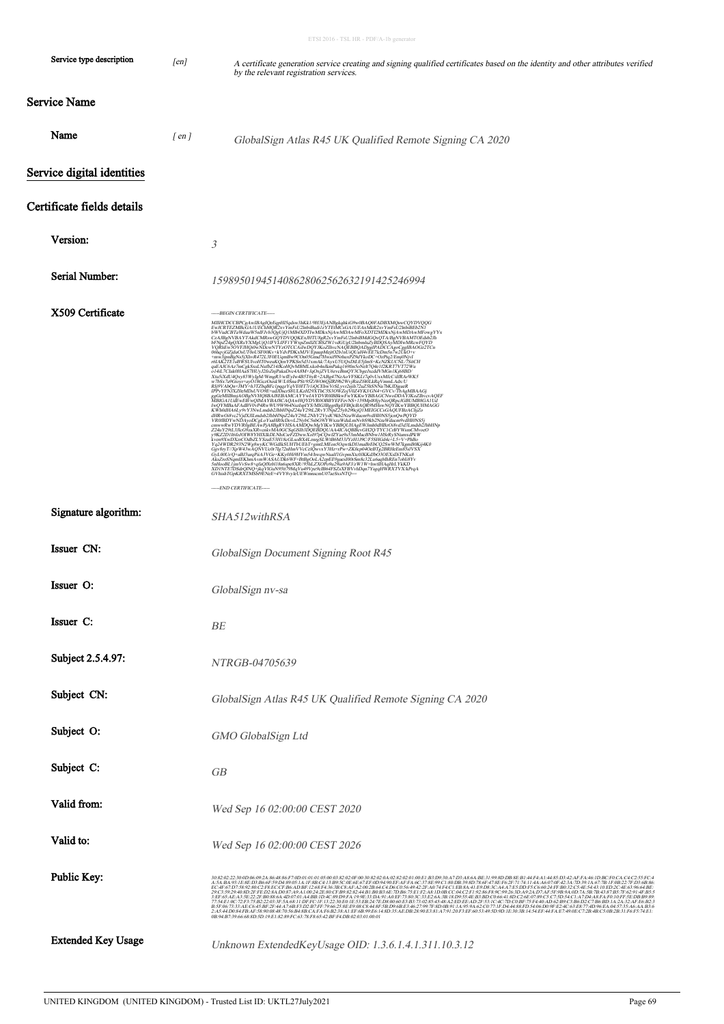| Service type description   | [en]               | A certificate generation service creating and signing qualified certificates based on the identity and other attributes verified<br>by the relevant registration services.                                                                                                                                                                                                                                                                                                                                                                                                                                                                                                                                                                                     |
|----------------------------|--------------------|----------------------------------------------------------------------------------------------------------------------------------------------------------------------------------------------------------------------------------------------------------------------------------------------------------------------------------------------------------------------------------------------------------------------------------------------------------------------------------------------------------------------------------------------------------------------------------------------------------------------------------------------------------------------------------------------------------------------------------------------------------------|
| Service Name               |                    |                                                                                                                                                                                                                                                                                                                                                                                                                                                                                                                                                                                                                                                                                                                                                                |
| Name                       | $\lceil en \rceil$ | GlobalSign Atlas R45 UK Qualified Remote Signing CA 2020                                                                                                                                                                                                                                                                                                                                                                                                                                                                                                                                                                                                                                                                                                       |
| Service digital identities |                    |                                                                                                                                                                                                                                                                                                                                                                                                                                                                                                                                                                                                                                                                                                                                                                |
| Certificate fields details |                    |                                                                                                                                                                                                                                                                                                                                                                                                                                                                                                                                                                                                                                                                                                                                                                |
| Version:                   |                    | 3                                                                                                                                                                                                                                                                                                                                                                                                                                                                                                                                                                                                                                                                                                                                                              |
| Serial Number:             |                    | 159895019451408628062562632191425246994                                                                                                                                                                                                                                                                                                                                                                                                                                                                                                                                                                                                                                                                                                                        |
| X509 Certificate           |                    | -----BEGIN CERTIFICATE-----<br>46 - ΠΑΤΗΣ ΠΑΤΗΣ (ΠΑΤΗΣ - ΠΑΤΗΣ - ΠΑΤΗΣ - ΠΑΤΗΣ ΠΑΤΗΣ - ΠΑΤΗΣ ΠΑΤΗΣ - ΠΑΤΗΣ ΠΑΤΗΣ - ΠΑΤΗΣ ΠΑΤΗΣ - ΠΑΤΗΣ ΠΑΤΗΣ - ΠΑΤΗΣ ΠΑΤΗΣ - ΠΑΤΗΣ ΠΑΤΗΣ - ΠΑΤΗΣ ΠΑΤΗΣ - ΠΑΤΗΣ - ΠΑΤΗΣ - ΠΑΤΗΣ - ΠΑΤΗΣ - ΠΑΤΗΣ - ΠΑΤΗΣ - ΠΑΤΗΣ - ΠΑΤΗΣ - Π<br>-----END CERTIFICATE-----                                                                                                                                                                                                                                                                                                                                                                                                                                                                        |
| Signature algorithm:       |                    | SHA512withRSA                                                                                                                                                                                                                                                                                                                                                                                                                                                                                                                                                                                                                                                                                                                                                  |
| Issuer CN:                 |                    | GlobalSign Document Signing Root R45                                                                                                                                                                                                                                                                                                                                                                                                                                                                                                                                                                                                                                                                                                                           |
| Issuer O:                  |                    | GlobalSign nv-sa                                                                                                                                                                                                                                                                                                                                                                                                                                                                                                                                                                                                                                                                                                                                               |
| Issuer C:                  |                    | BE                                                                                                                                                                                                                                                                                                                                                                                                                                                                                                                                                                                                                                                                                                                                                             |
| Subject 2.5.4.97:          |                    | NTRGB-04705639                                                                                                                                                                                                                                                                                                                                                                                                                                                                                                                                                                                                                                                                                                                                                 |
| Subject CN:                |                    | GlobalSign Atlas R45 UK Qualified Remote Signing CA 2020                                                                                                                                                                                                                                                                                                                                                                                                                                                                                                                                                                                                                                                                                                       |
| Subject O:                 |                    | GMO GlobalSign Ltd                                                                                                                                                                                                                                                                                                                                                                                                                                                                                                                                                                                                                                                                                                                                             |
| Subject C:                 |                    | GB                                                                                                                                                                                                                                                                                                                                                                                                                                                                                                                                                                                                                                                                                                                                                             |
| Valid from:                |                    | Wed Sep 16 02:00:00 CEST 2020                                                                                                                                                                                                                                                                                                                                                                                                                                                                                                                                                                                                                                                                                                                                  |
| Valid to:                  |                    | Wed Sep 16 02:00:00 CEST 2026                                                                                                                                                                                                                                                                                                                                                                                                                                                                                                                                                                                                                                                                                                                                  |
| Public Key:                |                    | 30820223000609243648365700910101015000382020F00348202000282020100E1B3D920A7D3A86ABE3198EDB3EB14Ff4A1485D342AFFA461DBCF0CAC4C25SFC4<br>A.SABA931E8ED3B66F9D489051A1F8BC413B95C0E6E67EF0D9490EFAFFA6C378E99C130DB398D786F47SEF62F71<br>EC:4F:67:D7:58:92:80:C2:F8:EC:CF:B6:AD:BF:12:68:F4:36:3B:C8:AF:A2:00:2B:64:C4:D6:C0:56:49:42:2F:A0:74:F4:C1:EB:8A:41:E9:D8:3C:A4:A7:E5:DD:F5:C6:60:24:FF:B0:32:C5:4E:54:43:10:ED:2C:4E:63:96:64:BE:<br>29C3:9929:08D2FFED28AD087:49A1:00242E80CFB982:82-44B1:B0B36E7DB675E1F2:A8:ID0BCC04C2F1:9286F89C99263DA92AD7AFE7-BB3A0D7A5B7B4387B57F62914FB55<br>3:EF65AEA352222FB0886A4D0701:A4BB1D4C89:DFA1:99E33DA91:06E77899C33E2643B18D9534E<br>0B:94:B7:39:66:68:8D:5D:19:E1:82:89:FC:63:78:F8:65:42:BF:F4:DB:02:03:01:00:01 |
| <b>Extended Key Usage</b>  |                    | Unknown ExtendedKeyUsage OID: 1.3.6.1.4.1.311.10.3.12                                                                                                                                                                                                                                                                                                                                                                                                                                                                                                                                                                                                                                                                                                          |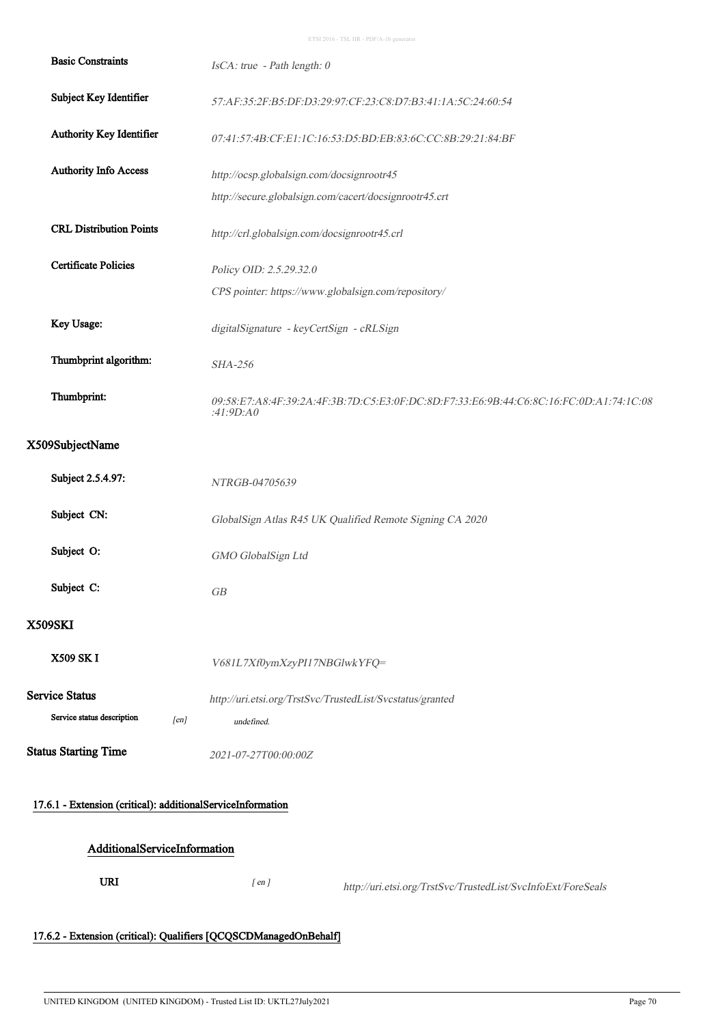| <b>Basic Constraints</b>                                    | IsCA: true - Path length: 0                                                                         |
|-------------------------------------------------------------|-----------------------------------------------------------------------------------------------------|
| Subject Key Identifier                                      | 57:AF:35:2F:B5:DF:D3:29:97:CF:23:C8:D7:B3:41:1A:5C:24:60:54                                         |
| Authority Key Identifier                                    | 07:41:57:4B:CF:E1:1C:16:53:D5:BD:EB:83:6C:CC:8B:29:21:84:BF                                         |
| <b>Authority Info Access</b>                                | http://ocsp.globalsign.com/docsignrootr45                                                           |
|                                                             | http://secure.globalsign.com/cacert/docsignrootr45.crt                                              |
| <b>CRL Distribution Points</b>                              | http://crl.globalsign.com/docsignrootr45.crl                                                        |
| <b>Certificate Policies</b>                                 | Policy OID: 2.5.29.32.0                                                                             |
|                                                             | CPS pointer: https://www.globalsign.com/repository/                                                 |
| Key Usage:                                                  | digitalSignature - keyCertSign - cRLSign                                                            |
| Thumbprint algorithm:                                       | <b>SHA-256</b>                                                                                      |
| Thumbprint:                                                 | 09:58:E7:A8:4F:39:2A:4F:3B:7D:C5:E3:0F:DC:8D:F7:33:E6:9B:44:C6:8C:16:FC:0D:A1:74:1C:08<br>:41:9D:A0 |
| X509SubjectName                                             |                                                                                                     |
| Subject 2.5.4.97:                                           | NTRGB-04705639                                                                                      |
| Subject CN:                                                 | GlobalSign Atlas R45 UK Qualified Remote Signing CA 2020                                            |
| Subject O:                                                  | GMO GlobalSign Ltd                                                                                  |
| Subject C:                                                  | GB                                                                                                  |
| <b>X509SKI</b>                                              |                                                                                                     |
| X509 SK I                                                   | V681L7Xf0ymXzyPI17NBGlwkYFQ=                                                                        |
| <b>Service Status</b>                                       | http://uri.etsi.org/TrstSvc/TrustedList/Svcstatus/granted                                           |
| Service status description<br>[en]                          | undefined.                                                                                          |
| <b>Status Starting Time</b>                                 | 2021-07-27T00:00:00Z                                                                                |
| 17.6.1 - Extension (critical): additionalServiceInformation |                                                                                                     |
| AdditionalServiceInformation                                |                                                                                                     |
| <b>URI</b>                                                  | $[$ en $]$<br>http://uri.etsi.org/TrstSvc/TrustedList/SvcInfoExt/ForeSeals                          |
|                                                             |                                                                                                     |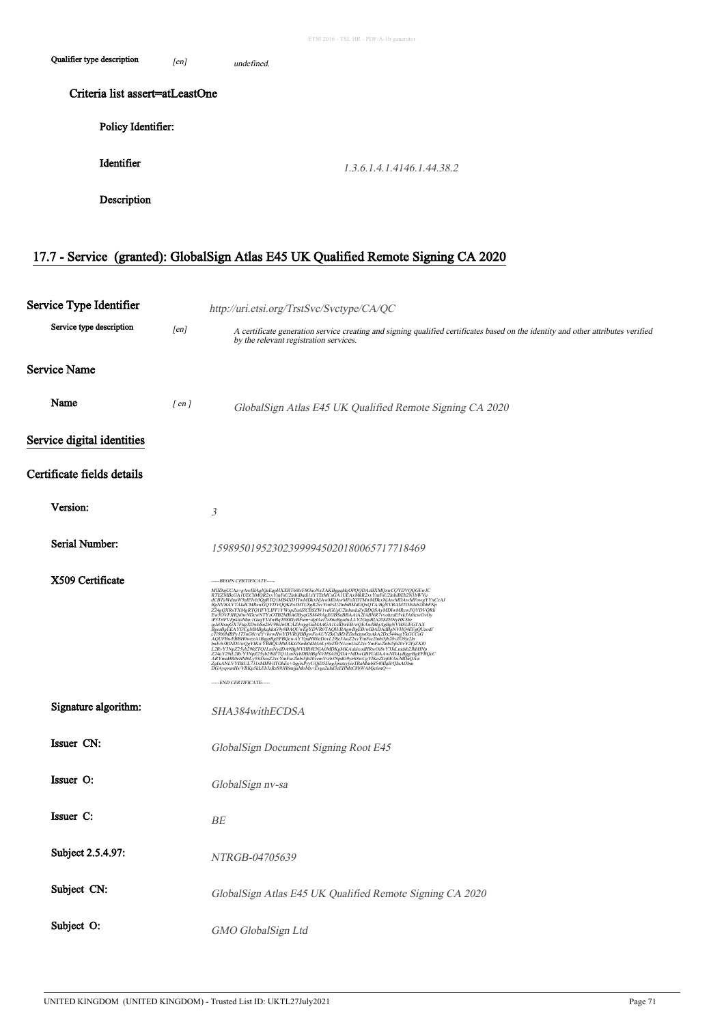| Qualifier type description      | [en] | undefined                  |  |
|---------------------------------|------|----------------------------|--|
| Criteria list assert=atLeastOne |      |                            |  |
| Policy Identifier:              |      |                            |  |
| Identifier                      |      | 1.3.6.1.4.1.4146.1.44.38.2 |  |
| Description                     |      |                            |  |

# 17.7 - Service (granted): GlobalSign Atlas E45 UK Qualified Remote Signing CA 2020

| Service Type Identifier    |            | http://uri.etsi.org/TrstSvc/Svctype/CA/QC                                                                                                                                                                                                                                                                                                                                                                                                                                                                               |  |
|----------------------------|------------|-------------------------------------------------------------------------------------------------------------------------------------------------------------------------------------------------------------------------------------------------------------------------------------------------------------------------------------------------------------------------------------------------------------------------------------------------------------------------------------------------------------------------|--|
| Service type description   | [en]       | A certificate generation service creating and signing qualified certificates based on the identity and other attributes verified<br>by the relevant registration services.                                                                                                                                                                                                                                                                                                                                              |  |
| <b>Service Name</b>        |            |                                                                                                                                                                                                                                                                                                                                                                                                                                                                                                                         |  |
| Name                       | $[$ en $]$ | GlobalSign Atlas E45 UK Qualified Remote Signing CA 2020                                                                                                                                                                                                                                                                                                                                                                                                                                                                |  |
| Service digital identities |            |                                                                                                                                                                                                                                                                                                                                                                                                                                                                                                                         |  |
| Certificate fields details |            |                                                                                                                                                                                                                                                                                                                                                                                                                                                                                                                         |  |
| Version:                   |            | 3                                                                                                                                                                                                                                                                                                                                                                                                                                                                                                                       |  |
| Serial Number:             |            | 159895019523023999945020180065717718469                                                                                                                                                                                                                                                                                                                                                                                                                                                                                 |  |
| X509 Certificate           |            | -----BEGIN CERTIFICATE-----<br>$\label{eq:22} \begin{small} &\textbf{AB}=&\textbf{BA} \\ \textbf{AB}=&\textbf{BA} \\ \textbf{AB}=&\textbf{BA} \\ \textbf{AB}=&\textbf{BA} \\ \textbf{AB}=&\textbf{BA} \\ \textbf{AB}=&\textbf{BA} \\ \textbf{AB}=&\textbf{BA} \\ \textbf{AB}=&\textbf{BA} \\ \textbf{AB}=&\textbf{BA} \\ \textbf{AB}=&\textbf{BA} \\ \textbf{AB}=&\textbf{BA} \\ \textbf{AB}=&\textbf{BA} \\ \textbf{AB}=&\textbf{BA} \\ \textbf{AB}=&\textbf{BA} \\ \textbf{AB}=&\textbf$<br>-----END CERTIFICATE----- |  |
| Signature algorithm:       |            | SHA384withECDSA                                                                                                                                                                                                                                                                                                                                                                                                                                                                                                         |  |
| Issuer CN:                 |            | GlobalSign Document Signing Root E45                                                                                                                                                                                                                                                                                                                                                                                                                                                                                    |  |
| Issuer O:                  |            | GlobalSign nv-sa                                                                                                                                                                                                                                                                                                                                                                                                                                                                                                        |  |
| Issuer C:                  |            | BE                                                                                                                                                                                                                                                                                                                                                                                                                                                                                                                      |  |
| Subject 2.5.4.97:          |            | NTRGB-04705639                                                                                                                                                                                                                                                                                                                                                                                                                                                                                                          |  |
| Subject CN:                |            | GlobalSign Atlas E45 UK Qualified Remote Signing CA 2020                                                                                                                                                                                                                                                                                                                                                                                                                                                                |  |
| Subject O:                 |            | GMO GlobalSign Ltd                                                                                                                                                                                                                                                                                                                                                                                                                                                                                                      |  |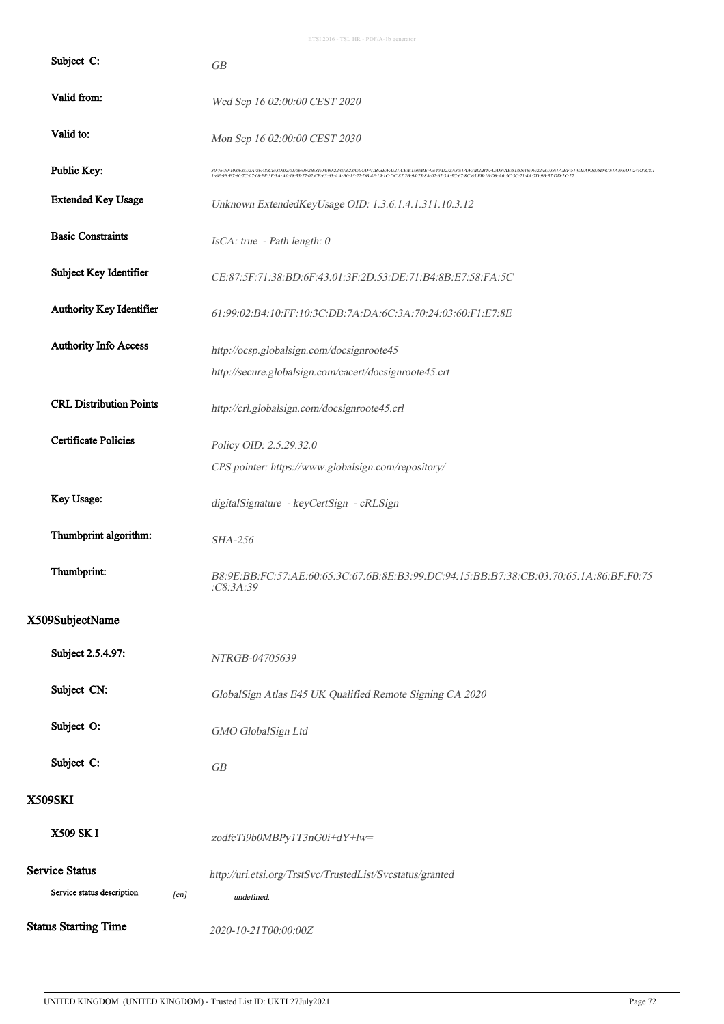| Subject C:                         | GB                                                                                                                                                                                                                                |  |  |
|------------------------------------|-----------------------------------------------------------------------------------------------------------------------------------------------------------------------------------------------------------------------------------|--|--|
| Valid from:                        | Wed Sep 16 02:00:00 CEST 2020                                                                                                                                                                                                     |  |  |
| Valid to:                          | Mon Sep 16 02:00:00 CEST 2030                                                                                                                                                                                                     |  |  |
| Public Key:                        | 307630100607243648CE3D020106052B8104002203620004D47BBEFA21CEE139BE4E40D227301AF3B2B4FDD3AE5155169922B7331ABF519AA9855DC01A93D12448C81<br>1:6E9B:E7607C0708EE3F3AA01833;77:02CB:6363AA:B015:22:DB4F:19:1C:DC872B98:738A:02623A5C:6 |  |  |
| <b>Extended Key Usage</b>          | Unknown ExtendedKeyUsage OID: 1.3.6.1.4.1.311.10.3.12                                                                                                                                                                             |  |  |
| <b>Basic Constraints</b>           | IsCA: true - Path length: 0                                                                                                                                                                                                       |  |  |
| Subject Key Identifier             | CE:87:5F:71:38:BD:6F:43:01:3F:2D:53:DE:71:B4:8B:E7:58:FA:5C                                                                                                                                                                       |  |  |
| Authority Key Identifier           | 61:99:02:B4:10:FF:10:3C:DB:7A:DA:6C:3A:70:24:03:60:F1:E7:8E                                                                                                                                                                       |  |  |
| <b>Authority Info Access</b>       | http://ocsp.globalsign.com/docsignroote45                                                                                                                                                                                         |  |  |
|                                    | http://secure.globalsign.com/cacert/docsignroote45.crt                                                                                                                                                                            |  |  |
| <b>CRL Distribution Points</b>     | http://crl.globalsign.com/docsignroote45.crl                                                                                                                                                                                      |  |  |
| <b>Certificate Policies</b>        | Policy OID: 2.5.29.32.0                                                                                                                                                                                                           |  |  |
|                                    | CPS pointer: https://www.globalsign.com/repository/                                                                                                                                                                               |  |  |
| Key Usage:                         | digitalSignature - keyCertSign - cRLSign                                                                                                                                                                                          |  |  |
| Thumbprint algorithm:              | <b>SHA-256</b>                                                                                                                                                                                                                    |  |  |
| Thumbprint:                        | B8:9E:BB:FC:57:AE:60:65:3C:67:6B:8E:B3:99:DC:94:15:BB:B7:38:CB:03:70:65:1A:86:BF:F0:75<br>C8:3A:39                                                                                                                                |  |  |
| X509SubjectName                    |                                                                                                                                                                                                                                   |  |  |
| Subject 2.5.4.97:                  | NTRGB-04705639                                                                                                                                                                                                                    |  |  |
| Subject CN:                        | GlobalSign Atlas E45 UK Qualified Remote Signing CA 2020                                                                                                                                                                          |  |  |
| Subject O:                         | GMO GlobalSign Ltd                                                                                                                                                                                                                |  |  |
| Subject C:                         | ${\cal GB}$                                                                                                                                                                                                                       |  |  |
| <b>X509SKI</b>                     |                                                                                                                                                                                                                                   |  |  |
| X509 SK I                          | zodfcTi9b0MBPy1T3nG0i+dY+lw=                                                                                                                                                                                                      |  |  |
| <b>Service Status</b>              | http://uri.etsi.org/TrstSvc/TrustedList/Svcstatus/granted                                                                                                                                                                         |  |  |
| Service status description<br>[en] | undefined.                                                                                                                                                                                                                        |  |  |
| <b>Status Starting Time</b>        | 2020-10-21T00:00:00Z                                                                                                                                                                                                              |  |  |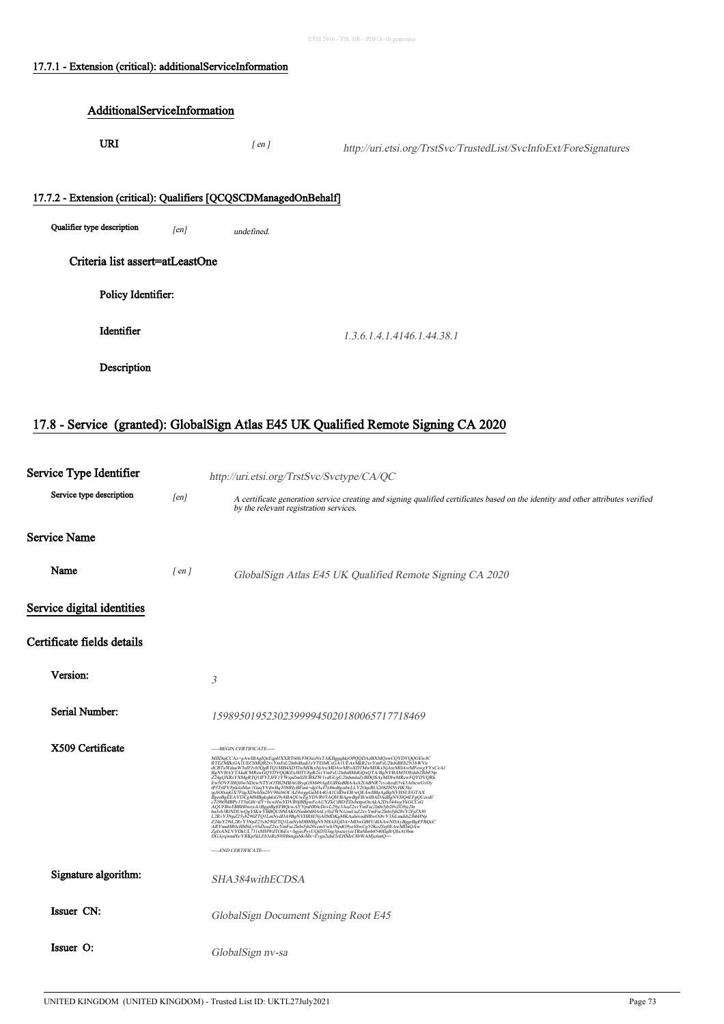## 17.7.1 - Extension (critical): additionalServiceInformation

# AdditionalServiceInformation URI  $[ en ]$ http://uri.etsi.org/TrstSvc/TrustedList/SvcInfoExt/ForeSignatures 17.7.2 - Extension (critical): Qualifiers [QCQSCDManagedOnBehalf] Qualifier type description  $[en]$  undefined. Criteria list assert=atLeastOne Policy Identifier: **Identifier** 1.3.6.1.4.1.4146.1.44.38.1 Description

#### 17.8 - Service (granted): GlobalSign Atlas E45 UK Qualified Remote Signing CA 2020

| Service Type Identifier    |            | http://uri.etsi.org/TrstSvc/Svctype/CA/QC                                                                                                                                                                                                                                                                                                                                                                                                                         |  |
|----------------------------|------------|-------------------------------------------------------------------------------------------------------------------------------------------------------------------------------------------------------------------------------------------------------------------------------------------------------------------------------------------------------------------------------------------------------------------------------------------------------------------|--|
| Service type description   | [en]       | A certificate generation service creating and signing qualified certificates based on the identity and other attributes verified<br>by the relevant registration services.                                                                                                                                                                                                                                                                                        |  |
| <b>Service Name</b>        |            |                                                                                                                                                                                                                                                                                                                                                                                                                                                                   |  |
| Name                       | $[$ en $]$ | GlobalSign Atlas E45 UK Qualified Remote Signing CA 2020                                                                                                                                                                                                                                                                                                                                                                                                          |  |
| Service digital identities |            |                                                                                                                                                                                                                                                                                                                                                                                                                                                                   |  |
| Certificate fields details |            |                                                                                                                                                                                                                                                                                                                                                                                                                                                                   |  |
| Version:                   |            | 3                                                                                                                                                                                                                                                                                                                                                                                                                                                                 |  |
| Serial Number:             |            | 159895019523023999945020180065717718469                                                                                                                                                                                                                                                                                                                                                                                                                           |  |
| X509 Certificate           |            | -----BEGIN CERTIFICATE-----<br>MIIDujCCAz+gAwIBAgIQeEqpHXXRT60h/F8OiioNxTAKBggqhkjOPQQDAzBXMQswCQYDVQQGEwJC<br>RTEZMBcGAIUEChMQR2xvYmFsU2lnbiBudi1zYTEtMCsGAIUEAxMkR2xvYmFsU2lnbiBEb2N1bWVu<br>RTEZÁRGAT UEGANÓRESZ VIREUSZI ERENTZERKEZŐ A ULA ARABBAN A MARIA MARIA ELEKTÉRE A ELEKTÉRE A MARIA MAGYAR (* 1918)<br>19. a CETA WARI WASHERASSOR (* 1918–1918)<br>19. a CETA WARI WASHERASSOR (* 1918–1917)<br>19. a CETA (* 1918–192<br>----END CERTIFICATE----- |  |
| Signature algorithm:       |            | SHA384withECDSA                                                                                                                                                                                                                                                                                                                                                                                                                                                   |  |
| Issuer CN:                 |            | GlobalSign Document Signing Root E45                                                                                                                                                                                                                                                                                                                                                                                                                              |  |
| Issuer O:                  |            | GlobalSign nv-sa                                                                                                                                                                                                                                                                                                                                                                                                                                                  |  |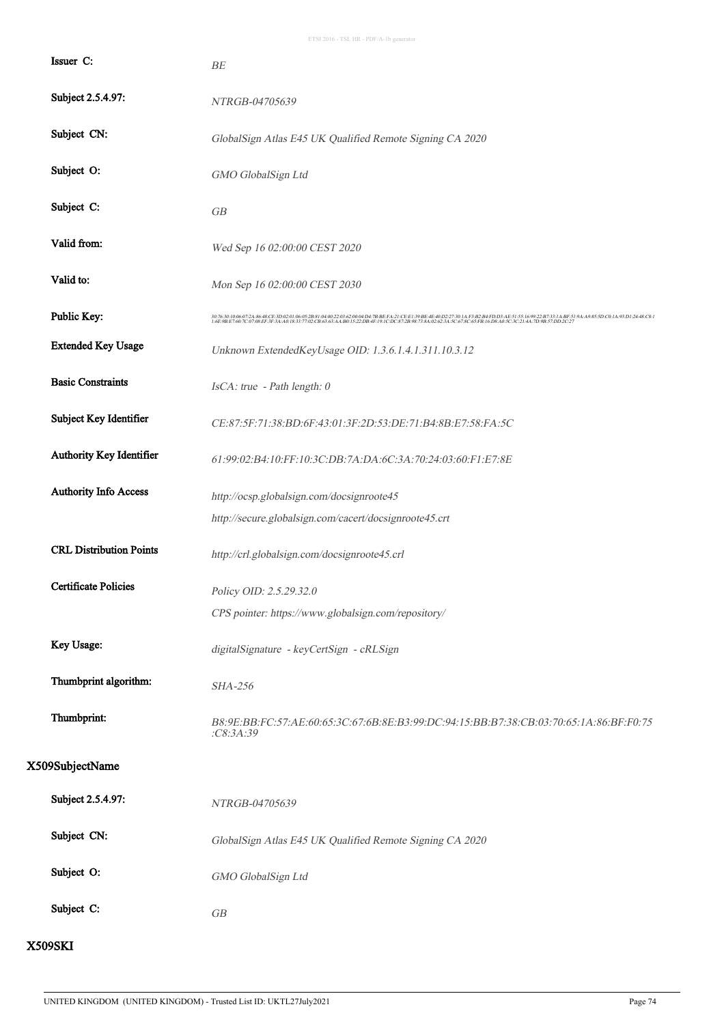| Issuer C:                      | BE                                                                                                                                                                                                                                |  |  |
|--------------------------------|-----------------------------------------------------------------------------------------------------------------------------------------------------------------------------------------------------------------------------------|--|--|
| Subject 2.5.4.97:              | NTRGB-04705639                                                                                                                                                                                                                    |  |  |
| Subject CN:                    | GlobalSign Atlas E45 UK Qualified Remote Signing CA 2020                                                                                                                                                                          |  |  |
| Subject O:                     | GMO GlobalSign Ltd                                                                                                                                                                                                                |  |  |
| Subject C:                     | GB                                                                                                                                                                                                                                |  |  |
| Valid from:                    | Wed Sep 16 02:00:00 CEST 2020                                                                                                                                                                                                     |  |  |
| Valid to:                      | Mon Sep 16 02:00:00 CEST 2030                                                                                                                                                                                                     |  |  |
| Public Key:                    | 307630:10:06:07:24:86:48:CE3D:02:01:06:05:2B:81:44:00:22:03:02:00:04:D47B:BEFA2:1CEE1:39BE-4(P0227:30:1A:F3B2B4FEDD3:AE51:55:16:99:22B733:1A:BF51:9AA9:85:5D:C0:1A:93:D1:24:48:C8:1<br>1:6E9B:E7:60:7C:07:08:EF3F:3A:A0:18:33:77: |  |  |
| <b>Extended Key Usage</b>      | Unknown ExtendedKeyUsage OID: 1.3.6.1.4.1.311.10.3.12                                                                                                                                                                             |  |  |
| <b>Basic Constraints</b>       | IsCA: true - Path length: 0                                                                                                                                                                                                       |  |  |
| Subject Key Identifier         | CE:87:5F:71:38:BD:6F:43:01:3F:2D:53:DE:71:B4:8B:E7:58:FA:5C                                                                                                                                                                       |  |  |
| Authority Key Identifier       | 61:99:02:B4:10:FF:10:3C:DB:7A:DA:6C:3A:70:24:03:60:F1:E7:8E                                                                                                                                                                       |  |  |
| <b>Authority Info Access</b>   | http://ocsp.globalsign.com/docsignroote45                                                                                                                                                                                         |  |  |
|                                | http://secure.globalsign.com/cacert/docsignroote45.crt                                                                                                                                                                            |  |  |
| <b>CRL Distribution Points</b> | http://crl.globalsign.com/docsignroote45.crl                                                                                                                                                                                      |  |  |
| <b>Certificate Policies</b>    | Policy OID: 2.5.29.32.0                                                                                                                                                                                                           |  |  |
|                                | CPS pointer: https://www.globalsign.com/repository/                                                                                                                                                                               |  |  |
| Key Usage:                     | digitalSignature - keyCertSign - cRLSign                                                                                                                                                                                          |  |  |
| Thumbprint algorithm:          | SHA-256                                                                                                                                                                                                                           |  |  |
| Thumbprint:                    | B8:9E:BB:FC:57:AE:60:65:3C:67:6B:8E:B3:99:DC:94:15:BB:B7:38:CB:03:70:65:1A:86:BF:F0:75<br>C8:3A:39                                                                                                                                |  |  |
| X509SubjectName                |                                                                                                                                                                                                                                   |  |  |
| Subject 2.5.4.97:              | NTRGB-04705639                                                                                                                                                                                                                    |  |  |
| Subject CN:                    | GlobalSign Atlas E45 UK Qualified Remote Signing CA 2020                                                                                                                                                                          |  |  |
| Subject O:                     | GMO GlobalSign Ltd                                                                                                                                                                                                                |  |  |
| Subject C:                     | ${\cal GB}$                                                                                                                                                                                                                       |  |  |

X509SKI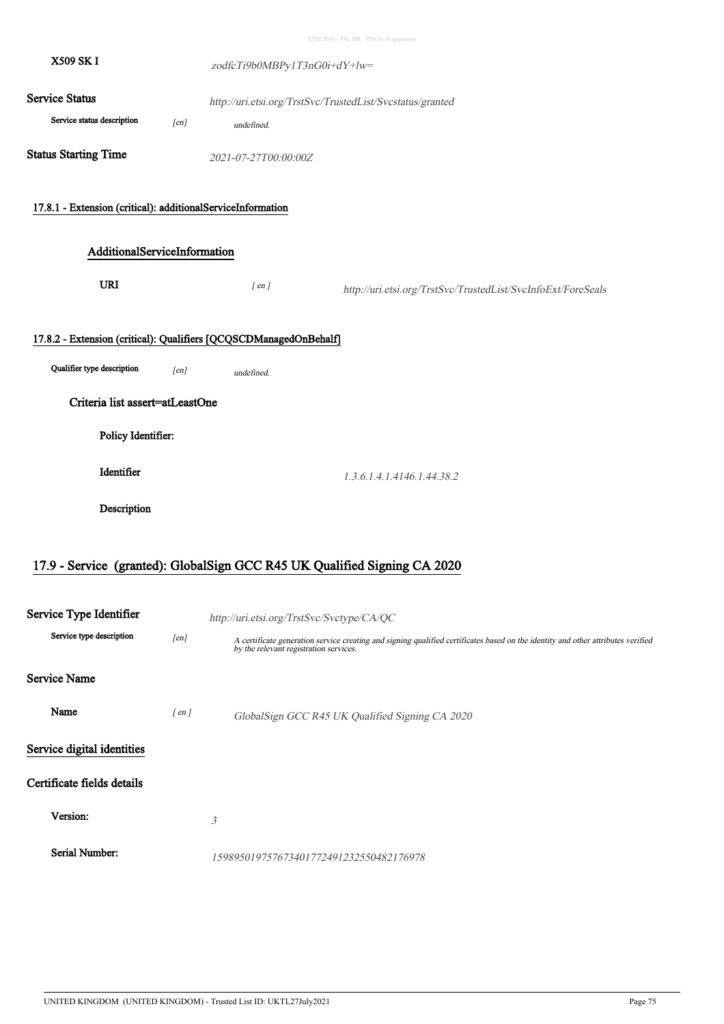**Service Status** X509 SK I zodfcTi9b0MBPy1T3nG0i+dY+lw= http://uri.etsi.org/TrstSvc/TrustedList/Svcstatus/granted Service status description [en] undefined. Status Starting Time<br>  $2021-07-27T00:00:00Z$ 17.8.1 - Extension (critical): additionalServiceInformation AdditionalServiceInformation URI  $[ en ]$ http://uri.etsi.org/TrstSvc/TrustedList/SvcInfoExt/ForeSeals 17.8.2 - Extension (critical): Qualifiers [QCQSCDManagedOnBehalf] Qualifier type description  $[en]$  undefined. Criteria list assert=atLeastOne Policy Identifier: **Identifier** 1.3.6.1.4.1.4146.1.44.38.2 **Description** ETSI 2016 - TSL HR - PDF/A-1b generator

#### 17.9 - Service (granted): GlobalSign GCC R45 UK Qualified Signing CA 2020

| Service Type Identifier    |            | http://uri.etsi.org/TrstSvc/Svctype/CA/QC                                                                                                                                  |  |
|----------------------------|------------|----------------------------------------------------------------------------------------------------------------------------------------------------------------------------|--|
| Service type description   | [en]       | A certificate generation service creating and signing qualified certificates based on the identity and other attributes verified<br>by the relevant registration services. |  |
| <b>Service Name</b>        |            |                                                                                                                                                                            |  |
| Name                       | $[$ en $]$ | GlobalSign GCC R45 UK Qualified Signing CA 2020                                                                                                                            |  |
| Service digital identities |            |                                                                                                                                                                            |  |
| Certificate fields details |            |                                                                                                                                                                            |  |
| Version:                   |            | 3                                                                                                                                                                          |  |
| Serial Number:             |            | 159895019757673401772491232550482176978                                                                                                                                    |  |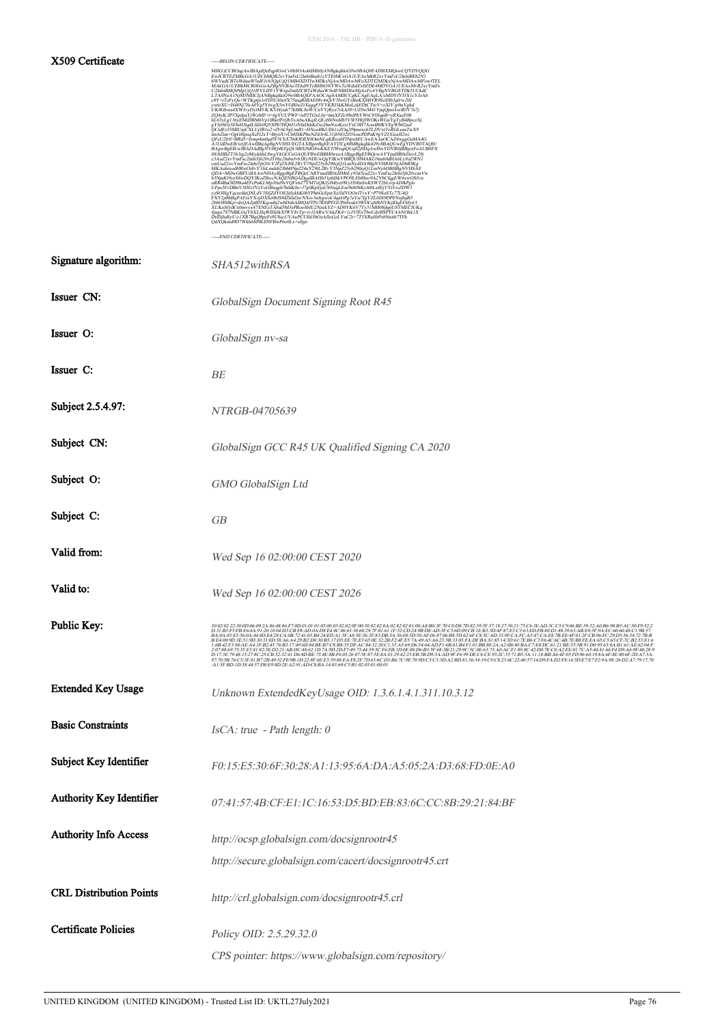#### ETSI 2016 - TSL HR - PDF/A-1b generator

#### X509 Certificate -----BEGIN CERTIFICATE-----

| MIIG/jCCBOagAwIBAgIQeEqpIGwCv0bSOAo0dMlr0jANBgkqhkiG9w0BAQ0FADBXMQswCQYDVQQG                                                                                 |
|--------------------------------------------------------------------------------------------------------------------------------------------------------------|
| EwJCRTEZMBeGA1UEChMÖR2xvYmFsU2InbiBudi1zYTEtMCsGA1UEAxMkR2xvYmFsU2InbiBEb2N1                                                                                 |
| bWVudCBTaWduaW5nIFJvb3QgUjQ1MB4XDTIwMDkxNjAwMDAwMFoXDTI2MDkxNjAwMDAwMFowfTEL                                                                                 |
| MAkGA1UEBhMCR0IxGzAZBgNVBAoTEkdNTvBHbG9iYWxTaWduIEx0ZDE4MDYGA1UEAxMvR2xvYmFs                                                                                 |
| U2InbiBH00MgUiO1IFVLIFF1YWxpZmllZCBTaWduaW5nIENBIDIwMiAxFzAVBgNVBGETDk5UUkdC                                                                                 |
| LTA0NzA1NjM5MIICIjANBgkqhkiG9w0BAQEFAAOCAg8AMIICCgKČAgEAqLA7cMDYfYI5X1cYJzAh                                                                                 |
| c8Y+rTzFyQa+WTKgtpi1rFD5Ui0xtfX75mqRIBAE08v4rQrY5IwGYzBoKX8BYR9SzSSb3q0/w20J                                                                                 |
| vx6zXU+H48Ni7fuA0Yg5Y6vgX5rsYGBIwZtXugaF5VYKRI3kKMoLckEDtCTtoV+oXlY/g9taVghd                                                                                 |
| UK8Ghwa4XWJvyDytM5/K/KVHyuh77k8BL8uW/CnVVjRye7vkAJ0+UZ0wM41YpqQpstAwtRfV7n7j                                                                                 |
| ZQ4yK/JP5XpJpaYjWzMF+t+6gYUUPWF+tsP2TGxLfrj+6mXFZc98slPhYWtC85SupB+yRXazF0lt                                                                                 |
| hL63yLg136yEMiDBM6Vp1lRkrfFrQbTxAbuAKqILQLrH6NxhIb5VW5HQIWOKsWGuYgTyB4BpczXj                                                                                 |
| gYJe0iGr3EhiHXqdLfdJc0Q5XPb7HQ6HrNfaDshKZxcDmNzoKzxiYxC0H7Aou4BfKVEgWb02aaf                                                                                  |
| QCidFz55SBUnjCXLUjJB1o2+dY6L9gUmB1+HXooBKUIl61vZOq2f9pnexs6TLDVxtToRGLumTwX9                                                                                 |
| lmAZim+OgG8tpzaXcFt2xT+BtvtJUvCbHSKPbuNZiOr4L31ibNO2fJ5wncPDPaK9gVZUGcnII2wi                                                                                 |
| QFcU2frS+BRd5+fymp4m0qd5F3ChX70dOERX0OmNLqKRrci6FINpxbECAwEAÃaOCAZ4wggGaMA4G                                                                                 |
| A1UdDwEB/wQEAwIBhjAgBgNVHSUEGTAXBgorBgEEAYI3CgMMBgkqhkiG9y8BAQUwEgYDVR0TAQH/                                                                                 |
| BAgwBgEB/wIBADAdBgNVHQ4EFgQU8BX1MG8wKKET1WrapQUq02j9DqAwHwYDVR0jBBgwFoAUB0FX                                                                                 |
| S8/hHBZT1b3rg2zMiykhhL8wgYkGCCsGAQUFBwEBBH0wczA1BggrBgEFBQcwAYYpaHR0cDovL29j                                                                                 |
| c3AuZ2xvYmFsc2lnbi5jb20vZG9jc2lnbnJvb3RyNDUwQgYIKwYBBQUHMAKGNmh0dHA6Ly9zZWN1                                                                                 |
| cmUuZ2xvYmFsc2lnbi5jb20vY2FjZXJ0L2RvY3NpZ25yb290cjQ1LmNydDA9BgNVHR8ENjA0MDKg                                                                                 |
| MKAuhixodHRwOi8vY3JsLmdsb2JhbHNpZ24uY29tL2RvY3NpZ25yb290cjQ1LmNybDBHBgNVHSAE                                                                                 |
| QDA+MDwGBFUdIAAwNDAyBggrBgEFBQcCARYmaHR0cHM6Ly93d3cuZ2xvYmFsc2lnbi5jb20vcmVw                                                                                 |
| b3NpdG9yeS8wDQYJKoZIhvcNAQENBQADggIBAHb51phI8kVPO9LEb88eo9A2YbCfqgEW6xwOSfvw<br>uRR4BaÓID9ha4EFcPuKLMp30af9sYQFx6Z7YMTzQKfylMlye0Wyl50fmSxKSWT2bLivpADfkPglo |
| UFps3FvDBnV5DG/fVsYoGBxqgb7hihK0a+J7g0KpEjuUbNuqLEze9s80SKy60tLs4EjVYrUoZDW3                                                                                 |
| yzŠOISgYqceohkQNLdV3SfjZdYOEJjtlykhK0bYPh6GcEpirXe3ldYOOxfTvxY+P79ŠoSTc77U4Q                                                                                 |
| FXY2p8hBqPAFzsYXojDXSz0bJSMZkhZm/NXsv3nfegwoC4qaGPg7aYsi7fgVZL0Di9DPENsjbqB3                                                                                 |
| 2bbO8MKp+dxQAZpBlTKqoubj2wbDiihABIQ4JTPe7RSfPFGUP64wdcOWOCqMhNYKjlDqEF6Iy6/I                                                                                 |
| XUKoSfvdCx0mvvx47XNÉzTAbal5M5ePRooSbIU2NzekYZ+AD0YK6V7Tv31MH08ihpiU8TMECIUKa                                                                                 |
| 4jugx7S7NBKJAjYhXLHqWIIfelkXfWY8vTp+iv1IARwVAkZK4+1cJVfExTboUdyBSPYC4ANOhk1X                                                                                 |
| DrlDjluRyU/c1XR7BqQ8pcFs9USscUVAuPCUIhl3bOzAIloGzLVuC2t+7T3XRuHrPzbNnitb7TFh                                                                                 |
| QdXQkmd9D7Wkh6SPIKIINFBwP6o0Lx+slIgn                                                                                                                         |
|                                                                                                                                                              |

 $\begin{minipage}{.4\linewidth} \hspace*{1.5cm} \textbf{LND} \hspace*{1.5cm} \textbf{CER TIFICATE--} \end{minipage}$ 

| Signature algorithm:            | SHA512withRSA                                                                                                                                                                                                                                                                                                                                                                                                                                                                                                                                                                                |  |  |
|---------------------------------|----------------------------------------------------------------------------------------------------------------------------------------------------------------------------------------------------------------------------------------------------------------------------------------------------------------------------------------------------------------------------------------------------------------------------------------------------------------------------------------------------------------------------------------------------------------------------------------------|--|--|
| Issuer CN:                      | GlobalSign Document Signing Root R45                                                                                                                                                                                                                                                                                                                                                                                                                                                                                                                                                         |  |  |
| Issuer O:                       | GlobalSign nv-sa                                                                                                                                                                                                                                                                                                                                                                                                                                                                                                                                                                             |  |  |
| Issuer C:                       | BE                                                                                                                                                                                                                                                                                                                                                                                                                                                                                                                                                                                           |  |  |
| Subject 2.5.4.97:               | NTRGB-04705639                                                                                                                                                                                                                                                                                                                                                                                                                                                                                                                                                                               |  |  |
| Subject CN:                     | GlobalSign GCC R45 UK Qualified Signing CA 2020                                                                                                                                                                                                                                                                                                                                                                                                                                                                                                                                              |  |  |
| Subject O:                      | GMO GlobalSign Ltd                                                                                                                                                                                                                                                                                                                                                                                                                                                                                                                                                                           |  |  |
| Subject C:                      | GB                                                                                                                                                                                                                                                                                                                                                                                                                                                                                                                                                                                           |  |  |
| Valid from:                     | Wed Sep 16 02:00:00 CEST 2020                                                                                                                                                                                                                                                                                                                                                                                                                                                                                                                                                                |  |  |
| Valid to:                       | Wed Sep 16 02:00:00 CEST 2026                                                                                                                                                                                                                                                                                                                                                                                                                                                                                                                                                                |  |  |
| Public Key:                     | 303202230006692A86886F7000101010500382006F003082070161F22CD349BDEADF702087D8239557182730217061EDF802306BE982DA868854C307932<br>D31B5F57BE66A91201064D3CB78AD6AD8E48C6633088297f0161F22CD349BDEAD3FC36D09CB1EB3:D4F87E3C363EDFB80D<br>$\frac{1.6B\cdot 42F3\cdot 94A\cdot 4A\cdot 4F\cdot 42\cdot 457\cdot 681\cdot 1749\cdot 60\cdot 84B\cdot 47C\cdot 883\cdot 10F\cdot 4C\cdot 84.22\cdot 00C\cdot 137\cdot 45\cdot 69D\cdot 654\cdot 64AD\cdot F\cdot 64AD\cdot 4B\cdot F\cdot 10B\cdot 802\cdot 4A\cdot 20B\cdot 40B\cdot 4C\cdot 7B\cdot 8D\cdot 63A\cdot 116D\cdot 10B\cdot 85B\cdot $ |  |  |
| <b>Extended Key Usage</b>       | 97.70.50.76.25.81.57.20.49.55.1099.1022.87.50.38.45.16.27.06.36.05.16.70.90.05.05.30.00.109.36.54.19.06.02.20.57.41.00.41.41.0218.14.50.67.57.12.98.26.02.47.79.17.70<br>-A1-SFBD-1D38.4457.00.698D2EA291.ADC8BA-1483.69C5B1:0203<br>Unknown ExtendedKeyUsage OID: 1.3.6.1.4.1.311.10.3.12                                                                                                                                                                                                                                                                                                   |  |  |
| <b>Basic Constraints</b>        | $IsCA: true - Path length: 0$                                                                                                                                                                                                                                                                                                                                                                                                                                                                                                                                                                |  |  |
| Subject Key Identifier          | F0:15:E5:30:6F:30:28:A1:13:95:6A:DA:A5:05:2A:D3:68:FD:0E:A0                                                                                                                                                                                                                                                                                                                                                                                                                                                                                                                                  |  |  |
| <b>Authority Key Identifier</b> | 07:41:57:4B:CF:E1:1C:16:53:D5:BD:EB:83:6C:CC:8B:29:21:84:BF                                                                                                                                                                                                                                                                                                                                                                                                                                                                                                                                  |  |  |
| <b>Authority Info Access</b>    | http://ocsp.globalsign.com/docsignrootr45                                                                                                                                                                                                                                                                                                                                                                                                                                                                                                                                                    |  |  |
|                                 | http://secure.globalsign.com/cacert/docsignrootr45.crt                                                                                                                                                                                                                                                                                                                                                                                                                                                                                                                                       |  |  |
| <b>CRL Distribution Points</b>  | http://crl.globalsign.com/docsignrootr45.crl                                                                                                                                                                                                                                                                                                                                                                                                                                                                                                                                                 |  |  |
| <b>Certificate Policies</b>     | Policy OID: 2.5.29.32.0                                                                                                                                                                                                                                                                                                                                                                                                                                                                                                                                                                      |  |  |
|                                 | CPS pointer: https://www.globalsign.com/repository/                                                                                                                                                                                                                                                                                                                                                                                                                                                                                                                                          |  |  |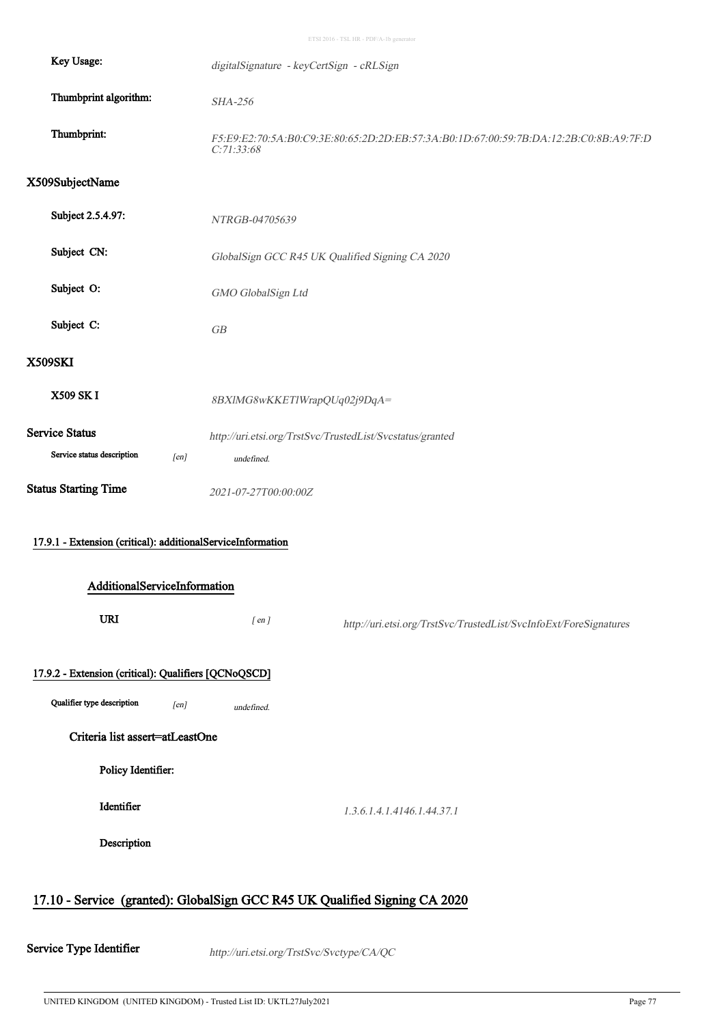ETSI 2016 - TSL HR - PDF/A-1b generator

| Key Usage:                                                  | digitalSignature - keyCertSign - cRLSign                                                            |  |  |  |
|-------------------------------------------------------------|-----------------------------------------------------------------------------------------------------|--|--|--|
| Thumbprint algorithm:                                       | SHA-256                                                                                             |  |  |  |
| Thumbprint:                                                 | F5:E9:E2:70:5A:B0:C9:3E:80:65:2D:2D:EB:57:3A:B0:1D:67:00:59:7B:DA:12:2B:C0:8B:A9:7F:D<br>C:71:33:68 |  |  |  |
| X509SubjectName                                             |                                                                                                     |  |  |  |
| Subject 2.5.4.97:                                           | NTRGB-04705639                                                                                      |  |  |  |
| Subject CN:                                                 | GlobalSign GCC R45 UK Qualified Signing CA 2020                                                     |  |  |  |
| Subject O:                                                  | GMO GlobalSign Ltd                                                                                  |  |  |  |
| Subject C:                                                  | GB                                                                                                  |  |  |  |
| <b>X509SKI</b>                                              |                                                                                                     |  |  |  |
| X509 SK I                                                   | 8BXlMG8wKKETlWrapQUq02j9DqA=                                                                        |  |  |  |
| Service Status                                              | http://uri.etsi.org/TrstSvc/TrustedList/Svcstatus/granted                                           |  |  |  |
| Service status description<br>[en]                          | undefined.                                                                                          |  |  |  |
| <b>Status Starting Time</b>                                 | 2021-07-27T00:00:00Z                                                                                |  |  |  |
| 17.9.1 - Extension (critical): additionalServiceInformation |                                                                                                     |  |  |  |
| AdditionalServiceInformation                                |                                                                                                     |  |  |  |
| <b>URI</b>                                                  | $[$ en $]$<br>http://uri.etsi.org/TrstSvc/TrustedList/SvcInfoExt/ForeSignatures                     |  |  |  |
| 17.9.2 - Extension (critical): Qualifiers [QCNoQSCD]        |                                                                                                     |  |  |  |
| Qualifier type description<br>[en]                          | undefined.                                                                                          |  |  |  |
| Criteria list assert=atLeastOne                             |                                                                                                     |  |  |  |
| Policy Identifier:                                          |                                                                                                     |  |  |  |
| Identifier                                                  | 1.3.6.1.4.1.4146.1.44.37.1                                                                          |  |  |  |
| Description                                                 |                                                                                                     |  |  |  |
|                                                             |                                                                                                     |  |  |  |

### 17.10 - Service (granted): GlobalSign GCC R45 UK Qualified Signing CA 2020

Service Type Identifier http://uri.etsi.org/TrstSvc/Svctype/CA/QC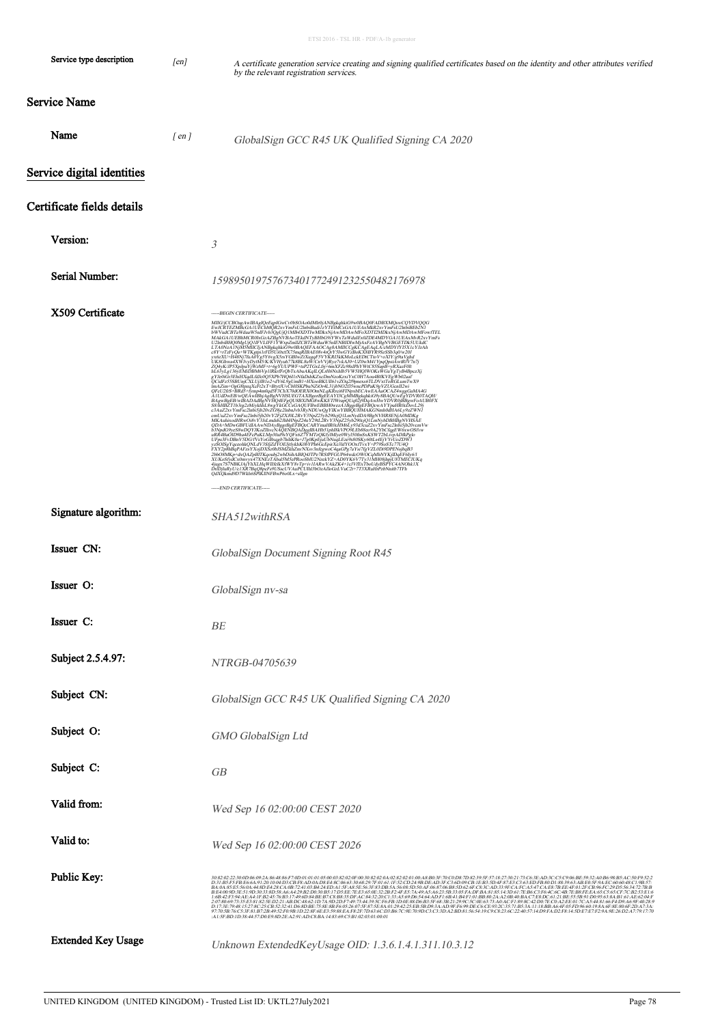| Service type description   | [en]       | A certificate generation service creating and signing qualified certificates based on the identity and other attributes verified<br>by the relevant registration services.                                                                                                                                                                                                                                                                                                                                                                                                                                                                                                                                                                                    |  |
|----------------------------|------------|---------------------------------------------------------------------------------------------------------------------------------------------------------------------------------------------------------------------------------------------------------------------------------------------------------------------------------------------------------------------------------------------------------------------------------------------------------------------------------------------------------------------------------------------------------------------------------------------------------------------------------------------------------------------------------------------------------------------------------------------------------------|--|
| Service Name               |            |                                                                                                                                                                                                                                                                                                                                                                                                                                                                                                                                                                                                                                                                                                                                                               |  |
| Name                       | $[$ en $]$ | GlobalSign GCC R45 UK Qualified Signing CA 2020                                                                                                                                                                                                                                                                                                                                                                                                                                                                                                                                                                                                                                                                                                               |  |
| Service digital identities |            |                                                                                                                                                                                                                                                                                                                                                                                                                                                                                                                                                                                                                                                                                                                                                               |  |
| Certificate fields details |            |                                                                                                                                                                                                                                                                                                                                                                                                                                                                                                                                                                                                                                                                                                                                                               |  |
| Version:                   |            | 3                                                                                                                                                                                                                                                                                                                                                                                                                                                                                                                                                                                                                                                                                                                                                             |  |
| Serial Number:             |            | 159895019757673401772491232550482176978                                                                                                                                                                                                                                                                                                                                                                                                                                                                                                                                                                                                                                                                                                                       |  |
| X509 Certificate           |            | -----BEGIN CERTIFICATE-----<br>-----END CERTIFICATE-----                                                                                                                                                                                                                                                                                                                                                                                                                                                                                                                                                                                                                                                                                                      |  |
| Signature algorithm:       |            | SHA512withRSA                                                                                                                                                                                                                                                                                                                                                                                                                                                                                                                                                                                                                                                                                                                                                 |  |
| Issuer CN:                 |            | GlobalSign Document Signing Root R45                                                                                                                                                                                                                                                                                                                                                                                                                                                                                                                                                                                                                                                                                                                          |  |
| Issuer O:                  |            | GlobalSign nv-sa                                                                                                                                                                                                                                                                                                                                                                                                                                                                                                                                                                                                                                                                                                                                              |  |
| Issuer C:                  |            | BE                                                                                                                                                                                                                                                                                                                                                                                                                                                                                                                                                                                                                                                                                                                                                            |  |
| Subject 2.5.4.97:          |            | <i>NTRGB-04705639</i>                                                                                                                                                                                                                                                                                                                                                                                                                                                                                                                                                                                                                                                                                                                                         |  |
| Subject CN:                |            | GlobalSign GCC R45 UK Qualified Signing CA 2020                                                                                                                                                                                                                                                                                                                                                                                                                                                                                                                                                                                                                                                                                                               |  |
| Subject O:                 |            | GMO GlobalSign Ltd                                                                                                                                                                                                                                                                                                                                                                                                                                                                                                                                                                                                                                                                                                                                            |  |
| Subject C:                 |            | GB                                                                                                                                                                                                                                                                                                                                                                                                                                                                                                                                                                                                                                                                                                                                                            |  |
| Valid from:                |            | Wed Sep 16 02:00:00 CEST 2020                                                                                                                                                                                                                                                                                                                                                                                                                                                                                                                                                                                                                                                                                                                                 |  |
| Valid to:                  |            | Wed Sep 16 02:00:00 CEST 2026                                                                                                                                                                                                                                                                                                                                                                                                                                                                                                                                                                                                                                                                                                                                 |  |
| Public Key:                |            | 30820223000069924864886700919101050038202060398202040282020100A8B03F70CDR7D82394F571827302175C65EAD3CC5C906BE592340B688B54C59p952240B688<br>D31B5F5FBE66A91201004D3CBF8AD0AD8E48C06633068297F01611F52CD249BDEAD3FC36D09CB1EB35D4F<br>BA:0A:85:E5:56:0A:44:8D:E4:28:CA:0B:72:41:03:B4:24:ED:A1:5F:A8:5E:56:3F:83:DB:5A:56:08:5D:50:AF:06:87:06:B8:5D:62:6F:C8:3C:AD:33:9F:CA:FC:A5:47:CA:E8:7B:EE:4F:01:2F:CB:96:FC:29:D5:56:34:72:7B:B<br>BE4009D3E519D30338D58A6A429B2D030B517D5EE7EE3650E322BF24FE57A49A5A6235B3305FADFBA818514D617EB6C3F64C6C4B7EB8FEEA65C565CF7CB253E16<br>1.6842F354AE5A1FB24576B317496036BE87C8B855DFAC843220C133A566D6546ADF16B41B4F101B8802AA20840B<br>:A1:5F:BD:1D:38:44:57:D0:E9:8D:2E:A2:91:AD:C8:BA:14:83:69:C5:B1:02:03:01:00:01 |  |
| <b>Extended Key Usage</b>  |            | Unknown ExtendedKeyUsage OID: 1.3.6.1.4.1.311.10.3.12                                                                                                                                                                                                                                                                                                                                                                                                                                                                                                                                                                                                                                                                                                         |  |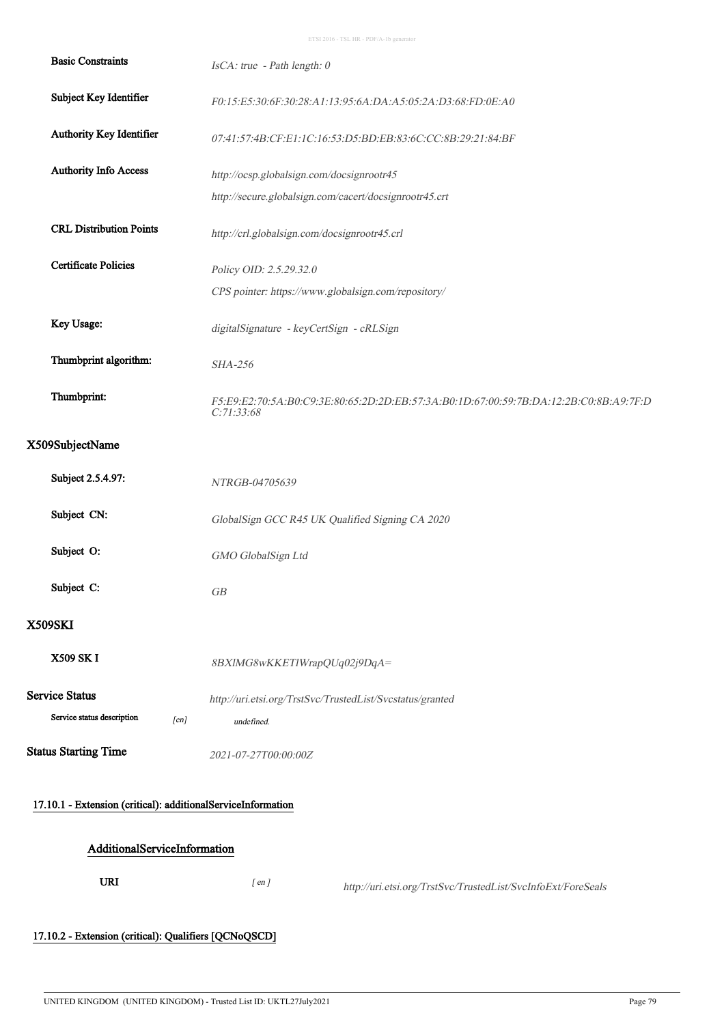ETSI 2016 - TSL HR - PDF/A-1b generator

| <b>Basic Constraints</b>                                     | IsCA: true - Path length: 0                                                                         |  |  |  |
|--------------------------------------------------------------|-----------------------------------------------------------------------------------------------------|--|--|--|
| Subject Key Identifier                                       | F0:15:E5:30:6F:30:28:A1:13:95:6A:DA:A5:05:2A:D3:68:FD:0E:A0                                         |  |  |  |
| Authority Key Identifier                                     | 07:41:57:4B:CF:E1:1C:16:53:D5:BD:EB:83:6C:CC:8B:29:21:84:BF                                         |  |  |  |
| <b>Authority Info Access</b>                                 | http://ocsp.globalsign.com/docsignrootr45                                                           |  |  |  |
|                                                              | http://secure.globalsign.com/cacert/docsignrootr45.crt                                              |  |  |  |
| <b>CRL Distribution Points</b>                               | http://crl.globalsign.com/docsignrootr45.crl                                                        |  |  |  |
| <b>Certificate Policies</b>                                  | Policy OID: 2.5.29.32.0                                                                             |  |  |  |
|                                                              | CPS pointer: https://www.globalsign.com/repository/                                                 |  |  |  |
| Key Usage:                                                   | digitalSignature - keyCertSign - cRLSign                                                            |  |  |  |
| Thumbprint algorithm:                                        | SHA-256                                                                                             |  |  |  |
| Thumbprint:                                                  | F5:E9:E2:70:5A:B0:C9:3E:80:65:2D:2D:EB:57:3A:B0:1D:67:00:59:7B:DA:12:2B:C0:8B:A9:7F:D<br>C:71:33:68 |  |  |  |
| X509SubjectName                                              |                                                                                                     |  |  |  |
| Subject 2.5.4.97:                                            | NTRGB-04705639                                                                                      |  |  |  |
| Subject CN:                                                  | GlobalSign GCC R45 UK Qualified Signing CA 2020                                                     |  |  |  |
| Subject O:                                                   | GMO GlobalSign Ltd                                                                                  |  |  |  |
| Subject C:                                                   | GB                                                                                                  |  |  |  |
| <b>X509SKI</b>                                               |                                                                                                     |  |  |  |
| <b>X509 SKI</b>                                              | 8BXlMG8wKKETlWrapQUq02j9DqA=                                                                        |  |  |  |
| <b>Service Status</b>                                        | http://uri.etsi.org/TrstSvc/TrustedList/Svcstatus/granted                                           |  |  |  |
| Service status description<br>[en]                           | undefined.                                                                                          |  |  |  |
| <b>Status Starting Time</b>                                  | 2021-07-27T00:00:00Z                                                                                |  |  |  |
| 17.10.1 - Extension (critical): additionalServiceInformation |                                                                                                     |  |  |  |
|                                                              |                                                                                                     |  |  |  |
| AdditionalServiceInformation                                 |                                                                                                     |  |  |  |
| <b>URI</b>                                                   | $[$ en $]$<br>http://uri.etsi.org/TrstSvc/TrustedList/SvcInfoExt/ForeSeals                          |  |  |  |
| 17.10.2 - Extension (critical): Qualifiers [QCNoQSCD]        |                                                                                                     |  |  |  |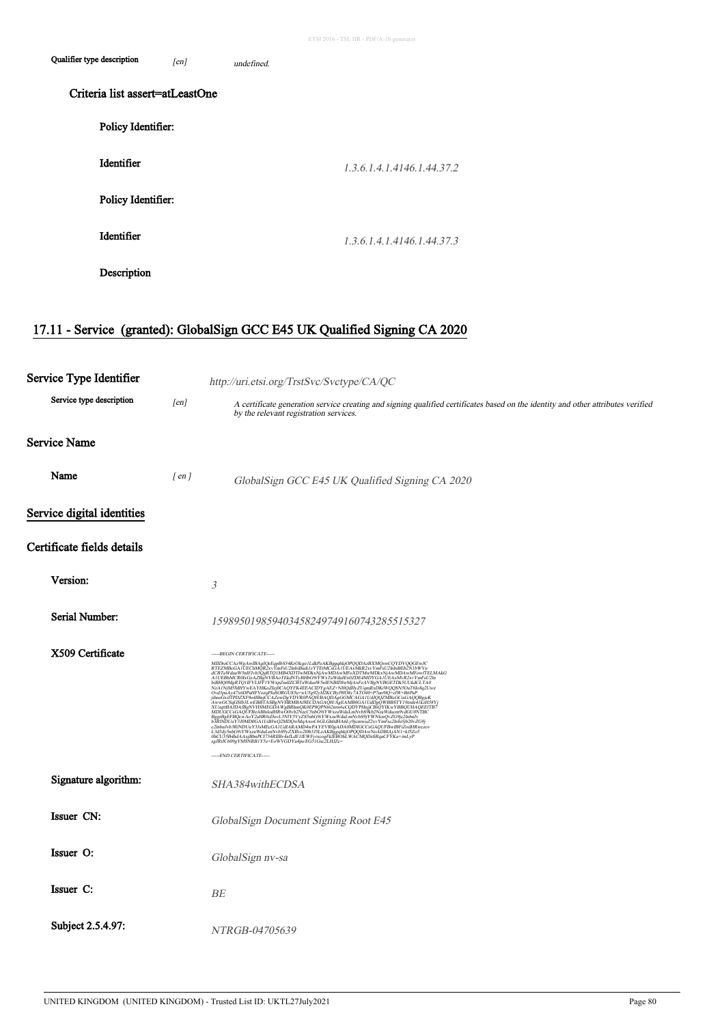| Qualifier type description | [en]                            | undefined. |                            |  |  |
|----------------------------|---------------------------------|------------|----------------------------|--|--|
|                            | Criteria list assert=atLeastOne |            |                            |  |  |
| Policy Identifier:         |                                 |            |                            |  |  |
| Identifier                 |                                 |            | 1.3.6.1.4.1.4146.1.44.37.2 |  |  |
| Policy Identifier:         |                                 |            |                            |  |  |
| Identifier                 |                                 |            | 1.3.6.1.4.1.4146.1.44.37.3 |  |  |
| Description                |                                 |            |                            |  |  |

## 17.11 - Service (granted): GlobalSign GCC E45 UK Qualified Signing CA 2020

 $\ddot{\phantom{a}}$ 

| Service Type Identifier    |            | http://uri.etsi.org/TrstSvc/Svctype/CA/QC                                                                                                                                                                                                                                                                                                                                                                                                                                                        |  |
|----------------------------|------------|--------------------------------------------------------------------------------------------------------------------------------------------------------------------------------------------------------------------------------------------------------------------------------------------------------------------------------------------------------------------------------------------------------------------------------------------------------------------------------------------------|--|
| Service type description   | [en]       | A certificate generation service creating and signing qualified certificates based on the identity and other attributes verified<br>by the relevant registration services.                                                                                                                                                                                                                                                                                                                       |  |
| Service Name               |            |                                                                                                                                                                                                                                                                                                                                                                                                                                                                                                  |  |
| Name                       | $[$ en $]$ | GlobalSign GCC E45 UK Qualified Signing CA 2020                                                                                                                                                                                                                                                                                                                                                                                                                                                  |  |
| Service digital identities |            |                                                                                                                                                                                                                                                                                                                                                                                                                                                                                                  |  |
| Certificate fields details |            |                                                                                                                                                                                                                                                                                                                                                                                                                                                                                                  |  |
| Version:                   |            | $\mathfrak{Z}$                                                                                                                                                                                                                                                                                                                                                                                                                                                                                   |  |
| Serial Number:             |            | 159895019859403458249749160743285515327                                                                                                                                                                                                                                                                                                                                                                                                                                                          |  |
| X509 Certificate           |            | -----BEGIN CERTIFICATE-----<br>$\label{eq:22} \begin{small} &\textbf{AB} \textbf{D} & \textbf{AC} \textbf{A} & \textbf{B} & \textbf{B} \\ \textbf{A} & \textbf{B} & \textbf{B} & \textbf{B} & \textbf{B} \\ \textbf{B} & \textbf{B} & \textbf{B} & \textbf{B} & \textbf{B} \\ \textbf{B} & \textbf{B} & \textbf{B} & \textbf{B} & \textbf{B} \\ \textbf{B} & \textbf{B} & \textbf{B} & \textbf{B} & \textbf{B} \\ \textbf{B} & \textbf{B} & \textbf{B} & \textbf{B$<br>-----END CERTIFICATE----- |  |
| Signature algorithm:       |            | SHA384withECDSA                                                                                                                                                                                                                                                                                                                                                                                                                                                                                  |  |
| Issuer CN:                 |            | GlobalSign Document Signing Root E45                                                                                                                                                                                                                                                                                                                                                                                                                                                             |  |
| Issuer O:                  |            | GlobalSign nv-sa                                                                                                                                                                                                                                                                                                                                                                                                                                                                                 |  |
| Issuer C:                  |            | BE                                                                                                                                                                                                                                                                                                                                                                                                                                                                                               |  |
| Subject 2.5.4.97:          |            | NTRGB-04705639                                                                                                                                                                                                                                                                                                                                                                                                                                                                                   |  |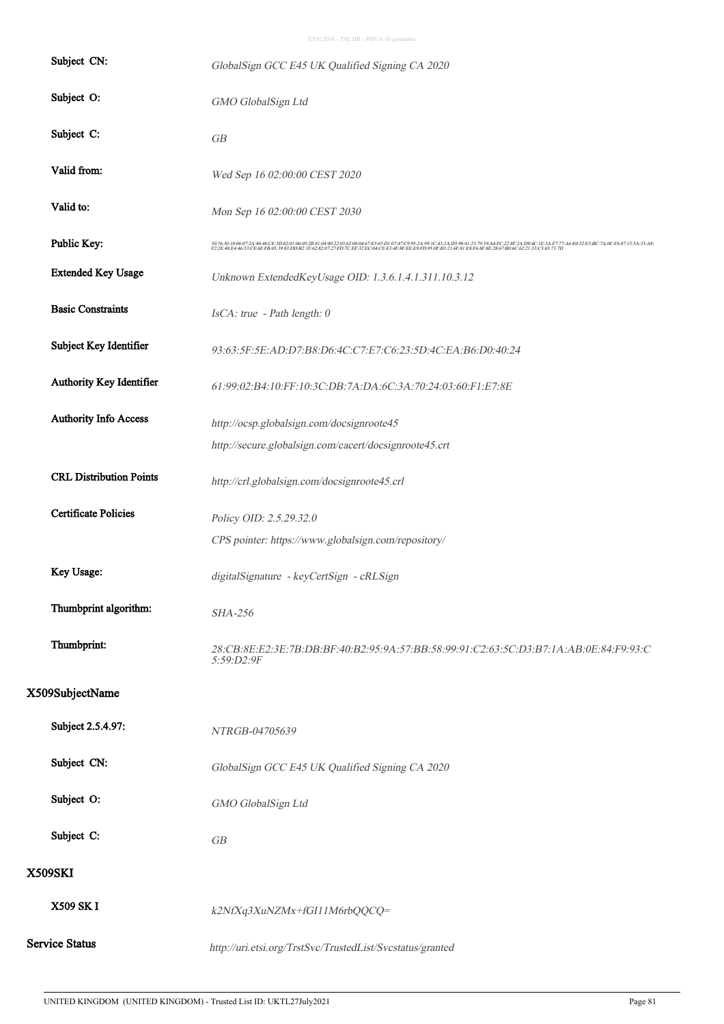| Subject CN:                    | GlobalSign GCC E45 UK Qualified Signing CA 2020                                                                                                                                                                                   |  |  |
|--------------------------------|-----------------------------------------------------------------------------------------------------------------------------------------------------------------------------------------------------------------------------------|--|--|
| Subject O:                     | GMO GlobalSign Ltd                                                                                                                                                                                                                |  |  |
| Subject C:                     | GB                                                                                                                                                                                                                                |  |  |
| Valid from:                    | Wed Sep 16 02:00:00 CEST 2020                                                                                                                                                                                                     |  |  |
| Valid to:                      | Mon Sep 16 02:00:00 CEST 2030                                                                                                                                                                                                     |  |  |
| Public Key:                    | 3076301006072A&64CE3D02010662B81040022016000467E165D10747C9652A991C432AB9041237939A41FC238F2AD94C1E3AF777A6E032E3BC7A0CF687155A33A8<br>F22E48E44653CE6EFB053983DDB21F62820727FD7CEF32EC04CEE34F8FEEE9FD950FB3216F81E8F68F8E2867B9 |  |  |
| <b>Extended Key Usage</b>      | Unknown ExtendedKeyUsage OID: 1.3.6.1.4.1.311.10.3.12                                                                                                                                                                             |  |  |
| <b>Basic Constraints</b>       | IsCA: true - Path length: 0                                                                                                                                                                                                       |  |  |
| Subject Key Identifier         | 93:63:5F:5E:AD:D7:B8:D6:4C:C7:E7:C6:23:5D:4C:EA:B6:D0:40:24                                                                                                                                                                       |  |  |
| Authority Key Identifier       | 61:99:02:B4:10:FF:10:3C:DB:7A:DA:6C:3A:70:24:03:60:F1:E7:8E                                                                                                                                                                       |  |  |
| <b>Authority Info Access</b>   | http://ocsp.globalsign.com/docsignroote45                                                                                                                                                                                         |  |  |
|                                | http://secure.globalsign.com/cacert/docsignroote45.crt                                                                                                                                                                            |  |  |
| <b>CRL Distribution Points</b> | http://crl.globalsign.com/docsignroote45.crl                                                                                                                                                                                      |  |  |
| <b>Certificate Policies</b>    | Policy OID: 2.5.29.32.0                                                                                                                                                                                                           |  |  |
|                                | CPS pointer: https://www.globalsign.com/repository/                                                                                                                                                                               |  |  |
| Key Usage:                     | digitalSignature - keyCertSign - cRLSign                                                                                                                                                                                          |  |  |
| Thumbprint algorithm:          | SHA-256                                                                                                                                                                                                                           |  |  |
| Thumbprint:                    | 28:CB:8E:E2:3E:7B:DB:BF:40:B2:95:9A:57:BB:58:99:91:C2:63:5C:D3:B7:1A:AB:0E:84:F9:93:C<br>5:59:D2:9F                                                                                                                               |  |  |
| X509SubjectName                |                                                                                                                                                                                                                                   |  |  |
| Subject 2.5.4.97:              | NTRGB-04705639                                                                                                                                                                                                                    |  |  |
| Subject CN:                    | GlobalSign GCC E45 UK Qualified Signing CA 2020                                                                                                                                                                                   |  |  |
| Subject O:                     | GMO GlobalSign Ltd                                                                                                                                                                                                                |  |  |
| Subject C:                     | GB                                                                                                                                                                                                                                |  |  |
| <b>X509SKI</b>                 |                                                                                                                                                                                                                                   |  |  |
| <b>X509 SKI</b>                | k2NfXq3XuNZMx+fGI11M6rbQQCQ=                                                                                                                                                                                                      |  |  |
| <b>Service Status</b>          | http://uri.etsi.org/TrstSvc/TrustedList/Svcstatus/granted                                                                                                                                                                         |  |  |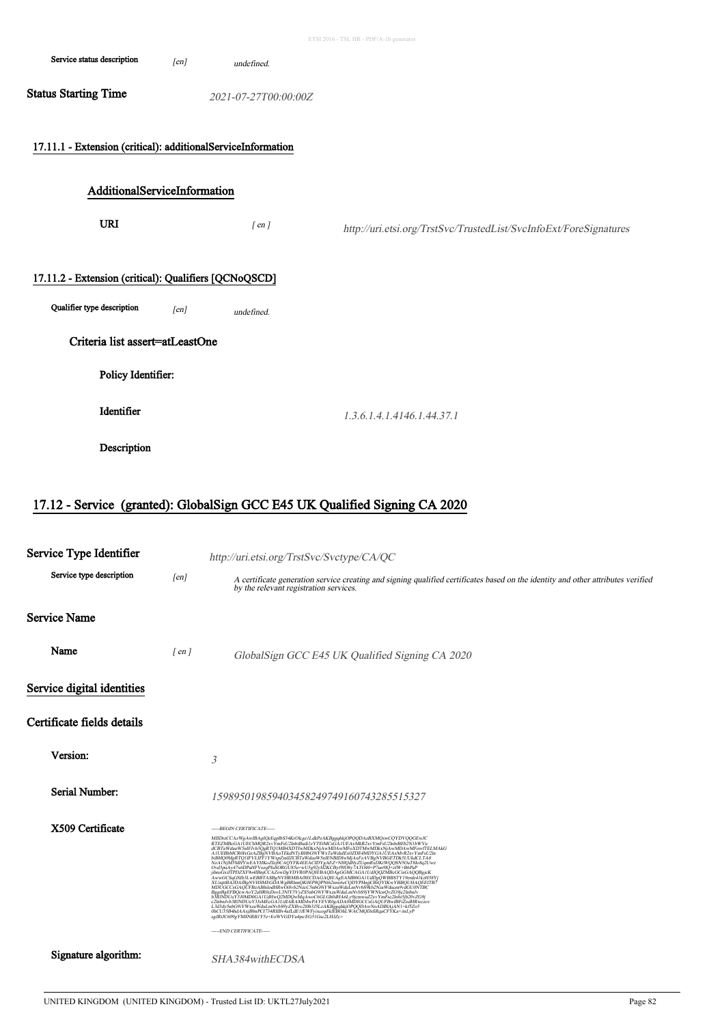|                                                                                                                        |      |                      | ETSI 2016 - TSL HR - PDF/A-1b generator                           |
|------------------------------------------------------------------------------------------------------------------------|------|----------------------|-------------------------------------------------------------------|
| Service status description                                                                                             | [en] | undefined.           |                                                                   |
| <b>Status Starting Time</b>                                                                                            |      | 2021-07-27T00:00:00Z |                                                                   |
| 17.11.1 - Extension (critical): additionalServiceInformation                                                           |      |                      |                                                                   |
| AdditionalServiceInformation                                                                                           |      |                      |                                                                   |
| <b>URI</b>                                                                                                             |      | $[$ en $]$           | http://uri.etsi.org/TrstSvc/TrustedList/SvcInfoExt/ForeSignatures |
| 17.11.2 - Extension (critical): Qualifiers [QCNoQSCD]<br>Qualifier type description<br>Criteria list assert=atLeastOne | [en] | undefined.           |                                                                   |
| Policy Identifier:                                                                                                     |      |                      |                                                                   |
| Identifier                                                                                                             |      |                      | 1.3.6.1.4.1.4146.1.44.37.1                                        |
| Description                                                                                                            |      |                      |                                                                   |
|                                                                                                                        |      |                      |                                                                   |

## 17.12 - Service (granted): GlobalSign GCC E45 UK Qualified Signing CA 2020

| Service Type Identifier    |            | http://uri.etsi.org/TrstSvc/Svctype/CA/QC                                                                                                                                                                                                                                    |
|----------------------------|------------|------------------------------------------------------------------------------------------------------------------------------------------------------------------------------------------------------------------------------------------------------------------------------|
| Service type description   | [en]       | A certificate generation service creating and signing qualified certificates based on the identity and other attributes verified<br>by the relevant registration services.                                                                                                   |
| Service Name               |            |                                                                                                                                                                                                                                                                              |
| Name                       | $[$ en $]$ | GlobalSign GCC E45 UK Qualified Signing CA 2020                                                                                                                                                                                                                              |
| Service digital identities |            |                                                                                                                                                                                                                                                                              |
| Certificate fields details |            |                                                                                                                                                                                                                                                                              |
| Version:                   |            | 3                                                                                                                                                                                                                                                                            |
| Serial Number:             |            | 159895019859403458249749160743285515327                                                                                                                                                                                                                                      |
| X509 Certificate           |            | -----BEGIN CERTIFICATE-----<br>L3d3dy5nbG9iYWxzaWduLmNvbS9yZXBvc2l0b3151zAKBggqhkjOPQQDAwNoADBIAjAN1+kf5Zo5<br>0hCU35B4hdAAxjBbnPCl734RIIBv4afLdE1fEWFyixcogFklEBOhLWACMQDSfiRqaCFYKa+/mLyP<br>sgJRtJC609gYM8NRB1Y5z+EoWVGDYu4ps/EG51Gsc2LHJZc=<br>-----END CERTIFICATE----- |
| Signature algorithm:       |            | SHA384withECDSA                                                                                                                                                                                                                                                              |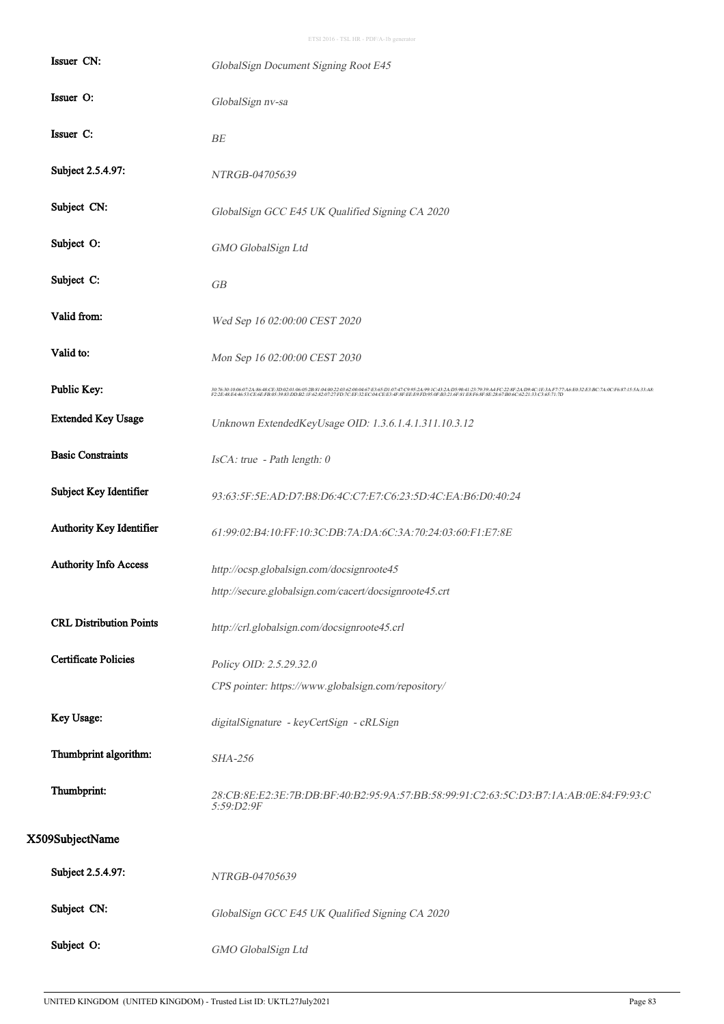| Issuer CN:                     | GlobalSign Document Signing Root E45                                                                                                                                                                                              |
|--------------------------------|-----------------------------------------------------------------------------------------------------------------------------------------------------------------------------------------------------------------------------------|
| Issuer O:                      | GlobalSign nv-sa                                                                                                                                                                                                                  |
| Issuer C:                      | <b>BE</b>                                                                                                                                                                                                                         |
| Subject 2.5.4.97:              | NTRGB-04705639                                                                                                                                                                                                                    |
| Subject CN:                    | GlobalSign GCC E45 UK Qualified Signing CA 2020                                                                                                                                                                                   |
| Subject O:                     | GMO GlobalSign Ltd                                                                                                                                                                                                                |
| Subject C:                     | GB                                                                                                                                                                                                                                |
| Valid from:                    | Wed Sep 16 02:00:00 CEST 2020                                                                                                                                                                                                     |
| Valid to:                      | Mon Sep 16 02:00:00 CEST 2030                                                                                                                                                                                                     |
| Public Key:                    | 307630:10:06:07:24:86:48:CE3D:02:01:06:05:2B:81:04:00:2033:20:00467:E3:65D:10747:C9952A99:CA3-00:09:00:32:03-A4PC22:87:240:00-27:37:00:00:20:23:25:39:25:352-00:25:37:15:54:33:48:33:48:<br>F2:2E:48:E4:46:53:CE:6E:FB:05:39:83:D |
| <b>Extended Key Usage</b>      | Unknown ExtendedKeyUsage OID: 1.3.6.1.4.1.311.10.3.12                                                                                                                                                                             |
| <b>Basic Constraints</b>       | IsCA: true - Path length: 0                                                                                                                                                                                                       |
| Subject Key Identifier         | 93:63:5F:5E:AD:D7:B8:D6:4C:C7:E7:C6:23:5D:4C:EA:B6:D0:40:24                                                                                                                                                                       |
| Authority Key Identifier       | 61:99:02:B4:10:FF:10:3C:DB:7A:DA:6C:3A:70:24:03:60:F1:E7:8E                                                                                                                                                                       |
| Authority Info Access          | http://ocsp.globalsign.com/docsignroote45                                                                                                                                                                                         |
|                                | http://secure.globalsign.com/cacert/docsignroote45.crt                                                                                                                                                                            |
| <b>CRL Distribution Points</b> | http://crl.globalsign.com/docsignroote45.crl                                                                                                                                                                                      |
| <b>Certificate Policies</b>    | Policy OID: 2.5.29.32.0                                                                                                                                                                                                           |
|                                | CPS pointer: https://www.globalsign.com/repository/                                                                                                                                                                               |
| Key Usage:                     | digitalSignature - keyCertSign - cRLSign                                                                                                                                                                                          |
| Thumbprint algorithm:          | <b>SHA-256</b>                                                                                                                                                                                                                    |
| Thumbprint:                    | 28:CB:8E:E2:3E:7B:DB:BF:40:B2:95:9A:57:BB:58:99:91:C2:63:5C:D3:B7:1A:AB:0E:84:F9:93:C<br>5:59:D2:9F                                                                                                                               |
| X509SubjectName                |                                                                                                                                                                                                                                   |
| Subject 2.5.4.97:              | NTRGB-04705639                                                                                                                                                                                                                    |
| Subject CN:                    | GlobalSign GCC E45 UK Qualified Signing CA 2020                                                                                                                                                                                   |
| Subject O:                     | GMO GlobalSign Ltd                                                                                                                                                                                                                |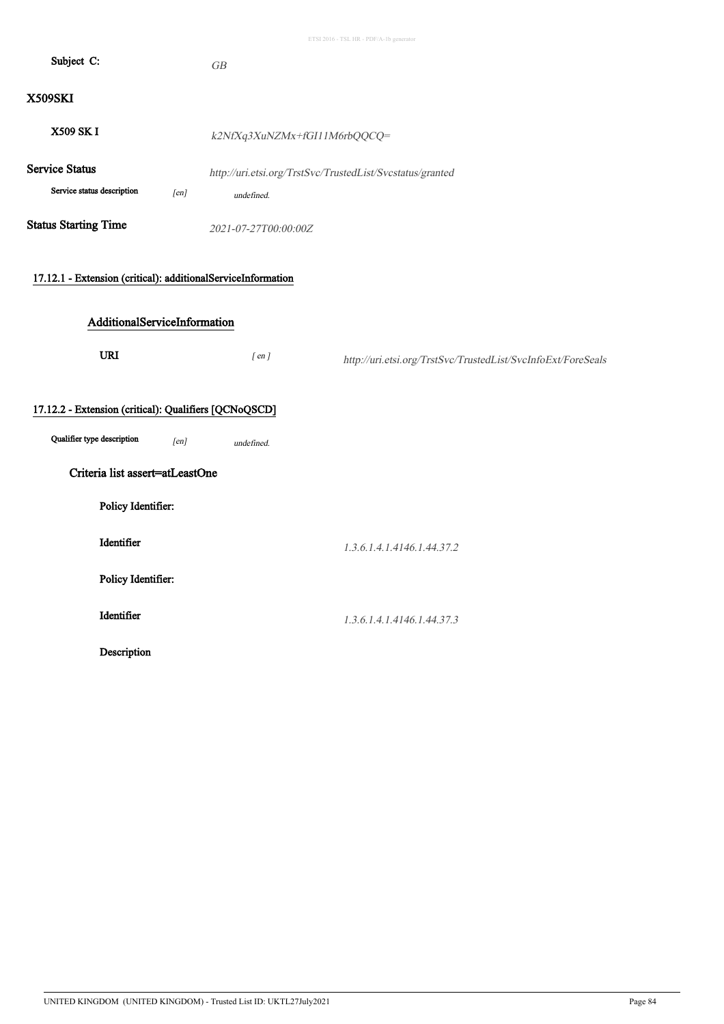| Subject C:                                                   | GB                           |                                                              |
|--------------------------------------------------------------|------------------------------|--------------------------------------------------------------|
| X509SKI                                                      |                              |                                                              |
| X509 SK I                                                    | k2NfXq3XuNZMx+fGI11M6rbQQCQ= |                                                              |
| <b>Service Status</b><br>Service status description<br>[en]  | undefined.                   | http://uri.etsi.org/TrstSvc/TrustedList/Svcstatus/granted    |
| <b>Status Starting Time</b>                                  | 2021-07-27T00:00:00Z         |                                                              |
| 17.12.1 - Extension (critical): additionalServiceInformation |                              |                                                              |
| AdditionalServiceInformation                                 |                              |                                                              |
| <b>URI</b>                                                   | $[$ en $]$                   | http://uri.etsi.org/TrstSvc/TrustedList/SvcInfoExt/ForeSeals |
| 17.12.2 - Extension (critical): Qualifiers [QCNoQSCD]        |                              |                                                              |
| Qualifier type description<br>[en]                           | undefined.                   |                                                              |
| Criteria list assert=atLeastOne                              |                              |                                                              |
| Policy Identifier:                                           |                              |                                                              |
| Identifier                                                   |                              | 1.3.6.1.4.1.4146.1.44.37.2                                   |
| Policy Identifier:                                           |                              |                                                              |
| Identifier                                                   |                              | 1.3.6.1.4.1.4146.1.44.37.3                                   |
| Description                                                  |                              |                                                              |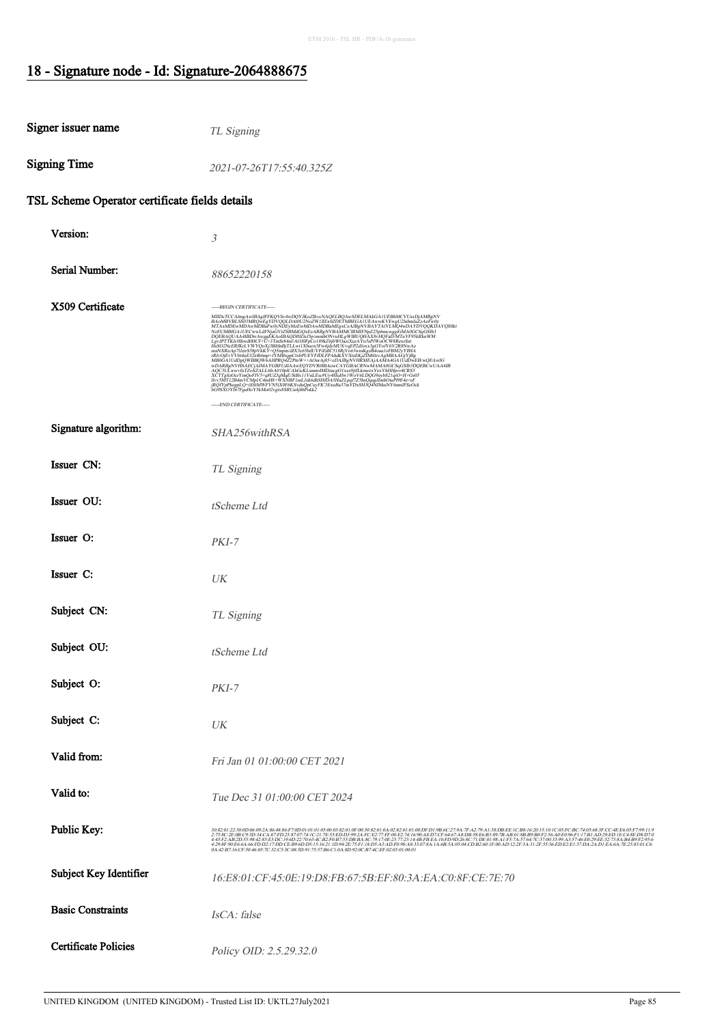#### 18 - Signature node - Id: Signature-2064888675

| Signer issuer name                             | TL Signing                                                                                                                                                                                                                                                                                                                                                                                                                                                                                                       |  |  |  |
|------------------------------------------------|------------------------------------------------------------------------------------------------------------------------------------------------------------------------------------------------------------------------------------------------------------------------------------------------------------------------------------------------------------------------------------------------------------------------------------------------------------------------------------------------------------------|--|--|--|
| <b>Signing Time</b>                            | 2021-07-26T17:55:40.325Z                                                                                                                                                                                                                                                                                                                                                                                                                                                                                         |  |  |  |
| TSL Scheme Operator certificate fields details |                                                                                                                                                                                                                                                                                                                                                                                                                                                                                                                  |  |  |  |
| Version:                                       | $\mathfrak{Z}$                                                                                                                                                                                                                                                                                                                                                                                                                                                                                                   |  |  |  |
| Serial Number:                                 | 88652220158                                                                                                                                                                                                                                                                                                                                                                                                                                                                                                      |  |  |  |
| X509 Certificate                               | -----BEGIN CERTIFICATE-----<br>$\label{eq:22} \begin{minipage}[t]{0.9\textwidth}\label{fig:3} {\bf{MID-TCLA} \small \begin{minipage}[t]{0.9\textwidth}\label{fig:3} {\bf{MID-TCLA} \small \end{minipage}[t]{0.9\textwidth}\label{fig:3} \begin{minipage}[t]{0.9\textwidth}\label{fig:3} {\bf{MID-TCLA} \small \begin{minipage}[t]{0.9\textwidth}\label{fig:3} {\bf{MID-TCLA} \small \end{minipage}[t]{0.9\textwidth}\label{fig:3} \begin{minipage}[t]{0.9\textwidth}\label{fig:3} {\bf{MID-TCLA} \small \begin{$ |  |  |  |
|                                                |                                                                                                                                                                                                                                                                                                                                                                                                                                                                                                                  |  |  |  |
| Signature algorithm:                           | -----END CERTIFICATE-----<br>SHA256withRSA                                                                                                                                                                                                                                                                                                                                                                                                                                                                       |  |  |  |
| Issuer CN:                                     | TL Signing                                                                                                                                                                                                                                                                                                                                                                                                                                                                                                       |  |  |  |
| Issuer OU:                                     | tScheme Ltd                                                                                                                                                                                                                                                                                                                                                                                                                                                                                                      |  |  |  |
| Issuer O:                                      | $PKI-7$                                                                                                                                                                                                                                                                                                                                                                                                                                                                                                          |  |  |  |
| Issuer C:                                      | UK                                                                                                                                                                                                                                                                                                                                                                                                                                                                                                               |  |  |  |
| Subject CN:                                    | TL Signing                                                                                                                                                                                                                                                                                                                                                                                                                                                                                                       |  |  |  |
| Subject OU:                                    | tScheme Ltd                                                                                                                                                                                                                                                                                                                                                                                                                                                                                                      |  |  |  |
| Subject O:                                     | $PKI-7$                                                                                                                                                                                                                                                                                                                                                                                                                                                                                                          |  |  |  |
| Subject C:                                     | UK                                                                                                                                                                                                                                                                                                                                                                                                                                                                                                               |  |  |  |
| Valid from:                                    | Fri Jan 01 01:00:00 CET 2021                                                                                                                                                                                                                                                                                                                                                                                                                                                                                     |  |  |  |
| Valid to:                                      | Tue Dec 31 01:00:00 CET 2024                                                                                                                                                                                                                                                                                                                                                                                                                                                                                     |  |  |  |
| Public Key:                                    | 3023012300066692A86886F7000101018500832010F60832030003201000ED1986C7379A7FA279A138DEE1CR8162013101C05630EC8456857C4EE6667799119<br>2758C2E0BC93D34CA87ED258707A1C217E33EDD399AACE277FF60E2741690A8D7CF6467A8DB38E6B3897BAB013BB9B<br>0A:42:B7:16:CF:50:46:05:7C:32:C5:3C:08:5D:91:75:57:B6:C1:0A:8D:92:0C:B7:4C:EF:02:03:01:00:01                                                                                                                                                                                |  |  |  |
| Subject Key Identifier                         | 16.E8.01.CF.45.0E.19.D8.FB.67.5B.EF.80.3A.EA.C0.8F.CE.7E.70                                                                                                                                                                                                                                                                                                                                                                                                                                                      |  |  |  |
| <b>Basic Constraints</b>                       | IsCA: false                                                                                                                                                                                                                                                                                                                                                                                                                                                                                                      |  |  |  |
| <b>Certificate Policies</b>                    | Policy OID: 2.5.29.32.0                                                                                                                                                                                                                                                                                                                                                                                                                                                                                          |  |  |  |